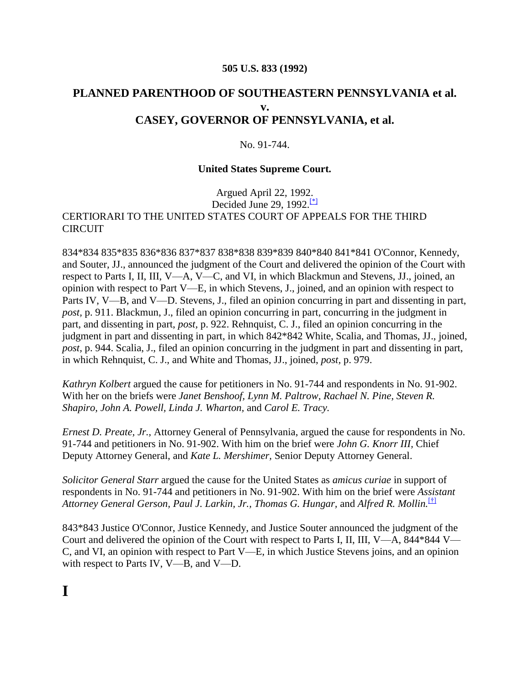#### **505 U.S. 833 (1992)**

### **PLANNED PARENTHOOD OF SOUTHEASTERN PENNSYLVANIA et al. v. CASEY, GOVERNOR OF PENNSYLVANIA, et al.**

#### No. 91-744.

#### **United States Supreme Court.**

#### Argued April 22, 1992. Decided June 29, 1992. $\frac{[*]}{[*]}$  $\frac{[*]}{[*]}$  $\frac{[*]}{[*]}$ CERTIORARI TO THE UNITED STATES COURT OF APPEALS FOR THE THIRD CIRCUIT

834\*834 835\*835 836\*836 837\*837 838\*838 839\*839 840\*840 841\*841 O'Connor, Kennedy, and Souter, JJ., announced the judgment of the Court and delivered the opinion of the Court with respect to Parts I, II, III, V—A, V—C, and VI, in which Blackmun and Stevens, JJ., joined, an opinion with respect to Part V—E, in which Stevens, J., joined, and an opinion with respect to Parts IV, V—B, and V—D. Stevens, J., filed an opinion concurring in part and dissenting in part, *post,* p. 911. Blackmun, J., filed an opinion concurring in part, concurring in the judgment in part, and dissenting in part, *post,* p. 922. Rehnquist, C. J., filed an opinion concurring in the judgment in part and dissenting in part, in which 842\*842 White, Scalia, and Thomas, JJ., joined, *post,* p. 944. Scalia, J., filed an opinion concurring in the judgment in part and dissenting in part, in which Rehnquist, C. J., and White and Thomas, JJ., joined, *post,* p. 979.

*Kathryn Kolbert* argued the cause for petitioners in No. 91-744 and respondents in No. 91-902. With her on the briefs were *Janet Benshoof, Lynn M. Paltrow, Rachael N. Pine, Steven R. Shapiro, John A. Powell, Linda J. Wharton,* and *Carol E. Tracy.*

*Ernest D. Preate, Jr.,* Attorney General of Pennsylvania, argued the cause for respondents in No. 91-744 and petitioners in No. 91-902. With him on the brief were *John G. Knorr III,* Chief Deputy Attorney General, and *Kate L. Mershimer,* Senior Deputy Attorney General.

*Solicitor General Starr* argued the cause for the United States as *amicus curiae* in support of respondents in No. 91-744 and petitioners in No. 91-902. With him on the brief were *Assistant Attorney General Gerson, Paul J. Larkin, Jr., Thomas G. Hungar,* and *Alfred R. Mollin.*[\[†\]](http://scholar.google.co.in/scholar_case?q=planned+parenthood+v.+casey&hl=en&as_sdt=2,5&case=6298856056242550994&scilh=0#[2])

843\*843 Justice O'Connor, Justice Kennedy, and Justice Souter announced the judgment of the Court and delivered the opinion of the Court with respect to Parts I, II, III, V—A, 844\*844 V— C, and VI, an opinion with respect to Part V—E, in which Justice Stevens joins, and an opinion with respect to Parts IV, V—B, and V—D.

**I**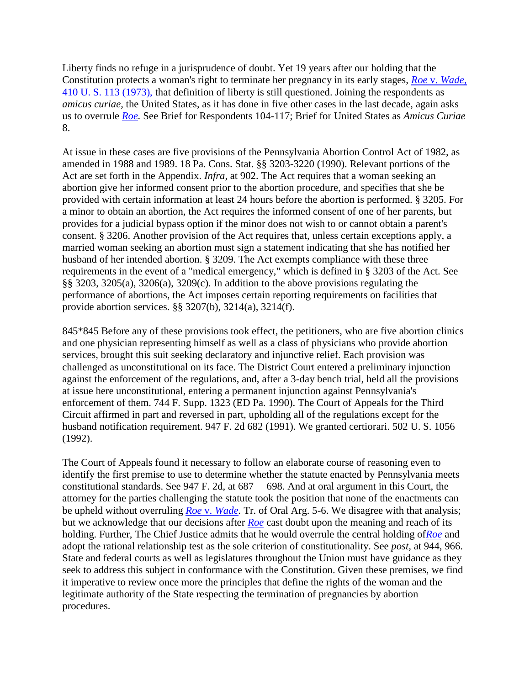Liberty finds no refuge in a jurisprudence of doubt. Yet 19 years after our holding that the Constitution protects a woman's right to terminate her pregnancy in its early stages, *Roe* v. *[Wade,](http://scholar.google.co.in/scholar_case?case=12334123945835207673&q=planned+parenthood+v.+casey&hl=en&as_sdt=2,5&scilh=0)* [410 U. S. 113 \(1973\),](http://scholar.google.co.in/scholar_case?case=12334123945835207673&q=planned+parenthood+v.+casey&hl=en&as_sdt=2,5&scilh=0) that definition of liberty is still questioned. Joining the respondents as *amicus curiae,* the United States, as it has done in five other cases in the last decade, again asks us to overrule *[Roe.](http://scholar.google.co.in/scholar_case?case=12334123945835207673&q=planned+parenthood+v.+casey&hl=en&as_sdt=2,5&scilh=0)* See Brief for Respondents 104-117; Brief for United States as *Amicus Curiae* 8.

At issue in these cases are five provisions of the Pennsylvania Abortion Control Act of 1982, as amended in 1988 and 1989. 18 Pa. Cons. Stat. §§ 3203-3220 (1990). Relevant portions of the Act are set forth in the Appendix. *Infra,* at 902. The Act requires that a woman seeking an abortion give her informed consent prior to the abortion procedure, and specifies that she be provided with certain information at least 24 hours before the abortion is performed. § 3205. For a minor to obtain an abortion, the Act requires the informed consent of one of her parents, but provides for a judicial bypass option if the minor does not wish to or cannot obtain a parent's consent. § 3206. Another provision of the Act requires that, unless certain exceptions apply, a married woman seeking an abortion must sign a statement indicating that she has notified her husband of her intended abortion. § 3209. The Act exempts compliance with these three requirements in the event of a "medical emergency," which is defined in § 3203 of the Act. See §§ 3203, 3205(a), 3206(a), 3209(c). In addition to the above provisions regulating the performance of abortions, the Act imposes certain reporting requirements on facilities that provide abortion services. §§ 3207(b), 3214(a), 3214(f).

845\*845 Before any of these provisions took effect, the petitioners, who are five abortion clinics and one physician representing himself as well as a class of physicians who provide abortion services, brought this suit seeking declaratory and injunctive relief. Each provision was challenged as unconstitutional on its face. The District Court entered a preliminary injunction against the enforcement of the regulations, and, after a 3-day bench trial, held all the provisions at issue here unconstitutional, entering a permanent injunction against Pennsylvania's enforcement of them. 744 F. Supp. 1323 (ED Pa. 1990). The Court of Appeals for the Third Circuit affirmed in part and reversed in part, upholding all of the regulations except for the husband notification requirement. 947 F. 2d 682 (1991). We granted certiorari. 502 U. S. 1056 (1992).

The Court of Appeals found it necessary to follow an elaborate course of reasoning even to identify the first premise to use to determine whether the statute enacted by Pennsylvania meets constitutional standards. See 947 F. 2d, at 687— 698. And at oral argument in this Court, the attorney for the parties challenging the statute took the position that none of the enactments can be upheld without overruling *Roe* v. *[Wade.](http://scholar.google.co.in/scholar_case?case=12334123945835207673&q=planned+parenthood+v.+casey&hl=en&as_sdt=2,5&scilh=0)* Tr. of Oral Arg. 5-6. We disagree with that analysis; but we acknowledge that our decisions after *[Roe](http://scholar.google.co.in/scholar_case?case=12334123945835207673&q=planned+parenthood+v.+casey&hl=en&as_sdt=2,5&scilh=0)* cast doubt upon the meaning and reach of its holding. Further, The Chief Justice admits that he would overrule the central holding of*[Roe](http://scholar.google.co.in/scholar_case?case=12334123945835207673&q=planned+parenthood+v.+casey&hl=en&as_sdt=2,5&scilh=0)* and adopt the rational relationship test as the sole criterion of constitutionality. See *post,* at 944, 966. State and federal courts as well as legislatures throughout the Union must have guidance as they seek to address this subject in conformance with the Constitution. Given these premises, we find it imperative to review once more the principles that define the rights of the woman and the legitimate authority of the State respecting the termination of pregnancies by abortion procedures.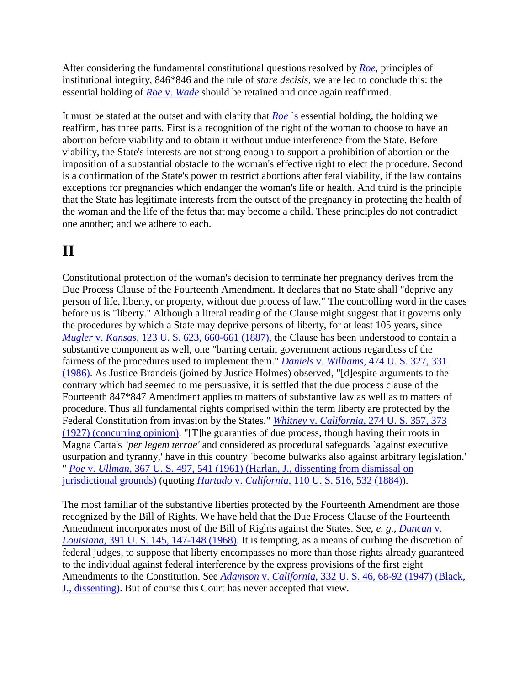After considering the fundamental constitutional questions resolved by *[Roe,](http://scholar.google.co.in/scholar_case?case=12334123945835207673&q=planned+parenthood+v.+casey&hl=en&as_sdt=2,5&scilh=0)* principles of institutional integrity, 846\*846 and the rule of *stare decisis,* we are led to conclude this: the essential holding of *Roe* v. *[Wade](http://scholar.google.co.in/scholar_case?case=12334123945835207673&q=planned+parenthood+v.+casey&hl=en&as_sdt=2,5&scilh=0)* should be retained and once again reaffirmed.

It must be stated at the outset and with clarity that *[Roe](http://scholar.google.co.in/scholar_case?case=12334123945835207673&q=planned+parenthood+v.+casey&hl=en&as_sdt=2,5&scilh=0)* `s essential holding, the holding we reaffirm, has three parts. First is a recognition of the right of the woman to choose to have an abortion before viability and to obtain it without undue interference from the State. Before viability, the State's interests are not strong enough to support a prohibition of abortion or the imposition of a substantial obstacle to the woman's effective right to elect the procedure. Second is a confirmation of the State's power to restrict abortions after fetal viability, if the law contains exceptions for pregnancies which endanger the woman's life or health. And third is the principle that the State has legitimate interests from the outset of the pregnancy in protecting the health of the woman and the life of the fetus that may become a child. These principles do not contradict one another; and we adhere to each.

# **II**

Constitutional protection of the woman's decision to terminate her pregnancy derives from the Due Process Clause of the Fourteenth Amendment. It declares that no State shall "deprive any person of life, liberty, or property, without due process of law." The controlling word in the cases before us is "liberty." Although a literal reading of the Clause might suggest that it governs only the procedures by which a State may deprive persons of liberty, for at least 105 years, since *Mugler* v. *Kansas,* [123 U. S. 623, 660-661 \(1887\),](http://scholar.google.co.in/scholar_case?case=12658364258779560123&q=planned+parenthood+v.+casey&hl=en&as_sdt=2,5&scilh=0) the Clause has been understood to contain a substantive component as well, one "barring certain government actions regardless of the fairness of the procedures used to implement them." *Daniels* v. *Williams,* [474 U. S. 327, 331](http://scholar.google.co.in/scholar_case?case=18161900280485366529&q=planned+parenthood+v.+casey&hl=en&as_sdt=2,5&scilh=0)  [\(1986\).](http://scholar.google.co.in/scholar_case?case=18161900280485366529&q=planned+parenthood+v.+casey&hl=en&as_sdt=2,5&scilh=0) As Justice Brandeis (joined by Justice Holmes) observed, "[d]espite arguments to the contrary which had seemed to me persuasive, it is settled that the due process clause of the Fourteenth 847\*847 Amendment applies to matters of substantive law as well as to matters of procedure. Thus all fundamental rights comprised within the term liberty are protected by the Federal Constitution from invasion by the States." *Whitney* v. *California,* [274 U. S. 357, 373](http://scholar.google.co.in/scholar_case?case=9558803063364299687&q=planned+parenthood+v.+casey&hl=en&as_sdt=2,5&scilh=0)  [\(1927\) \(concurring opinion\).](http://scholar.google.co.in/scholar_case?case=9558803063364299687&q=planned+parenthood+v.+casey&hl=en&as_sdt=2,5&scilh=0) "[T]he guaranties of due process, though having their roots in Magna Carta's *`per legem terrae'* and considered as procedural safeguards `against executive usurpation and tyranny,' have in this country `become bulwarks also against arbitrary legislation.' " *Poe* v. *Ullman,* [367 U. S. 497, 541 \(1961\) \(Harlan, J., dissenting from dismissal on](http://scholar.google.co.in/scholar_case?case=642884283459215206&q=planned+parenthood+v.+casey&hl=en&as_sdt=2,5&scilh=0)  [jurisdictional grounds\)](http://scholar.google.co.in/scholar_case?case=642884283459215206&q=planned+parenthood+v.+casey&hl=en&as_sdt=2,5&scilh=0) (quoting *Hurtado* v. *California,* [110 U. S. 516, 532 \(1884\)\)](http://scholar.google.co.in/scholar_case?case=1776527263855738233&q=planned+parenthood+v.+casey&hl=en&as_sdt=2,5&scilh=0).

The most familiar of the substantive liberties protected by the Fourteenth Amendment are those recognized by the Bill of Rights. We have held that the Due Process Clause of the Fourteenth Amendment incorporates most of the Bill of Rights against the States. See, *e. g., [Duncan](http://scholar.google.co.in/scholar_case?case=4898025508980632610&q=planned+parenthood+v.+casey&hl=en&as_sdt=2,5&scilh=0)* v. *Louisiana,* [391 U. S. 145, 147-148 \(1968\).](http://scholar.google.co.in/scholar_case?case=4898025508980632610&q=planned+parenthood+v.+casey&hl=en&as_sdt=2,5&scilh=0) It is tempting, as a means of curbing the discretion of federal judges, to suppose that liberty encompasses no more than those rights already guaranteed to the individual against federal interference by the express provisions of the first eight Amendments to the Constitution. See *Adamson* v. *California,* [332 U. S. 46, 68-92 \(1947\) \(Black,](http://scholar.google.co.in/scholar_case?case=474434680704292554&q=planned+parenthood+v.+casey&hl=en&as_sdt=2,5&scilh=0)  [J., dissenting\).](http://scholar.google.co.in/scholar_case?case=474434680704292554&q=planned+parenthood+v.+casey&hl=en&as_sdt=2,5&scilh=0) But of course this Court has never accepted that view.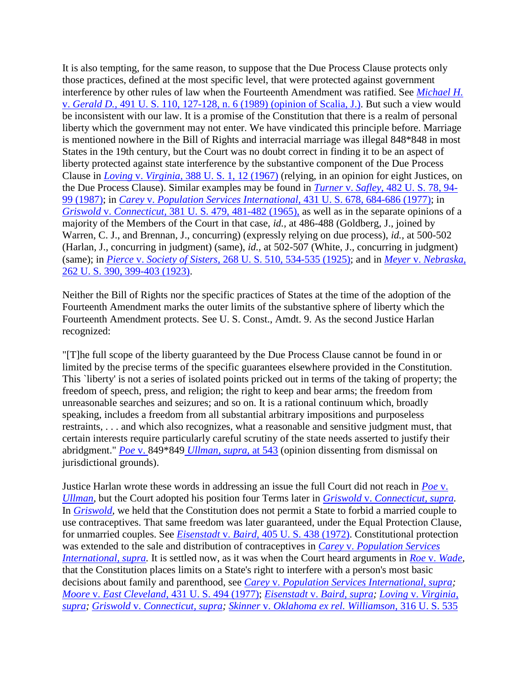It is also tempting, for the same reason, to suppose that the Due Process Clause protects only those practices, defined at the most specific level, that were protected against government interference by other rules of law when the Fourteenth Amendment was ratified. See *[Michael H.](http://scholar.google.co.in/scholar_case?case=18282912377125168373&q=planned+parenthood+v.+casey&hl=en&as_sdt=2,5&scilh=0)* v. *Gerald D.,* [491 U. S. 110, 127-128, n. 6 \(1989\) \(opinion](http://scholar.google.co.in/scholar_case?case=18282912377125168373&q=planned+parenthood+v.+casey&hl=en&as_sdt=2,5&scilh=0) of Scalia, J.). But such a view would be inconsistent with our law. It is a promise of the Constitution that there is a realm of personal liberty which the government may not enter. We have vindicated this principle before. Marriage is mentioned nowhere in the Bill of Rights and interracial marriage was illegal 848\*848 in most States in the 19th century, but the Court was no doubt correct in finding it to be an aspect of liberty protected against state interference by the substantive component of the Due Process Clause in *Loving* v. *Virginia,* [388 U. S. 1, 12 \(1967\)](http://scholar.google.co.in/scholar_case?case=5103666188878568597&q=planned+parenthood+v.+casey&hl=en&as_sdt=2,5&scilh=0) (relying, in an opinion for eight Justices, on the Due Process Clause). Similar examples may be found in *Turner* v. *Safley,* [482 U. S. 78, 94-](http://scholar.google.co.in/scholar_case?case=15686747716085264205&q=planned+parenthood+v.+casey&hl=en&as_sdt=2,5&scilh=0) [99 \(1987\);](http://scholar.google.co.in/scholar_case?case=15686747716085264205&q=planned+parenthood+v.+casey&hl=en&as_sdt=2,5&scilh=0) in *Carey* v. *[Population Services International,](http://scholar.google.co.in/scholar_case?case=4801034783278981738&q=planned+parenthood+v.+casey&hl=en&as_sdt=2,5&scilh=0)* 431 U. S. 678, 684-686 (1977); in *Griswold* v. *Connecticut,* [381 U. S. 479, 481-482 \(1965\),](http://scholar.google.co.in/scholar_case?case=12276922145000050979&q=planned+parenthood+v.+casey&hl=en&as_sdt=2,5&scilh=0) as well as in the separate opinions of a majority of the Members of the Court in that case, *id.,* at 486-488 (Goldberg, J., joined by Warren, C. J., and Brennan, J., concurring) (expressly relying on due process), *id.,* at 500-502 (Harlan, J., concurring in judgment) (same), *id.,* at 502-507 (White, J., concurring in judgment) (same); in *Pierce* v. *Society of Sisters,* [268 U. S. 510, 534-535 \(1925\);](http://scholar.google.co.in/scholar_case?case=6094501649208458004&q=planned+parenthood+v.+casey&hl=en&as_sdt=2,5&scilh=0) and in *Meyer* v. *[Nebraska,](http://scholar.google.co.in/scholar_case?case=16175793893966768030&q=planned+parenthood+v.+casey&hl=en&as_sdt=2,5&scilh=0)* [262 U. S. 390, 399-403 \(1923\).](http://scholar.google.co.in/scholar_case?case=16175793893966768030&q=planned+parenthood+v.+casey&hl=en&as_sdt=2,5&scilh=0)

Neither the Bill of Rights nor the specific practices of States at the time of the adoption of the Fourteenth Amendment marks the outer limits of the substantive sphere of liberty which the Fourteenth Amendment protects. See U. S. Const., Amdt. 9. As the second Justice Harlan recognized:

"[T]he full scope of the liberty guaranteed by the Due Process Clause cannot be found in or limited by the precise terms of the specific guarantees elsewhere provided in the Constitution. This `liberty' is not a series of isolated points pricked out in terms of the taking of property; the freedom of speech, press, and religion; the right to keep and bear arms; the freedom from unreasonable searches and seizures; and so on. It is a rational continuum which, broadly speaking, includes a freedom from all substantial arbitrary impositions and purposeless restraints, . . . and which also recognizes, what a reasonable and sensitive judgment must, that certain interests require particularly careful scrutiny of the state needs asserted to justify their abridgment." *[Poe](http://scholar.google.co.in/scholar_case?case=642884283459215206&q=planned+parenthood+v.+casey&hl=en&as_sdt=2,5&scilh=0)* v. 849\*849 *[Ullman, supra,](http://scholar.google.co.in/scholar_case?case=642884283459215206&q=planned+parenthood+v.+casey&hl=en&as_sdt=2,5&scilh=0)* at 543 (opinion dissenting from dismissal on jurisdictional grounds).

Justice Harlan wrote these words in addressing an issue the full Court did not reach in *[Poe](http://scholar.google.co.in/scholar_case?case=642884283459215206&q=planned+parenthood+v.+casey&hl=en&as_sdt=2,5&scilh=0)* v. *[Ullman,](http://scholar.google.co.in/scholar_case?case=642884283459215206&q=planned+parenthood+v.+casey&hl=en&as_sdt=2,5&scilh=0)* but the Court adopted his position four Terms later in *Griswold* v. *[Connecticut, supra.](http://scholar.google.co.in/scholar_case?case=12276922145000050979&q=planned+parenthood+v.+casey&hl=en&as_sdt=2,5&scilh=0)* In *[Griswold,](http://scholar.google.co.in/scholar_case?case=12276922145000050979&q=planned+parenthood+v.+casey&hl=en&as_sdt=2,5&scilh=0)* we held that the Constitution does not permit a State to forbid a married couple to use contraceptives. That same freedom was later guaranteed, under the Equal Protection Clause, for unmarried couples. See *Eisenstadt* v. *Baird,* [405 U. S. 438 \(1972\).](http://scholar.google.co.in/scholar_case?case=14131534241682283357&q=planned+parenthood+v.+casey&hl=en&as_sdt=2,5&scilh=0) Constitutional protection was extended to the sale and distribution of contraceptives in *Carey* v. *[Population Services](http://scholar.google.co.in/scholar_case?case=4801034783278981738&q=planned+parenthood+v.+casey&hl=en&as_sdt=2,5&scilh=0)  [International, supra.](http://scholar.google.co.in/scholar_case?case=4801034783278981738&q=planned+parenthood+v.+casey&hl=en&as_sdt=2,5&scilh=0)* It is settled now, as it was when the Court heard arguments in *Roe* v. *[Wade,](http://scholar.google.co.in/scholar_case?case=12334123945835207673&q=planned+parenthood+v.+casey&hl=en&as_sdt=2,5&scilh=0)* that the Constitution places limits on a State's right to interfere with a person's most basic decisions about family and parenthood, see *Carey* v. *[Population Services International, supra;](http://scholar.google.co.in/scholar_case?case=4801034783278981738&q=planned+parenthood+v.+casey&hl=en&as_sdt=2,5&scilh=0) Moore* v. *East Cleveland,* [431 U. S. 494 \(1977\);](http://scholar.google.co.in/scholar_case?case=2901986314146432010&q=planned+parenthood+v.+casey&hl=en&as_sdt=2,5&scilh=0) *Eisenstadt* v. *[Baird, supra;](http://scholar.google.co.in/scholar_case?case=14131534241682283357&q=planned+parenthood+v.+casey&hl=en&as_sdt=2,5&scilh=0) Loving* v. *[Virginia,](http://scholar.google.co.in/scholar_case?case=5103666188878568597&q=planned+parenthood+v.+casey&hl=en&as_sdt=2,5&scilh=0)  [supra;](http://scholar.google.co.in/scholar_case?case=5103666188878568597&q=planned+parenthood+v.+casey&hl=en&as_sdt=2,5&scilh=0) Griswold* v. *[Connecticut, supra;](http://scholar.google.co.in/scholar_case?case=12276922145000050979&q=planned+parenthood+v.+casey&hl=en&as_sdt=2,5&scilh=0) Skinner* v. *[Oklahoma ex rel. Williamson,](http://scholar.google.co.in/scholar_case?case=8050731321644873759&q=planned+parenthood+v.+casey&hl=en&as_sdt=2,5&scilh=0)* 316 U. S. 535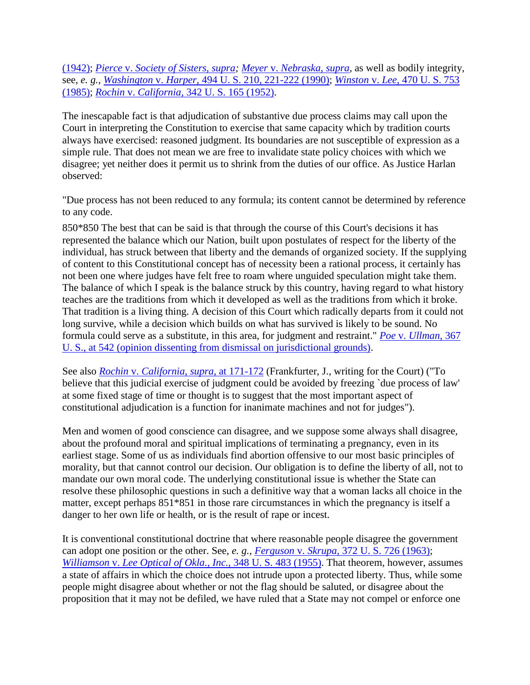(1942); *Pierce* v. *[Society of Sisters, supra;](http://scholar.google.co.in/scholar_case?case=6094501649208458004&q=planned+parenthood+v.+casey&hl=en&as_sdt=2,5&scilh=0) Meyer* v. *[Nebraska, supra,](http://scholar.google.co.in/scholar_case?case=16175793893966768030&q=planned+parenthood+v.+casey&hl=en&as_sdt=2,5&scilh=0)* as well as bodily integrity, see, *e. g., Washington* v. *Harper,* [494 U. S. 210, 221-222 \(1990\);](http://scholar.google.co.in/scholar_case?case=13274222040240404814&q=planned+parenthood+v.+casey&hl=en&as_sdt=2,5&scilh=0) *Winston* v. *Lee,* [470 U. S. 753](http://scholar.google.co.in/scholar_case?case=6619239343305962305&q=planned+parenthood+v.+casey&hl=en&as_sdt=2,5&scilh=0)  [\(1985\);](http://scholar.google.co.in/scholar_case?case=6619239343305962305&q=planned+parenthood+v.+casey&hl=en&as_sdt=2,5&scilh=0) *Rochin* v. *California,* [342 U. S. 165 \(1952\).](http://scholar.google.co.in/scholar_case?case=13189177772806165249&q=planned+parenthood+v.+casey&hl=en&as_sdt=2,5&scilh=0)

The inescapable fact is that adjudication of substantive due process claims may call upon the Court in interpreting the Constitution to exercise that same capacity which by tradition courts always have exercised: reasoned judgment. Its boundaries are not susceptible of expression as a simple rule. That does not mean we are free to invalidate state policy choices with which we disagree; yet neither does it permit us to shrink from the duties of our office. As Justice Harlan observed:

"Due process has not been reduced to any formula; its content cannot be determined by reference to any code.

850\*850 The best that can be said is that through the course of this Court's decisions it has represented the balance which our Nation, built upon postulates of respect for the liberty of the individual, has struck between that liberty and the demands of organized society. If the supplying of content to this Constitutional concept has of necessity been a rational process, it certainly has not been one where judges have felt free to roam where unguided speculation might take them. The balance of which I speak is the balance struck by this country, having regard to what history teaches are the traditions from which it developed as well as the traditions from which it broke. That tradition is a living thing. A decision of this Court which radically departs from it could not long survive, while a decision which builds on what has survived is likely to be sound. No formula could serve as a substitute, in this area, for judgment and restraint." *Poe* v. *[Ullman,](http://scholar.google.co.in/scholar_case?case=642884283459215206&q=planned+parenthood+v.+casey&hl=en&as_sdt=2,5&scilh=0)* 367 [U. S., at 542 \(opinion dissenting from dismissal on jurisdictional grounds\).](http://scholar.google.co.in/scholar_case?case=642884283459215206&q=planned+parenthood+v.+casey&hl=en&as_sdt=2,5&scilh=0)

See also *Rochin* v. *[California, supra,](http://scholar.google.co.in/scholar_case?case=13189177772806165249&q=planned+parenthood+v.+casey&hl=en&as_sdt=2,5&scilh=0)* at 171-172 (Frankfurter, J., writing for the Court) ("To believe that this judicial exercise of judgment could be avoided by freezing `due process of law' at some fixed stage of time or thought is to suggest that the most important aspect of constitutional adjudication is a function for inanimate machines and not for judges").

Men and women of good conscience can disagree, and we suppose some always shall disagree, about the profound moral and spiritual implications of terminating a pregnancy, even in its earliest stage. Some of us as individuals find abortion offensive to our most basic principles of morality, but that cannot control our decision. Our obligation is to define the liberty of all, not to mandate our own moral code. The underlying constitutional issue is whether the State can resolve these philosophic questions in such a definitive way that a woman lacks all choice in the matter, except perhaps 851\*851 in those rare circumstances in which the pregnancy is itself a danger to her own life or health, or is the result of rape or incest.

It is conventional constitutional doctrine that where reasonable people disagree the government can adopt one position or the other. See, *e. g., Ferguson* v. *Skrupa,* [372 U. S. 726 \(1963\);](http://scholar.google.co.in/scholar_case?case=6949389772947979819&q=planned+parenthood+v.+casey&hl=en&as_sdt=2,5&scilh=0) *Williamson* v. *[Lee Optical of Okla., Inc.,](http://scholar.google.co.in/scholar_case?case=17779134010247423421&q=planned+parenthood+v.+casey&hl=en&as_sdt=2,5&scilh=0)* 348 U. S. 483 (1955). That theorem, however, assumes a state of affairs in which the choice does not intrude upon a protected liberty. Thus, while some people might disagree about whether or not the flag should be saluted, or disagree about the proposition that it may not be defiled, we have ruled that a State may not compel or enforce one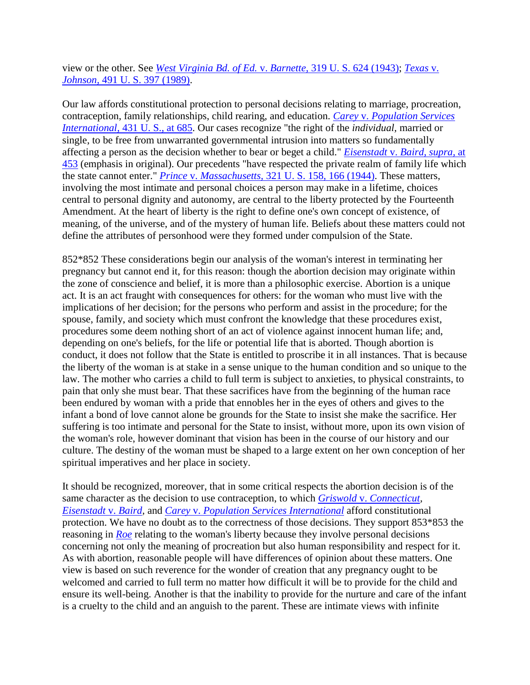view or the other. See *[West Virginia Bd. of Ed.](http://scholar.google.co.in/scholar_case?case=8030119134463419441&q=planned+parenthood+v.+casey&hl=en&as_sdt=2,5&scilh=0)* v. *Barnette,* 319 U. S. 624 (1943); *[Texas](http://scholar.google.co.in/scholar_case?case=2084618710761560217&q=planned+parenthood+v.+casey&hl=en&as_sdt=2,5&scilh=0)* v. *Johnson,* [491 U. S. 397 \(1989\).](http://scholar.google.co.in/scholar_case?case=2084618710761560217&q=planned+parenthood+v.+casey&hl=en&as_sdt=2,5&scilh=0)

Our law affords constitutional protection to personal decisions relating to marriage, procreation, contraception, family relationships, child rearing, and education. *Carey* v. *[Population Services](http://scholar.google.co.in/scholar_case?case=4801034783278981738&q=planned+parenthood+v.+casey&hl=en&as_sdt=2,5&scilh=0)  International,* [431 U. S., at 685.](http://scholar.google.co.in/scholar_case?case=4801034783278981738&q=planned+parenthood+v.+casey&hl=en&as_sdt=2,5&scilh=0) Our cases recognize "the right of the *individual,* married or single, to be free from unwarranted governmental intrusion into matters so fundamentally affecting a person as the decision whether to bear or beget a child." *Eisenstadt* v. *[Baird, supra,](http://scholar.google.co.in/scholar_case?case=14131534241682283357&q=planned+parenthood+v.+casey&hl=en&as_sdt=2,5&scilh=0)* at [453](http://scholar.google.co.in/scholar_case?case=14131534241682283357&q=planned+parenthood+v.+casey&hl=en&as_sdt=2,5&scilh=0) (emphasis in original). Our precedents "have respected the private realm of family life which the state cannot enter." *Prince* v. *Massachusetts,* [321 U. S. 158, 166 \(1944\).](http://scholar.google.co.in/scholar_case?case=3012582275354260465&q=planned+parenthood+v.+casey&hl=en&as_sdt=2,5&scilh=0) These matters, involving the most intimate and personal choices a person may make in a lifetime, choices central to personal dignity and autonomy, are central to the liberty protected by the Fourteenth Amendment. At the heart of liberty is the right to define one's own concept of existence, of meaning, of the universe, and of the mystery of human life. Beliefs about these matters could not define the attributes of personhood were they formed under compulsion of the State.

852\*852 These considerations begin our analysis of the woman's interest in terminating her pregnancy but cannot end it, for this reason: though the abortion decision may originate within the zone of conscience and belief, it is more than a philosophic exercise. Abortion is a unique act. It is an act fraught with consequences for others: for the woman who must live with the implications of her decision; for the persons who perform and assist in the procedure; for the spouse, family, and society which must confront the knowledge that these procedures exist, procedures some deem nothing short of an act of violence against innocent human life; and, depending on one's beliefs, for the life or potential life that is aborted. Though abortion is conduct, it does not follow that the State is entitled to proscribe it in all instances. That is because the liberty of the woman is at stake in a sense unique to the human condition and so unique to the law. The mother who carries a child to full term is subject to anxieties, to physical constraints, to pain that only she must bear. That these sacrifices have from the beginning of the human race been endured by woman with a pride that ennobles her in the eyes of others and gives to the infant a bond of love cannot alone be grounds for the State to insist she make the sacrifice. Her suffering is too intimate and personal for the State to insist, without more, upon its own vision of the woman's role, however dominant that vision has been in the course of our history and our culture. The destiny of the woman must be shaped to a large extent on her own conception of her spiritual imperatives and her place in society.

It should be recognized, moreover, that in some critical respects the abortion decision is of the same character as the decision to use contraception, to which *Griswold* v. *[Connecticut,](http://scholar.google.co.in/scholar_case?case=12276922145000050979&q=planned+parenthood+v.+casey&hl=en&as_sdt=2,5&scilh=0) [Eisenstadt](http://scholar.google.co.in/scholar_case?case=14131534241682283357&q=planned+parenthood+v.+casey&hl=en&as_sdt=2,5&scilh=0)* v. *Baird,* and *Carey* v. *[Population Services International](http://scholar.google.co.in/scholar_case?case=4801034783278981738&q=planned+parenthood+v.+casey&hl=en&as_sdt=2,5&scilh=0)* afford constitutional protection. We have no doubt as to the correctness of those decisions. They support 853\*853 the reasoning in *[Roe](http://scholar.google.co.in/scholar_case?case=12334123945835207673&q=planned+parenthood+v.+casey&hl=en&as_sdt=2,5&scilh=0)* relating to the woman's liberty because they involve personal decisions concerning not only the meaning of procreation but also human responsibility and respect for it. As with abortion, reasonable people will have differences of opinion about these matters. One view is based on such reverence for the wonder of creation that any pregnancy ought to be welcomed and carried to full term no matter how difficult it will be to provide for the child and ensure its well-being. Another is that the inability to provide for the nurture and care of the infant is a cruelty to the child and an anguish to the parent. These are intimate views with infinite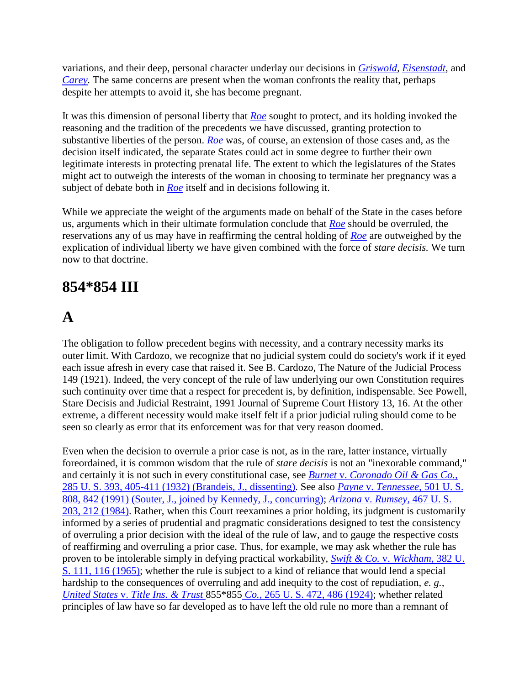variations, and their deep, personal character underlay our decisions in *[Griswold,](http://scholar.google.co.in/scholar_case?case=12276922145000050979&q=planned+parenthood+v.+casey&hl=en&as_sdt=2,5&scilh=0) [Eisenstadt,](http://scholar.google.co.in/scholar_case?case=14131534241682283357&q=planned+parenthood+v.+casey&hl=en&as_sdt=2,5&scilh=0)* and *Carey*. The same concerns are present when the woman confronts the reality that, perhaps despite her attempts to avoid it, she has become pregnant.

It was this dimension of personal liberty that *[Roe](http://scholar.google.co.in/scholar_case?case=12334123945835207673&q=planned+parenthood+v.+casey&hl=en&as_sdt=2,5&scilh=0)* sought to protect, and its holding invoked the reasoning and the tradition of the precedents we have discussed, granting protection to substantive liberties of the person. *[Roe](http://scholar.google.co.in/scholar_case?case=12334123945835207673&q=planned+parenthood+v.+casey&hl=en&as_sdt=2,5&scilh=0)* was, of course, an extension of those cases and, as the decision itself indicated, the separate States could act in some degree to further their own legitimate interests in protecting prenatal life. The extent to which the legislatures of the States might act to outweigh the interests of the woman in choosing to terminate her pregnancy was a subject of debate both in *[Roe](http://scholar.google.co.in/scholar_case?case=12334123945835207673&q=planned+parenthood+v.+casey&hl=en&as_sdt=2,5&scilh=0)* itself and in decisions following it.

While we appreciate the weight of the arguments made on behalf of the State in the cases before us, arguments which in their ultimate formulation conclude that *[Roe](http://scholar.google.co.in/scholar_case?case=12334123945835207673&q=planned+parenthood+v.+casey&hl=en&as_sdt=2,5&scilh=0)* should be overruled, the reservations any of us may have in reaffirming the central holding of *[Roe](http://scholar.google.co.in/scholar_case?case=12334123945835207673&q=planned+parenthood+v.+casey&hl=en&as_sdt=2,5&scilh=0)* are outweighed by the explication of individual liberty we have given combined with the force of *stare decisis.* We turn now to that doctrine.

# **854\*854 III**

# **A**

The obligation to follow precedent begins with necessity, and a contrary necessity marks its outer limit. With Cardozo, we recognize that no judicial system could do society's work if it eyed each issue afresh in every case that raised it. See B. Cardozo, The Nature of the Judicial Process 149 (1921). Indeed, the very concept of the rule of law underlying our own Constitution requires such continuity over time that a respect for precedent is, by definition, indispensable. See Powell, Stare Decisis and Judicial Restraint, 1991 Journal of Supreme Court History 13, 16. At the other extreme, a different necessity would make itself felt if a prior judicial ruling should come to be seen so clearly as error that its enforcement was for that very reason doomed.

Even when the decision to overrule a prior case is not, as in the rare, latter instance, virtually foreordained, it is common wisdom that the rule of *stare decisis* is not an "inexorable command," and certainly it is not such in every constitutional case, see *Burnet* v. *[Coronado Oil & Gas Co.,](http://scholar.google.co.in/scholar_case?case=6732469902141375873&q=planned+parenthood+v.+casey&hl=en&as_sdt=2,5&scilh=0)* [285 U. S. 393, 405-411 \(1932\) \(Brandeis, J., dissenting\).](http://scholar.google.co.in/scholar_case?case=6732469902141375873&q=planned+parenthood+v.+casey&hl=en&as_sdt=2,5&scilh=0) See also *Payne* v. *[Tennessee,](http://scholar.google.co.in/scholar_case?case=7795411704028596196&q=planned+parenthood+v.+casey&hl=en&as_sdt=2,5&scilh=0)* 501 U. S. [808, 842 \(1991\) \(Souter, J., joined by Kennedy, J., concurring\);](http://scholar.google.co.in/scholar_case?case=7795411704028596196&q=planned+parenthood+v.+casey&hl=en&as_sdt=2,5&scilh=0) *Arizona* v. *Rumsey,* [467 U. S.](http://scholar.google.co.in/scholar_case?case=8310948922946502461&q=planned+parenthood+v.+casey&hl=en&as_sdt=2,5&scilh=0)  [203, 212 \(1984\).](http://scholar.google.co.in/scholar_case?case=8310948922946502461&q=planned+parenthood+v.+casey&hl=en&as_sdt=2,5&scilh=0) Rather, when this Court reexamines a prior holding, its judgment is customarily informed by a series of prudential and pragmatic considerations designed to test the consistency of overruling a prior decision with the ideal of the rule of law, and to gauge the respective costs of reaffirming and overruling a prior case. Thus, for example, we may ask whether the rule has proven to be intolerable simply in defying practical workability, *[Swift & Co.](http://scholar.google.co.in/scholar_case?case=2900562249410925785&q=planned+parenthood+v.+casey&hl=en&as_sdt=2,5&scilh=0)* v. *Wickham,* 382 U. [S. 111, 116 \(1965\);](http://scholar.google.co.in/scholar_case?case=2900562249410925785&q=planned+parenthood+v.+casey&hl=en&as_sdt=2,5&scilh=0) whether the rule is subject to a kind of reliance that would lend a special hardship to the consequences of overruling and add inequity to the cost of repudiation, *e. g., United States* v. *[Title Ins. & Trust](http://scholar.google.co.in/scholar_case?case=12671985430736796801&q=planned+parenthood+v.+casey&hl=en&as_sdt=2,5&scilh=0)* 855\*855 *Co.,* [265 U. S. 472, 486 \(1924\);](http://scholar.google.co.in/scholar_case?case=12671985430736796801&q=planned+parenthood+v.+casey&hl=en&as_sdt=2,5&scilh=0) whether related principles of law have so far developed as to have left the old rule no more than a remnant of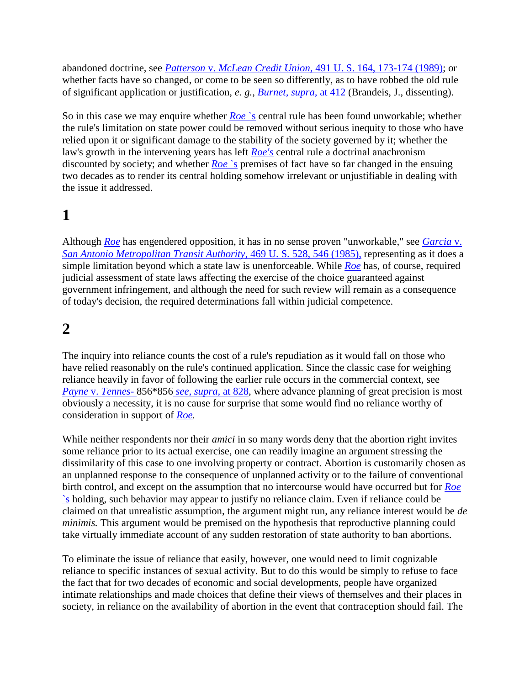abandoned doctrine, see *Patterson* v. *McLean Credit Union,* [491 U. S. 164, 173-174 \(1989\);](http://scholar.google.co.in/scholar_case?case=1263679142063583847&q=planned+parenthood+v.+casey&hl=en&as_sdt=2,5&scilh=0) or whether facts have so changed, or come to be seen so differently, as to have robbed the old rule of significant application or justification, *e. g., [Burnet, supra,](http://scholar.google.co.in/scholar_case?case=6732469902141375873&q=planned+parenthood+v.+casey&hl=en&as_sdt=2,5&scilh=0)* at 412 (Brandeis, J., dissenting).

So in this case we may enquire whether *[Roe](http://scholar.google.co.in/scholar_case?case=12334123945835207673&q=planned+parenthood+v.+casey&hl=en&as_sdt=2,5&scilh=0)* `s central rule has been found unworkable; whether the rule's limitation on state power could be removed without serious inequity to those who have relied upon it or significant damage to the stability of the society governed by it; whether the law's growth in the intervening years has left *[Roe's](http://scholar.google.co.in/scholar_case?case=12334123945835207673&q=planned+parenthood+v.+casey&hl=en&as_sdt=2,5&scilh=0)* central rule a doctrinal anachronism discounted by society; and whether *[Roe](http://scholar.google.co.in/scholar_case?case=12334123945835207673&q=planned+parenthood+v.+casey&hl=en&as_sdt=2,5&scilh=0)* `s premises of fact have so far changed in the ensuing two decades as to render its central holding somehow irrelevant or unjustifiable in dealing with the issue it addressed.

## **1**

Although *[Roe](http://scholar.google.co.in/scholar_case?case=12334123945835207673&q=planned+parenthood+v.+casey&hl=en&as_sdt=2,5&scilh=0)* has engendered opposition, it has in no sense proven "unworkable," see *[Garcia](http://scholar.google.co.in/scholar_case?case=14324093602590092926&q=planned+parenthood+v.+casey&hl=en&as_sdt=2,5&scilh=0)* v. *[San Antonio Metropolitan Transit Authority,](http://scholar.google.co.in/scholar_case?case=14324093602590092926&q=planned+parenthood+v.+casey&hl=en&as_sdt=2,5&scilh=0)* 469 U. S. 528, 546 (1985), representing as it does a simple limitation beyond which a state law is unenforceable. While *[Roe](http://scholar.google.co.in/scholar_case?case=12334123945835207673&q=planned+parenthood+v.+casey&hl=en&as_sdt=2,5&scilh=0)* has, of course, required judicial assessment of state laws affecting the exercise of the choice guaranteed against government infringement, and although the need for such review will remain as a consequence of today's decision, the required determinations fall within judicial competence.

### **2**

The inquiry into reliance counts the cost of a rule's repudiation as it would fall on those who have relied reasonably on the rule's continued application. Since the classic case for weighing reliance heavily in favor of following the earlier rule occurs in the commercial context, see *Payne* v. *[Tennes-](http://scholar.google.co.in/scholar_case?case=7795411704028596196&q=planned+parenthood+v.+casey&hl=en&as_sdt=2,5&scilh=0)* 856\*856 *[see, supra,](http://scholar.google.co.in/scholar_case?case=7795411704028596196&q=planned+parenthood+v.+casey&hl=en&as_sdt=2,5&scilh=0)* at 828, where advance planning of great precision is most obviously a necessity, it is no cause for surprise that some would find no reliance worthy of consideration in support of *[Roe.](http://scholar.google.co.in/scholar_case?case=12334123945835207673&q=planned+parenthood+v.+casey&hl=en&as_sdt=2,5&scilh=0)*

While neither respondents nor their *amici* in so many words deny that the abortion right invites some reliance prior to its actual exercise, one can readily imagine an argument stressing the dissimilarity of this case to one involving property or contract. Abortion is customarily chosen as an unplanned response to the consequence of unplanned activity or to the failure of conventional birth control, and except on the assumption that no intercourse would have occurred but for *[Roe](http://scholar.google.co.in/scholar_case?case=12334123945835207673&q=planned+parenthood+v.+casey&hl=en&as_sdt=2,5&scilh=0)* [`s](http://scholar.google.co.in/scholar_case?case=12334123945835207673&q=planned+parenthood+v.+casey&hl=en&as_sdt=2,5&scilh=0) holding, such behavior may appear to justify no reliance claim. Even if reliance could be claimed on that unrealistic assumption, the argument might run, any reliance interest would be *de minimis*. This argument would be premised on the hypothesis that reproductive planning could take virtually immediate account of any sudden restoration of state authority to ban abortions.

To eliminate the issue of reliance that easily, however, one would need to limit cognizable reliance to specific instances of sexual activity. But to do this would be simply to refuse to face the fact that for two decades of economic and social developments, people have organized intimate relationships and made choices that define their views of themselves and their places in society, in reliance on the availability of abortion in the event that contraception should fail. The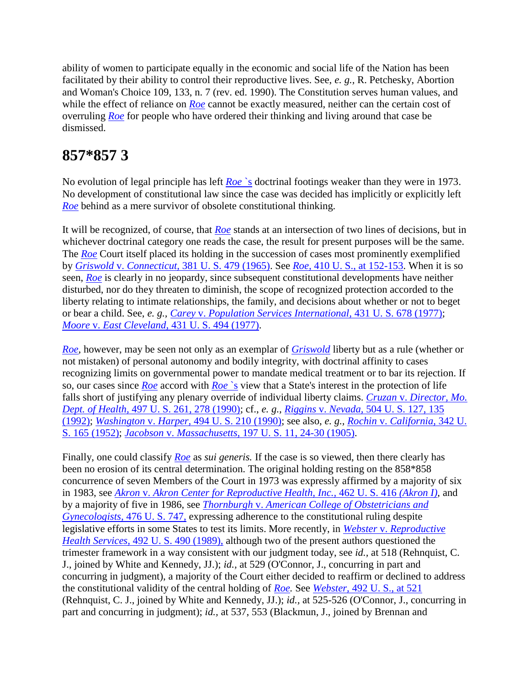ability of women to participate equally in the economic and social life of the Nation has been facilitated by their ability to control their reproductive lives. See, *e. g.,* R. Petchesky, Abortion and Woman's Choice 109, 133, n. 7 (rev. ed. 1990). The Constitution serves human values, and while the effect of reliance on *[Roe](http://scholar.google.co.in/scholar_case?case=12334123945835207673&q=planned+parenthood+v.+casey&hl=en&as_sdt=2,5&scilh=0)* cannot be exactly measured, neither can the certain cost of overruling *[Roe](http://scholar.google.co.in/scholar_case?case=12334123945835207673&q=planned+parenthood+v.+casey&hl=en&as_sdt=2,5&scilh=0)* for people who have ordered their thinking and living around that case be dismissed.

# **857\*857 3**

No evolution of legal principle has left *[Roe](http://scholar.google.co.in/scholar_case?case=12334123945835207673&q=planned+parenthood+v.+casey&hl=en&as_sdt=2,5&scilh=0)* `s doctrinal footings weaker than they were in 1973. No development of constitutional law since the case was decided has implicitly or explicitly left *[Roe](http://scholar.google.co.in/scholar_case?case=12334123945835207673&q=planned+parenthood+v.+casey&hl=en&as_sdt=2,5&scilh=0)* behind as a mere survivor of obsolete constitutional thinking.

It will be recognized, of course, that *[Roe](http://scholar.google.co.in/scholar_case?case=12334123945835207673&q=planned+parenthood+v.+casey&hl=en&as_sdt=2,5&scilh=0)* stands at an intersection of two lines of decisions, but in whichever doctrinal category one reads the case, the result for present purposes will be the same. The *[Roe](http://scholar.google.co.in/scholar_case?case=12334123945835207673&q=planned+parenthood+v.+casey&hl=en&as_sdt=2,5&scilh=0)* Court itself placed its holding in the succession of cases most prominently exemplified by *Griswold* v. *Connecticut,* [381 U. S. 479 \(1965\).](http://scholar.google.co.in/scholar_case?case=12276922145000050979&q=planned+parenthood+v.+casey&hl=en&as_sdt=2,5&scilh=0) See *Roe,* [410 U. S., at 152-153.](http://scholar.google.co.in/scholar_case?case=12334123945835207673&q=planned+parenthood+v.+casey&hl=en&as_sdt=2,5&scilh=0) When it is so seen, *[Roe](http://scholar.google.co.in/scholar_case?case=12334123945835207673&q=planned+parenthood+v.+casey&hl=en&as_sdt=2,5&scilh=0)* is clearly in no jeopardy, since subsequent constitutional developments have neither disturbed, nor do they threaten to diminish, the scope of recognized protection accorded to the liberty relating to intimate relationships, the family, and decisions about whether or not to beget or bear a child. See, *e. g., Carey* v. *[Population Services International,](http://scholar.google.co.in/scholar_case?case=4801034783278981738&q=planned+parenthood+v.+casey&hl=en&as_sdt=2,5&scilh=0)* 431 U. S. 678 (1977); *Moore* v. *East Cleveland,* [431 U. S. 494 \(1977\).](http://scholar.google.co.in/scholar_case?case=2901986314146432010&q=planned+parenthood+v.+casey&hl=en&as_sdt=2,5&scilh=0)

*[Roe,](http://scholar.google.co.in/scholar_case?case=12334123945835207673&q=planned+parenthood+v.+casey&hl=en&as_sdt=2,5&scilh=0)* however, may be seen not only as an exemplar of *[Griswold](http://scholar.google.co.in/scholar_case?case=12276922145000050979&q=planned+parenthood+v.+casey&hl=en&as_sdt=2,5&scilh=0)* liberty but as a rule (whether or not mistaken) of personal autonomy and bodily integrity, with doctrinal affinity to cases recognizing limits on governmental power to mandate medical treatment or to bar its rejection. If so, our cases since *[Roe](http://scholar.google.co.in/scholar_case?case=12334123945835207673&q=planned+parenthood+v.+casey&hl=en&as_sdt=2,5&scilh=0)* accord with *[Roe](http://scholar.google.co.in/scholar_case?case=12334123945835207673&q=planned+parenthood+v.+casey&hl=en&as_sdt=2,5&scilh=0)* `s view that a State's interest in the protection of life falls short of justifying any plenary override of individual liberty claims. *Cruzan* v. *[Director, Mo.](http://scholar.google.co.in/scholar_case?case=8467471114673973761&q=planned+parenthood+v.+casey&hl=en&as_sdt=2,5&scilh=0)  Dept. of Health,* [497 U. S. 261, 278 \(1990\);](http://scholar.google.co.in/scholar_case?case=8467471114673973761&q=planned+parenthood+v.+casey&hl=en&as_sdt=2,5&scilh=0) cf., *e. g., Riggins* v. *Nevada,* [504 U. S. 127, 135](http://scholar.google.co.in/scholar_case?case=7905994277524677132&q=planned+parenthood+v.+casey&hl=en&as_sdt=2,5&scilh=0)  [\(1992\);](http://scholar.google.co.in/scholar_case?case=7905994277524677132&q=planned+parenthood+v.+casey&hl=en&as_sdt=2,5&scilh=0) *Washington* v. *Harper,* [494 U. S. 210 \(1990\);](http://scholar.google.co.in/scholar_case?case=13274222040240404814&q=planned+parenthood+v.+casey&hl=en&as_sdt=2,5&scilh=0) see also, *e. g., Rochin* v. *[California,](http://scholar.google.co.in/scholar_case?case=13189177772806165249&q=planned+parenthood+v.+casey&hl=en&as_sdt=2,5&scilh=0)* 342 U. [S. 165 \(1952\);](http://scholar.google.co.in/scholar_case?case=13189177772806165249&q=planned+parenthood+v.+casey&hl=en&as_sdt=2,5&scilh=0) *Jacobson* v. *Massachusetts,* [197 U. S. 11, 24-30 \(1905\).](http://scholar.google.co.in/scholar_case?case=16169198038706839183&q=planned+parenthood+v.+casey&hl=en&as_sdt=2,5&scilh=0)

Finally, one could classify *[Roe](http://scholar.google.co.in/scholar_case?case=12334123945835207673&q=planned+parenthood+v.+casey&hl=en&as_sdt=2,5&scilh=0)* as *sui generis.* If the case is so viewed, then there clearly has been no erosion of its central determination. The original holding resting on the 858\*858 concurrence of seven Members of the Court in 1973 was expressly affirmed by a majority of six in 1983, see *Akron* v. *[Akron Center for Reproductive Health, Inc.,](http://scholar.google.co.in/scholar_case?case=7944230995323582140&q=planned+parenthood+v.+casey&hl=en&as_sdt=2,5&scilh=0)* 462 U. S. 416 *(Akron I),* and by a majority of five in 1986, see *Thornburgh* v. *[American College of Obstetricians and](http://scholar.google.co.in/scholar_case?case=3420134328076928385&q=planned+parenthood+v.+casey&hl=en&as_sdt=2,5&scilh=0)  [Gynecologists,](http://scholar.google.co.in/scholar_case?case=3420134328076928385&q=planned+parenthood+v.+casey&hl=en&as_sdt=2,5&scilh=0)* 476 U. S. 747, expressing adherence to the constitutional ruling despite legislative efforts in some States to test its limits. More recently, in *Webster* v. *[Reproductive](http://scholar.google.co.in/scholar_case?case=2944985204861123439&q=planned+parenthood+v.+casey&hl=en&as_sdt=2,5&scilh=0)  Health Services,* [492 U. S. 490 \(1989\),](http://scholar.google.co.in/scholar_case?case=2944985204861123439&q=planned+parenthood+v.+casey&hl=en&as_sdt=2,5&scilh=0) although two of the present authors questioned the trimester framework in a way consistent with our judgment today, see *id.,* at 518 (Rehnquist, C. J., joined by White and Kennedy, JJ.); *id.,* at 529 (O'Connor, J., concurring in part and concurring in judgment), a majority of the Court either decided to reaffirm or declined to address the constitutional validity of the central holding of *[Roe.](http://scholar.google.co.in/scholar_case?case=12334123945835207673&q=planned+parenthood+v.+casey&hl=en&as_sdt=2,5&scilh=0)* See *Webster,* [492 U. S., at 521](http://scholar.google.co.in/scholar_case?case=2944985204861123439&q=planned+parenthood+v.+casey&hl=en&as_sdt=2,5&scilh=0) (Rehnquist, C. J., joined by White and Kennedy, JJ.); *id.,* at 525-526 (O'Connor, J., concurring in part and concurring in judgment); *id.,* at 537, 553 (Blackmun, J., joined by Brennan and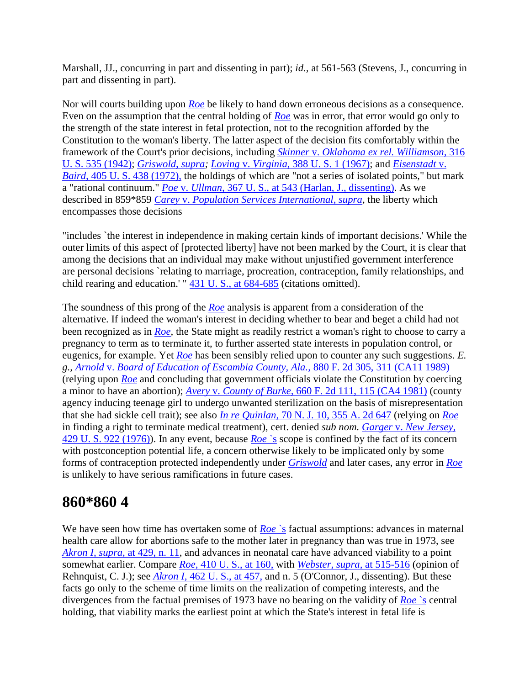Marshall, JJ., concurring in part and dissenting in part); *id.,* at 561-563 (Stevens, J., concurring in part and dissenting in part).

Nor will courts building upon *[Roe](http://scholar.google.co.in/scholar_case?case=12334123945835207673&q=planned+parenthood+v.+casey&hl=en&as_sdt=2,5&scilh=0)* be likely to hand down erroneous decisions as a consequence. Even on the assumption that the central holding of *[Roe](http://scholar.google.co.in/scholar_case?case=12334123945835207673&q=planned+parenthood+v.+casey&hl=en&as_sdt=2,5&scilh=0)* was in error, that error would go only to the strength of the state interest in fetal protection, not to the recognition afforded by the Constitution to the woman's liberty. The latter aspect of the decision fits comfortably within the framework of the Court's prior decisions, including *Skinner* v. *[Oklahoma ex rel. Williamson,](http://scholar.google.co.in/scholar_case?case=8050731321644873759&q=planned+parenthood+v.+casey&hl=en&as_sdt=2,5&scilh=0)* 316 [U. S. 535 \(1942\);](http://scholar.google.co.in/scholar_case?case=8050731321644873759&q=planned+parenthood+v.+casey&hl=en&as_sdt=2,5&scilh=0) *[Griswold, supra;](http://scholar.google.co.in/scholar_case?case=12276922145000050979&q=planned+parenthood+v.+casey&hl=en&as_sdt=2,5&scilh=0) Loving* v. *Virginia,* [388 U. S. 1 \(1967\);](http://scholar.google.co.in/scholar_case?case=5103666188878568597&q=planned+parenthood+v.+casey&hl=en&as_sdt=2,5&scilh=0) and *[Eisenstadt](http://scholar.google.co.in/scholar_case?case=14131534241682283357&q=planned+parenthood+v.+casey&hl=en&as_sdt=2,5&scilh=0)* v. *Baird*, [405 U. S. 438 \(1972\),](http://scholar.google.co.in/scholar_case?case=14131534241682283357&q=planned+parenthood+v.+casey&hl=en&as_sdt=2,5&scilh=0) the holdings of which are "not a series of isolated points," but mark a "rational continuum." *Poe* v. *Ullman,* [367 U. S., at 543 \(Harlan, J., dissenting\).](http://scholar.google.co.in/scholar_case?case=642884283459215206&q=planned+parenthood+v.+casey&hl=en&as_sdt=2,5&scilh=0) As we described in 859\*859 *Carey* v. *[Population Services International, supra,](http://scholar.google.co.in/scholar_case?case=4801034783278981738&q=planned+parenthood+v.+casey&hl=en&as_sdt=2,5&scilh=0)* the liberty which encompasses those decisions

"includes `the interest in independence in making certain kinds of important decisions.' While the outer limits of this aspect of [protected liberty] have not been marked by the Court, it is clear that among the decisions that an individual may make without unjustified government interference are personal decisions `relating to marriage, procreation, contraception, family relationships, and child rearing and education.' " [431 U. S., at 684-685](http://scholar.google.co.in/scholar_case?case=4801034783278981738&q=planned+parenthood+v.+casey&hl=en&as_sdt=2,5&scilh=0) (citations omitted).

The soundness of this prong of the *[Roe](http://scholar.google.co.in/scholar_case?case=12334123945835207673&q=planned+parenthood+v.+casey&hl=en&as_sdt=2,5&scilh=0)* analysis is apparent from a consideration of the alternative. If indeed the woman's interest in deciding whether to bear and beget a child had not been recognized as in *[Roe,](http://scholar.google.co.in/scholar_case?case=12334123945835207673&q=planned+parenthood+v.+casey&hl=en&as_sdt=2,5&scilh=0)* the State might as readily restrict a woman's right to choose to carry a pregnancy to term as to terminate it, to further asserted state interests in population control, or eugenics, for example. Yet *[Roe](http://scholar.google.co.in/scholar_case?case=12334123945835207673&q=planned+parenthood+v.+casey&hl=en&as_sdt=2,5&scilh=0)* has been sensibly relied upon to counter any such suggestions. *E. g., Arnold* v. *[Board of Education of Escambia County, Ala.,](http://scholar.google.co.in/scholar_case?case=14054724718219703124&q=planned+parenthood+v.+casey&hl=en&as_sdt=2,5&scilh=0)* 880 F. 2d 305, 311 (CA11 1989) (relying upon *[Roe](http://scholar.google.co.in/scholar_case?case=12334123945835207673&q=planned+parenthood+v.+casey&hl=en&as_sdt=2,5&scilh=0)* and concluding that government officials violate the Constitution by coercing a minor to have an abortion); *Avery* v. *County of Burke,* [660 F. 2d 111, 115 \(CA4 1981\)](http://scholar.google.co.in/scholar_case?case=4635817231779434729&q=planned+parenthood+v.+casey&hl=en&as_sdt=2,5&scilh=0) (county agency inducing teenage girl to undergo unwanted sterilization on the basis of misrepresentation that she had sickle cell trait); see also *In re Quinlan,* [70 N. J. 10, 355 A. 2d 647](http://scholar.google.co.in/scholar_case?case=12643283625542054584&q=planned+parenthood+v.+casey&hl=en&as_sdt=2,5&scilh=0) (relying on *[Roe](http://scholar.google.co.in/scholar_case?case=12334123945835207673&q=planned+parenthood+v.+casey&hl=en&as_sdt=2,5&scilh=0)* in finding a right to terminate medical treatment), cert. denied *sub nom. Garger* v. *[New Jersey,](http://scholar.google.co.in/scholar_case?about=17795909379176841730&q=planned+parenthood+v.+casey&hl=en&as_sdt=2,5&scilh=0)* [429 U. S. 922 \(1976\)\)](http://scholar.google.co.in/scholar_case?about=17795909379176841730&q=planned+parenthood+v.+casey&hl=en&as_sdt=2,5&scilh=0). In any event, because *[Roe](http://scholar.google.co.in/scholar_case?case=12334123945835207673&q=planned+parenthood+v.+casey&hl=en&as_sdt=2,5&scilh=0)* `s scope is confined by the fact of its concern with postconception potential life, a concern otherwise likely to be implicated only by some forms of contraception protected independently under *[Griswold](http://scholar.google.co.in/scholar_case?case=12276922145000050979&q=planned+parenthood+v.+casey&hl=en&as_sdt=2,5&scilh=0)* and later cases, any error in *[Roe](http://scholar.google.co.in/scholar_case?case=12334123945835207673&q=planned+parenthood+v.+casey&hl=en&as_sdt=2,5&scilh=0)* is unlikely to have serious ramifications in future cases.

# **860\*860 4**

We have seen how time has overtaken some of *[Roe](http://scholar.google.co.in/scholar_case?case=12334123945835207673&q=planned+parenthood+v.+casey&hl=en&as_sdt=2,5&scilh=0)* `s factual assumptions: advances in maternal health care allow for abortions safe to the mother later in pregnancy than was true in 1973, see *[Akron I, supra,](http://scholar.google.co.in/scholar_case?case=7944230995323582140&q=planned+parenthood+v.+casey&hl=en&as_sdt=2,5&scilh=0)* at 429, n. 11, and advances in neonatal care have advanced viability to a point somewhat earlier. Compare *Roe,* [410 U. S., at 160,](http://scholar.google.co.in/scholar_case?case=12334123945835207673&q=planned+parenthood+v.+casey&hl=en&as_sdt=2,5&scilh=0) with *[Webster, supra,](http://scholar.google.co.in/scholar_case?case=2944985204861123439&q=planned+parenthood+v.+casey&hl=en&as_sdt=2,5&scilh=0)* at 515-516 (opinion of Rehnquist, C. J.); see *Akron I,* [462 U. S., at 457,](http://scholar.google.co.in/scholar_case?case=7944230995323582140&q=planned+parenthood+v.+casey&hl=en&as_sdt=2,5&scilh=0) and n. 5 (O'Connor, J., dissenting). But these facts go only to the scheme of time limits on the realization of competing interests, and the divergences from the factual premises of 1973 have no bearing on the validity of *[Roe](http://scholar.google.co.in/scholar_case?case=12334123945835207673&q=planned+parenthood+v.+casey&hl=en&as_sdt=2,5&scilh=0)* `s central holding, that viability marks the earliest point at which the State's interest in fetal life is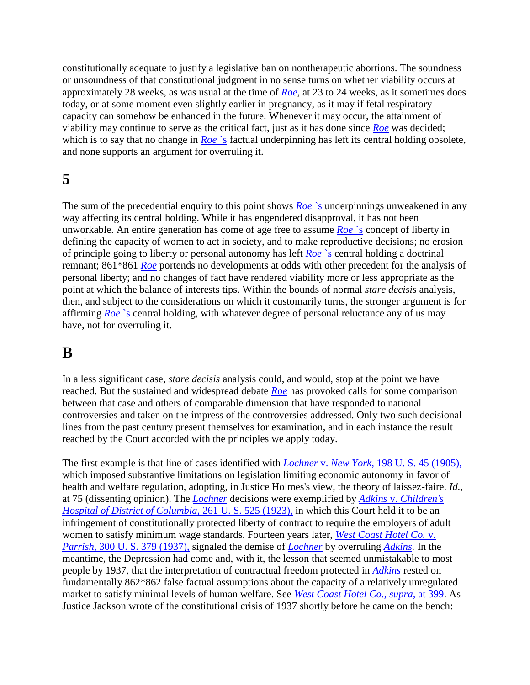constitutionally adequate to justify a legislative ban on nontherapeutic abortions. The soundness or unsoundness of that constitutional judgment in no sense turns on whether viability occurs at approximately 28 weeks, as was usual at the time of *[Roe,](http://scholar.google.co.in/scholar_case?case=12334123945835207673&q=planned+parenthood+v.+casey&hl=en&as_sdt=2,5&scilh=0)* at 23 to 24 weeks, as it sometimes does today, or at some moment even slightly earlier in pregnancy, as it may if fetal respiratory capacity can somehow be enhanced in the future. Whenever it may occur, the attainment of viability may continue to serve as the critical fact, just as it has done since *[Roe](http://scholar.google.co.in/scholar_case?case=12334123945835207673&q=planned+parenthood+v.+casey&hl=en&as_sdt=2,5&scilh=0)* was decided; which is to say that no change in *[Roe](http://scholar.google.co.in/scholar_case?case=12334123945835207673&q=planned+parenthood+v.+casey&hl=en&as_sdt=2,5&scilh=0)* `s factual underpinning has left its central holding obsolete, and none supports an argument for overruling it.

### **5**

The sum of the precedential enquiry to this point shows *[Roe](http://scholar.google.co.in/scholar_case?case=12334123945835207673&q=planned+parenthood+v.+casey&hl=en&as_sdt=2,5&scilh=0)* `s underpinnings unweakened in any way affecting its central holding. While it has engendered disapproval, it has not been unworkable. An entire generation has come of age free to assume *[Roe](http://scholar.google.co.in/scholar_case?case=12334123945835207673&q=planned+parenthood+v.+casey&hl=en&as_sdt=2,5&scilh=0)* `s concept of liberty in defining the capacity of women to act in society, and to make reproductive decisions; no erosion of principle going to liberty or personal autonomy has left *[Roe](http://scholar.google.co.in/scholar_case?case=12334123945835207673&q=planned+parenthood+v.+casey&hl=en&as_sdt=2,5&scilh=0)* `s central holding a doctrinal remnant; 861\*861 *[Roe](http://scholar.google.co.in/scholar_case?case=12334123945835207673&q=planned+parenthood+v.+casey&hl=en&as_sdt=2,5&scilh=0)* portends no developments at odds with other precedent for the analysis of personal liberty; and no changes of fact have rendered viability more or less appropriate as the point at which the balance of interests tips. Within the bounds of normal *stare decisis* analysis, then, and subject to the considerations on which it customarily turns, the stronger argument is for affirming *[Roe](http://scholar.google.co.in/scholar_case?case=12334123945835207673&q=planned+parenthood+v.+casey&hl=en&as_sdt=2,5&scilh=0)* `s central holding, with whatever degree of personal reluctance any of us may have, not for overruling it.

### **B**

In a less significant case, *stare decisis* analysis could, and would, stop at the point we have reached. But the sustained and widespread debate *[Roe](http://scholar.google.co.in/scholar_case?case=12334123945835207673&q=planned+parenthood+v.+casey&hl=en&as_sdt=2,5&scilh=0)* has provoked calls for some comparison between that case and others of comparable dimension that have responded to national controversies and taken on the impress of the controversies addressed. Only two such decisional lines from the past century present themselves for examination, and in each instance the result reached by the Court accorded with the principles we apply today.

The first example is that line of cases identified with *Lochner* v. *New York,* [198 U. S. 45 \(1905\),](http://scholar.google.co.in/scholar_case?case=10760991087928264675&q=planned+parenthood+v.+casey&hl=en&as_sdt=2,5&scilh=0) which imposed substantive limitations on legislation limiting economic autonomy in favor of health and welfare regulation, adopting, in Justice Holmes's view, the theory of laissez-faire. *Id.,* at 75 (dissenting opinion). The *[Lochner](http://scholar.google.co.in/scholar_case?case=10760991087928264675&q=planned+parenthood+v.+casey&hl=en&as_sdt=2,5&scilh=0)* decisions were exemplified by *Adkins* v. *[Children's](http://scholar.google.co.in/scholar_case?case=17221682896309679546&q=planned+parenthood+v.+casey&hl=en&as_sdt=2,5&scilh=0)  [Hospital of District of Columbia,](http://scholar.google.co.in/scholar_case?case=17221682896309679546&q=planned+parenthood+v.+casey&hl=en&as_sdt=2,5&scilh=0)* 261 U. S. 525 (1923), in which this Court held it to be an infringement of constitutionally protected liberty of contract to require the employers of adult women to satisfy minimum wage standards. Fourteen years later, *[West Coast Hotel Co.](http://scholar.google.co.in/scholar_case?case=3438251361651586340&q=planned+parenthood+v.+casey&hl=en&as_sdt=2,5&scilh=0)* v. *Parrish,* [300 U. S. 379 \(1937\),](http://scholar.google.co.in/scholar_case?case=3438251361651586340&q=planned+parenthood+v.+casey&hl=en&as_sdt=2,5&scilh=0) signaled the demise of *[Lochner](http://scholar.google.co.in/scholar_case?case=10760991087928264675&q=planned+parenthood+v.+casey&hl=en&as_sdt=2,5&scilh=0)* by overruling *[Adkins.](http://scholar.google.co.in/scholar_case?case=17221682896309679546&q=planned+parenthood+v.+casey&hl=en&as_sdt=2,5&scilh=0)* In the meantime, the Depression had come and, with it, the lesson that seemed unmistakable to most people by 1937, that the interpretation of contractual freedom protected in *[Adkins](http://scholar.google.co.in/scholar_case?case=17221682896309679546&q=planned+parenthood+v.+casey&hl=en&as_sdt=2,5&scilh=0)* rested on fundamentally 862\*862 false factual assumptions about the capacity of a relatively unregulated market to satisfy minimal levels of human welfare. See *[West Coast Hotel Co., supra,](http://scholar.google.co.in/scholar_case?case=3438251361651586340&q=planned+parenthood+v.+casey&hl=en&as_sdt=2,5&scilh=0)* at 399. As Justice Jackson wrote of the constitutional crisis of 1937 shortly before he came on the bench: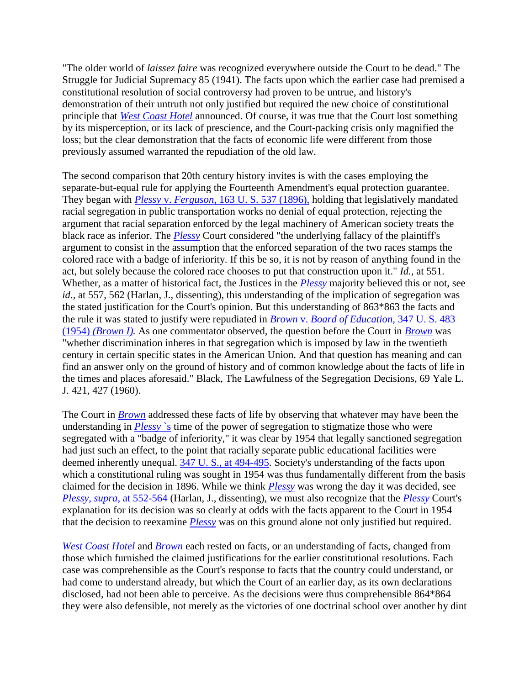"The older world of *laissez faire* was recognized everywhere outside the Court to be dead." The Struggle for Judicial Supremacy 85 (1941). The facts upon which the earlier case had premised a constitutional resolution of social controversy had proven to be untrue, and history's demonstration of their untruth not only justified but required the new choice of constitutional principle that *[West Coast Hotel](http://scholar.google.co.in/scholar_case?case=3438251361651586340&q=planned+parenthood+v.+casey&hl=en&as_sdt=2,5&scilh=0)* announced. Of course, it was true that the Court lost something by its misperception, or its lack of prescience, and the Court-packing crisis only magnified the loss; but the clear demonstration that the facts of economic life were different from those previously assumed warranted the repudiation of the old law.

The second comparison that 20th century history invites is with the cases employing the separate-but-equal rule for applying the Fourteenth Amendment's equal protection guarantee. They began with *Plessy* v. *Ferguson,* [163 U. S. 537 \(1896\),](http://scholar.google.co.in/scholar_case?case=16038751515555215717&q=planned+parenthood+v.+casey&hl=en&as_sdt=2,5&scilh=0) holding that legislatively mandated racial segregation in public transportation works no denial of equal protection, rejecting the argument that racial separation enforced by the legal machinery of American society treats the black race as inferior. The *[Plessy](http://scholar.google.co.in/scholar_case?case=16038751515555215717&q=planned+parenthood+v.+casey&hl=en&as_sdt=2,5&scilh=0)* Court considered "the underlying fallacy of the plaintiff's argument to consist in the assumption that the enforced separation of the two races stamps the colored race with a badge of inferiority. If this be so, it is not by reason of anything found in the act, but solely because the colored race chooses to put that construction upon it." *Id.,* at 551. Whether, as a matter of historical fact, the Justices in the *[Plessy](http://scholar.google.co.in/scholar_case?case=16038751515555215717&q=planned+parenthood+v.+casey&hl=en&as_sdt=2,5&scilh=0)* majority believed this or not, see *id.,* at 557, 562 (Harlan, J., dissenting), this understanding of the implication of segregation was the stated justification for the Court's opinion. But this understanding of 863\*863 the facts and the rule it was stated to justify were repudiated in *Brown* v. *[Board of Education,](http://scholar.google.co.in/scholar_case?case=12120372216939101759&q=planned+parenthood+v.+casey&hl=en&as_sdt=2,5&scilh=0)* 347 U. S. 483 (1954) *[\(Brown I\).](http://scholar.google.co.in/scholar_case?case=12120372216939101759&q=planned+parenthood+v.+casey&hl=en&as_sdt=2,5&scilh=0)* As one commentator observed, the question before the Court in *[Brown](http://scholar.google.co.in/scholar_case?case=12120372216939101759&q=planned+parenthood+v.+casey&hl=en&as_sdt=2,5&scilh=0)* was "whether discrimination inheres in that segregation which is imposed by law in the twentieth century in certain specific states in the American Union. And that question has meaning and can find an answer only on the ground of history and of common knowledge about the facts of life in the times and places aforesaid." Black, The Lawfulness of the Segregation Decisions, 69 Yale L. J. 421, 427 (1960).

The Court in *[Brown](http://scholar.google.co.in/scholar_case?case=12120372216939101759&q=planned+parenthood+v.+casey&hl=en&as_sdt=2,5&scilh=0)* addressed these facts of life by observing that whatever may have been the understanding in *[Plessy](http://scholar.google.co.in/scholar_case?case=16038751515555215717&q=planned+parenthood+v.+casey&hl=en&as_sdt=2,5&scilh=0)* `s time of the power of segregation to stigmatize those who were segregated with a "badge of inferiority," it was clear by 1954 that legally sanctioned segregation had just such an effect, to the point that racially separate public educational facilities were deemed inherently unequal. [347 U. S., at 494-495.](http://scholar.google.co.in/scholar_case?case=12120372216939101759&q=planned+parenthood+v.+casey&hl=en&as_sdt=2,5&scilh=0) Society's understanding of the facts upon which a constitutional ruling was sought in 1954 was thus fundamentally different from the basis claimed for the decision in 1896. While we think *[Plessy](http://scholar.google.co.in/scholar_case?case=16038751515555215717&q=planned+parenthood+v.+casey&hl=en&as_sdt=2,5&scilh=0)* was wrong the day it was decided, see *[Plessy, supra,](http://scholar.google.co.in/scholar_case?case=16038751515555215717&q=planned+parenthood+v.+casey&hl=en&as_sdt=2,5&scilh=0)* at 552-564 (Harlan, J., dissenting), we must also recognize that the *[Plessy](http://scholar.google.co.in/scholar_case?case=16038751515555215717&q=planned+parenthood+v.+casey&hl=en&as_sdt=2,5&scilh=0)* Court's explanation for its decision was so clearly at odds with the facts apparent to the Court in 1954 that the decision to reexamine *[Plessy](http://scholar.google.co.in/scholar_case?case=16038751515555215717&q=planned+parenthood+v.+casey&hl=en&as_sdt=2,5&scilh=0)* was on this ground alone not only justified but required.

*[West Coast Hotel](http://scholar.google.co.in/scholar_case?case=3438251361651586340&q=planned+parenthood+v.+casey&hl=en&as_sdt=2,5&scilh=0)* and *[Brown](http://scholar.google.co.in/scholar_case?case=12120372216939101759&q=planned+parenthood+v.+casey&hl=en&as_sdt=2,5&scilh=0)* each rested on facts, or an understanding of facts, changed from those which furnished the claimed justifications for the earlier constitutional resolutions. Each case was comprehensible as the Court's response to facts that the country could understand, or had come to understand already, but which the Court of an earlier day, as its own declarations disclosed, had not been able to perceive. As the decisions were thus comprehensible 864\*864 they were also defensible, not merely as the victories of one doctrinal school over another by dint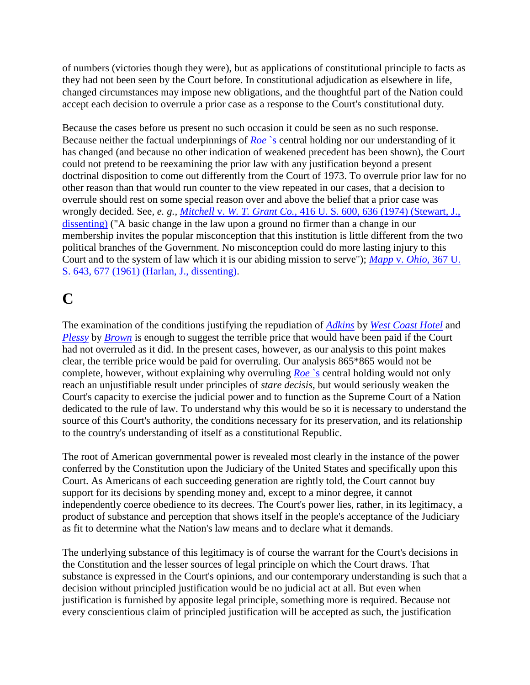of numbers (victories though they were), but as applications of constitutional principle to facts as they had not been seen by the Court before. In constitutional adjudication as elsewhere in life, changed circumstances may impose new obligations, and the thoughtful part of the Nation could accept each decision to overrule a prior case as a response to the Court's constitutional duty.

Because the cases before us present no such occasion it could be seen as no such response. Because neither the factual underpinnings of *[Roe](http://scholar.google.co.in/scholar_case?case=12334123945835207673&q=planned+parenthood+v.+casey&hl=en&as_sdt=2,5&scilh=0)* `s central holding nor our understanding of it has changed (and because no other indication of weakened precedent has been shown), the Court could not pretend to be reexamining the prior law with any justification beyond a present doctrinal disposition to come out differently from the Court of 1973. To overrule prior law for no other reason than that would run counter to the view repeated in our cases, that a decision to overrule should rest on some special reason over and above the belief that a prior case was wrongly decided. See*, e. g., Mitchell* v. *W. T. Grant Co.,* [416 U. S. 600, 636 \(1974\) \(Stewart, J.,](http://scholar.google.co.in/scholar_case?case=6876788155063609868&q=planned+parenthood+v.+casey&hl=en&as_sdt=2,5&scilh=0)  [dissenting\)](http://scholar.google.co.in/scholar_case?case=6876788155063609868&q=planned+parenthood+v.+casey&hl=en&as_sdt=2,5&scilh=0) ("A basic change in the law upon a ground no firmer than a change in our membership invites the popular misconception that this institution is little different from the two political branches of the Government. No misconception could do more lasting injury to this Court and to the system of law which it is our abiding mission to serve"); *Mapp* v. *Ohio,* [367 U.](http://scholar.google.co.in/scholar_case?case=589965672959279882&q=planned+parenthood+v.+casey&hl=en&as_sdt=2,5&scilh=0)  [S. 643, 677 \(1961\) \(Harlan, J., dissenting\).](http://scholar.google.co.in/scholar_case?case=589965672959279882&q=planned+parenthood+v.+casey&hl=en&as_sdt=2,5&scilh=0)

# **C**

The examination of the conditions justifying the repudiation of *[Adkins](http://scholar.google.co.in/scholar_case?case=17221682896309679546&q=planned+parenthood+v.+casey&hl=en&as_sdt=2,5&scilh=0)* by *[West Coast Hotel](http://scholar.google.co.in/scholar_case?case=3438251361651586340&q=planned+parenthood+v.+casey&hl=en&as_sdt=2,5&scilh=0)* and *[Plessy](http://scholar.google.co.in/scholar_case?case=16038751515555215717&q=planned+parenthood+v.+casey&hl=en&as_sdt=2,5&scilh=0)* by *[Brown](http://scholar.google.co.in/scholar_case?case=12120372216939101759&q=planned+parenthood+v.+casey&hl=en&as_sdt=2,5&scilh=0)* is enough to suggest the terrible price that would have been paid if the Court had not overruled as it did. In the present cases, however, as our analysis to this point makes clear, the terrible price would be paid for overruling. Our analysis 865\*865 would not be complete, however, without explaining why overruling *[Roe](http://scholar.google.co.in/scholar_case?case=12334123945835207673&q=planned+parenthood+v.+casey&hl=en&as_sdt=2,5&scilh=0)* `s central holding would not only reach an unjustifiable result under principles of *stare decisis,* but would seriously weaken the Court's capacity to exercise the judicial power and to function as the Supreme Court of a Nation dedicated to the rule of law. To understand why this would be so it is necessary to understand the source of this Court's authority, the conditions necessary for its preservation, and its relationship to the country's understanding of itself as a constitutional Republic.

The root of American governmental power is revealed most clearly in the instance of the power conferred by the Constitution upon the Judiciary of the United States and specifically upon this Court. As Americans of each succeeding generation are rightly told, the Court cannot buy support for its decisions by spending money and, except to a minor degree, it cannot independently coerce obedience to its decrees. The Court's power lies, rather, in its legitimacy, a product of substance and perception that shows itself in the people's acceptance of the Judiciary as fit to determine what the Nation's law means and to declare what it demands.

The underlying substance of this legitimacy is of course the warrant for the Court's decisions in the Constitution and the lesser sources of legal principle on which the Court draws. That substance is expressed in the Court's opinions, and our contemporary understanding is such that a decision without principled justification would be no judicial act at all. But even when justification is furnished by apposite legal principle, something more is required. Because not every conscientious claim of principled justification will be accepted as such, the justification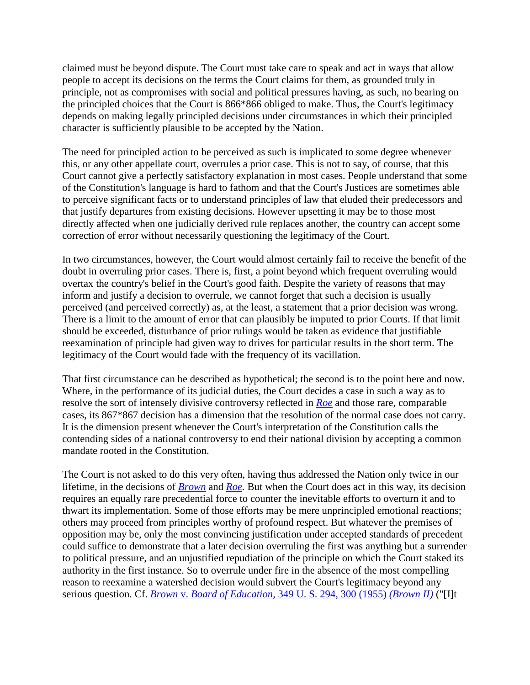claimed must be beyond dispute. The Court must take care to speak and act in ways that allow people to accept its decisions on the terms the Court claims for them, as grounded truly in principle, not as compromises with social and political pressures having, as such, no bearing on the principled choices that the Court is 866\*866 obliged to make. Thus, the Court's legitimacy depends on making legally principled decisions under circumstances in which their principled character is sufficiently plausible to be accepted by the Nation.

The need for principled action to be perceived as such is implicated to some degree whenever this, or any other appellate court, overrules a prior case. This is not to say, of course, that this Court cannot give a perfectly satisfactory explanation in most cases. People understand that some of the Constitution's language is hard to fathom and that the Court's Justices are sometimes able to perceive significant facts or to understand principles of law that eluded their predecessors and that justify departures from existing decisions. However upsetting it may be to those most directly affected when one judicially derived rule replaces another, the country can accept some correction of error without necessarily questioning the legitimacy of the Court.

In two circumstances, however, the Court would almost certainly fail to receive the benefit of the doubt in overruling prior cases. There is, first, a point beyond which frequent overruling would overtax the country's belief in the Court's good faith. Despite the variety of reasons that may inform and justify a decision to overrule, we cannot forget that such a decision is usually perceived (and perceived correctly) as, at the least, a statement that a prior decision was wrong. There is a limit to the amount of error that can plausibly be imputed to prior Courts. If that limit should be exceeded, disturbance of prior rulings would be taken as evidence that justifiable reexamination of principle had given way to drives for particular results in the short term. The legitimacy of the Court would fade with the frequency of its vacillation.

That first circumstance can be described as hypothetical; the second is to the point here and now. Where, in the performance of its judicial duties, the Court decides a case in such a way as to resolve the sort of intensely divisive controversy reflected in *[Roe](http://scholar.google.co.in/scholar_case?case=12334123945835207673&q=planned+parenthood+v.+casey&hl=en&as_sdt=2,5&scilh=0)* and those rare, comparable cases, its 867\*867 decision has a dimension that the resolution of the normal case does not carry. It is the dimension present whenever the Court's interpretation of the Constitution calls the contending sides of a national controversy to end their national division by accepting a common mandate rooted in the Constitution.

The Court is not asked to do this very often, having thus addressed the Nation only twice in our lifetime, in the decisions of *[Brown](http://scholar.google.co.in/scholar_case?case=12120372216939101759&q=planned+parenthood+v.+casey&hl=en&as_sdt=2,5&scilh=0)* and *[Roe.](http://scholar.google.co.in/scholar_case?case=12334123945835207673&q=planned+parenthood+v.+casey&hl=en&as_sdt=2,5&scilh=0)* But when the Court does act in this way, its decision requires an equally rare precedential force to counter the inevitable efforts to overturn it and to thwart its implementation. Some of those efforts may be mere unprincipled emotional reactions; others may proceed from principles worthy of profound respect. But whatever the premises of opposition may be, only the most convincing justification under accepted standards of precedent could suffice to demonstrate that a later decision overruling the first was anything but a surrender to political pressure, and an unjustified repudiation of the principle on which the Court staked its authority in the first instance. So to overrule under fire in the absence of the most compelling reason to reexamine a watershed decision would subvert the Court's legitimacy beyond any serious question. Cf. *Brown* v. *Board of Education,* [349 U. S. 294, 300 \(1955\)](http://scholar.google.co.in/scholar_case?case=13102254740887304967&q=planned+parenthood+v.+casey&hl=en&as_sdt=2,5&scilh=0) *(Brown II)* ("[I]t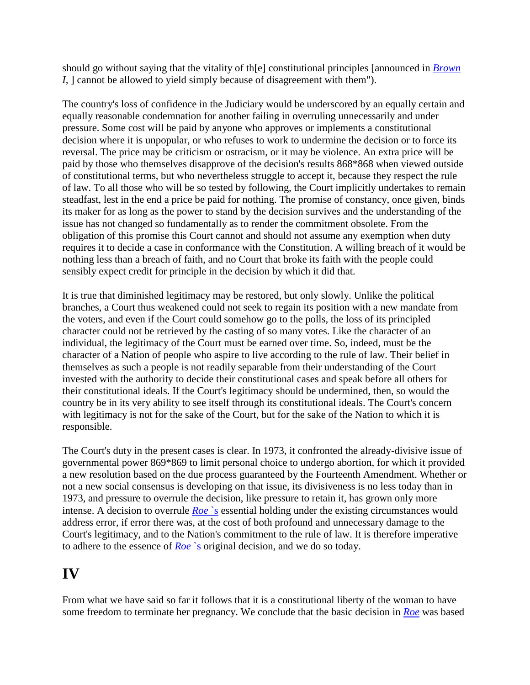should go without saying that the vitality of th[e] constitutional principles [announced in *[Brown](http://scholar.google.co.in/scholar_case?case=12120372216939101759&q=planned+parenthood+v.+casey&hl=en&as_sdt=2,5&scilh=0) I*, ] cannot be allowed to yield simply because of disagreement with them").

The country's loss of confidence in the Judiciary would be underscored by an equally certain and equally reasonable condemnation for another failing in overruling unnecessarily and under pressure. Some cost will be paid by anyone who approves or implements a constitutional decision where it is unpopular, or who refuses to work to undermine the decision or to force its reversal. The price may be criticism or ostracism, or it may be violence. An extra price will be paid by those who themselves disapprove of the decision's results 868\*868 when viewed outside of constitutional terms, but who nevertheless struggle to accept it, because they respect the rule of law. To all those who will be so tested by following, the Court implicitly undertakes to remain steadfast, lest in the end a price be paid for nothing. The promise of constancy, once given, binds its maker for as long as the power to stand by the decision survives and the understanding of the issue has not changed so fundamentally as to render the commitment obsolete. From the obligation of this promise this Court cannot and should not assume any exemption when duty requires it to decide a case in conformance with the Constitution. A willing breach of it would be nothing less than a breach of faith, and no Court that broke its faith with the people could sensibly expect credit for principle in the decision by which it did that.

It is true that diminished legitimacy may be restored, but only slowly. Unlike the political branches, a Court thus weakened could not seek to regain its position with a new mandate from the voters, and even if the Court could somehow go to the polls, the loss of its principled character could not be retrieved by the casting of so many votes. Like the character of an individual, the legitimacy of the Court must be earned over time. So, indeed, must be the character of a Nation of people who aspire to live according to the rule of law. Their belief in themselves as such a people is not readily separable from their understanding of the Court invested with the authority to decide their constitutional cases and speak before all others for their constitutional ideals. If the Court's legitimacy should be undermined, then, so would the country be in its very ability to see itself through its constitutional ideals. The Court's concern with legitimacy is not for the sake of the Court, but for the sake of the Nation to which it is responsible.

The Court's duty in the present cases is clear. In 1973, it confronted the already-divisive issue of governmental power 869\*869 to limit personal choice to undergo abortion, for which it provided a new resolution based on the due process guaranteed by the Fourteenth Amendment. Whether or not a new social consensus is developing on that issue, its divisiveness is no less today than in 1973, and pressure to overrule the decision, like pressure to retain it, has grown only more intense. A decision to overrule *[Roe](http://scholar.google.co.in/scholar_case?case=12334123945835207673&q=planned+parenthood+v.+casey&hl=en&as_sdt=2,5&scilh=0)* `s essential holding under the existing circumstances would address error, if error there was, at the cost of both profound and unnecessary damage to the Court's legitimacy, and to the Nation's commitment to the rule of law. It is therefore imperative to adhere to the essence of *[Roe](http://scholar.google.co.in/scholar_case?case=12334123945835207673&q=planned+parenthood+v.+casey&hl=en&as_sdt=2,5&scilh=0)* `s original decision, and we do so today.

# **IV**

From what we have said so far it follows that it is a constitutional liberty of the woman to have some freedom to terminate her pregnancy. We conclude that the basic decision in *[Roe](http://scholar.google.co.in/scholar_case?case=12334123945835207673&q=planned+parenthood+v.+casey&hl=en&as_sdt=2,5&scilh=0)* was based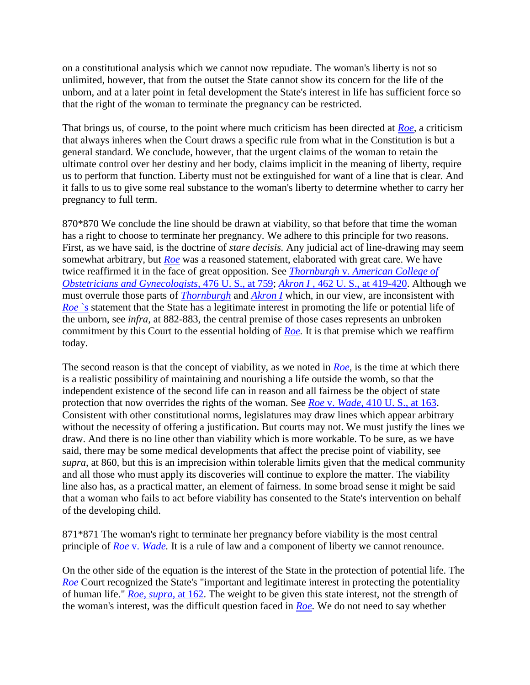on a constitutional analysis which we cannot now repudiate. The woman's liberty is not so unlimited, however, that from the outset the State cannot show its concern for the life of the unborn, and at a later point in fetal development the State's interest in life has sufficient force so that the right of the woman to terminate the pregnancy can be restricted.

That brings us, of course, to the point where much criticism has been directed at *[Roe,](http://scholar.google.co.in/scholar_case?case=12334123945835207673&q=planned+parenthood+v.+casey&hl=en&as_sdt=2,5&scilh=0)* a criticism that always inheres when the Court draws a specific rule from what in the Constitution is but a general standard. We conclude, however, that the urgent claims of the woman to retain the ultimate control over her destiny and her body, claims implicit in the meaning of liberty, require us to perform that function. Liberty must not be extinguished for want of a line that is clear. And it falls to us to give some real substance to the woman's liberty to determine whether to carry her pregnancy to full term.

870\*870 We conclude the line should be drawn at viability, so that before that time the woman has a right to choose to terminate her pregnancy. We adhere to this principle for two reasons. First, as we have said, is the doctrine of *stare decisis.* Any judicial act of line-drawing may seem somewhat arbitrary, but *[Roe](http://scholar.google.co.in/scholar_case?case=12334123945835207673&q=planned+parenthood+v.+casey&hl=en&as_sdt=2,5&scilh=0)* was a reasoned statement, elaborated with great care. We have twice reaffirmed it in the face of great opposition. See *Thornburgh* v. *[American College of](http://scholar.google.co.in/scholar_case?case=3420134328076928385&q=planned+parenthood+v.+casey&hl=en&as_sdt=2,5&scilh=0)  [Obstetricians and Gynecologists,](http://scholar.google.co.in/scholar_case?case=3420134328076928385&q=planned+parenthood+v.+casey&hl=en&as_sdt=2,5&scilh=0)* 476 U. S., at 759; *Akron I* [, 462 U. S., at 419-420.](http://scholar.google.co.in/scholar_case?case=7944230995323582140&q=planned+parenthood+v.+casey&hl=en&as_sdt=2,5&scilh=0) Although we must overrule those parts of *[Thornburgh](http://scholar.google.co.in/scholar_case?case=3420134328076928385&q=planned+parenthood+v.+casey&hl=en&as_sdt=2,5&scilh=0)* and *[Akron I](http://scholar.google.co.in/scholar_case?case=7944230995323582140&q=planned+parenthood+v.+casey&hl=en&as_sdt=2,5&scilh=0)* which, in our view, are inconsistent with *[Roe](http://scholar.google.co.in/scholar_case?case=12334123945835207673&q=planned+parenthood+v.+casey&hl=en&as_sdt=2,5&scilh=0)* `s statement that the State has a legitimate interest in promoting the life or potential life of the unborn, see *infra,* at 882-883, the central premise of those cases represents an unbroken commitment by this Court to the essential holding of *[Roe.](http://scholar.google.co.in/scholar_case?case=12334123945835207673&q=planned+parenthood+v.+casey&hl=en&as_sdt=2,5&scilh=0)* It is that premise which we reaffirm today.

The second reason is that the concept of viability, as we noted in *[Roe,](http://scholar.google.co.in/scholar_case?case=12334123945835207673&q=planned+parenthood+v.+casey&hl=en&as_sdt=2,5&scilh=0)* is the time at which there is a realistic possibility of maintaining and nourishing a life outside the womb, so that the independent existence of the second life can in reason and all fairness be the object of state protection that now overrides the rights of the woman. See *Roe* v. *Wade,* [410 U. S., at 163.](http://scholar.google.co.in/scholar_case?case=12334123945835207673&q=planned+parenthood+v.+casey&hl=en&as_sdt=2,5&scilh=0) Consistent with other constitutional norms, legislatures may draw lines which appear arbitrary without the necessity of offering a justification. But courts may not. We must justify the lines we draw. And there is no line other than viability which is more workable. To be sure, as we have said, there may be some medical developments that affect the precise point of viability, see *supra,* at 860, but this is an imprecision within tolerable limits given that the medical community and all those who must apply its discoveries will continue to explore the matter. The viability line also has, as a practical matter, an element of fairness. In some broad sense it might be said that a woman who fails to act before viability has consented to the State's intervention on behalf of the developing child.

871\*871 The woman's right to terminate her pregnancy before viability is the most central principle of *Roe* v. *[Wade.](http://scholar.google.co.in/scholar_case?case=12334123945835207673&q=planned+parenthood+v.+casey&hl=en&as_sdt=2,5&scilh=0)* It is a rule of law and a component of liberty we cannot renounce.

On the other side of the equation is the interest of the State in the protection of potential life. The *[Roe](http://scholar.google.co.in/scholar_case?case=12334123945835207673&q=planned+parenthood+v.+casey&hl=en&as_sdt=2,5&scilh=0)* Court recognized the State's "important and legitimate interest in protecting the potentiality of human life." *[Roe, supra,](http://scholar.google.co.in/scholar_case?case=12334123945835207673&q=planned+parenthood+v.+casey&hl=en&as_sdt=2,5&scilh=0)* at 162. The weight to be given this state interest, not the strength of the woman's interest, was the difficult question faced in *[Roe.](http://scholar.google.co.in/scholar_case?case=12334123945835207673&q=planned+parenthood+v.+casey&hl=en&as_sdt=2,5&scilh=0)* We do not need to say whether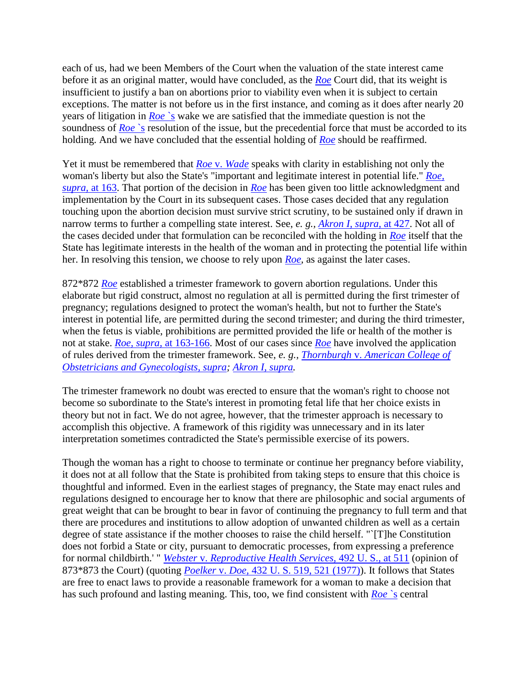each of us, had we been Members of the Court when the valuation of the state interest came before it as an original matter, would have concluded, as the *[Roe](http://scholar.google.co.in/scholar_case?case=12334123945835207673&q=planned+parenthood+v.+casey&hl=en&as_sdt=2,5&scilh=0)* Court did, that its weight is insufficient to justify a ban on abortions prior to viability even when it is subject to certain exceptions. The matter is not before us in the first instance, and coming as it does after nearly 20 years of litigation in *[Roe](http://scholar.google.co.in/scholar_case?case=12334123945835207673&q=planned+parenthood+v.+casey&hl=en&as_sdt=2,5&scilh=0)* `s wake we are satisfied that the immediate question is not the soundness of *[Roe](http://scholar.google.co.in/scholar_case?case=12334123945835207673&q=planned+parenthood+v.+casey&hl=en&as_sdt=2,5&scilh=0)* `s resolution of the issue, but the precedential force that must be accorded to its holding. And we have concluded that the essential holding of *[Roe](http://scholar.google.co.in/scholar_case?case=12334123945835207673&q=planned+parenthood+v.+casey&hl=en&as_sdt=2,5&scilh=0)* should be reaffirmed.

Yet it must be remembered that *Roe* v. *[Wade](http://scholar.google.co.in/scholar_case?case=12334123945835207673&q=planned+parenthood+v.+casey&hl=en&as_sdt=2,5&scilh=0)* speaks with clarity in establishing not only the woman's liberty but also the State's "important and legitimate interest in potential life." *[Roe,](http://scholar.google.co.in/scholar_case?case=12334123945835207673&q=planned+parenthood+v.+casey&hl=en&as_sdt=2,5&scilh=0)  supra,* [at 163.](http://scholar.google.co.in/scholar_case?case=12334123945835207673&q=planned+parenthood+v.+casey&hl=en&as_sdt=2,5&scilh=0) That portion of the decision in *[Roe](http://scholar.google.co.in/scholar_case?case=12334123945835207673&q=planned+parenthood+v.+casey&hl=en&as_sdt=2,5&scilh=0)* has been given too little acknowledgment and implementation by the Court in its subsequent cases. Those cases decided that any regulation touching upon the abortion decision must survive strict scrutiny, to be sustained only if drawn in narrow terms to further a compelling state interest. See, *e. g., [Akron I, supra,](http://scholar.google.co.in/scholar_case?case=7944230995323582140&q=planned+parenthood+v.+casey&hl=en&as_sdt=2,5&scilh=0)* at 427. Not all of the cases decided under that formulation can be reconciled with the holding in *[Roe](http://scholar.google.co.in/scholar_case?case=12334123945835207673&q=planned+parenthood+v.+casey&hl=en&as_sdt=2,5&scilh=0)* itself that the State has legitimate interests in the health of the woman and in protecting the potential life within her. In resolving this tension, we choose to rely upon *[Roe,](http://scholar.google.co.in/scholar_case?case=12334123945835207673&q=planned+parenthood+v.+casey&hl=en&as_sdt=2,5&scilh=0)* as against the later cases.

872\*872 *[Roe](http://scholar.google.co.in/scholar_case?case=12334123945835207673&q=planned+parenthood+v.+casey&hl=en&as_sdt=2,5&scilh=0)* established a trimester framework to govern abortion regulations. Under this elaborate but rigid construct, almost no regulation at all is permitted during the first trimester of pregnancy; regulations designed to protect the woman's health, but not to further the State's interest in potential life, are permitted during the second trimester; and during the third trimester, when the fetus is viable, prohibitions are permitted provided the life or health of the mother is not at stake. *[Roe, supra,](http://scholar.google.co.in/scholar_case?case=12334123945835207673&q=planned+parenthood+v.+casey&hl=en&as_sdt=2,5&scilh=0)* at 163-166. Most of our cases since *[Roe](http://scholar.google.co.in/scholar_case?case=12334123945835207673&q=planned+parenthood+v.+casey&hl=en&as_sdt=2,5&scilh=0)* have involved the application of rules derived from the trimester framework. See, *e. g., Thornburgh* v. *[American College of](http://scholar.google.co.in/scholar_case?case=3420134328076928385&q=planned+parenthood+v.+casey&hl=en&as_sdt=2,5&scilh=0)  [Obstetricians and Gynecologists, supra;](http://scholar.google.co.in/scholar_case?case=3420134328076928385&q=planned+parenthood+v.+casey&hl=en&as_sdt=2,5&scilh=0) [Akron I, supra.](http://scholar.google.co.in/scholar_case?case=7944230995323582140&q=planned+parenthood+v.+casey&hl=en&as_sdt=2,5&scilh=0)*

The trimester framework no doubt was erected to ensure that the woman's right to choose not become so subordinate to the State's interest in promoting fetal life that her choice exists in theory but not in fact. We do not agree, however, that the trimester approach is necessary to accomplish this objective. A framework of this rigidity was unnecessary and in its later interpretation sometimes contradicted the State's permissible exercise of its powers.

Though the woman has a right to choose to terminate or continue her pregnancy before viability, it does not at all follow that the State is prohibited from taking steps to ensure that this choice is thoughtful and informed. Even in the earliest stages of pregnancy, the State may enact rules and regulations designed to encourage her to know that there are philosophic and social arguments of great weight that can be brought to bear in favor of continuing the pregnancy to full term and that there are procedures and institutions to allow adoption of unwanted children as well as a certain degree of state assistance if the mother chooses to raise the child herself. "`[T]he Constitution does not forbid a State or city, pursuant to democratic processes, from expressing a preference for normal childbirth.' " *Webster* v. *[Reproductive Health Services,](http://scholar.google.co.in/scholar_case?case=2944985204861123439&q=planned+parenthood+v.+casey&hl=en&as_sdt=2,5&scilh=0)* 492 U. S., at 511 (opinion of 873\*873 the Court) (quoting *Poelker* v. *Doe,* [432 U. S. 519, 521 \(1977\)\)](http://scholar.google.co.in/scholar_case?case=5435042964771855106&q=planned+parenthood+v.+casey&hl=en&as_sdt=2,5&scilh=0). It follows that States are free to enact laws to provide a reasonable framework for a woman to make a decision that has such profound and lasting meaning. This, too, we find consistent with *[Roe](http://scholar.google.co.in/scholar_case?case=12334123945835207673&q=planned+parenthood+v.+casey&hl=en&as_sdt=2,5&scilh=0)* `s central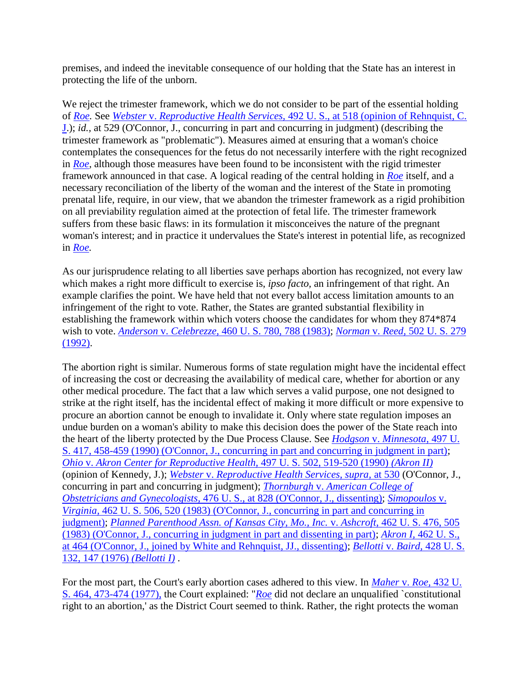premises, and indeed the inevitable consequence of our holding that the State has an interest in protecting the life of the unborn.

We reject the trimester framework, which we do not consider to be part of the essential holding of *[Roe.](http://scholar.google.co.in/scholar_case?case=12334123945835207673&q=planned+parenthood+v.+casey&hl=en&as_sdt=2,5&scilh=0)* See *Webster* v. *Reproductive Health Services,* [492 U. S., at 518 \(opinion of Rehnquist, C.](http://scholar.google.co.in/scholar_case?case=2944985204861123439&q=planned+parenthood+v.+casey&hl=en&as_sdt=2,5&scilh=0)  [J.](http://scholar.google.co.in/scholar_case?case=2944985204861123439&q=planned+parenthood+v.+casey&hl=en&as_sdt=2,5&scilh=0)); *id.,* at 529 (O'Connor, J., concurring in part and concurring in judgment) (describing the trimester framework as "problematic"). Measures aimed at ensuring that a woman's choice contemplates the consequences for the fetus do not necessarily interfere with the right recognized in *[Roe,](http://scholar.google.co.in/scholar_case?case=12334123945835207673&q=planned+parenthood+v.+casey&hl=en&as_sdt=2,5&scilh=0)* although those measures have been found to be inconsistent with the rigid trimester framework announced in that case. A logical reading of the central holding in *[Roe](http://scholar.google.co.in/scholar_case?case=12334123945835207673&q=planned+parenthood+v.+casey&hl=en&as_sdt=2,5&scilh=0)* itself, and a necessary reconciliation of the liberty of the woman and the interest of the State in promoting prenatal life, require, in our view, that we abandon the trimester framework as a rigid prohibition on all previability regulation aimed at the protection of fetal life. The trimester framework suffers from these basic flaws: in its formulation it misconceives the nature of the pregnant woman's interest; and in practice it undervalues the State's interest in potential life, as recognized in *[Roe.](http://scholar.google.co.in/scholar_case?case=12334123945835207673&q=planned+parenthood+v.+casey&hl=en&as_sdt=2,5&scilh=0)*

As our jurisprudence relating to all liberties save perhaps abortion has recognized, not every law which makes a right more difficult to exercise is, *ipso facto,* an infringement of that right. An example clarifies the point. We have held that not every ballot access limitation amounts to an infringement of the right to vote. Rather, the States are granted substantial flexibility in establishing the framework within which voters choose the candidates for whom they 874\*874 wish to vote. *Anderson* v. *Celebrezze,* [460 U. S. 780, 788 \(1983\);](http://scholar.google.co.in/scholar_case?case=1881199224878775691&q=planned+parenthood+v.+casey&hl=en&as_sdt=2,5&scilh=0) *Norman* v. *Reed,* [502 U. S. 279](http://scholar.google.co.in/scholar_case?case=14120575815282233965&q=planned+parenthood+v.+casey&hl=en&as_sdt=2,5&scilh=0)  [\(1992\).](http://scholar.google.co.in/scholar_case?case=14120575815282233965&q=planned+parenthood+v.+casey&hl=en&as_sdt=2,5&scilh=0)

The abortion right is similar. Numerous forms of state regulation might have the incidental effect of increasing the cost or decreasing the availability of medical care, whether for abortion or any other medical procedure. The fact that a law which serves a valid purpose, one not designed to strike at the right itself, has the incidental effect of making it more difficult or more expensive to procure an abortion cannot be enough to invalidate it. Only where state regulation imposes an undue burden on a woman's ability to make this decision does the power of the State reach into the heart of the liberty protected by the Due Process Clause. See *Hodgson* v. *[Minnesota,](http://scholar.google.co.in/scholar_case?case=15890213352888117836&q=planned+parenthood+v.+casey&hl=en&as_sdt=2,5&scilh=0)* 497 U. [S. 417, 458-459 \(1990\) \(O'Connor, J., concurring in part and concurring in judgment in part\);](http://scholar.google.co.in/scholar_case?case=15890213352888117836&q=planned+parenthood+v.+casey&hl=en&as_sdt=2,5&scilh=0) *Ohio* v. *[Akron Center for Reproductive Health,](http://scholar.google.co.in/scholar_case?case=9736627999207272791&q=planned+parenthood+v.+casey&hl=en&as_sdt=2,5&scilh=0)* 497 U. S. 502, 519-520 (1990) *(Akron II)* (opinion of Kennedy, J.); *Webster* v. *[Reproductive Health Services, supra,](http://scholar.google.co.in/scholar_case?case=2944985204861123439&q=planned+parenthood+v.+casey&hl=en&as_sdt=2,5&scilh=0)* at 530 (O'Connor, J., concurring in part and concurring in judgment); *Thornburgh* v. *[American College of](http://scholar.google.co.in/scholar_case?case=3420134328076928385&q=planned+parenthood+v.+casey&hl=en&as_sdt=2,5&scilh=0)  Obstetricians and Gynecologists,* [476 U. S., at 828 \(O'Connor, J., dissenting\);](http://scholar.google.co.in/scholar_case?case=3420134328076928385&q=planned+parenthood+v.+casey&hl=en&as_sdt=2,5&scilh=0) *[Simopoulos](http://scholar.google.co.in/scholar_case?case=383681397468331850&q=planned+parenthood+v.+casey&hl=en&as_sdt=2,5&scilh=0)* v. *Virginia,* [462 U. S. 506, 520 \(1983\) \(O'Connor, J., concurring in part and concurring in](http://scholar.google.co.in/scholar_case?case=383681397468331850&q=planned+parenthood+v.+casey&hl=en&as_sdt=2,5&scilh=0)  [judgment\);](http://scholar.google.co.in/scholar_case?case=383681397468331850&q=planned+parenthood+v.+casey&hl=en&as_sdt=2,5&scilh=0) *[Planned Parenthood Assn. of Kansas City, Mo., Inc.](http://scholar.google.co.in/scholar_case?case=16358226321487983194&q=planned+parenthood+v.+casey&hl=en&as_sdt=2,5&scilh=0)* v. *Ashcroft,* 462 U. S. 476, 505 [\(1983\) \(O'Connor, J., concurring in judgment in part and dissenting in part\);](http://scholar.google.co.in/scholar_case?case=16358226321487983194&q=planned+parenthood+v.+casey&hl=en&as_sdt=2,5&scilh=0) *Akron I,* [462 U. S.,](http://scholar.google.co.in/scholar_case?case=7944230995323582140&q=planned+parenthood+v.+casey&hl=en&as_sdt=2,5&scilh=0)  [at 464 \(O'Connor, J., joined by White and Rehnquist, JJ., dissenting\);](http://scholar.google.co.in/scholar_case?case=7944230995323582140&q=planned+parenthood+v.+casey&hl=en&as_sdt=2,5&scilh=0) *Bellotti* v. *Baird,* [428 U. S.](http://scholar.google.co.in/scholar_case?case=13318947486987437593&q=planned+parenthood+v.+casey&hl=en&as_sdt=2,5&scilh=0)  [132, 147 \(1976\)](http://scholar.google.co.in/scholar_case?case=13318947486987437593&q=planned+parenthood+v.+casey&hl=en&as_sdt=2,5&scilh=0) *(Bellotti I)* .

For the most part, the Court's early abortion cases adhered to this view. In *Maher* v. *Roe,* [432 U.](http://scholar.google.co.in/scholar_case?case=10803349459097846233&q=planned+parenthood+v.+casey&hl=en&as_sdt=2,5&scilh=0)  [S. 464, 473-474 \(1977\),](http://scholar.google.co.in/scholar_case?case=10803349459097846233&q=planned+parenthood+v.+casey&hl=en&as_sdt=2,5&scilh=0) the Court explained: "*[Roe](http://scholar.google.co.in/scholar_case?case=12334123945835207673&q=planned+parenthood+v.+casey&hl=en&as_sdt=2,5&scilh=0)* did not declare an unqualified `constitutional right to an abortion,' as the District Court seemed to think. Rather, the right protects the woman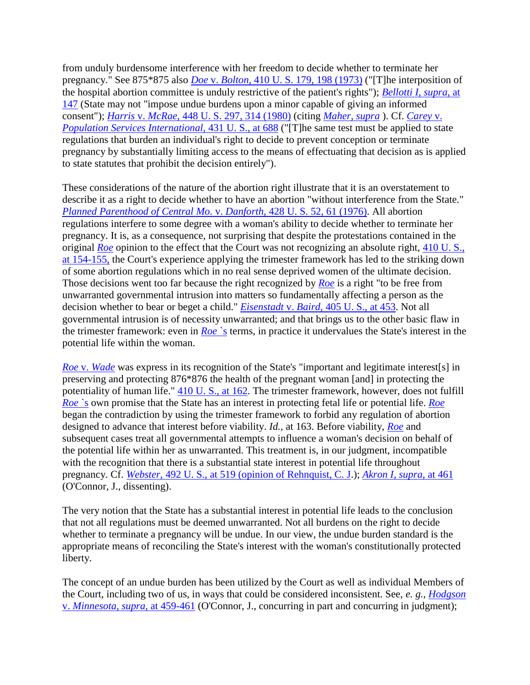from unduly burdensome interference with her freedom to decide whether to terminate her pregnancy." See 875\*875 also *Doe* v. *Bolton,* [410 U. S. 179, 198 \(1973\)](http://scholar.google.co.in/scholar_case?case=11713857759343795310&q=planned+parenthood+v.+casey&hl=en&as_sdt=2,5&scilh=0) ("[T]he interposition of the hospital abortion committee is unduly restrictive of the patient's rights"); *[Bellotti I, supra,](http://scholar.google.co.in/scholar_case?case=13318947486987437593&q=planned+parenthood+v.+casey&hl=en&as_sdt=2,5&scilh=0)* at [147](http://scholar.google.co.in/scholar_case?case=13318947486987437593&q=planned+parenthood+v.+casey&hl=en&as_sdt=2,5&scilh=0) (State may not "impose undue burdens upon a minor capable of giving an informed consent"); *Harris* v. *McRae,* [448 U. S. 297, 314 \(1980\)](http://scholar.google.co.in/scholar_case?case=8833310949486291357&q=planned+parenthood+v.+casey&hl=en&as_sdt=2,5&scilh=0) (citing *[Maher, supra](http://scholar.google.co.in/scholar_case?case=10803349459097846233&q=planned+parenthood+v.+casey&hl=en&as_sdt=2,5&scilh=0)* ). Cf. *[Carey](http://scholar.google.co.in/scholar_case?case=4801034783278981738&q=planned+parenthood+v.+casey&hl=en&as_sdt=2,5&scilh=0)* v. *[Population Services International,](http://scholar.google.co.in/scholar_case?case=4801034783278981738&q=planned+parenthood+v.+casey&hl=en&as_sdt=2,5&scilh=0)* 431 U. S., at 688 ("[T]he same test must be applied to state regulations that burden an individual's right to decide to prevent conception or terminate pregnancy by substantially limiting access to the means of effectuating that decision as is applied to state statutes that prohibit the decision entirely").

These considerations of the nature of the abortion right illustrate that it is an overstatement to describe it as a right to decide whether to have an abortion "without interference from the State." *[Planned Parenthood of Central Mo.](http://scholar.google.co.in/scholar_case?case=3638004152923873163&q=planned+parenthood+v.+casey&hl=en&as_sdt=2,5&scilh=0)* v. *Danforth,* 428 U. S. 52, 61 (1976). All abortion regulations interfere to some degree with a woman's ability to decide whether to terminate her pregnancy. It is, as a consequence, not surprising that despite the protestations contained in the original *[Roe](http://scholar.google.co.in/scholar_case?case=12334123945835207673&q=planned+parenthood+v.+casey&hl=en&as_sdt=2,5&scilh=0)* opinion to the effect that the Court was not recognizing an absolute right, [410 U. S.,](http://scholar.google.co.in/scholar_case?case=12334123945835207673&q=planned+parenthood+v.+casey&hl=en&as_sdt=2,5&scilh=0)  [at 154-155,](http://scholar.google.co.in/scholar_case?case=12334123945835207673&q=planned+parenthood+v.+casey&hl=en&as_sdt=2,5&scilh=0) the Court's experience applying the trimester framework has led to the striking down of some abortion regulations which in no real sense deprived women of the ultimate decision. Those decisions went too far because the right recognized by *[Roe](http://scholar.google.co.in/scholar_case?case=12334123945835207673&q=planned+parenthood+v.+casey&hl=en&as_sdt=2,5&scilh=0)* is a right "to be free from unwarranted governmental intrusion into matters so fundamentally affecting a person as the decision whether to bear or beget a child." *Eisenstadt* v. *Baird,* [405 U. S., at 453.](http://scholar.google.co.in/scholar_case?case=14131534241682283357&q=planned+parenthood+v.+casey&hl=en&as_sdt=2,5&scilh=0) Not all governmental intrusion is of necessity unwarranted; and that brings us to the other basic flaw in the trimester framework: even in *[Roe](http://scholar.google.co.in/scholar_case?case=12334123945835207673&q=planned+parenthood+v.+casey&hl=en&as_sdt=2,5&scilh=0)* `s terms, in practice it undervalues the State's interest in the potential life within the woman.

*Roe* v. *[Wade](http://scholar.google.co.in/scholar_case?case=12334123945835207673&q=planned+parenthood+v.+casey&hl=en&as_sdt=2,5&scilh=0)* was express in its recognition of the State's "important and legitimate interest[s] in preserving and protecting 876\*876 the health of the pregnant woman [and] in protecting the potentiality of human life." [410 U. S., at 162.](http://scholar.google.co.in/scholar_case?case=12334123945835207673&q=planned+parenthood+v.+casey&hl=en&as_sdt=2,5&scilh=0) The trimester framework, however, does not fulfill *[Roe](http://scholar.google.co.in/scholar_case?case=12334123945835207673&q=planned+parenthood+v.+casey&hl=en&as_sdt=2,5&scilh=0)* `s own promise that the State has an interest in protecting fetal life or potential life. *[Roe](http://scholar.google.co.in/scholar_case?case=12334123945835207673&q=planned+parenthood+v.+casey&hl=en&as_sdt=2,5&scilh=0)* began the contradiction by using the trimester framework to forbid any regulation of abortion designed to advance that interest before viability. *Id.,* at 163. Before viability, *[Roe](http://scholar.google.co.in/scholar_case?case=12334123945835207673&q=planned+parenthood+v.+casey&hl=en&as_sdt=2,5&scilh=0)* and subsequent cases treat all governmental attempts to influence a woman's decision on behalf of the potential life within her as unwarranted. This treatment is, in our judgment, incompatible with the recognition that there is a substantial state interest in potential life throughout pregnancy. Cf. *Webster,* [492 U. S., at 519 \(opinion of Rehnquist, C. J.](http://scholar.google.co.in/scholar_case?case=2944985204861123439&q=planned+parenthood+v.+casey&hl=en&as_sdt=2,5&scilh=0)); *[Akron I, supra,](http://scholar.google.co.in/scholar_case?case=7944230995323582140&q=planned+parenthood+v.+casey&hl=en&as_sdt=2,5&scilh=0)* at 461 (O'Connor, J., dissenting).

The very notion that the State has a substantial interest in potential life leads to the conclusion that not all regulations must be deemed unwarranted. Not all burdens on the right to decide whether to terminate a pregnancy will be undue. In our view, the undue burden standard is the appropriate means of reconciling the State's interest with the woman's constitutionally protected liberty.

The concept of an undue burden has been utilized by the Court as well as individual Members of the Court, including two of us, in ways that could be considered inconsistent. See, *e. g., [Hodgson](http://scholar.google.co.in/scholar_case?case=15890213352888117836&q=planned+parenthood+v.+casey&hl=en&as_sdt=2,5&scilh=0)* v. *[Minnesota, supra,](http://scholar.google.co.in/scholar_case?case=15890213352888117836&q=planned+parenthood+v.+casey&hl=en&as_sdt=2,5&scilh=0)* at 459-461 (O'Connor, J., concurring in part and concurring in judgment);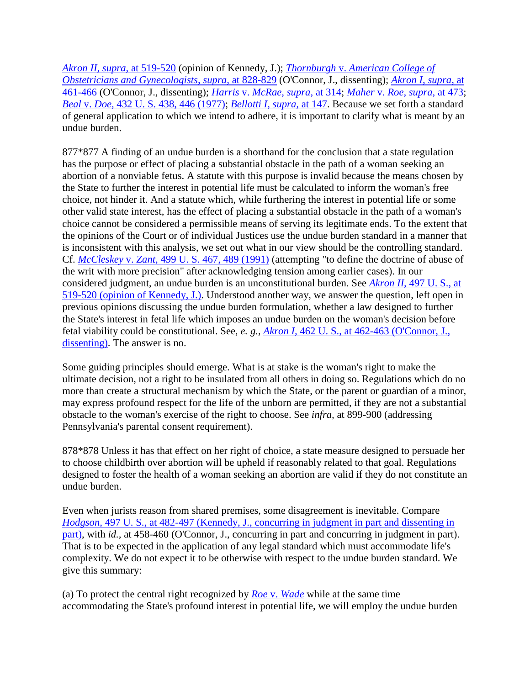*[Akron II, supra,](http://scholar.google.co.in/scholar_case?case=9736627999207272791&q=planned+parenthood+v.+casey&hl=en&as_sdt=2,5&scilh=0)* at 519-520 (opinion of Kennedy, J.); *Thornburgh* v. *[American College of](http://scholar.google.co.in/scholar_case?case=3420134328076928385&q=planned+parenthood+v.+casey&hl=en&as_sdt=2,5&scilh=0)  [Obstetricians and Gynecologists, supra,](http://scholar.google.co.in/scholar_case?case=3420134328076928385&q=planned+parenthood+v.+casey&hl=en&as_sdt=2,5&scilh=0)* at 828-829 (O'Connor, J., dissenting); *[Akron I, supra,](http://scholar.google.co.in/scholar_case?case=7944230995323582140&q=planned+parenthood+v.+casey&hl=en&as_sdt=2,5&scilh=0)* at [461-466](http://scholar.google.co.in/scholar_case?case=7944230995323582140&q=planned+parenthood+v.+casey&hl=en&as_sdt=2,5&scilh=0) (O'Connor, J., dissenting); *Harris* v. *[McRae, supra,](http://scholar.google.co.in/scholar_case?case=8833310949486291357&q=planned+parenthood+v.+casey&hl=en&as_sdt=2,5&scilh=0)* at 314; *Maher* v. *[Roe, supra,](http://scholar.google.co.in/scholar_case?case=10803349459097846233&q=planned+parenthood+v.+casey&hl=en&as_sdt=2,5&scilh=0)* at 473; *Beal* v. *Doe,* [432 U. S. 438, 446 \(1977\);](http://scholar.google.co.in/scholar_case?case=4067161982742187409&q=planned+parenthood+v.+casey&hl=en&as_sdt=2,5&scilh=0) *[Bellotti I, supra,](http://scholar.google.co.in/scholar_case?case=13318947486987437593&q=planned+parenthood+v.+casey&hl=en&as_sdt=2,5&scilh=0)* at 147. Because we set forth a standard of general application to which we intend to adhere, it is important to clarify what is meant by an undue burden.

877\*877 A finding of an undue burden is a shorthand for the conclusion that a state regulation has the purpose or effect of placing a substantial obstacle in the path of a woman seeking an abortion of a nonviable fetus. A statute with this purpose is invalid because the means chosen by the State to further the interest in potential life must be calculated to inform the woman's free choice, not hinder it. And a statute which, while furthering the interest in potential life or some other valid state interest, has the effect of placing a substantial obstacle in the path of a woman's choice cannot be considered a permissible means of serving its legitimate ends. To the extent that the opinions of the Court or of individual Justices use the undue burden standard in a manner that is inconsistent with this analysis, we set out what in our view should be the controlling standard. Cf. *McCleskey* v. *Zant,* [499 U. S. 467, 489 \(1991\)](http://scholar.google.co.in/scholar_case?case=13596761522993185173&q=planned+parenthood+v.+casey&hl=en&as_sdt=2,5&scilh=0) (attempting "to define the doctrine of abuse of the writ with more precision" after acknowledging tension among earlier cases). In our considered judgment, an undue burden is an unconstitutional burden. See *Akron II,* [497 U. S., at](http://scholar.google.co.in/scholar_case?case=9736627999207272791&q=planned+parenthood+v.+casey&hl=en&as_sdt=2,5&scilh=0)  [519-520 \(opinion of Kennedy, J.\).](http://scholar.google.co.in/scholar_case?case=9736627999207272791&q=planned+parenthood+v.+casey&hl=en&as_sdt=2,5&scilh=0) Understood another way, we answer the question, left open in previous opinions discussing the undue burden formulation, whether a law designed to further the State's interest in fetal life which imposes an undue burden on the woman's decision before fetal viability could be constitutional. See, *e. g., Akron I,* [462 U. S., at 462-463 \(O'Connor, J.,](http://scholar.google.co.in/scholar_case?case=7944230995323582140&q=planned+parenthood+v.+casey&hl=en&as_sdt=2,5&scilh=0)  [dissenting\).](http://scholar.google.co.in/scholar_case?case=7944230995323582140&q=planned+parenthood+v.+casey&hl=en&as_sdt=2,5&scilh=0) The answer is no.

Some guiding principles should emerge. What is at stake is the woman's right to make the ultimate decision, not a right to be insulated from all others in doing so. Regulations which do no more than create a structural mechanism by which the State, or the parent or guardian of a minor, may express profound respect for the life of the unborn are permitted, if they are not a substantial obstacle to the woman's exercise of the right to choose. See *infra,* at 899-900 (addressing Pennsylvania's parental consent requirement).

878\*878 Unless it has that effect on her right of choice, a state measure designed to persuade her to choose childbirth over abortion will be upheld if reasonably related to that goal. Regulations designed to foster the health of a woman seeking an abortion are valid if they do not constitute an undue burden.

Even when jurists reason from shared premises, some disagreement is inevitable. Compare *Hodgson,* [497 U. S., at 482-497 \(Kennedy, J., concurring in judgment in part and dissenting in](http://scholar.google.co.in/scholar_case?case=15890213352888117836&q=planned+parenthood+v.+casey&hl=en&as_sdt=2,5&scilh=0)  [part\),](http://scholar.google.co.in/scholar_case?case=15890213352888117836&q=planned+parenthood+v.+casey&hl=en&as_sdt=2,5&scilh=0) with *id.*, at 458-460 (O'Connor, J., concurring in part and concurring in judgment in part). That is to be expected in the application of any legal standard which must accommodate life's complexity. We do not expect it to be otherwise with respect to the undue burden standard. We give this summary:

(a) To protect the central right recognized by *Roe* v. *[Wade](http://scholar.google.co.in/scholar_case?case=12334123945835207673&q=planned+parenthood+v.+casey&hl=en&as_sdt=2,5&scilh=0)* while at the same time accommodating the State's profound interest in potential life, we will employ the undue burden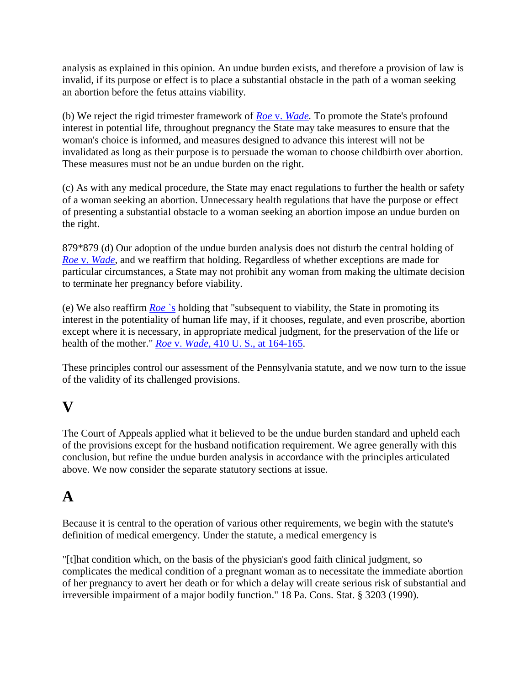analysis as explained in this opinion. An undue burden exists, and therefore a provision of law is invalid, if its purpose or effect is to place a substantial obstacle in the path of a woman seeking an abortion before the fetus attains viability.

(b) We reject the rigid trimester framework of *Roe* v. *[Wade.](http://scholar.google.co.in/scholar_case?case=12334123945835207673&q=planned+parenthood+v.+casey&hl=en&as_sdt=2,5&scilh=0)* To promote the State's profound interest in potential life, throughout pregnancy the State may take measures to ensure that the woman's choice is informed, and measures designed to advance this interest will not be invalidated as long as their purpose is to persuade the woman to choose childbirth over abortion. These measures must not be an undue burden on the right.

(c) As with any medical procedure, the State may enact regulations to further the health or safety of a woman seeking an abortion. Unnecessary health regulations that have the purpose or effect of presenting a substantial obstacle to a woman seeking an abortion impose an undue burden on the right.

879\*879 (d) Our adoption of the undue burden analysis does not disturb the central holding of *Roe* v. *[Wade,](http://scholar.google.co.in/scholar_case?case=12334123945835207673&q=planned+parenthood+v.+casey&hl=en&as_sdt=2,5&scilh=0)* and we reaffirm that holding. Regardless of whether exceptions are made for particular circumstances, a State may not prohibit any woman from making the ultimate decision to terminate her pregnancy before viability.

(e) We also reaffirm *[Roe](http://scholar.google.co.in/scholar_case?case=12334123945835207673&q=planned+parenthood+v.+casey&hl=en&as_sdt=2,5&scilh=0)* `s holding that "subsequent to viability, the State in promoting its interest in the potentiality of human life may, if it chooses, regulate, and even proscribe, abortion except where it is necessary, in appropriate medical judgment, for the preservation of the life or health of the mother." *Roe* v. *Wade,* [410 U. S., at 164-165.](http://scholar.google.co.in/scholar_case?case=12334123945835207673&q=planned+parenthood+v.+casey&hl=en&as_sdt=2,5&scilh=0)

These principles control our assessment of the Pennsylvania statute, and we now turn to the issue of the validity of its challenged provisions.

## **V**

The Court of Appeals applied what it believed to be the undue burden standard and upheld each of the provisions except for the husband notification requirement. We agree generally with this conclusion, but refine the undue burden analysis in accordance with the principles articulated above. We now consider the separate statutory sections at issue.

# **A**

Because it is central to the operation of various other requirements, we begin with the statute's definition of medical emergency. Under the statute, a medical emergency is

"[t]hat condition which, on the basis of the physician's good faith clinical judgment, so complicates the medical condition of a pregnant woman as to necessitate the immediate abortion of her pregnancy to avert her death or for which a delay will create serious risk of substantial and irreversible impairment of a major bodily function." 18 Pa. Cons. Stat. § 3203 (1990).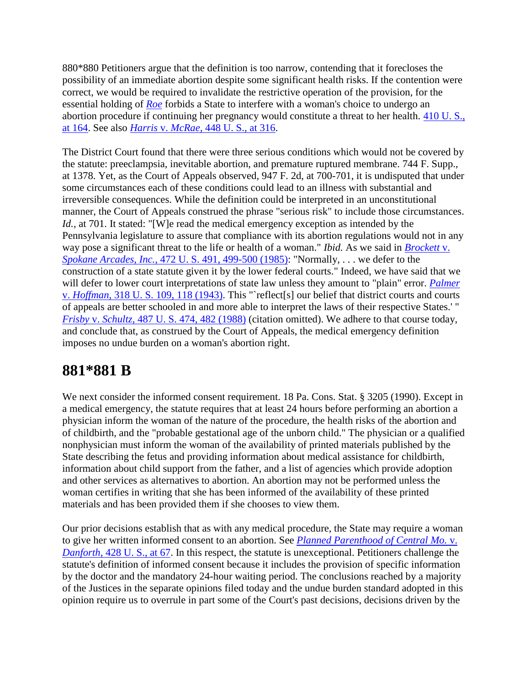880\*880 Petitioners argue that the definition is too narrow, contending that it forecloses the possibility of an immediate abortion despite some significant health risks. If the contention were correct, we would be required to invalidate the restrictive operation of the provision, for the essential holding of *[Roe](http://scholar.google.co.in/scholar_case?case=12334123945835207673&q=planned+parenthood+v.+casey&hl=en&as_sdt=2,5&scilh=0)* forbids a State to interfere with a woman's choice to undergo an abortion procedure if continuing her pregnancy would constitute a threat to her health. [410 U. S.,](http://scholar.google.co.in/scholar_case?case=12334123945835207673&q=planned+parenthood+v.+casey&hl=en&as_sdt=2,5&scilh=0)  [at 164.](http://scholar.google.co.in/scholar_case?case=12334123945835207673&q=planned+parenthood+v.+casey&hl=en&as_sdt=2,5&scilh=0) See also *Harris* v. *McRae,* [448 U. S., at 316.](http://scholar.google.co.in/scholar_case?case=8833310949486291357&q=planned+parenthood+v.+casey&hl=en&as_sdt=2,5&scilh=0)

The District Court found that there were three serious conditions which would not be covered by the statute: preeclampsia, inevitable abortion, and premature ruptured membrane. 744 F. Supp., at 1378. Yet, as the Court of Appeals observed, 947 F. 2d, at 700-701, it is undisputed that under some circumstances each of these conditions could lead to an illness with substantial and irreversible consequences. While the definition could be interpreted in an unconstitutional manner, the Court of Appeals construed the phrase "serious risk" to include those circumstances. *Id.,* at 701. It stated: "[W]e read the medical emergency exception as intended by the Pennsylvania legislature to assure that compliance with its abortion regulations would not in any way pose a significant threat to the life or health of a woman." *Ibid.* As we said in *[Brockett](http://scholar.google.co.in/scholar_case?case=975894151134542505&q=planned+parenthood+v.+casey&hl=en&as_sdt=2,5&scilh=0)* v. *Spokane Arcades, Inc.,* [472 U. S. 491, 499-500 \(1985\):](http://scholar.google.co.in/scholar_case?case=975894151134542505&q=planned+parenthood+v.+casey&hl=en&as_sdt=2,5&scilh=0) "Normally, . . . we defer to the construction of a state statute given it by the lower federal courts." Indeed, we have said that we will defer to lower court interpretations of state law unless they amount to "plain" error. *[Palmer](http://scholar.google.co.in/scholar_case?case=12467922602294001395&q=planned+parenthood+v.+casey&hl=en&as_sdt=2,5&scilh=0)* v. *Hoffman,* [318 U. S. 109, 118 \(1943\).](http://scholar.google.co.in/scholar_case?case=12467922602294001395&q=planned+parenthood+v.+casey&hl=en&as_sdt=2,5&scilh=0) This "`reflect[s] our belief that district courts and courts of appeals are better schooled in and more able to interpret the laws of their respective States.' " *Frisby* v. *Schultz,* [487 U. S. 474, 482 \(1988\)](http://scholar.google.co.in/scholar_case?case=482676064630549656&q=planned+parenthood+v.+casey&hl=en&as_sdt=2,5&scilh=0) (citation omitted). We adhere to that course today, and conclude that, as construed by the Court of Appeals, the medical emergency definition imposes no undue burden on a woman's abortion right.

## **881\*881 B**

We next consider the informed consent requirement. 18 Pa. Cons. Stat. § 3205 (1990). Except in a medical emergency, the statute requires that at least 24 hours before performing an abortion a physician inform the woman of the nature of the procedure, the health risks of the abortion and of childbirth, and the "probable gestational age of the unborn child." The physician or a qualified nonphysician must inform the woman of the availability of printed materials published by the State describing the fetus and providing information about medical assistance for childbirth, information about child support from the father, and a list of agencies which provide adoption and other services as alternatives to abortion. An abortion may not be performed unless the woman certifies in writing that she has been informed of the availability of these printed materials and has been provided them if she chooses to view them.

Our prior decisions establish that as with any medical procedure, the State may require a woman to give her written informed consent to an abortion. See *[Planned Parenthood of Central Mo.](http://scholar.google.co.in/scholar_case?case=3638004152923873163&q=planned+parenthood+v.+casey&hl=en&as_sdt=2,5&scilh=0)* v. *Danforth*, [428 U. S., at 67.](http://scholar.google.co.in/scholar_case?case=3638004152923873163&q=planned+parenthood+v.+casey&hl=en&as_sdt=2,5&scilh=0) In this respect, the statute is unexceptional. Petitioners challenge the statute's definition of informed consent because it includes the provision of specific information by the doctor and the mandatory 24-hour waiting period. The conclusions reached by a majority of the Justices in the separate opinions filed today and the undue burden standard adopted in this opinion require us to overrule in part some of the Court's past decisions, decisions driven by the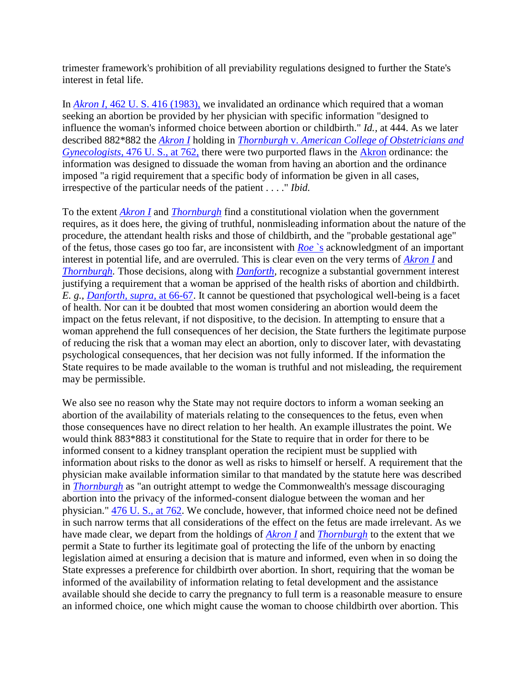trimester framework's prohibition of all previability regulations designed to further the State's interest in fetal life.

In *Akron I*, [462 U. S. 416 \(1983\),](http://scholar.google.co.in/scholar_case?case=7944230995323582140&q=planned+parenthood+v.+casey&hl=en&as_sdt=2,5&scilh=0) we invalidated an ordinance which required that a woman seeking an abortion be provided by her physician with specific information "designed to influence the woman's informed choice between abortion or childbirth." *Id.,* at 444. As we later described 882\*882 the *[Akron I](http://scholar.google.co.in/scholar_case?case=7944230995323582140&q=planned+parenthood+v.+casey&hl=en&as_sdt=2,5&scilh=0)* holding in *Thornburgh* v. *[American College of Obstetricians and](http://scholar.google.co.in/scholar_case?case=3420134328076928385&q=planned+parenthood+v.+casey&hl=en&as_sdt=2,5&scilh=0)  Gynecologists,* [476 U. S., at 762,](http://scholar.google.co.in/scholar_case?case=3420134328076928385&q=planned+parenthood+v.+casey&hl=en&as_sdt=2,5&scilh=0) there were two purported flaws in the [Akron](http://scholar.google.co.in/scholar_case?case=7944230995323582140&q=planned+parenthood+v.+casey&hl=en&as_sdt=2,5&scilh=0) ordinance: the information was designed to dissuade the woman from having an abortion and the ordinance imposed "a rigid requirement that a specific body of information be given in all cases, irrespective of the particular needs of the patient . . . ." *Ibid.*

To the extent *[Akron I](http://scholar.google.co.in/scholar_case?case=7944230995323582140&q=planned+parenthood+v.+casey&hl=en&as_sdt=2,5&scilh=0)* and *[Thornburgh](http://scholar.google.co.in/scholar_case?case=3420134328076928385&q=planned+parenthood+v.+casey&hl=en&as_sdt=2,5&scilh=0)* find a constitutional violation when the government requires, as it does here, the giving of truthful, nonmisleading information about the nature of the procedure, the attendant health risks and those of childbirth, and the "probable gestational age" of the fetus, those cases go too far, are inconsistent with *[Roe](http://scholar.google.co.in/scholar_case?case=12334123945835207673&q=planned+parenthood+v.+casey&hl=en&as_sdt=2,5&scilh=0)* `s acknowledgment of an important interest in potential life, and are overruled. This is clear even on the very terms of *[Akron I](http://scholar.google.co.in/scholar_case?case=7944230995323582140&q=planned+parenthood+v.+casey&hl=en&as_sdt=2,5&scilh=0)* and *[Thornburgh.](http://scholar.google.co.in/scholar_case?case=3420134328076928385&q=planned+parenthood+v.+casey&hl=en&as_sdt=2,5&scilh=0)* Those decisions, along with *[Danforth,](http://scholar.google.co.in/scholar_case?case=3638004152923873163&q=planned+parenthood+v.+casey&hl=en&as_sdt=2,5&scilh=0)* recognize a substantial government interest justifying a requirement that a woman be apprised of the health risks of abortion and childbirth. *E. g., [Danforth, supra,](http://scholar.google.co.in/scholar_case?case=3638004152923873163&q=planned+parenthood+v.+casey&hl=en&as_sdt=2,5&scilh=0)* at 66-67. It cannot be questioned that psychological well-being is a facet of health. Nor can it be doubted that most women considering an abortion would deem the impact on the fetus relevant, if not dispositive, to the decision. In attempting to ensure that a woman apprehend the full consequences of her decision, the State furthers the legitimate purpose of reducing the risk that a woman may elect an abortion, only to discover later, with devastating psychological consequences, that her decision was not fully informed. If the information the State requires to be made available to the woman is truthful and not misleading, the requirement may be permissible.

We also see no reason why the State may not require doctors to inform a woman seeking an abortion of the availability of materials relating to the consequences to the fetus, even when those consequences have no direct relation to her health. An example illustrates the point. We would think 883\*883 it constitutional for the State to require that in order for there to be informed consent to a kidney transplant operation the recipient must be supplied with information about risks to the donor as well as risks to himself or herself. A requirement that the physician make available information similar to that mandated by the statute here was described in *[Thornburgh](http://scholar.google.co.in/scholar_case?case=3420134328076928385&q=planned+parenthood+v.+casey&hl=en&as_sdt=2,5&scilh=0)* as "an outright attempt to wedge the Commonwealth's message discouraging abortion into the privacy of the informed-consent dialogue between the woman and her physician." [476 U. S., at 762.](http://scholar.google.co.in/scholar_case?case=3420134328076928385&q=planned+parenthood+v.+casey&hl=en&as_sdt=2,5&scilh=0) We conclude, however, that informed choice need not be defined in such narrow terms that all considerations of the effect on the fetus are made irrelevant. As we have made clear, we depart from the holdings of *[Akron I](http://scholar.google.co.in/scholar_case?case=7944230995323582140&q=planned+parenthood+v.+casey&hl=en&as_sdt=2,5&scilh=0)* and *[Thornburgh](http://scholar.google.co.in/scholar_case?case=3420134328076928385&q=planned+parenthood+v.+casey&hl=en&as_sdt=2,5&scilh=0)* to the extent that we permit a State to further its legitimate goal of protecting the life of the unborn by enacting legislation aimed at ensuring a decision that is mature and informed, even when in so doing the State expresses a preference for childbirth over abortion. In short, requiring that the woman be informed of the availability of information relating to fetal development and the assistance available should she decide to carry the pregnancy to full term is a reasonable measure to ensure an informed choice, one which might cause the woman to choose childbirth over abortion. This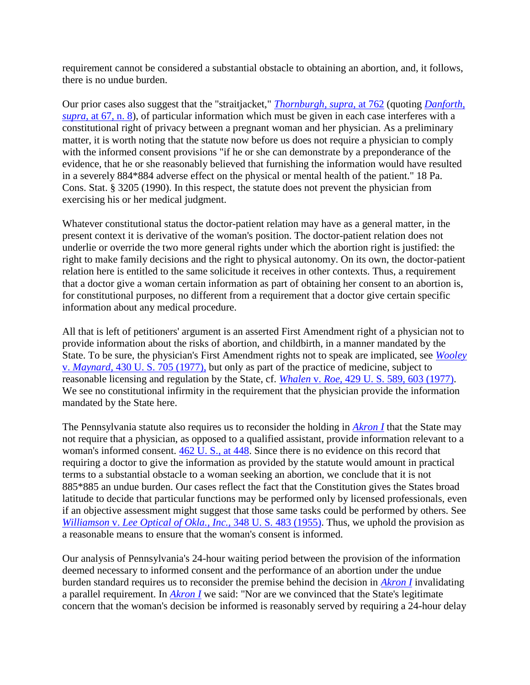requirement cannot be considered a substantial obstacle to obtaining an abortion, and, it follows, there is no undue burden.

Our prior cases also suggest that the "straitjacket," *[Thornburgh, supra,](http://scholar.google.co.in/scholar_case?case=3420134328076928385&q=planned+parenthood+v.+casey&hl=en&as_sdt=2,5&scilh=0)* at 762 (quoting *[Danforth,](http://scholar.google.co.in/scholar_case?case=3638004152923873163&q=planned+parenthood+v.+casey&hl=en&as_sdt=2,5&scilh=0)  supra,* [at 67, n. 8\)](http://scholar.google.co.in/scholar_case?case=3638004152923873163&q=planned+parenthood+v.+casey&hl=en&as_sdt=2,5&scilh=0), of particular information which must be given in each case interferes with a constitutional right of privacy between a pregnant woman and her physician. As a preliminary matter, it is worth noting that the statute now before us does not require a physician to comply with the informed consent provisions "if he or she can demonstrate by a preponderance of the evidence, that he or she reasonably believed that furnishing the information would have resulted in a severely 884\*884 adverse effect on the physical or mental health of the patient." 18 Pa. Cons. Stat. § 3205 (1990). In this respect, the statute does not prevent the physician from exercising his or her medical judgment.

Whatever constitutional status the doctor-patient relation may have as a general matter, in the present context it is derivative of the woman's position. The doctor-patient relation does not underlie or override the two more general rights under which the abortion right is justified: the right to make family decisions and the right to physical autonomy. On its own, the doctor-patient relation here is entitled to the same solicitude it receives in other contexts. Thus, a requirement that a doctor give a woman certain information as part of obtaining her consent to an abortion is, for constitutional purposes, no different from a requirement that a doctor give certain specific information about any medical procedure.

All that is left of petitioners' argument is an asserted First Amendment right of a physician not to provide information about the risks of abortion, and childbirth, in a manner mandated by the State. To be sure, the physician's First Amendment rights not to speak are implicated, see *[Wooley](http://scholar.google.co.in/scholar_case?case=15210508422263730617&q=planned+parenthood+v.+casey&hl=en&as_sdt=2,5&scilh=0)* v. *Maynard,* [430 U. S. 705 \(1977\),](http://scholar.google.co.in/scholar_case?case=15210508422263730617&q=planned+parenthood+v.+casey&hl=en&as_sdt=2,5&scilh=0) but only as part of the practice of medicine, subject to reasonable licensing and regulation by the State, cf. *Whalen* v. *Roe,* [429 U. S. 589, 603 \(1977\).](http://scholar.google.co.in/scholar_case?case=8555735987895894452&q=planned+parenthood+v.+casey&hl=en&as_sdt=2,5&scilh=0) We see no constitutional infirmity in the requirement that the physician provide the information mandated by the State here.

The Pennsylvania statute also requires us to reconsider the holding in *[Akron I](http://scholar.google.co.in/scholar_case?case=7944230995323582140&q=planned+parenthood+v.+casey&hl=en&as_sdt=2,5&scilh=0)* that the State may not require that a physician, as opposed to a qualified assistant, provide information relevant to a woman's informed consent. [462 U. S., at](http://scholar.google.co.in/scholar_case?case=7944230995323582140&q=planned+parenthood+v.+casey&hl=en&as_sdt=2,5&scilh=0) 448. Since there is no evidence on this record that requiring a doctor to give the information as provided by the statute would amount in practical terms to a substantial obstacle to a woman seeking an abortion, we conclude that it is not 885\*885 an undue burden. Our cases reflect the fact that the Constitution gives the States broad latitude to decide that particular functions may be performed only by licensed professionals, even if an objective assessment might suggest that those same tasks could be performed by others. See *Williamson* v. *[Lee Optical of Okla., Inc.,](http://scholar.google.co.in/scholar_case?case=17779134010247423421&q=planned+parenthood+v.+casey&hl=en&as_sdt=2,5&scilh=0)* 348 U. S. 483 (1955). Thus, we uphold the provision as a reasonable means to ensure that the woman's consent is informed.

Our analysis of Pennsylvania's 24-hour waiting period between the provision of the information deemed necessary to informed consent and the performance of an abortion under the undue burden standard requires us to reconsider the premise behind the decision in *[Akron I](http://scholar.google.co.in/scholar_case?case=7944230995323582140&q=planned+parenthood+v.+casey&hl=en&as_sdt=2,5&scilh=0)* invalidating a parallel requirement. In *[Akron I](http://scholar.google.co.in/scholar_case?case=7944230995323582140&q=planned+parenthood+v.+casey&hl=en&as_sdt=2,5&scilh=0)* we said: "Nor are we convinced that the State's legitimate concern that the woman's decision be informed is reasonably served by requiring a 24-hour delay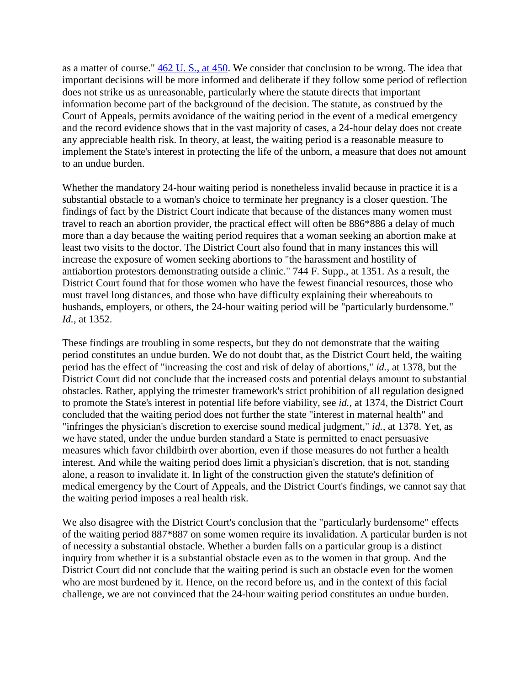as a matter of course." [462 U. S., at 450.](http://scholar.google.co.in/scholar_case?case=7944230995323582140&q=planned+parenthood+v.+casey&hl=en&as_sdt=2,5&scilh=0) We consider that conclusion to be wrong. The idea that important decisions will be more informed and deliberate if they follow some period of reflection does not strike us as unreasonable, particularly where the statute directs that important information become part of the background of the decision. The statute, as construed by the Court of Appeals, permits avoidance of the waiting period in the event of a medical emergency and the record evidence shows that in the vast majority of cases, a 24-hour delay does not create any appreciable health risk. In theory, at least, the waiting period is a reasonable measure to implement the State's interest in protecting the life of the unborn, a measure that does not amount to an undue burden.

Whether the mandatory 24-hour waiting period is nonetheless invalid because in practice it is a substantial obstacle to a woman's choice to terminate her pregnancy is a closer question. The findings of fact by the District Court indicate that because of the distances many women must travel to reach an abortion provider, the practical effect will often be 886\*886 a delay of much more than a day because the waiting period requires that a woman seeking an abortion make at least two visits to the doctor. The District Court also found that in many instances this will increase the exposure of women seeking abortions to "the harassment and hostility of antiabortion protestors demonstrating outside a clinic." 744 F. Supp., at 1351. As a result, the District Court found that for those women who have the fewest financial resources, those who must travel long distances, and those who have difficulty explaining their whereabouts to husbands, employers, or others, the 24-hour waiting period will be "particularly burdensome." *Id.,* at 1352.

These findings are troubling in some respects, but they do not demonstrate that the waiting period constitutes an undue burden. We do not doubt that, as the District Court held, the waiting period has the effect of "increasing the cost and risk of delay of abortions," *id.,* at 1378, but the District Court did not conclude that the increased costs and potential delays amount to substantial obstacles. Rather, applying the trimester framework's strict prohibition of all regulation designed to promote the State's interest in potential life before viability, see *id.,* at 1374, the District Court concluded that the waiting period does not further the state "interest in maternal health" and "infringes the physician's discretion to exercise sound medical judgment," *id.,* at 1378. Yet, as we have stated, under the undue burden standard a State is permitted to enact persuasive measures which favor childbirth over abortion, even if those measures do not further a health interest. And while the waiting period does limit a physician's discretion, that is not, standing alone, a reason to invalidate it. In light of the construction given the statute's definition of medical emergency by the Court of Appeals, and the District Court's findings, we cannot say that the waiting period imposes a real health risk.

We also disagree with the District Court's conclusion that the "particularly burdensome" effects of the waiting period 887\*887 on some women require its invalidation. A particular burden is not of necessity a substantial obstacle. Whether a burden falls on a particular group is a distinct inquiry from whether it is a substantial obstacle even as to the women in that group. And the District Court did not conclude that the waiting period is such an obstacle even for the women who are most burdened by it. Hence, on the record before us, and in the context of this facial challenge, we are not convinced that the 24-hour waiting period constitutes an undue burden.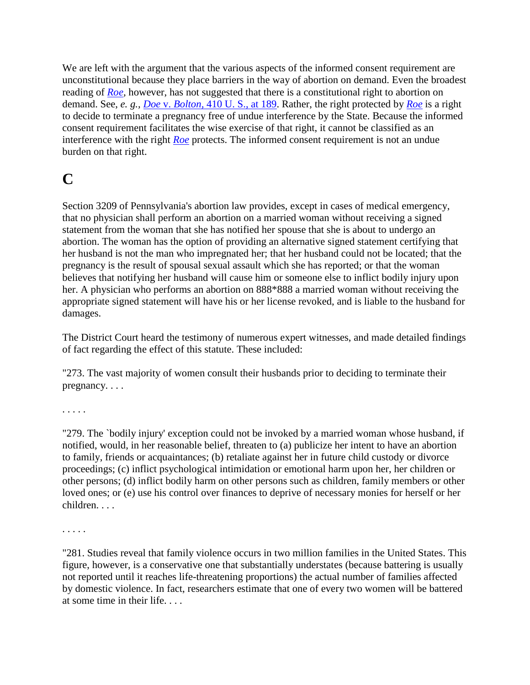We are left with the argument that the various aspects of the informed consent requirement are unconstitutional because they place barriers in the way of abortion on demand. Even the broadest reading of *Roe*, however, has not suggested that there is a constitutional right to abortion on demand. See, *e. g., Doe* v. *Bolton,* [410 U. S., at 189.](http://scholar.google.co.in/scholar_case?case=11713857759343795310&q=planned+parenthood+v.+casey&hl=en&as_sdt=2,5&scilh=0) Rather, the right protected by *[Roe](http://scholar.google.co.in/scholar_case?case=12334123945835207673&q=planned+parenthood+v.+casey&hl=en&as_sdt=2,5&scilh=0)* is a right to decide to terminate a pregnancy free of undue interference by the State. Because the informed consent requirement facilitates the wise exercise of that right, it cannot be classified as an interference with the right *[Roe](http://scholar.google.co.in/scholar_case?case=12334123945835207673&q=planned+parenthood+v.+casey&hl=en&as_sdt=2,5&scilh=0)* protects. The informed consent requirement is not an undue burden on that right.

# **C**

Section 3209 of Pennsylvania's abortion law provides, except in cases of medical emergency, that no physician shall perform an abortion on a married woman without receiving a signed statement from the woman that she has notified her spouse that she is about to undergo an abortion. The woman has the option of providing an alternative signed statement certifying that her husband is not the man who impregnated her; that her husband could not be located; that the pregnancy is the result of spousal sexual assault which she has reported; or that the woman believes that notifying her husband will cause him or someone else to inflict bodily injury upon her. A physician who performs an abortion on 888\*888 a married woman without receiving the appropriate signed statement will have his or her license revoked, and is liable to the husband for damages.

The District Court heard the testimony of numerous expert witnesses, and made detailed findings of fact regarding the effect of this statute. These included:

"273. The vast majority of women consult their husbands prior to deciding to terminate their pregnancy. . . .

. . . . .

"279. The `bodily injury' exception could not be invoked by a married woman whose husband, if notified, would, in her reasonable belief, threaten to (a) publicize her intent to have an abortion to family, friends or acquaintances; (b) retaliate against her in future child custody or divorce proceedings; (c) inflict psychological intimidation or emotional harm upon her, her children or other persons; (d) inflict bodily harm on other persons such as children, family members or other loved ones; or (e) use his control over finances to deprive of necessary monies for herself or her children. . . .

. . . . .

"281. Studies reveal that family violence occurs in two million families in the United States. This figure, however, is a conservative one that substantially understates (because battering is usually not reported until it reaches life-threatening proportions) the actual number of families affected by domestic violence. In fact, researchers estimate that one of every two women will be battered at some time in their life. . . .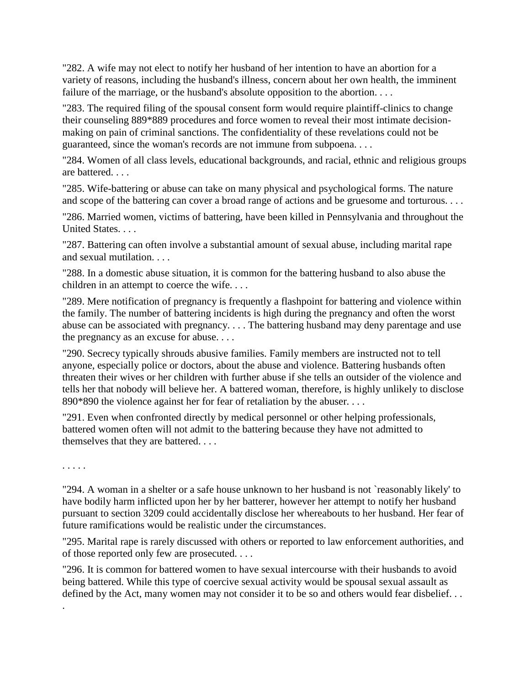"282. A wife may not elect to notify her husband of her intention to have an abortion for a variety of reasons, including the husband's illness, concern about her own health, the imminent failure of the marriage, or the husband's absolute opposition to the abortion. . . .

"283. The required filing of the spousal consent form would require plaintiff-clinics to change their counseling 889\*889 procedures and force women to reveal their most intimate decisionmaking on pain of criminal sanctions. The confidentiality of these revelations could not be guaranteed, since the woman's records are not immune from subpoena. . . .

"284. Women of all class levels, educational backgrounds, and racial, ethnic and religious groups are battered. . . .

"285. Wife-battering or abuse can take on many physical and psychological forms. The nature and scope of the battering can cover a broad range of actions and be gruesome and torturous. . . .

"286. Married women, victims of battering, have been killed in Pennsylvania and throughout the United States. . . .

"287. Battering can often involve a substantial amount of sexual abuse, including marital rape and sexual mutilation. . . .

"288. In a domestic abuse situation, it is common for the battering husband to also abuse the children in an attempt to coerce the wife. . . .

"289. Mere notification of pregnancy is frequently a flashpoint for battering and violence within the family. The number of battering incidents is high during the pregnancy and often the worst abuse can be associated with pregnancy. . . . The battering husband may deny parentage and use the pregnancy as an excuse for abuse. . . .

"290. Secrecy typically shrouds abusive families. Family members are instructed not to tell anyone, especially police or doctors, about the abuse and violence. Battering husbands often threaten their wives or her children with further abuse if she tells an outsider of the violence and tells her that nobody will believe her. A battered woman, therefore, is highly unlikely to disclose 890\*890 the violence against her for fear of retaliation by the abuser. . . .

"291. Even when confronted directly by medical personnel or other helping professionals, battered women often will not admit to the battering because they have not admitted to themselves that they are battered. . . .

. . . . .

.

"294. A woman in a shelter or a safe house unknown to her husband is not `reasonably likely' to have bodily harm inflicted upon her by her batterer, however her attempt to notify her husband pursuant to section 3209 could accidentally disclose her whereabouts to her husband. Her fear of future ramifications would be realistic under the circumstances.

"295. Marital rape is rarely discussed with others or reported to law enforcement authorities, and of those reported only few are prosecuted. . . .

"296. It is common for battered women to have sexual intercourse with their husbands to avoid being battered. While this type of coercive sexual activity would be spousal sexual assault as defined by the Act, many women may not consider it to be so and others would fear disbelief. . .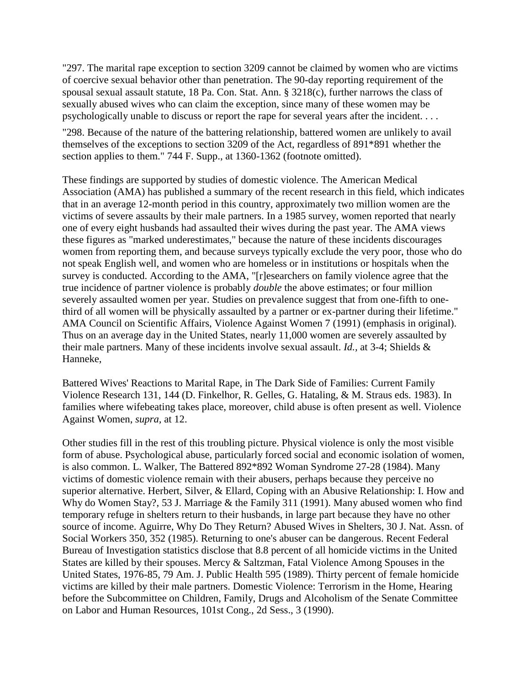"297. The marital rape exception to section 3209 cannot be claimed by women who are victims of coercive sexual behavior other than penetration. The 90-day reporting requirement of the spousal sexual assault statute, 18 Pa. Con. Stat. Ann. § 3218(c), further narrows the class of sexually abused wives who can claim the exception, since many of these women may be psychologically unable to discuss or report the rape for several years after the incident. . . .

"298. Because of the nature of the battering relationship, battered women are unlikely to avail themselves of the exceptions to section 3209 of the Act, regardless of 891\*891 whether the section applies to them." 744 F. Supp., at 1360-1362 (footnote omitted).

These findings are supported by studies of domestic violence. The American Medical Association (AMA) has published a summary of the recent research in this field, which indicates that in an average 12-month period in this country, approximately two million women are the victims of severe assaults by their male partners. In a 1985 survey, women reported that nearly one of every eight husbands had assaulted their wives during the past year. The AMA views these figures as "marked underestimates," because the nature of these incidents discourages women from reporting them, and because surveys typically exclude the very poor, those who do not speak English well, and women who are homeless or in institutions or hospitals when the survey is conducted. According to the AMA, "[r]esearchers on family violence agree that the true incidence of partner violence is probably *double* the above estimates; or four million severely assaulted women per year. Studies on prevalence suggest that from one-fifth to onethird of all women will be physically assaulted by a partner or ex-partner during their lifetime." AMA Council on Scientific Affairs, Violence Against Women 7 (1991) (emphasis in original). Thus on an average day in the United States, nearly 11,000 women are severely assaulted by their male partners. Many of these incidents involve sexual assault. *Id.,* at 3-4; Shields & Hanneke,

Battered Wives' Reactions to Marital Rape, in The Dark Side of Families: Current Family Violence Research 131, 144 (D. Finkelhor, R. Gelles, G. Hataling, & M. Straus eds. 1983). In families where wifebeating takes place, moreover, child abuse is often present as well. Violence Against Women, *supra,* at 12.

Other studies fill in the rest of this troubling picture. Physical violence is only the most visible form of abuse. Psychological abuse, particularly forced social and economic isolation of women, is also common. L. Walker, The Battered 892\*892 Woman Syndrome 27-28 (1984). Many victims of domestic violence remain with their abusers, perhaps because they perceive no superior alternative. Herbert, Silver, & Ellard, Coping with an Abusive Relationship: I. How and Why do Women Stay?, 53 J. Marriage & the Family 311 (1991). Many abused women who find temporary refuge in shelters return to their husbands, in large part because they have no other source of income. Aguirre, Why Do They Return? Abused Wives in Shelters, 30 J. Nat. Assn. of Social Workers 350, 352 (1985). Returning to one's abuser can be dangerous. Recent Federal Bureau of Investigation statistics disclose that 8.8 percent of all homicide victims in the United States are killed by their spouses. Mercy & Saltzman, Fatal Violence Among Spouses in the United States, 1976-85, 79 Am. J. Public Health 595 (1989). Thirty percent of female homicide victims are killed by their male partners. Domestic Violence: Terrorism in the Home, Hearing before the Subcommittee on Children, Family, Drugs and Alcoholism of the Senate Committee on Labor and Human Resources, 101st Cong., 2d Sess., 3 (1990).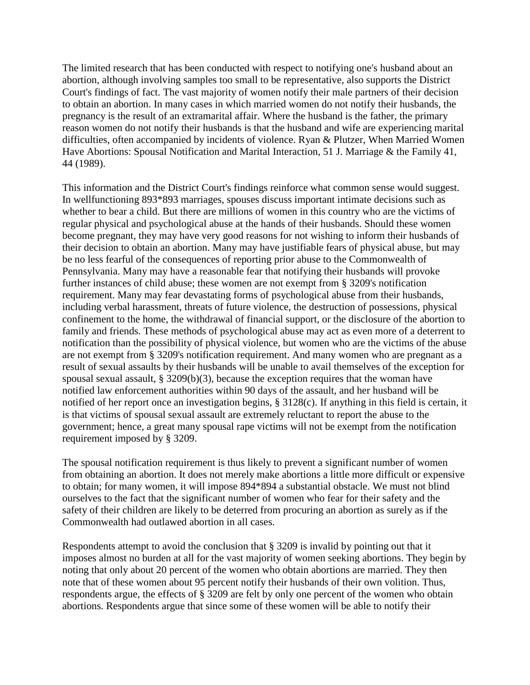The limited research that has been conducted with respect to notifying one's husband about an abortion, although involving samples too small to be representative, also supports the District Court's findings of fact. The vast majority of women notify their male partners of their decision to obtain an abortion. In many cases in which married women do not notify their husbands, the pregnancy is the result of an extramarital affair. Where the husband is the father, the primary reason women do not notify their husbands is that the husband and wife are experiencing marital difficulties, often accompanied by incidents of violence. Ryan & Plutzer, When Married Women Have Abortions: Spousal Notification and Marital Interaction, 51 J. Marriage & the Family 41, 44 (1989).

This information and the District Court's findings reinforce what common sense would suggest. In wellfunctioning 893\*893 marriages, spouses discuss important intimate decisions such as whether to bear a child. But there are millions of women in this country who are the victims of regular physical and psychological abuse at the hands of their husbands. Should these women become pregnant, they may have very good reasons for not wishing to inform their husbands of their decision to obtain an abortion. Many may have justifiable fears of physical abuse, but may be no less fearful of the consequences of reporting prior abuse to the Commonwealth of Pennsylvania. Many may have a reasonable fear that notifying their husbands will provoke further instances of child abuse; these women are not exempt from § 3209's notification requirement. Many may fear devastating forms of psychological abuse from their husbands, including verbal harassment, threats of future violence, the destruction of possessions, physical confinement to the home, the withdrawal of financial support, or the disclosure of the abortion to family and friends. These methods of psychological abuse may act as even more of a deterrent to notification than the possibility of physical violence, but women who are the victims of the abuse are not exempt from § 3209's notification requirement. And many women who are pregnant as a result of sexual assaults by their husbands will be unable to avail themselves of the exception for spousal sexual assault, § 3209(b)(3), because the exception requires that the woman have notified law enforcement authorities within 90 days of the assault, and her husband will be notified of her report once an investigation begins, § 3128(c). If anything in this field is certain, it is that victims of spousal sexual assault are extremely reluctant to report the abuse to the government; hence, a great many spousal rape victims will not be exempt from the notification requirement imposed by § 3209.

The spousal notification requirement is thus likely to prevent a significant number of women from obtaining an abortion. It does not merely make abortions a little more difficult or expensive to obtain; for many women, it will impose 894\*894 a substantial obstacle. We must not blind ourselves to the fact that the significant number of women who fear for their safety and the safety of their children are likely to be deterred from procuring an abortion as surely as if the Commonwealth had outlawed abortion in all cases.

Respondents attempt to avoid the conclusion that § 3209 is invalid by pointing out that it imposes almost no burden at all for the vast majority of women seeking abortions. They begin by noting that only about 20 percent of the women who obtain abortions are married. They then note that of these women about 95 percent notify their husbands of their own volition. Thus, respondents argue, the effects of § 3209 are felt by only one percent of the women who obtain abortions. Respondents argue that since some of these women will be able to notify their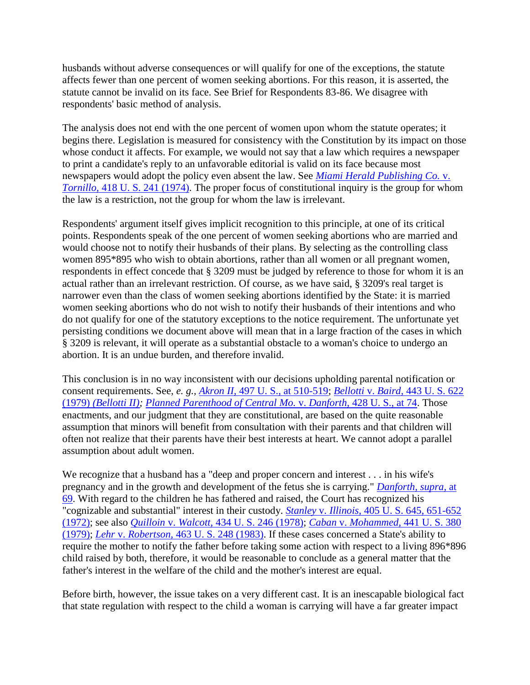husbands without adverse consequences or will qualify for one of the exceptions, the statute affects fewer than one percent of women seeking abortions. For this reason, it is asserted, the statute cannot be invalid on its face. See Brief for Respondents 83-86. We disagree with respondents' basic method of analysis.

The analysis does not end with the one percent of women upon whom the statute operates; it begins there. Legislation is measured for consistency with the Constitution by its impact on those whose conduct it affects. For example, we would not say that a law which requires a newspaper to print a candidate's reply to an unfavorable editorial is valid on its face because most newspapers would adopt the policy even absent the law. See *[Miami Herald Publishing Co.](http://scholar.google.co.in/scholar_case?case=3261378222094247847&q=planned+parenthood+v.+casey&hl=en&as_sdt=2,5&scilh=0)* v. *Tornillo,* [418 U. S. 241 \(1974\).](http://scholar.google.co.in/scholar_case?case=3261378222094247847&q=planned+parenthood+v.+casey&hl=en&as_sdt=2,5&scilh=0) The proper focus of constitutional inquiry is the group for whom the law is a restriction, not the group for whom the law is irrelevant.

Respondents' argument itself gives implicit recognition to this principle, at one of its critical points. Respondents speak of the one percent of women seeking abortions who are married and would choose not to notify their husbands of their plans. By selecting as the controlling class women 895\*895 who wish to obtain abortions, rather than all women or all pregnant women, respondents in effect concede that § 3209 must be judged by reference to those for whom it is an actual rather than an irrelevant restriction. Of course, as we have said, § 3209's real target is narrower even than the class of women seeking abortions identified by the State: it is married women seeking abortions who do not wish to notify their husbands of their intentions and who do not qualify for one of the statutory exceptions to the notice requirement. The unfortunate yet persisting conditions we document above will mean that in a large fraction of the cases in which § 3209 is relevant, it will operate as a substantial obstacle to a woman's choice to undergo an abortion. It is an undue burden, and therefore invalid.

This conclusion is in no way inconsistent with our decisions upholding parental notification or consent requirements. See, *e. g., Akron II,* [497 U. S., at 510-519;](http://scholar.google.co.in/scholar_case?case=9736627999207272791&q=planned+parenthood+v.+casey&hl=en&as_sdt=2,5&scilh=0) *Bellotti* v. *Baird,* [443 U. S. 622](http://scholar.google.co.in/scholar_case?case=13182298442826453955&q=planned+parenthood+v.+casey&hl=en&as_sdt=2,5&scilh=0)  (1979) *[\(Bellotti II\);](http://scholar.google.co.in/scholar_case?case=13182298442826453955&q=planned+parenthood+v.+casey&hl=en&as_sdt=2,5&scilh=0) [Planned Parenthood of Central Mo.](http://scholar.google.co.in/scholar_case?case=3638004152923873163&q=planned+parenthood+v.+casey&hl=en&as_sdt=2,5&scilh=0)* v. *Danforth,* 428 U. S., at 74. Those enactments, and our judgment that they are constitutional, are based on the quite reasonable assumption that minors will benefit from consultation with their parents and that children will often not realize that their parents have their best interests at heart. We cannot adopt a parallel assumption about adult women.

We recognize that a husband has a "deep and proper concern and interest . . . in his wife's pregnancy and in the growth and development of the fetus she is carrying." *[Danforth,](http://scholar.google.co.in/scholar_case?case=3638004152923873163&q=planned+parenthood+v.+casey&hl=en&as_sdt=2,5&scilh=0) supra,* at [69.](http://scholar.google.co.in/scholar_case?case=3638004152923873163&q=planned+parenthood+v.+casey&hl=en&as_sdt=2,5&scilh=0) With regard to the children he has fathered and raised, the Court has recognized his "cognizable and substantial" interest in their custody. *Stanley* v. *Illinois,* [405 U. S. 645, 651-652](http://scholar.google.co.in/scholar_case?case=1426145273543650930&q=planned+parenthood+v.+casey&hl=en&as_sdt=2,5&scilh=0)  [\(1972\);](http://scholar.google.co.in/scholar_case?case=1426145273543650930&q=planned+parenthood+v.+casey&hl=en&as_sdt=2,5&scilh=0) see also *Quilloin* v. *Walcott,* [434 U. S. 246 \(1978\);](http://scholar.google.co.in/scholar_case?case=9924539625881878959&q=planned+parenthood+v.+casey&hl=en&as_sdt=2,5&scilh=0) *Caban* v. *Mohammed,* [441 U. S. 380](http://scholar.google.co.in/scholar_case?case=17762824605036514647&q=planned+parenthood+v.+casey&hl=en&as_sdt=2,5&scilh=0)  [\(1979\);](http://scholar.google.co.in/scholar_case?case=17762824605036514647&q=planned+parenthood+v.+casey&hl=en&as_sdt=2,5&scilh=0) *Lehr* v. *Robertson,* [463 U. S. 248 \(1983\).](http://scholar.google.co.in/scholar_case?case=17809864285989683393&q=planned+parenthood+v.+casey&hl=en&as_sdt=2,5&scilh=0) If these cases concerned a State's ability to require the mother to notify the father before taking some action with respect to a living 896\*896 child raised by both, therefore, it would be reasonable to conclude as a general matter that the father's interest in the welfare of the child and the mother's interest are equal.

Before birth, however, the issue takes on a very different cast. It is an inescapable biological fact that state regulation with respect to the child a woman is carrying will have a far greater impact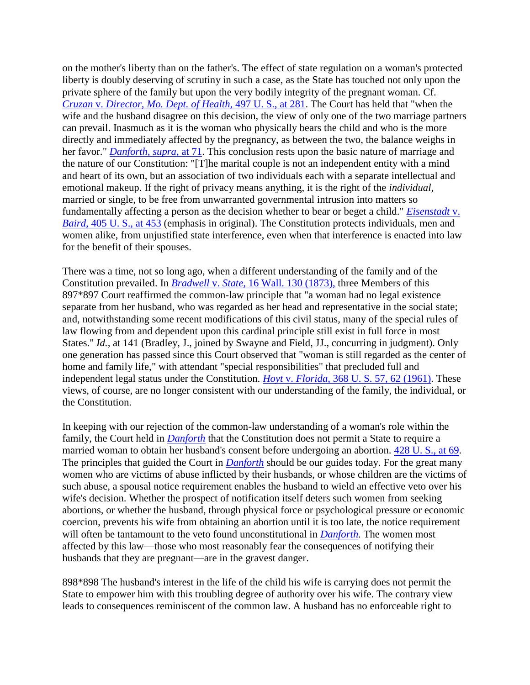on the mother's liberty than on the father's. The effect of state regulation on a woman's protected liberty is doubly deserving of scrutiny in such a case, as the State has touched not only upon the private sphere of the family but upon the very bodily integrity of the pregnant woman. Cf. *Cruzan* v. *[Director, Mo. Dept. of Health,](http://scholar.google.co.in/scholar_case?case=8467471114673973761&q=planned+parenthood+v.+casey&hl=en&as_sdt=2,5&scilh=0)* 497 U. S., at 281. The Court has held that "when the wife and the husband disagree on this decision, the view of only one of the two marriage partners can prevail. Inasmuch as it is the woman who physically bears the child and who is the more directly and immediately affected by the pregnancy, as between the two, the balance weighs in her favor." *[Danforth, supra,](http://scholar.google.co.in/scholar_case?case=3638004152923873163&q=planned+parenthood+v.+casey&hl=en&as_sdt=2,5&scilh=0)* at 71. This conclusion rests upon the basic nature of marriage and the nature of our Constitution: "[T]he marital couple is not an independent entity with a mind and heart of its own, but an association of two individuals each with a separate intellectual and emotional makeup. If the right of privacy means anything, it is the right of the *individual,* married or single, to be free from unwarranted governmental intrusion into matters so fundamentally affecting a person as the decision whether to bear or beget a child." *[Eisenstadt](http://scholar.google.co.in/scholar_case?case=14131534241682283357&q=planned+parenthood+v.+casey&hl=en&as_sdt=2,5&scilh=0)* v. *Baird*, [405 U. S., at 453](http://scholar.google.co.in/scholar_case?case=14131534241682283357&q=planned+parenthood+v.+casey&hl=en&as_sdt=2,5&scilh=0) (emphasis in original). The Constitution protects individuals, men and women alike, from unjustified state interference, even when that interference is enacted into law for the benefit of their spouses.

There was a time, not so long ago, when a different understanding of the family and of the Constitution prevailed. In *Bradwell* v. *State,* [16 Wall. 130 \(1873\),](http://scholar.google.co.in/scholar_case?case=15649619105552016921&q=planned+parenthood+v.+casey&hl=en&as_sdt=2,5&scilh=0) three Members of this 897\*897 Court reaffirmed the common-law principle that "a woman had no legal existence separate from her husband, who was regarded as her head and representative in the social state; and, notwithstanding some recent modifications of this civil status, many of the special rules of law flowing from and dependent upon this cardinal principle still exist in full force in most States." *Id.*, at 141 (Bradley, J., joined by Swayne and Field, JJ., concurring in judgment). Only one generation has passed since this Court observed that "woman is still regarded as the center of home and family life," with attendant "special responsibilities" that precluded full and independent legal status under the Constitution. *Hoyt* v. *Florida,* [368 U. S. 57, 62 \(1961\).](http://scholar.google.co.in/scholar_case?case=2709517418034000081&q=planned+parenthood+v.+casey&hl=en&as_sdt=2,5&scilh=0) These views, of course, are no longer consistent with our understanding of the family, the individual, or the Constitution.

In keeping with our rejection of the common-law understanding of a woman's role within the family, the Court held in *[Danforth](http://scholar.google.co.in/scholar_case?case=3638004152923873163&q=planned+parenthood+v.+casey&hl=en&as_sdt=2,5&scilh=0)* that the Constitution does not permit a State to require a married woman to obtain her husband's consent before undergoing an abortion. [428 U. S., at 69.](http://scholar.google.co.in/scholar_case?case=3638004152923873163&q=planned+parenthood+v.+casey&hl=en&as_sdt=2,5&scilh=0) The principles that guided the Court in *[Danforth](http://scholar.google.co.in/scholar_case?case=3638004152923873163&q=planned+parenthood+v.+casey&hl=en&as_sdt=2,5&scilh=0)* should be our guides today. For the great many women who are victims of abuse inflicted by their husbands, or whose children are the victims of such abuse, a spousal notice requirement enables the husband to wield an effective veto over his wife's decision. Whether the prospect of notification itself deters such women from seeking abortions, or whether the husband, through physical force or psychological pressure or economic coercion, prevents his wife from obtaining an abortion until it is too late, the notice requirement will often be tantamount to the veto found unconstitutional in *[Danforth.](http://scholar.google.co.in/scholar_case?case=3638004152923873163&q=planned+parenthood+v.+casey&hl=en&as_sdt=2,5&scilh=0)* The women most affected by this law—those who most reasonably fear the consequences of notifying their husbands that they are pregnant—are in the gravest danger.

898\*898 The husband's interest in the life of the child his wife is carrying does not permit the State to empower him with this troubling degree of authority over his wife. The contrary view leads to consequences reminiscent of the common law. A husband has no enforceable right to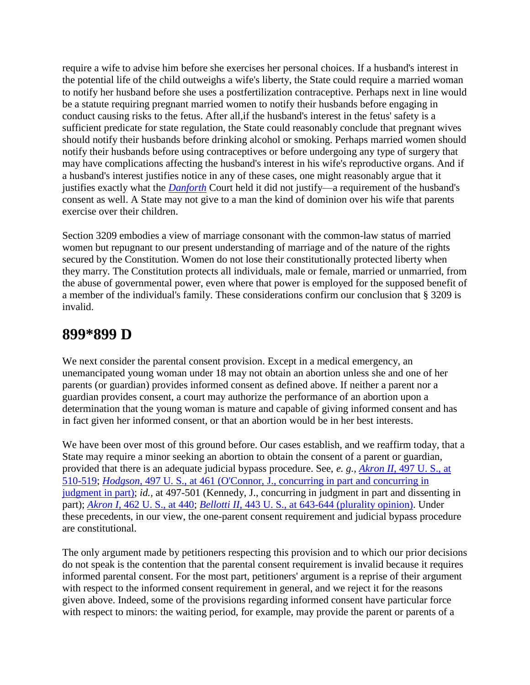require a wife to advise him before she exercises her personal choices. If a husband's interest in the potential life of the child outweighs a wife's liberty, the State could require a married woman to notify her husband before she uses a postfertilization contraceptive. Perhaps next in line would be a statute requiring pregnant married women to notify their husbands before engaging in conduct causing risks to the fetus. After all,if the husband's interest in the fetus' safety is a sufficient predicate for state regulation, the State could reasonably conclude that pregnant wives should notify their husbands before drinking alcohol or smoking. Perhaps married women should notify their husbands before using contraceptives or before undergoing any type of surgery that may have complications affecting the husband's interest in his wife's reproductive organs. And if a husband's interest justifies notice in any of these cases, one might reasonably argue that it justifies exactly what the *[Danforth](http://scholar.google.co.in/scholar_case?case=3638004152923873163&q=planned+parenthood+v.+casey&hl=en&as_sdt=2,5&scilh=0)* Court held it did not justify—a requirement of the husband's consent as well. A State may not give to a man the kind of dominion over his wife that parents exercise over their children.

Section 3209 embodies a view of marriage consonant with the common-law status of married women but repugnant to our present understanding of marriage and of the nature of the rights secured by the Constitution. Women do not lose their constitutionally protected liberty when they marry. The Constitution protects all individuals, male or female, married or unmarried, from the abuse of governmental power, even where that power is employed for the supposed benefit of a member of the individual's family. These considerations confirm our conclusion that § 3209 is invalid.

### **899\*899 D**

We next consider the parental consent provision. Except in a medical emergency, an unemancipated young woman under 18 may not obtain an abortion unless she and one of her parents (or guardian) provides informed consent as defined above. If neither a parent nor a guardian provides consent, a court may authorize the performance of an abortion upon a determination that the young woman is mature and capable of giving informed consent and has in fact given her informed consent, or that an abortion would be in her best interests.

We have been over most of this ground before. Our cases establish, and we reaffirm today, that a State may require a minor seeking an abortion to obtain the consent of a parent or guardian, provided that there is an adequate judicial bypass procedure. See, *e. g., Akron II,* [497 U. S., at](http://scholar.google.co.in/scholar_case?case=9736627999207272791&q=planned+parenthood+v.+casey&hl=en&as_sdt=2,5&scilh=0)  [510-519;](http://scholar.google.co.in/scholar_case?case=9736627999207272791&q=planned+parenthood+v.+casey&hl=en&as_sdt=2,5&scilh=0) *Hodgson,* [497 U. S., at 461 \(O'Connor, J., concurring in part and concurring in](http://scholar.google.co.in/scholar_case?case=15890213352888117836&q=planned+parenthood+v.+casey&hl=en&as_sdt=2,5&scilh=0)  [judgment in part\);](http://scholar.google.co.in/scholar_case?case=15890213352888117836&q=planned+parenthood+v.+casey&hl=en&as_sdt=2,5&scilh=0) *id.,* at 497-501 (Kennedy, J., concurring in judgment in part and dissenting in part); *Akron I,* [462 U. S., at 440;](http://scholar.google.co.in/scholar_case?case=7944230995323582140&q=planned+parenthood+v.+casey&hl=en&as_sdt=2,5&scilh=0) *Bellotti II,* [443 U. S., at 643-644 \(plurality opinion\).](http://scholar.google.co.in/scholar_case?case=13182298442826453955&q=planned+parenthood+v.+casey&hl=en&as_sdt=2,5&scilh=0) Under these precedents, in our view, the one-parent consent requirement and judicial bypass procedure are constitutional.

The only argument made by petitioners respecting this provision and to which our prior decisions do not speak is the contention that the parental consent requirement is invalid because it requires informed parental consent. For the most part, petitioners' argument is a reprise of their argument with respect to the informed consent requirement in general, and we reject it for the reasons given above. Indeed, some of the provisions regarding informed consent have particular force with respect to minors: the waiting period, for example, may provide the parent or parents of a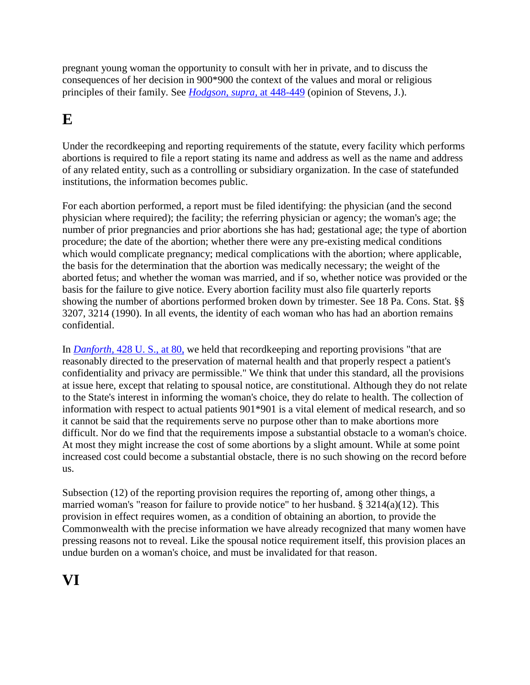pregnant young woman the opportunity to consult with her in private, and to discuss the consequences of her decision in 900\*900 the context of the values and moral or religious principles of their family. See *[Hodgson, supra,](http://scholar.google.co.in/scholar_case?case=15890213352888117836&q=planned+parenthood+v.+casey&hl=en&as_sdt=2,5&scilh=0)* at 448-449 (opinion of Stevens, J.).

# **E**

Under the recordkeeping and reporting requirements of the statute, every facility which performs abortions is required to file a report stating its name and address as well as the name and address of any related entity, such as a controlling or subsidiary organization. In the case of statefunded institutions, the information becomes public.

For each abortion performed, a report must be filed identifying: the physician (and the second physician where required); the facility; the referring physician or agency; the woman's age; the number of prior pregnancies and prior abortions she has had; gestational age; the type of abortion procedure; the date of the abortion; whether there were any pre-existing medical conditions which would complicate pregnancy; medical complications with the abortion; where applicable, the basis for the determination that the abortion was medically necessary; the weight of the aborted fetus; and whether the woman was married, and if so, whether notice was provided or the basis for the failure to give notice. Every abortion facility must also file quarterly reports showing the number of abortions performed broken down by trimester. See 18 Pa. Cons. Stat. §§ 3207, 3214 (1990). In all events, the identity of each woman who has had an abortion remains confidential.

In *Danforth,* [428 U. S., at 80,](http://scholar.google.co.in/scholar_case?case=3638004152923873163&q=planned+parenthood+v.+casey&hl=en&as_sdt=2,5&scilh=0) we held that recordkeeping and reporting provisions "that are reasonably directed to the preservation of maternal health and that properly respect a patient's confidentiality and privacy are permissible." We think that under this standard, all the provisions at issue here, except that relating to spousal notice, are constitutional. Although they do not relate to the State's interest in informing the woman's choice, they do relate to health. The collection of information with respect to actual patients 901\*901 is a vital element of medical research, and so it cannot be said that the requirements serve no purpose other than to make abortions more difficult. Nor do we find that the requirements impose a substantial obstacle to a woman's choice. At most they might increase the cost of some abortions by a slight amount. While at some point increased cost could become a substantial obstacle, there is no such showing on the record before us.

Subsection (12) of the reporting provision requires the reporting of, among other things, a married woman's "reason for failure to provide notice" to her husband. § 3214(a)(12). This provision in effect requires women, as a condition of obtaining an abortion, to provide the Commonwealth with the precise information we have already recognized that many women have pressing reasons not to reveal. Like the spousal notice requirement itself, this provision places an undue burden on a woman's choice, and must be invalidated for that reason.

# **VI**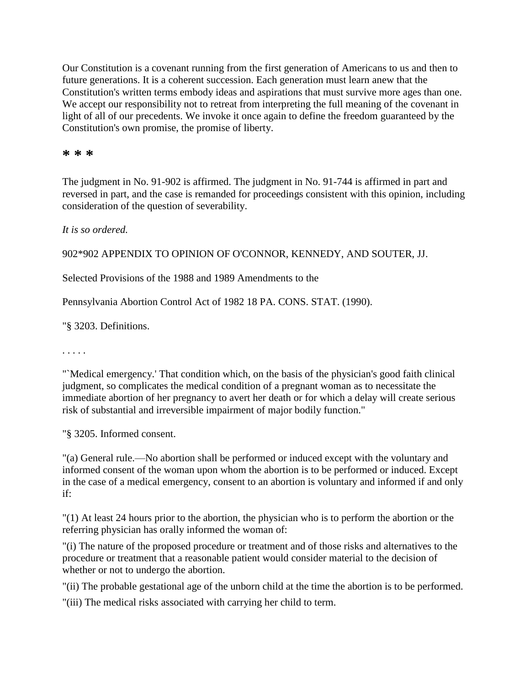Our Constitution is a covenant running from the first generation of Americans to us and then to future generations. It is a coherent succession. Each generation must learn anew that the Constitution's written terms embody ideas and aspirations that must survive more ages than one. We accept our responsibility not to retreat from interpreting the full meaning of the covenant in light of all of our precedents. We invoke it once again to define the freedom guaranteed by the Constitution's own promise, the promise of liberty.

**\* \* \***

The judgment in No. 91-902 is affirmed. The judgment in No. 91-744 is affirmed in part and reversed in part, and the case is remanded for proceedings consistent with this opinion, including consideration of the question of severability.

*It is so ordered.*

902\*902 APPENDIX TO OPINION OF O'CONNOR, KENNEDY, AND SOUTER, JJ.

Selected Provisions of the 1988 and 1989 Amendments to the

Pennsylvania Abortion Control Act of 1982 18 PA. CONS. STAT. (1990).

"§ 3203. Definitions.

. . . . .

"`Medical emergency.' That condition which, on the basis of the physician's good faith clinical judgment, so complicates the medical condition of a pregnant woman as to necessitate the immediate abortion of her pregnancy to avert her death or for which a delay will create serious risk of substantial and irreversible impairment of major bodily function."

"§ 3205. Informed consent.

"(a) General rule.—No abortion shall be performed or induced except with the voluntary and informed consent of the woman upon whom the abortion is to be performed or induced. Except in the case of a medical emergency, consent to an abortion is voluntary and informed if and only if:

"(1) At least 24 hours prior to the abortion, the physician who is to perform the abortion or the referring physician has orally informed the woman of:

"(i) The nature of the proposed procedure or treatment and of those risks and alternatives to the procedure or treatment that a reasonable patient would consider material to the decision of whether or not to undergo the abortion.

"(ii) The probable gestational age of the unborn child at the time the abortion is to be performed.

"(iii) The medical risks associated with carrying her child to term.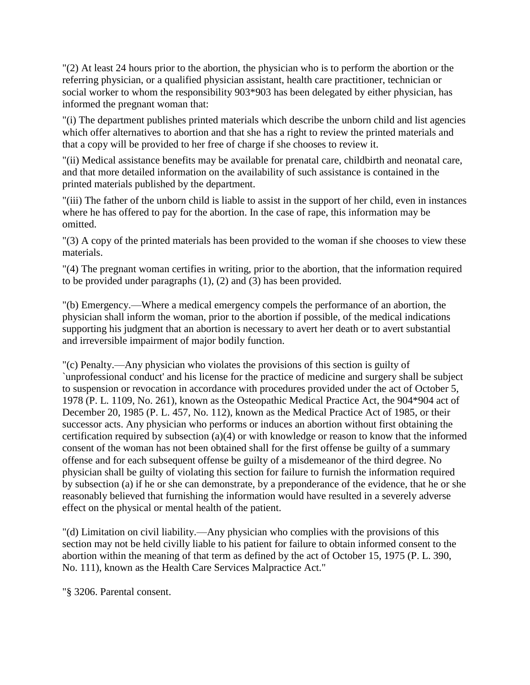"(2) At least 24 hours prior to the abortion, the physician who is to perform the abortion or the referring physician, or a qualified physician assistant, health care practitioner, technician or social worker to whom the responsibility 903\*903 has been delegated by either physician, has informed the pregnant woman that:

"(i) The department publishes printed materials which describe the unborn child and list agencies which offer alternatives to abortion and that she has a right to review the printed materials and that a copy will be provided to her free of charge if she chooses to review it.

"(ii) Medical assistance benefits may be available for prenatal care, childbirth and neonatal care, and that more detailed information on the availability of such assistance is contained in the printed materials published by the department.

"(iii) The father of the unborn child is liable to assist in the support of her child, even in instances where he has offered to pay for the abortion. In the case of rape, this information may be omitted.

"(3) A copy of the printed materials has been provided to the woman if she chooses to view these materials.

"(4) The pregnant woman certifies in writing, prior to the abortion, that the information required to be provided under paragraphs (1), (2) and (3) has been provided.

"(b) Emergency.—Where a medical emergency compels the performance of an abortion, the physician shall inform the woman, prior to the abortion if possible, of the medical indications supporting his judgment that an abortion is necessary to avert her death or to avert substantial and irreversible impairment of major bodily function.

"(c) Penalty.—Any physician who violates the provisions of this section is guilty of `unprofessional conduct' and his license for the practice of medicine and surgery shall be subject to suspension or revocation in accordance with procedures provided under the act of October 5, 1978 (P. L. 1109, No. 261), known as the Osteopathic Medical Practice Act, the 904\*904 act of December 20, 1985 (P. L. 457, No. 112), known as the Medical Practice Act of 1985, or their successor acts. Any physician who performs or induces an abortion without first obtaining the certification required by subsection (a)(4) or with knowledge or reason to know that the informed consent of the woman has not been obtained shall for the first offense be guilty of a summary offense and for each subsequent offense be guilty of a misdemeanor of the third degree. No physician shall be guilty of violating this section for failure to furnish the information required by subsection (a) if he or she can demonstrate, by a preponderance of the evidence, that he or she reasonably believed that furnishing the information would have resulted in a severely adverse effect on the physical or mental health of the patient.

"(d) Limitation on civil liability.—Any physician who complies with the provisions of this section may not be held civilly liable to his patient for failure to obtain informed consent to the abortion within the meaning of that term as defined by the act of October 15, 1975 (P. L. 390, No. 111), known as the Health Care Services Malpractice Act."

"§ 3206. Parental consent.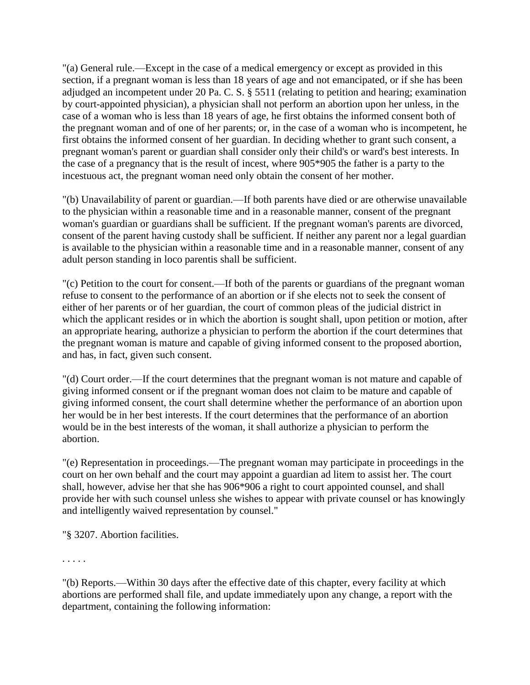"(a) General rule.—Except in the case of a medical emergency or except as provided in this section, if a pregnant woman is less than 18 years of age and not emancipated, or if she has been adjudged an incompetent under 20 Pa. C. S. § 5511 (relating to petition and hearing; examination by court-appointed physician), a physician shall not perform an abortion upon her unless, in the case of a woman who is less than 18 years of age, he first obtains the informed consent both of the pregnant woman and of one of her parents; or, in the case of a woman who is incompetent, he first obtains the informed consent of her guardian. In deciding whether to grant such consent, a pregnant woman's parent or guardian shall consider only their child's or ward's best interests. In the case of a pregnancy that is the result of incest, where 905\*905 the father is a party to the incestuous act, the pregnant woman need only obtain the consent of her mother.

"(b) Unavailability of parent or guardian.—If both parents have died or are otherwise unavailable to the physician within a reasonable time and in a reasonable manner, consent of the pregnant woman's guardian or guardians shall be sufficient. If the pregnant woman's parents are divorced, consent of the parent having custody shall be sufficient. If neither any parent nor a legal guardian is available to the physician within a reasonable time and in a reasonable manner, consent of any adult person standing in loco parentis shall be sufficient.

"(c) Petition to the court for consent.—If both of the parents or guardians of the pregnant woman refuse to consent to the performance of an abortion or if she elects not to seek the consent of either of her parents or of her guardian, the court of common pleas of the judicial district in which the applicant resides or in which the abortion is sought shall, upon petition or motion, after an appropriate hearing, authorize a physician to perform the abortion if the court determines that the pregnant woman is mature and capable of giving informed consent to the proposed abortion, and has, in fact, given such consent.

"(d) Court order.—If the court determines that the pregnant woman is not mature and capable of giving informed consent or if the pregnant woman does not claim to be mature and capable of giving informed consent, the court shall determine whether the performance of an abortion upon her would be in her best interests. If the court determines that the performance of an abortion would be in the best interests of the woman, it shall authorize a physician to perform the abortion.

"(e) Representation in proceedings.—The pregnant woman may participate in proceedings in the court on her own behalf and the court may appoint a guardian ad litem to assist her. The court shall, however, advise her that she has 906\*906 a right to court appointed counsel, and shall provide her with such counsel unless she wishes to appear with private counsel or has knowingly and intelligently waived representation by counsel."

"§ 3207. Abortion facilities.

. . . . .

"(b) Reports.—Within 30 days after the effective date of this chapter, every facility at which abortions are performed shall file, and update immediately upon any change, a report with the department, containing the following information: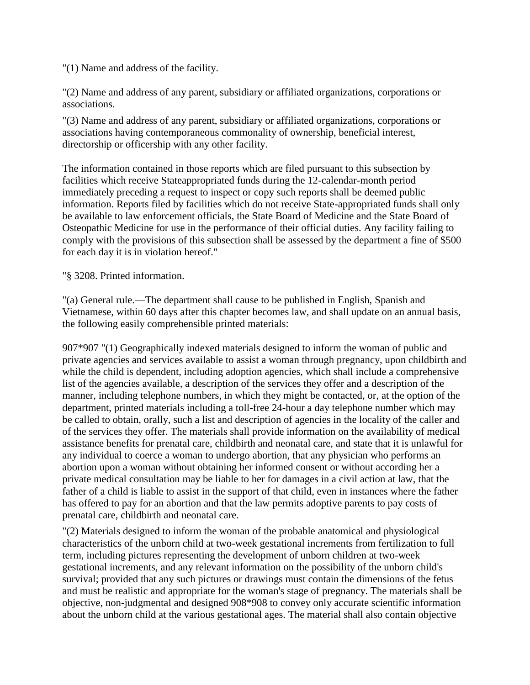"(1) Name and address of the facility.

"(2) Name and address of any parent, subsidiary or affiliated organizations, corporations or associations.

"(3) Name and address of any parent, subsidiary or affiliated organizations, corporations or associations having contemporaneous commonality of ownership, beneficial interest, directorship or officership with any other facility.

The information contained in those reports which are filed pursuant to this subsection by facilities which receive Stateappropriated funds during the 12-calendar-month period immediately preceding a request to inspect or copy such reports shall be deemed public information. Reports filed by facilities which do not receive State-appropriated funds shall only be available to law enforcement officials, the State Board of Medicine and the State Board of Osteopathic Medicine for use in the performance of their official duties. Any facility failing to comply with the provisions of this subsection shall be assessed by the department a fine of \$500 for each day it is in violation hereof."

"§ 3208. Printed information.

"(a) General rule.—The department shall cause to be published in English, Spanish and Vietnamese, within 60 days after this chapter becomes law, and shall update on an annual basis, the following easily comprehensible printed materials:

907\*907 "(1) Geographically indexed materials designed to inform the woman of public and private agencies and services available to assist a woman through pregnancy, upon childbirth and while the child is dependent, including adoption agencies, which shall include a comprehensive list of the agencies available, a description of the services they offer and a description of the manner, including telephone numbers, in which they might be contacted, or, at the option of the department, printed materials including a toll-free 24-hour a day telephone number which may be called to obtain, orally, such a list and description of agencies in the locality of the caller and of the services they offer. The materials shall provide information on the availability of medical assistance benefits for prenatal care, childbirth and neonatal care, and state that it is unlawful for any individual to coerce a woman to undergo abortion, that any physician who performs an abortion upon a woman without obtaining her informed consent or without according her a private medical consultation may be liable to her for damages in a civil action at law, that the father of a child is liable to assist in the support of that child, even in instances where the father has offered to pay for an abortion and that the law permits adoptive parents to pay costs of prenatal care, childbirth and neonatal care.

"(2) Materials designed to inform the woman of the probable anatomical and physiological characteristics of the unborn child at two-week gestational increments from fertilization to full term, including pictures representing the development of unborn children at two-week gestational increments, and any relevant information on the possibility of the unborn child's survival; provided that any such pictures or drawings must contain the dimensions of the fetus and must be realistic and appropriate for the woman's stage of pregnancy. The materials shall be objective, non-judgmental and designed 908\*908 to convey only accurate scientific information about the unborn child at the various gestational ages. The material shall also contain objective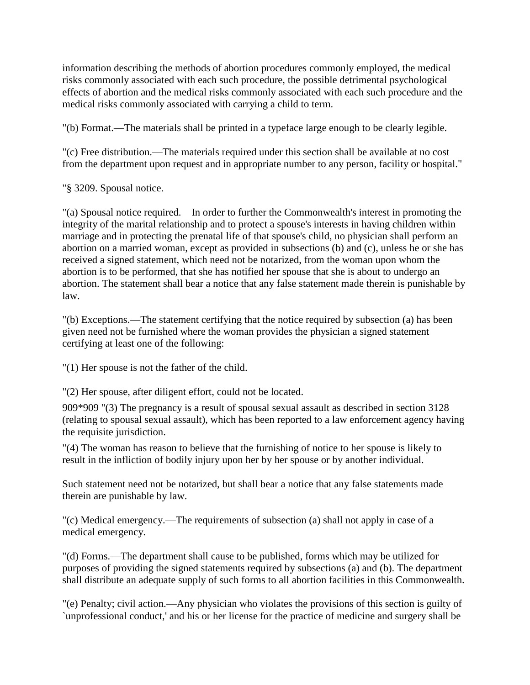information describing the methods of abortion procedures commonly employed, the medical risks commonly associated with each such procedure, the possible detrimental psychological effects of abortion and the medical risks commonly associated with each such procedure and the medical risks commonly associated with carrying a child to term.

"(b) Format.—The materials shall be printed in a typeface large enough to be clearly legible.

"(c) Free distribution.—The materials required under this section shall be available at no cost from the department upon request and in appropriate number to any person, facility or hospital."

"§ 3209. Spousal notice.

"(a) Spousal notice required.—In order to further the Commonwealth's interest in promoting the integrity of the marital relationship and to protect a spouse's interests in having children within marriage and in protecting the prenatal life of that spouse's child, no physician shall perform an abortion on a married woman, except as provided in subsections (b) and (c), unless he or she has received a signed statement, which need not be notarized, from the woman upon whom the abortion is to be performed, that she has notified her spouse that she is about to undergo an abortion. The statement shall bear a notice that any false statement made therein is punishable by law.

"(b) Exceptions.—The statement certifying that the notice required by subsection (a) has been given need not be furnished where the woman provides the physician a signed statement certifying at least one of the following:

"(1) Her spouse is not the father of the child.

"(2) Her spouse, after diligent effort, could not be located.

909\*909 "(3) The pregnancy is a result of spousal sexual assault as described in section 3128 (relating to spousal sexual assault), which has been reported to a law enforcement agency having the requisite jurisdiction.

"(4) The woman has reason to believe that the furnishing of notice to her spouse is likely to result in the infliction of bodily injury upon her by her spouse or by another individual.

Such statement need not be notarized, but shall bear a notice that any false statements made therein are punishable by law.

"(c) Medical emergency.—The requirements of subsection (a) shall not apply in case of a medical emergency.

"(d) Forms.—The department shall cause to be published, forms which may be utilized for purposes of providing the signed statements required by subsections (a) and (b). The department shall distribute an adequate supply of such forms to all abortion facilities in this Commonwealth.

"(e) Penalty; civil action.—Any physician who violates the provisions of this section is guilty of `unprofessional conduct,' and his or her license for the practice of medicine and surgery shall be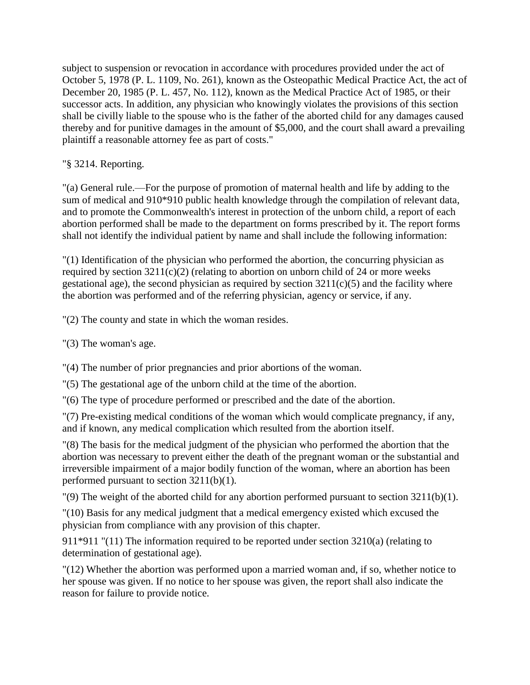subject to suspension or revocation in accordance with procedures provided under the act of October 5, 1978 (P. L. 1109, No. 261), known as the Osteopathic Medical Practice Act, the act of December 20, 1985 (P. L. 457, No. 112), known as the Medical Practice Act of 1985, or their successor acts. In addition, any physician who knowingly violates the provisions of this section shall be civilly liable to the spouse who is the father of the aborted child for any damages caused thereby and for punitive damages in the amount of \$5,000, and the court shall award a prevailing plaintiff a reasonable attorney fee as part of costs."

#### "§ 3214. Reporting.

"(a) General rule.—For the purpose of promotion of maternal health and life by adding to the sum of medical and 910\*910 public health knowledge through the compilation of relevant data, and to promote the Commonwealth's interest in protection of the unborn child, a report of each abortion performed shall be made to the department on forms prescribed by it. The report forms shall not identify the individual patient by name and shall include the following information:

"(1) Identification of the physician who performed the abortion, the concurring physician as required by section  $3211(c)(2)$  (relating to abortion on unborn child of 24 or more weeks gestational age), the second physician as required by section  $3211(c)(5)$  and the facility where the abortion was performed and of the referring physician, agency or service, if any.

"(2) The county and state in which the woman resides.

"(3) The woman's age.

"(4) The number of prior pregnancies and prior abortions of the woman.

"(5) The gestational age of the unborn child at the time of the abortion.

"(6) The type of procedure performed or prescribed and the date of the abortion.

"(7) Pre-existing medical conditions of the woman which would complicate pregnancy, if any, and if known, any medical complication which resulted from the abortion itself.

"(8) The basis for the medical judgment of the physician who performed the abortion that the abortion was necessary to prevent either the death of the pregnant woman or the substantial and irreversible impairment of a major bodily function of the woman, where an abortion has been performed pursuant to section 3211(b)(1).

"(9) The weight of the aborted child for any abortion performed pursuant to section 3211(b)(1).

"(10) Basis for any medical judgment that a medical emergency existed which excused the physician from compliance with any provision of this chapter.

911\*911 "(11) The information required to be reported under section 3210(a) (relating to determination of gestational age).

"(12) Whether the abortion was performed upon a married woman and, if so, whether notice to her spouse was given. If no notice to her spouse was given, the report shall also indicate the reason for failure to provide notice.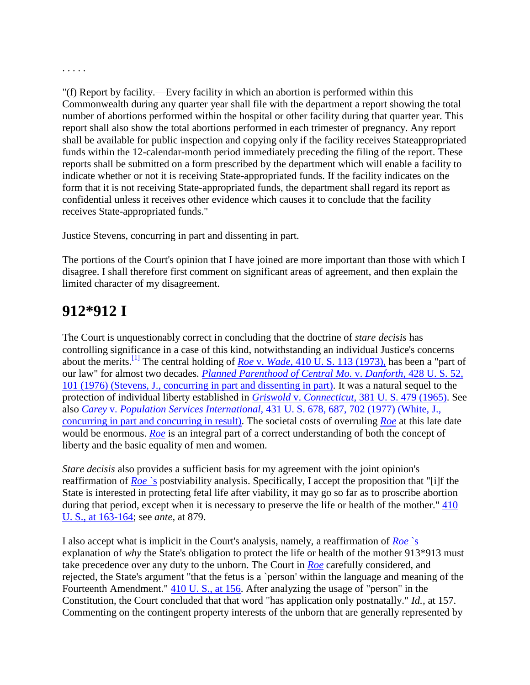"(f) Report by facility.—Every facility in which an abortion is performed within this Commonwealth during any quarter year shall file with the department a report showing the total number of abortions performed within the hospital or other facility during that quarter year. This report shall also show the total abortions performed in each trimester of pregnancy. Any report shall be available for public inspection and copying only if the facility receives Stateappropriated funds within the 12-calendar-month period immediately preceding the filing of the report. These reports shall be submitted on a form prescribed by the department which will enable a facility to indicate whether or not it is receiving State-appropriated funds. If the facility indicates on the form that it is not receiving State-appropriated funds, the department shall regard its report as confidential unless it receives other evidence which causes it to conclude that the facility receives State-appropriated funds."

Justice Stevens, concurring in part and dissenting in part.

The portions of the Court's opinion that I have joined are more important than those with which I disagree. I shall therefore first comment on significant areas of agreement, and then explain the limited character of my disagreement.

### **912\*912 I**

. . . . .

The Court is unquestionably correct in concluding that the doctrine of *stare decisis* has controlling significance in a case of this kind, notwithstanding an individual Justice's concerns about the merits.[\[1\]](http://scholar.google.co.in/scholar_case?q=planned+parenthood+v.+casey&hl=en&as_sdt=2,5&case=6298856056242550994&scilh=0#[3]) The central holding of *Roe* v. *Wade,* [410 U. S. 113 \(1973\),](http://scholar.google.co.in/scholar_case?case=12334123945835207673&q=planned+parenthood+v.+casey&hl=en&as_sdt=2,5&scilh=0) has been a "part of our law" for almost two decades. *[Planned Parenthood of Central Mo.](http://scholar.google.co.in/scholar_case?case=3638004152923873163&q=planned+parenthood+v.+casey&hl=en&as_sdt=2,5&scilh=0)* v. *Danforth,* 428 U. S. 52, [101 \(1976\) \(Stevens, J., concurring in part and dissenting in part\).](http://scholar.google.co.in/scholar_case?case=3638004152923873163&q=planned+parenthood+v.+casey&hl=en&as_sdt=2,5&scilh=0) It was a natural sequel to the protection of individual liberty established in *Griswold* v. *Connecticut,* [381 U. S. 479 \(1965\).](http://scholar.google.co.in/scholar_case?case=12276922145000050979&q=planned+parenthood+v.+casey&hl=en&as_sdt=2,5&scilh=0) See also *Carey* v. *Population Services International,* [431 U. S. 678, 687, 702 \(1977\) \(White, J.,](http://scholar.google.co.in/scholar_case?case=4801034783278981738&q=planned+parenthood+v.+casey&hl=en&as_sdt=2,5&scilh=0)  [concurring in part and concurring in result\).](http://scholar.google.co.in/scholar_case?case=4801034783278981738&q=planned+parenthood+v.+casey&hl=en&as_sdt=2,5&scilh=0) The societal costs of overruling *[Roe](http://scholar.google.co.in/scholar_case?case=12334123945835207673&q=planned+parenthood+v.+casey&hl=en&as_sdt=2,5&scilh=0)* at this late date would be enormous. *[Roe](http://scholar.google.co.in/scholar_case?case=12334123945835207673&q=planned+parenthood+v.+casey&hl=en&as_sdt=2,5&scilh=0)* is an integral part of a correct understanding of both the concept of liberty and the basic equality of men and women.

*Stare decisis* also provides a sufficient basis for my agreement with the joint opinion's reaffirmation of *[Roe](http://scholar.google.co.in/scholar_case?case=12334123945835207673&q=planned+parenthood+v.+casey&hl=en&as_sdt=2,5&scilh=0)* `s postviability analysis. Specifically, I accept the proposition that "[i]f the State is interested in protecting fetal life after viability, it may go so far as to proscribe abortion during that period, except when it is necessary to preserve the life or health of the mother." 410 [U. S., at 163-164;](http://scholar.google.co.in/scholar_case?case=12334123945835207673&q=planned+parenthood+v.+casey&hl=en&as_sdt=2,5&scilh=0) see *ante,* at 879.

I also accept what is implicit in the Court's analysis, namely, a reaffirmation of *[Roe](http://scholar.google.co.in/scholar_case?case=12334123945835207673&q=planned+parenthood+v.+casey&hl=en&as_sdt=2,5&scilh=0)* `s explanation of *why* the State's obligation to protect the life or health of the mother 913\*913 must take precedence over any duty to the unborn. The Court in *[Roe](http://scholar.google.co.in/scholar_case?case=12334123945835207673&q=planned+parenthood+v.+casey&hl=en&as_sdt=2,5&scilh=0)* carefully considered, and rejected, the State's argument "that the fetus is a `person' within the language and meaning of the Fourteenth Amendment."  $\frac{410 \text{ U.S., at } 156}{200 \text{ A}}$ . After analyzing the usage of "person" in the Constitution, the Court concluded that that word "has application only postnatally." *Id.,* at 157. Commenting on the contingent property interests of the unborn that are generally represented by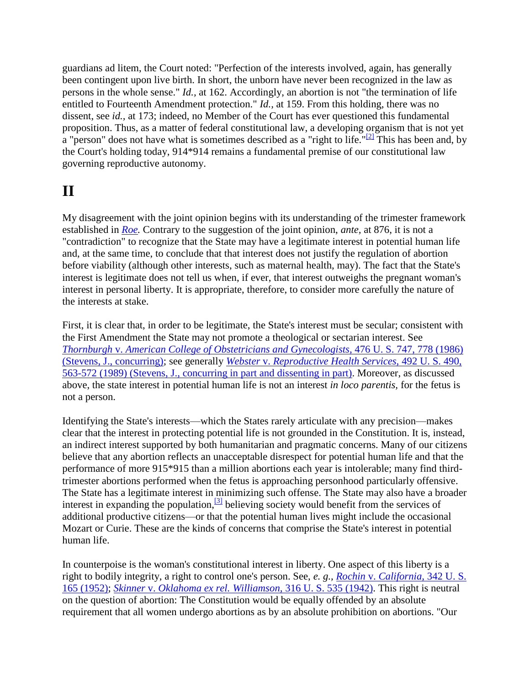guardians ad litem, the Court noted: "Perfection of the interests involved, again, has generally been contingent upon live birth. In short, the unborn have never been recognized in the law as persons in the whole sense." *Id.,* at 162. Accordingly, an abortion is not "the termination of life entitled to Fourteenth Amendment protection." *Id.,* at 159. From this holding, there was no dissent, see *id.,* at 173; indeed, no Member of the Court has ever questioned this fundamental proposition. Thus, as a matter of federal constitutional law, a developing organism that is not yet a "person" does not have what is sometimes described as a "right to life."<sup>[\[2\]](http://scholar.google.co.in/scholar_case?q=planned+parenthood+v.+casey&hl=en&as_sdt=2,5&case=6298856056242550994&scilh=0#[4])</sup> This has been and, by the Court's holding today, 914\*914 remains a fundamental premise of our constitutional law governing reproductive autonomy.

### **II**

My disagreement with the joint opinion begins with its understanding of the trimester framework established in *[Roe.](http://scholar.google.co.in/scholar_case?case=12334123945835207673&q=planned+parenthood+v.+casey&hl=en&as_sdt=2,5&scilh=0)* Contrary to the suggestion of the joint opinion, *ante,* at 876, it is not a "contradiction" to recognize that the State may have a legitimate interest in potential human life and, at the same time, to conclude that that interest does not justify the regulation of abortion before viability (although other interests, such as maternal health, may). The fact that the State's interest is legitimate does not tell us when, if ever, that interest outweighs the pregnant woman's interest in personal liberty. It is appropriate, therefore, to consider more carefully the nature of the interests at stake.

First, it is clear that, in order to be legitimate, the State's interest must be secular; consistent with the First Amendment the State may not promote a theological or sectarian interest. See *Thornburgh* v. *[American College of Obstetricians and Gynecologists,](http://scholar.google.co.in/scholar_case?case=3420134328076928385&q=planned+parenthood+v.+casey&hl=en&as_sdt=2,5&scilh=0)* 476 U. S. 747, 778 (1986) [\(Stevens, J., concurring\);](http://scholar.google.co.in/scholar_case?case=3420134328076928385&q=planned+parenthood+v.+casey&hl=en&as_sdt=2,5&scilh=0) see generally *Webster* v. *[Reproductive Health Services,](http://scholar.google.co.in/scholar_case?case=2944985204861123439&q=planned+parenthood+v.+casey&hl=en&as_sdt=2,5&scilh=0)* 492 U. S. 490, [563-572 \(1989\) \(Stevens, J., concurring in part and dissenting in part\).](http://scholar.google.co.in/scholar_case?case=2944985204861123439&q=planned+parenthood+v.+casey&hl=en&as_sdt=2,5&scilh=0) Moreover, as discussed above, the state interest in potential human life is not an interest *in loco parentis,* for the fetus is not a person.

Identifying the State's interests—which the States rarely articulate with any precision—makes clear that the interest in protecting potential life is not grounded in the Constitution. It is, instead, an indirect interest supported by both humanitarian and pragmatic concerns. Many of our citizens believe that any abortion reflects an unacceptable disrespect for potential human life and that the performance of more 915\*915 than a million abortions each year is intolerable; many find thirdtrimester abortions performed when the fetus is approaching personhood particularly offensive. The State has a legitimate interest in minimizing such offense. The State may also have a broader interest in expanding the population, $\frac{3}{3}$  believing society would benefit from the services of additional productive citizens—or that the potential human lives might include the occasional Mozart or Curie. These are the kinds of concerns that comprise the State's interest in potential human life.

In counterpoise is the woman's constitutional interest in liberty. One aspect of this liberty is a right to bodily integrity, a right to control one's person. See, *e. g., Rochin* v. *[California,](http://scholar.google.co.in/scholar_case?case=13189177772806165249&q=planned+parenthood+v.+casey&hl=en&as_sdt=2,5&scilh=0)* 342 U. S. [165 \(1952\);](http://scholar.google.co.in/scholar_case?case=13189177772806165249&q=planned+parenthood+v.+casey&hl=en&as_sdt=2,5&scilh=0) *Skinner* v. *[Oklahoma ex rel. Williamson,](http://scholar.google.co.in/scholar_case?case=8050731321644873759&q=planned+parenthood+v.+casey&hl=en&as_sdt=2,5&scilh=0)* 316 U. S. 535 (1942). This right is neutral on the question of abortion: The Constitution would be equally offended by an absolute requirement that all women undergo abortions as by an absolute prohibition on abortions. "Our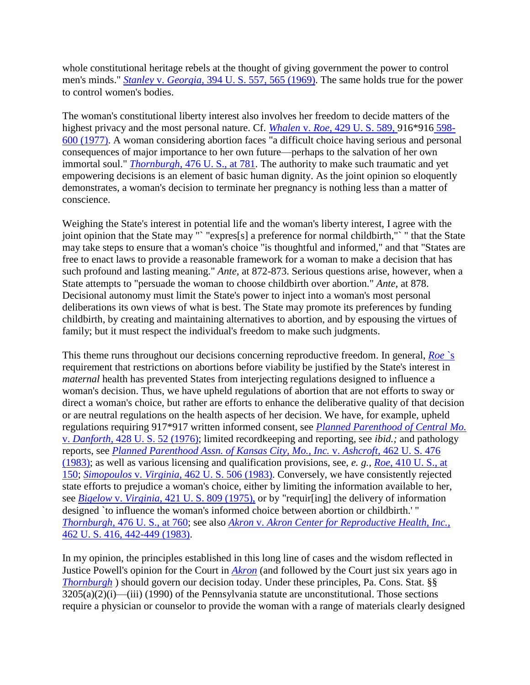whole constitutional heritage rebels at the thought of giving government the power to control men's minds." *Stanley* v. *Georgia,* [394 U. S. 557, 565 \(1969\).](http://scholar.google.co.in/scholar_case?case=6728320798248524934&q=planned+parenthood+v.+casey&hl=en&as_sdt=2,5&scilh=0) The same holds true for the power to control women's bodies.

The woman's constitutional liberty interest also involves her freedom to decide matters of the highest privacy and the most personal nature. Cf. *Whalen* v. *Roe,* [429 U. S. 589, 9](http://scholar.google.co.in/scholar_case?case=8555735987895894452&q=planned+parenthood+v.+casey&hl=en&as_sdt=2,5&scilh=0)16\*916 [598-](http://scholar.google.co.in/scholar_case?case=8555735987895894452&q=planned+parenthood+v.+casey&hl=en&as_sdt=2,5&scilh=0) [600 \(1977\).](http://scholar.google.co.in/scholar_case?case=8555735987895894452&q=planned+parenthood+v.+casey&hl=en&as_sdt=2,5&scilh=0) A woman considering abortion faces "a difficult choice having serious and personal consequences of major importance to her own future—perhaps to the salvation of her own immortal soul." *Thornburgh,* [476 U. S., at 781.](http://scholar.google.co.in/scholar_case?case=3420134328076928385&q=planned+parenthood+v.+casey&hl=en&as_sdt=2,5&scilh=0) The authority to make such traumatic and yet empowering decisions is an element of basic human dignity. As the joint opinion so eloquently demonstrates, a woman's decision to terminate her pregnancy is nothing less than a matter of conscience.

Weighing the State's interest in potential life and the woman's liberty interest, I agree with the joint opinion that the State may "` "expres[s] a preference for normal childbirth,"` " that the State may take steps to ensure that a woman's choice "is thoughtful and informed," and that "States are free to enact laws to provide a reasonable framework for a woman to make a decision that has such profound and lasting meaning." *Ante,* at 872-873. Serious questions arise, however, when a State attempts to "persuade the woman to choose childbirth over abortion." *Ante,* at 878. Decisional autonomy must limit the State's power to inject into a woman's most personal deliberations its own views of what is best. The State may promote its preferences by funding childbirth, by creating and maintaining alternatives to abortion, and by espousing the virtues of family; but it must respect the individual's freedom to make such judgments.

This theme runs throughout our decisions concerning reproductive freedom. In general, *[Roe](http://scholar.google.co.in/scholar_case?case=12334123945835207673&q=planned+parenthood+v.+casey&hl=en&as_sdt=2,5&scilh=0)* `s requirement that restrictions on abortions before viability be justified by the State's interest in *maternal* health has prevented States from interjecting regulations designed to influence a woman's decision. Thus, we have upheld regulations of abortion that are not efforts to sway or direct a woman's choice, but rather are efforts to enhance the deliberative quality of that decision or are neutral regulations on the health aspects of her decision. We have, for example, upheld regulations requiring 917\*917 written informed consent, see *[Planned Parenthood of Central Mo.](http://scholar.google.co.in/scholar_case?case=3638004152923873163&q=planned+parenthood+v.+casey&hl=en&as_sdt=2,5&scilh=0)* v. *Danforth,* [428 U. S. 52 \(1976\);](http://scholar.google.co.in/scholar_case?case=3638004152923873163&q=planned+parenthood+v.+casey&hl=en&as_sdt=2,5&scilh=0) limited recordkeeping and reporting, see *ibid.;* and pathology reports, see *[Planned Parenthood Assn. of Kansas City, Mo., Inc.](http://scholar.google.co.in/scholar_case?case=16358226321487983194&q=planned+parenthood+v.+casey&hl=en&as_sdt=2,5&scilh=0)* v. *Ashcroft,* 462 U. S. 476 [\(1983\);](http://scholar.google.co.in/scholar_case?case=16358226321487983194&q=planned+parenthood+v.+casey&hl=en&as_sdt=2,5&scilh=0) as well as various licensing and qualification provisions, see, *e. g., Roe,* [410 U. S., at](http://scholar.google.co.in/scholar_case?case=12334123945835207673&q=planned+parenthood+v.+casey&hl=en&as_sdt=2,5&scilh=0)  [150;](http://scholar.google.co.in/scholar_case?case=12334123945835207673&q=planned+parenthood+v.+casey&hl=en&as_sdt=2,5&scilh=0) *Simopoulos* v. *Virginia,* [462 U. S. 506 \(1983\).](http://scholar.google.co.in/scholar_case?case=383681397468331850&q=planned+parenthood+v.+casey&hl=en&as_sdt=2,5&scilh=0) Conversely, we have consistently rejected state efforts to prejudice a woman's choice, either by limiting the information available to her, see *Bigelow* v. *Virginia,* [421 U. S. 809 \(1975\),](http://scholar.google.co.in/scholar_case?case=4759538477634429547&q=planned+parenthood+v.+casey&hl=en&as_sdt=2,5&scilh=0) or by "requir[ing] the delivery of information designed `to influence the woman's informed choice between abortion or childbirth.' " *Thornburgh,* [476 U. S., at 760;](http://scholar.google.co.in/scholar_case?case=3420134328076928385&q=planned+parenthood+v.+casey&hl=en&as_sdt=2,5&scilh=0) see also *Akron* v. *[Akron Center for Reproductive Health, Inc.,](http://scholar.google.co.in/scholar_case?case=7944230995323582140&q=planned+parenthood+v.+casey&hl=en&as_sdt=2,5&scilh=0)* [462 U. S. 416, 442-449 \(1983\).](http://scholar.google.co.in/scholar_case?case=7944230995323582140&q=planned+parenthood+v.+casey&hl=en&as_sdt=2,5&scilh=0)

In my opinion, the principles established in this long line of cases and the wisdom reflected in Justice Powell's opinion for the Court in *[Akron](http://scholar.google.co.in/scholar_case?case=7944230995323582140&q=planned+parenthood+v.+casey&hl=en&as_sdt=2,5&scilh=0)* (and followed by the Court just six years ago in *[Thornburgh](http://scholar.google.co.in/scholar_case?case=3420134328076928385&q=planned+parenthood+v.+casey&hl=en&as_sdt=2,5&scilh=0)* ) should govern our decision today. Under these principles, Pa. Cons. Stat. §§  $3205(a)(2)(i)$ —(iii) (1990) of the Pennsylvania statute are unconstitutional. Those sections require a physician or counselor to provide the woman with a range of materials clearly designed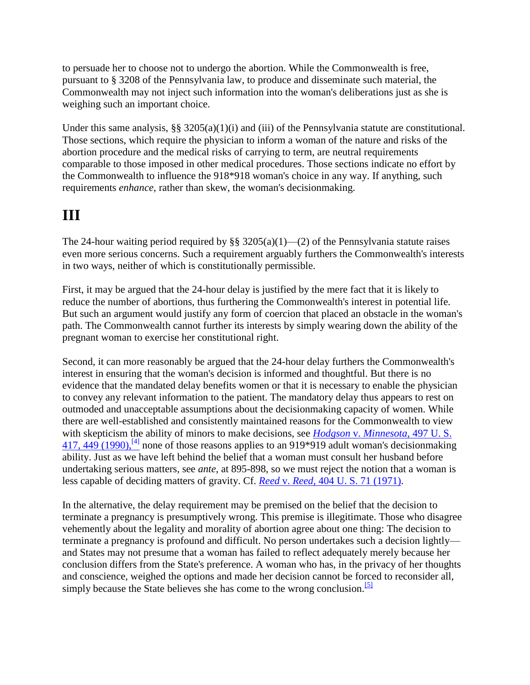to persuade her to choose not to undergo the abortion. While the Commonwealth is free, pursuant to § 3208 of the Pennsylvania law, to produce and disseminate such material, the Commonwealth may not inject such information into the woman's deliberations just as she is weighing such an important choice.

Under this same analysis, §§ 3205(a)(1)(i) and (iii) of the Pennsylvania statute are constitutional. Those sections, which require the physician to inform a woman of the nature and risks of the abortion procedure and the medical risks of carrying to term, are neutral requirements comparable to those imposed in other medical procedures. Those sections indicate no effort by the Commonwealth to influence the 918\*918 woman's choice in any way. If anything, such requirements *enhance,* rather than skew, the woman's decisionmaking.

#### **III**

The 24-hour waiting period required by  $\S\S 3205(a)(1)$ —(2) of the Pennsylvania statute raises even more serious concerns. Such a requirement arguably furthers the Commonwealth's interests in two ways, neither of which is constitutionally permissible.

First, it may be argued that the 24-hour delay is justified by the mere fact that it is likely to reduce the number of abortions, thus furthering the Commonwealth's interest in potential life. But such an argument would justify any form of coercion that placed an obstacle in the woman's path. The Commonwealth cannot further its interests by simply wearing down the ability of the pregnant woman to exercise her constitutional right.

Second, it can more reasonably be argued that the 24-hour delay furthers the Commonwealth's interest in ensuring that the woman's decision is informed and thoughtful. But there is no evidence that the mandated delay benefits women or that it is necessary to enable the physician to convey any relevant information to the patient. The mandatory delay thus appears to rest on outmoded and unacceptable assumptions about the decisionmaking capacity of women. While there are well-established and consistently maintained reasons for the Commonwealth to view with skepticism the ability of minors to make decisions, see *Hodgson* v. *[Minnesota,](http://scholar.google.co.in/scholar_case?case=15890213352888117836&q=planned+parenthood+v.+casey&hl=en&as_sdt=2,5&scilh=0)* 497 U. S. [417, 449 \(1990\),](http://scholar.google.co.in/scholar_case?case=15890213352888117836&q=planned+parenthood+v.+casey&hl=en&as_sdt=2,5&scilh=0)<sup>[\[4\]](http://scholar.google.co.in/scholar_case?case=15890213352888117836&q=planned+parenthood+v.+casey&hl=en&as_sdt=2,5&scilh=0)</sup> none of those reasons applies to an 919\*919 adult woman's decisionmaking ability. Just as we have left behind the belief that a woman must consult her husband before undertaking serious matters, see *ante,* at 895-898, so we must reject the notion that a woman is less capable of deciding matters of gravity. Cf. *Reed* v. *Reed,* [404 U. S. 71 \(1971\).](http://scholar.google.co.in/scholar_case?case=9505211932515131375&q=planned+parenthood+v.+casey&hl=en&as_sdt=2,5&scilh=0)

In the alternative, the delay requirement may be premised on the belief that the decision to terminate a pregnancy is presumptively wrong. This premise is illegitimate. Those who disagree vehemently about the legality and morality of abortion agree about one thing: The decision to terminate a pregnancy is profound and difficult. No person undertakes such a decision lightly and States may not presume that a woman has failed to reflect adequately merely because her conclusion differs from the State's preference. A woman who has, in the privacy of her thoughts and conscience, weighed the options and made her decision cannot be forced to reconsider all, simply because the State believes she has come to the wrong conclusion.<sup>[\[5\]](http://scholar.google.co.in/scholar_case?q=planned+parenthood+v.+casey&hl=en&as_sdt=2,5&case=6298856056242550994&scilh=0#[7])</sup>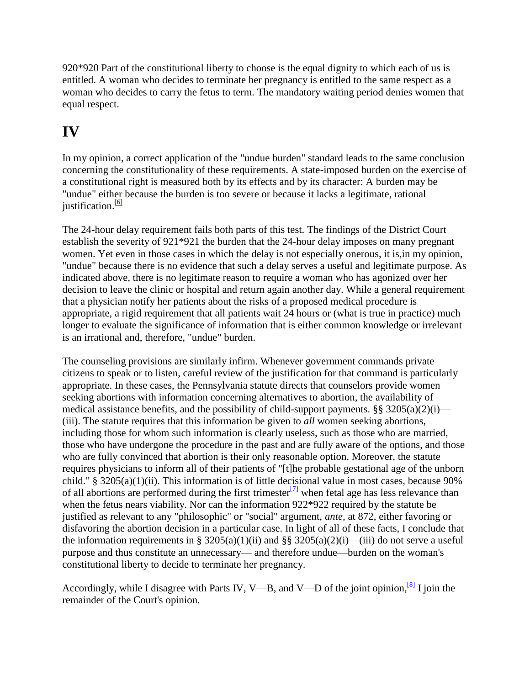920\*920 Part of the constitutional liberty to choose is the equal dignity to which each of us is entitled. A woman who decides to terminate her pregnancy is entitled to the same respect as a woman who decides to carry the fetus to term. The mandatory waiting period denies women that equal respect.

# **IV**

In my opinion, a correct application of the "undue burden" standard leads to the same conclusion concerning the constitutionality of these requirements. A state-imposed burden on the exercise of a constitutional right is measured both by its effects and by its character: A burden may be "undue" either because the burden is too severe or because it lacks a legitimate, rational justification.<sup>[\[6\]](http://scholar.google.co.in/scholar_case?q=planned+parenthood+v.+casey&hl=en&as_sdt=2,5&case=6298856056242550994&scilh=0#[8])</sup>

The 24-hour delay requirement fails both parts of this test. The findings of the District Court establish the severity of 921\*921 the burden that the 24-hour delay imposes on many pregnant women. Yet even in those cases in which the delay is not especially onerous, it is,in my opinion, "undue" because there is no evidence that such a delay serves a useful and legitimate purpose. As indicated above, there is no legitimate reason to require a woman who has agonized over her decision to leave the clinic or hospital and return again another day. While a general requirement that a physician notify her patients about the risks of a proposed medical procedure is appropriate, a rigid requirement that all patients wait 24 hours or (what is true in practice) much longer to evaluate the significance of information that is either common knowledge or irrelevant is an irrational and, therefore, "undue" burden.

The counseling provisions are similarly infirm. Whenever government commands private citizens to speak or to listen, careful review of the justification for that command is particularly appropriate. In these cases, the Pennsylvania statute directs that counselors provide women seeking abortions with information concerning alternatives to abortion, the availability of medical assistance benefits, and the possibility of child-support payments.  $\S\S 3205(a)(2)(i)$ — (iii). The statute requires that this information be given to *all* women seeking abortions, including those for whom such information is clearly useless, such as those who are married, those who have undergone the procedure in the past and are fully aware of the options, and those who are fully convinced that abortion is their only reasonable option. Moreover, the statute requires physicians to inform all of their patients of "[t]he probable gestational age of the unborn child." §  $3205(a)(1)(ii)$ . This information is of little decisional value in most cases, because 90% of all abortions are performed during the first trimester $^{[7]}$  $^{[7]}$  $^{[7]}$  when fetal age has less relevance than when the fetus nears viability. Nor can the information 922\*922 required by the statute be justified as relevant to any "philosophic" or "social" argument, *ante,* at 872, either favoring or disfavoring the abortion decision in a particular case. In light of all of these facts, I conclude that the information requirements in § 3205(a)(1)(ii) and §§ 3205(a)(2)(i)—(iii) do not serve a useful purpose and thus constitute an unnecessary— and therefore undue—burden on the woman's constitutional liberty to decide to terminate her pregnancy.

Accordingly, while I disagree with Parts IV, V—B, and V—D of the joint opinion,<sup>[\[8\]](http://scholar.google.co.in/scholar_case?q=planned+parenthood+v.+casey&hl=en&as_sdt=2,5&case=6298856056242550994&scilh=0#[10])</sup> I join the remainder of the Court's opinion.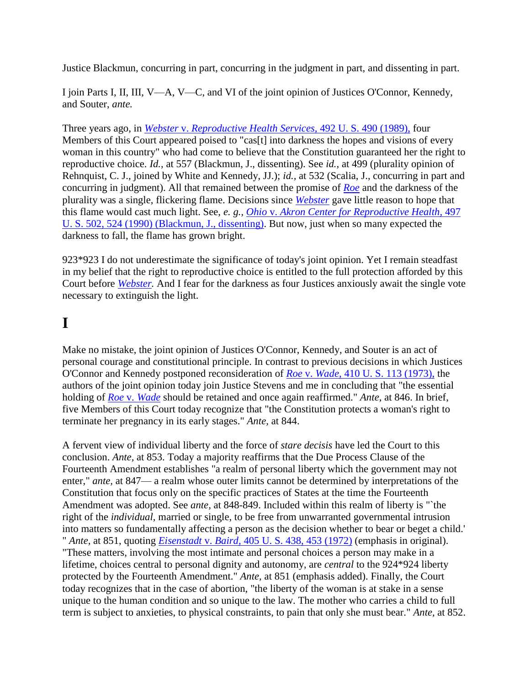Justice Blackmun, concurring in part, concurring in the judgment in part, and dissenting in part.

I join Parts I, II, III, V—A, V—C, and VI of the joint opinion of Justices O'Connor, Kennedy, and Souter, *ante.*

Three years ago, in *Webster* v. *[Reproductive Health Services,](http://scholar.google.co.in/scholar_case?case=2944985204861123439&q=planned+parenthood+v.+casey&hl=en&as_sdt=2,5&scilh=0)* 492 U. S. 490 (1989), four Members of this Court appeared poised to "cas[t] into darkness the hopes and visions of every woman in this country" who had come to believe that the Constitution guaranteed her the right to reproductive choice. *Id.,* at 557 (Blackmun, J., dissenting). See *id.,* at 499 (plurality opinion of Rehnquist, C. J., joined by White and Kennedy, JJ.); *id.,* at 532 (Scalia, J., concurring in part and concurring in judgment). All that remained between the promise of *[Roe](http://scholar.google.co.in/scholar_case?case=12334123945835207673&q=planned+parenthood+v.+casey&hl=en&as_sdt=2,5&scilh=0)* and the darkness of the plurality was a single, flickering flame. Decisions since *[Webster](http://scholar.google.co.in/scholar_case?case=2944985204861123439&q=planned+parenthood+v.+casey&hl=en&as_sdt=2,5&scilh=0)* gave little reason to hope that this flame would cast much light. See, *e. g., Ohio* v. *[Akron Center for Reproductive Health,](http://scholar.google.co.in/scholar_case?case=9736627999207272791&q=planned+parenthood+v.+casey&hl=en&as_sdt=2,5&scilh=0)* 497 U. S. 502, 524 (1990) [\(Blackmun, J., dissenting\).](http://scholar.google.co.in/scholar_case?case=9736627999207272791&q=planned+parenthood+v.+casey&hl=en&as_sdt=2,5&scilh=0) But now, just when so many expected the darkness to fall, the flame has grown bright.

923\*923 I do not underestimate the significance of today's joint opinion. Yet I remain steadfast in my belief that the right to reproductive choice is entitled to the full protection afforded by this Court before *[Webster.](http://scholar.google.co.in/scholar_case?case=2944985204861123439&q=planned+parenthood+v.+casey&hl=en&as_sdt=2,5&scilh=0)* And I fear for the darkness as four Justices anxiously await the single vote necessary to extinguish the light.

#### **I**

Make no mistake, the joint opinion of Justices O'Connor, Kennedy, and Souter is an act of personal courage and constitutional principle. In contrast to previous decisions in which Justices O'Connor and Kennedy postponed reconsideration of *Roe* v. *Wade,* [410 U. S. 113 \(1973\),](http://scholar.google.co.in/scholar_case?case=12334123945835207673&q=planned+parenthood+v.+casey&hl=en&as_sdt=2,5&scilh=0) the authors of the joint opinion today join Justice Stevens and me in concluding that "the essential holding of *Roe* v. *[Wade](http://scholar.google.co.in/scholar_case?case=12334123945835207673&q=planned+parenthood+v.+casey&hl=en&as_sdt=2,5&scilh=0)* should be retained and once again reaffirmed." *Ante,* at 846. In brief, five Members of this Court today recognize that "the Constitution protects a woman's right to terminate her pregnancy in its early stages." *Ante,* at 844.

A fervent view of individual liberty and the force of *stare decisis* have led the Court to this conclusion. *Ante,* at 853. Today a majority reaffirms that the Due Process Clause of the Fourteenth Amendment establishes "a realm of personal liberty which the government may not enter," *ante,* at 847— a realm whose outer limits cannot be determined by interpretations of the Constitution that focus only on the specific practices of States at the time the Fourteenth Amendment was adopted. See *ante,* at 848-849. Included within this realm of liberty is "`the right of the *individual,* married or single, to be free from unwarranted governmental intrusion into matters so fundamentally affecting a person as the decision whether to bear or beget a child.' " *Ante,* at 851, quoting *Eisenstadt* v. *Baird,* [405 U. S. 438, 453 \(1972\)](http://scholar.google.co.in/scholar_case?case=14131534241682283357&q=planned+parenthood+v.+casey&hl=en&as_sdt=2,5&scilh=0) (emphasis in original). "These matters, involving the most intimate and personal choices a person may make in a lifetime, choices central to personal dignity and autonomy, are *central* to the 924\*924 liberty protected by the Fourteenth Amendment." *Ante,* at 851 (emphasis added). Finally, the Court today recognizes that in the case of abortion, "the liberty of the woman is at stake in a sense unique to the human condition and so unique to the law. The mother who carries a child to full term is subject to anxieties, to physical constraints, to pain that only she must bear." *Ante,* at 852.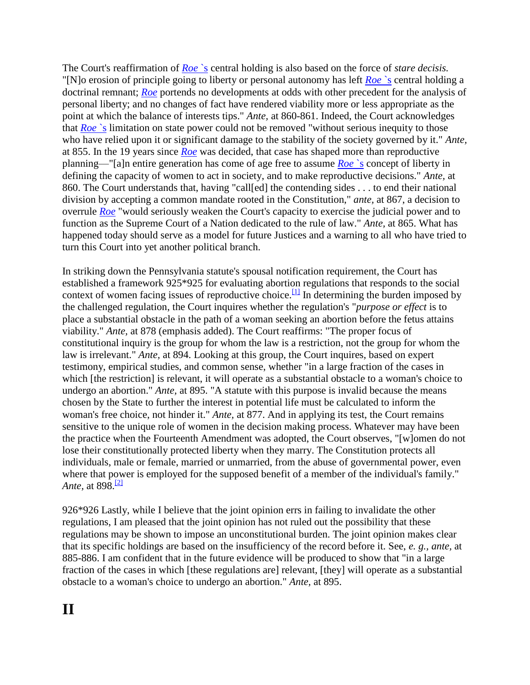The Court's reaffirmation of *[Roe](http://scholar.google.co.in/scholar_case?case=12334123945835207673&q=planned+parenthood+v.+casey&hl=en&as_sdt=2,5&scilh=0)* `s central holding is also based on the force of *stare decisis.* "[N]o erosion of principle going to liberty or personal autonomy has left *[Roe](http://scholar.google.co.in/scholar_case?case=12334123945835207673&q=planned+parenthood+v.+casey&hl=en&as_sdt=2,5&scilh=0)* `s central holding a doctrinal remnant; *[Roe](http://scholar.google.co.in/scholar_case?case=12334123945835207673&q=planned+parenthood+v.+casey&hl=en&as_sdt=2,5&scilh=0)* portends no developments at odds with other precedent for the analysis of personal liberty; and no changes of fact have rendered viability more or less appropriate as the point at which the balance of interests tips." *Ante,* at 860-861. Indeed, the Court acknowledges that *[Roe](http://scholar.google.co.in/scholar_case?case=12334123945835207673&q=planned+parenthood+v.+casey&hl=en&as_sdt=2,5&scilh=0)* `s limitation on state power could not be removed "without serious inequity to those who have relied upon it or significant damage to the stability of the society governed by it." *Ante,* at 855. In the 19 years since *[Roe](http://scholar.google.co.in/scholar_case?case=12334123945835207673&q=planned+parenthood+v.+casey&hl=en&as_sdt=2,5&scilh=0)* was decided, that case has shaped more than reproductive planning—"[a]n entire generation has come of age free to assume *[Roe](http://scholar.google.co.in/scholar_case?case=12334123945835207673&q=planned+parenthood+v.+casey&hl=en&as_sdt=2,5&scilh=0)* `s concept of liberty in defining the capacity of women to act in society, and to make reproductive decisions." *Ante,* at 860. The Court understands that, having "call[ed] the contending sides . . . to end their national division by accepting a common mandate rooted in the Constitution," *ante,* at 867, a decision to overrule *[Roe](http://scholar.google.co.in/scholar_case?case=12334123945835207673&q=planned+parenthood+v.+casey&hl=en&as_sdt=2,5&scilh=0)* "would seriously weaken the Court's capacity to exercise the judicial power and to function as the Supreme Court of a Nation dedicated to the rule of law." *Ante,* at 865. What has happened today should serve as a model for future Justices and a warning to all who have tried to turn this Court into yet another political branch.

In striking down the Pennsylvania statute's spousal notification requirement, the Court has established a framework 925\*925 for evaluating abortion regulations that responds to the social context of women facing issues of reproductive choice.<sup>[\[1\]](http://scholar.google.co.in/scholar_case?q=planned+parenthood+v.+casey&hl=en&as_sdt=2,5&case=6298856056242550994&scilh=0#[11])</sup> In determining the burden imposed by the challenged regulation, the Court inquires whether the regulation's "*purpose or effect* is to place a substantial obstacle in the path of a woman seeking an abortion before the fetus attains viability." *Ante,* at 878 (emphasis added). The Court reaffirms: "The proper focus of constitutional inquiry is the group for whom the law is a restriction, not the group for whom the law is irrelevant." *Ante,* at 894. Looking at this group, the Court inquires, based on expert testimony, empirical studies, and common sense, whether "in a large fraction of the cases in which [the restriction] is relevant, it will operate as a substantial obstacle to a woman's choice to undergo an abortion." *Ante,* at 895. "A statute with this purpose is invalid because the means chosen by the State to further the interest in potential life must be calculated to inform the woman's free choice, not hinder it." *Ante,* at 877. And in applying its test, the Court remains sensitive to the unique role of women in the decision making process. Whatever may have been the practice when the Fourteenth Amendment was adopted, the Court observes, "[w]omen do not lose their constitutionally protected liberty when they marry. The Constitution protects all individuals, male or female, married or unmarried, from the abuse of governmental power, even where that power is employed for the supposed benefit of a member of the individual's family." *Ante*, at 898.<sup>[\[2\]](http://scholar.google.co.in/scholar_case?q=planned+parenthood+v.+casey&hl=en&as_sdt=2,5&case=6298856056242550994&scilh=0#[12])</sup>

926\*926 Lastly, while I believe that the joint opinion errs in failing to invalidate the other regulations, I am pleased that the joint opinion has not ruled out the possibility that these regulations may be shown to impose an unconstitutional burden. The joint opinion makes clear that its specific holdings are based on the insufficiency of the record before it. See, *e. g., ante,* at 885-886. I am confident that in the future evidence will be produced to show that "in a large fraction of the cases in which [these regulations are] relevant, [they] will operate as a substantial obstacle to a woman's choice to undergo an abortion." *Ante,* at 895.

#### **II**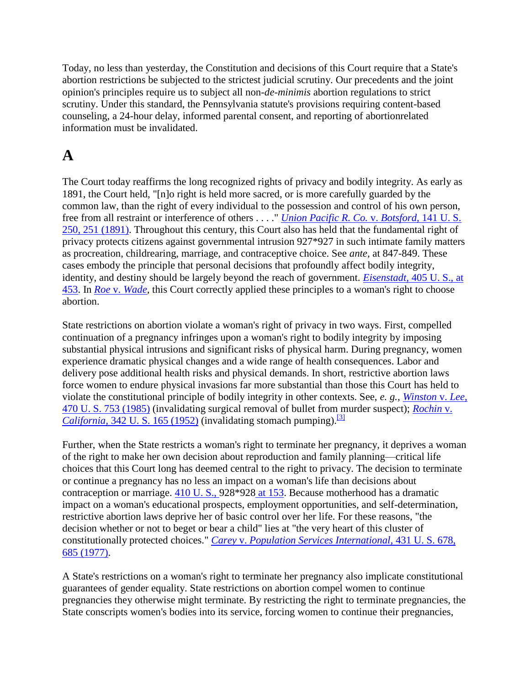Today, no less than yesterday, the Constitution and decisions of this Court require that a State's abortion restrictions be subjected to the strictest judicial scrutiny. Our precedents and the joint opinion's principles require us to subject all non-*de-minimis* abortion regulations to strict scrutiny. Under this standard, the Pennsylvania statute's provisions requiring content-based counseling, a 24-hour delay, informed parental consent, and reporting of abortionrelated information must be invalidated.

# **A**

The Court today reaffirms the long recognized rights of privacy and bodily integrity. As early as 1891, the Court held, "[n]o right is held more sacred, or is more carefully guarded by the common law, than the right of every individual to the possession and control of his own person, free from all restraint or interference of others . . . ." *[Union Pacific R. Co.](http://scholar.google.co.in/scholar_case?case=12998230422916570030&q=planned+parenthood+v.+casey&hl=en&as_sdt=2,5&scilh=0)* v. *Botsford,* 141 U. S. [250, 251 \(1891\).](http://scholar.google.co.in/scholar_case?case=12998230422916570030&q=planned+parenthood+v.+casey&hl=en&as_sdt=2,5&scilh=0) Throughout this century, this Court also has held that the fundamental right of privacy protects citizens against governmental intrusion 927\*927 in such intimate family matters as procreation, childrearing, marriage, and contraceptive choice. See *ante,* at 847-849. These cases embody the principle that personal decisions that profoundly affect bodily integrity, identity, and destiny should be largely beyond the reach of government. *Eisenstadt,* [405 U. S., at](http://scholar.google.co.in/scholar_case?case=14131534241682283357&q=planned+parenthood+v.+casey&hl=en&as_sdt=2,5&scilh=0)  [453.](http://scholar.google.co.in/scholar_case?case=14131534241682283357&q=planned+parenthood+v.+casey&hl=en&as_sdt=2,5&scilh=0) In *Roe* v. *[Wade,](http://scholar.google.co.in/scholar_case?case=12334123945835207673&q=planned+parenthood+v.+casey&hl=en&as_sdt=2,5&scilh=0)* this Court correctly applied these principles to a woman's right to choose abortion.

State restrictions on abortion violate a woman's right of privacy in two ways. First, compelled continuation of a pregnancy infringes upon a woman's right to bodily integrity by imposing substantial physical intrusions and significant risks of physical harm. During pregnancy, women experience dramatic physical changes and a wide range of health consequences. Labor and delivery pose additional health risks and physical demands. In short, restrictive abortion laws force women to endure physical invasions far more substantial than those this Court has held to violate the constitutional principle of bodily integrity in other contexts. See, *e. g., [Winston](http://scholar.google.co.in/scholar_case?case=6619239343305962305&q=planned+parenthood+v.+casey&hl=en&as_sdt=2,5&scilh=0)* v. *Lee,* [470 U. S. 753 \(1985\)](http://scholar.google.co.in/scholar_case?case=6619239343305962305&q=planned+parenthood+v.+casey&hl=en&as_sdt=2,5&scilh=0) (invalidating surgical removal of bullet from murder suspect); *[Rochin](http://scholar.google.co.in/scholar_case?case=13189177772806165249&q=planned+parenthood+v.+casey&hl=en&as_sdt=2,5&scilh=0)* v. *California,* [342 U. S. 165 \(1952\)](http://scholar.google.co.in/scholar_case?case=13189177772806165249&q=planned+parenthood+v.+casey&hl=en&as_sdt=2,5&scilh=0) (invalidating stomach pumping).<sup>[\[3\]](http://scholar.google.co.in/scholar_case?q=planned+parenthood+v.+casey&hl=en&as_sdt=2,5&case=6298856056242550994&scilh=0#[13])</sup>

Further, when the State restricts a woman's right to terminate her pregnancy, it deprives a woman of the right to make her own decision about reproduction and family planning—critical life choices that this Court long has deemed central to the right to privacy. The decision to terminate or continue a pregnancy has no less an impact on a woman's life than decisions about contraception or marriage. [410 U. S., 9](http://scholar.google.co.in/scholar_case?case=12334123945835207673&q=planned+parenthood+v.+casey&hl=en&as_sdt=2,5&scilh=0)28\*928 [at 153.](http://scholar.google.co.in/scholar_case?case=12334123945835207673&q=planned+parenthood+v.+casey&hl=en&as_sdt=2,5&scilh=0) Because motherhood has a dramatic impact on a woman's educational prospects, employment opportunities, and self-determination, restrictive abortion laws deprive her of basic control over her life. For these reasons, "the decision whether or not to beget or bear a child" lies at "the very heart of this cluster of constitutionally protected choices." *Carey* v. *[Population Services International,](http://scholar.google.co.in/scholar_case?case=4801034783278981738&q=planned+parenthood+v.+casey&hl=en&as_sdt=2,5&scilh=0)* 431 U. S. 678, [685 \(1977\).](http://scholar.google.co.in/scholar_case?case=4801034783278981738&q=planned+parenthood+v.+casey&hl=en&as_sdt=2,5&scilh=0)

A State's restrictions on a woman's right to terminate her pregnancy also implicate constitutional guarantees of gender equality. State restrictions on abortion compel women to continue pregnancies they otherwise might terminate. By restricting the right to terminate pregnancies, the State conscripts women's bodies into its service, forcing women to continue their pregnancies,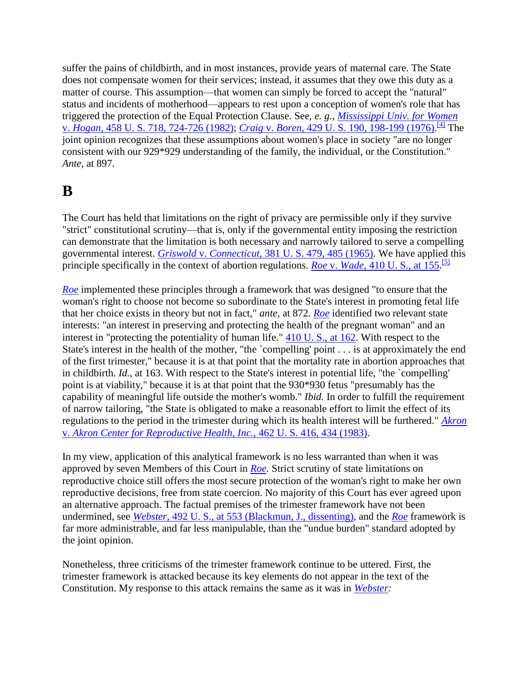suffer the pains of childbirth, and in most instances, provide years of maternal care. The State does not compensate women for their services; instead, it assumes that they owe this duty as a matter of course. This assumption—that women can simply be forced to accept the "natural" status and incidents of motherhood—appears to rest upon a conception of women's role that has triggered the protection of the Equal Protection Clause. See, *e. g., [Mississippi Univ. for Women](http://scholar.google.co.in/scholar_case?case=4721441048875094247&q=planned+parenthood+v.+casey&hl=en&as_sdt=2,5&scilh=0)* v. *Hogan,* [458 U. S. 718, 724-726 \(1982\);](http://scholar.google.co.in/scholar_case?case=4721441048875094247&q=planned+parenthood+v.+casey&hl=en&as_sdt=2,5&scilh=0) *Craig* v. *Boren,* [429 U. S. 190, 198-199 \(1976\).](http://scholar.google.co.in/scholar_case?case=2528522570594071994&q=planned+parenthood+v.+casey&hl=en&as_sdt=2,5&scilh=0) [\[4\]](http://scholar.google.co.in/scholar_case?q=planned+parenthood+v.+casey&hl=en&as_sdt=2,5&case=6298856056242550994&scilh=0#[14]) The joint opinion recognizes that these assumptions about women's place in society "are no longer consistent with our 929\*929 understanding of the family, the individual, or the Constitution." *Ante,* at 897.

#### **B**

The Court has held that limitations on the right of privacy are permissible only if they survive "strict" constitutional scrutiny—that is, only if the governmental entity imposing the restriction can demonstrate that the limitation is both necessary and narrowly tailored to serve a compelling governmental interest. *Griswold* v. *Connecticut,* [381 U. S. 479, 485 \(1965\).](http://scholar.google.co.in/scholar_case?case=12276922145000050979&q=planned+parenthood+v.+casey&hl=en&as_sdt=2,5&scilh=0) We have applied this principle specifically in the context of abortion regulations. *Roe* v. *Wade,* [410 U. S., at 155.](http://scholar.google.co.in/scholar_case?case=12334123945835207673&q=planned+parenthood+v.+casey&hl=en&as_sdt=2,5&scilh=0) [\[5\]](http://scholar.google.co.in/scholar_case?q=planned+parenthood+v.+casey&hl=en&as_sdt=2,5&case=6298856056242550994&scilh=0#[15])

*[Roe](http://scholar.google.co.in/scholar_case?case=12334123945835207673&q=planned+parenthood+v.+casey&hl=en&as_sdt=2,5&scilh=0)* implemented these principles through a framework that was designed "to ensure that the woman's right to choose not become so subordinate to the State's interest in promoting fetal life that her choice exists in theory but not in fact," *ante,* at 872. *[Roe](http://scholar.google.co.in/scholar_case?case=12334123945835207673&q=planned+parenthood+v.+casey&hl=en&as_sdt=2,5&scilh=0)* identified two relevant state interests: "an interest in preserving and protecting the health of the pregnant woman" and an interest in "protecting the potentiality of human life." [410 U. S., at 162.](http://scholar.google.co.in/scholar_case?case=12334123945835207673&q=planned+parenthood+v.+casey&hl=en&as_sdt=2,5&scilh=0) With respect to the State's interest in the health of the mother, "the `compelling' point . . . is at approximately the end of the first trimester," because it is at that point that the mortality rate in abortion approaches that in childbirth. *Id.*, at 163. With respect to the State's interest in potential life, "the `compelling' point is at viability," because it is at that point that the 930\*930 fetus "presumably has the capability of meaningful life outside the mother's womb." *Ibid.* In order to fulfill the requirement of narrow tailoring, "the State is obligated to make a reasonable effort to limit the effect of its regulations to the period in the trimester during which its health interest will be furthered." *[Akron](http://scholar.google.co.in/scholar_case?case=7944230995323582140&q=planned+parenthood+v.+casey&hl=en&as_sdt=2,5&scilh=0)* v. *[Akron Center for Reproductive Health, Inc.,](http://scholar.google.co.in/scholar_case?case=7944230995323582140&q=planned+parenthood+v.+casey&hl=en&as_sdt=2,5&scilh=0)* 462 U. S. 416, 434 (1983).

In my view, application of this analytical framework is no less warranted than when it was approved by seven Members of this Court in *[Roe.](http://scholar.google.co.in/scholar_case?case=12334123945835207673&q=planned+parenthood+v.+casey&hl=en&as_sdt=2,5&scilh=0)* Strict scrutiny of state limitations on reproductive choice still offers the most secure protection of the woman's right to make her own reproductive decisions, free from state coercion. No majority of this Court has ever agreed upon an alternative approach. The factual premises of the trimester framework have not been undermined, see *Webster,* [492 U. S., at 553 \(Blackmun, J., dissenting\),](http://scholar.google.co.in/scholar_case?case=2944985204861123439&q=planned+parenthood+v.+casey&hl=en&as_sdt=2,5&scilh=0) and the *[Roe](http://scholar.google.co.in/scholar_case?case=12334123945835207673&q=planned+parenthood+v.+casey&hl=en&as_sdt=2,5&scilh=0)* framework is far more administrable, and far less manipulable, than the "undue burden" standard adopted by the joint opinion.

Nonetheless, three criticisms of the trimester framework continue to be uttered. First, the trimester framework is attacked because its key elements do not appear in the text of the Constitution. My response to this attack remains the same as it was in *[Webster:](http://scholar.google.co.in/scholar_case?case=2944985204861123439&q=planned+parenthood+v.+casey&hl=en&as_sdt=2,5&scilh=0)*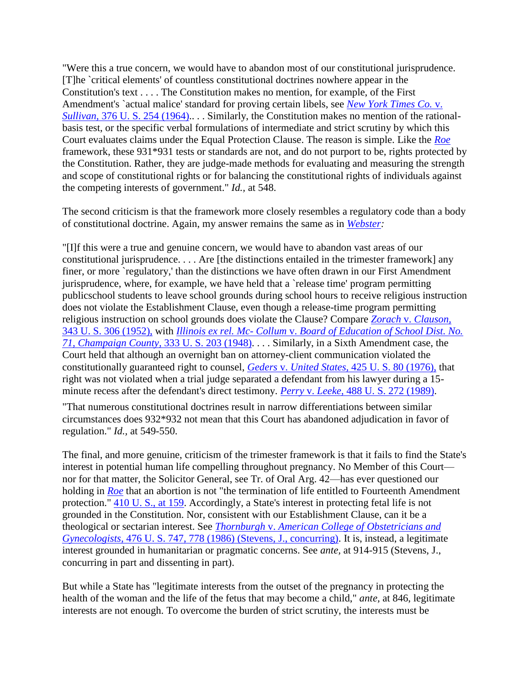"Were this a true concern, we would have to abandon most of our constitutional jurisprudence. [T]he `critical elements' of countless constitutional doctrines nowhere appear in the Constitution's text . . . . The Constitution makes no mention, for example, of the First Amendment's `actual malice' standard for proving certain libels, see *[New York Times Co.](http://scholar.google.co.in/scholar_case?case=10183527771703896207&q=planned+parenthood+v.+casey&hl=en&as_sdt=2,5&scilh=0)* v. *Sullivan,* [376 U. S. 254 \(1964\).](http://scholar.google.co.in/scholar_case?case=10183527771703896207&q=planned+parenthood+v.+casey&hl=en&as_sdt=2,5&scilh=0).. Similarly, the Constitution makes no mention of the rationalbasis test, or the specific verbal formulations of intermediate and strict scrutiny by which this Court evaluates claims under the Equal Protection Clause. The reason is simple. Like the *[Roe](http://scholar.google.co.in/scholar_case?case=12334123945835207673&q=planned+parenthood+v.+casey&hl=en&as_sdt=2,5&scilh=0)* framework, these 931\*931 tests or standards are not, and do not purport to be, rights protected by the Constitution. Rather, they are judge-made methods for evaluating and measuring the strength and scope of constitutional rights or for balancing the constitutional rights of individuals against the competing interests of government." *Id.,* at 548.

The second criticism is that the framework more closely resembles a regulatory code than a body of constitutional doctrine. Again, my answer remains the same as in *[Webster:](http://scholar.google.co.in/scholar_case?case=2944985204861123439&q=planned+parenthood+v.+casey&hl=en&as_sdt=2,5&scilh=0)*

"[I]f this were a true and genuine concern, we would have to abandon vast areas of our constitutional jurisprudence. . . . Are [the distinctions entailed in the trimester framework] any finer, or more `regulatory,' than the distinctions we have often drawn in our First Amendment jurisprudence, where, for example, we have held that a `release time' program permitting publicschool students to leave school grounds during school hours to receive religious instruction does not violate the Establishment Clause, even though a release-time program permitting religious instruction on school grounds does violate the Clause? Compare *Zorach* v. *[Clauson,](http://scholar.google.co.in/scholar_case?case=4865801292029366499&q=planned+parenthood+v.+casey&hl=en&as_sdt=2,5&scilh=0)* [343 U. S. 306 \(1952\),](http://scholar.google.co.in/scholar_case?case=4865801292029366499&q=planned+parenthood+v.+casey&hl=en&as_sdt=2,5&scilh=0) with *Illinois ex rel. Mc- Collum* v. *[Board of Education of School Dist. No.](http://scholar.google.co.in/scholar_case?case=6084194715158137020&q=planned+parenthood+v.+casey&hl=en&as_sdt=2,5&scilh=0)  71, Champaign County,* [333 U. S. 203 \(1948\).](http://scholar.google.co.in/scholar_case?case=6084194715158137020&q=planned+parenthood+v.+casey&hl=en&as_sdt=2,5&scilh=0) . . . Similarly, in a Sixth Amendment case, the Court held that although an overnight ban on attorney-client communication violated the constitutionally guaranteed right to counsel, *Geders* v. *United States,* [425 U. S. 80 \(1976\),](http://scholar.google.co.in/scholar_case?case=5139143882370725597&q=planned+parenthood+v.+casey&hl=en&as_sdt=2,5&scilh=0) that right was not violated when a trial judge separated a defendant from his lawyer during a 15 minute recess after the defendant's direct testimony. *Perry* v. *Leeke,* [488 U. S. 272 \(1989\).](http://scholar.google.co.in/scholar_case?case=17420669249425667371&q=planned+parenthood+v.+casey&hl=en&as_sdt=2,5&scilh=0)

"That numerous constitutional doctrines result in narrow differentiations between similar circumstances does 932\*932 not mean that this Court has abandoned adjudication in favor of regulation." *Id.,* at 549-550.

The final, and more genuine, criticism of the trimester framework is that it fails to find the State's interest in potential human life compelling throughout pregnancy. No Member of this Court nor for that matter, the Solicitor General, see Tr. of Oral Arg. 42—has ever questioned our holding in *[Roe](http://scholar.google.co.in/scholar_case?case=12334123945835207673&q=planned+parenthood+v.+casey&hl=en&as_sdt=2,5&scilh=0)* that an abortion is not "the termination of life entitled to Fourteenth Amendment protection." [410 U. S., at 159.](http://scholar.google.co.in/scholar_case?case=12334123945835207673&q=planned+parenthood+v.+casey&hl=en&as_sdt=2,5&scilh=0) Accordingly, a State's interest in protecting fetal life is not grounded in the Constitution. Nor, consistent with our Establishment Clause, can it be a theological or sectarian interest. See *Thornburgh* v. *[American College of Obstetricians and](http://scholar.google.co.in/scholar_case?case=3420134328076928385&q=planned+parenthood+v.+casey&hl=en&as_sdt=2,5&scilh=0)  Gynecologists,* [476 U. S. 747, 778 \(1986\) \(Stevens, J., concurring\).](http://scholar.google.co.in/scholar_case?case=3420134328076928385&q=planned+parenthood+v.+casey&hl=en&as_sdt=2,5&scilh=0) It is, instead, a legitimate interest grounded in humanitarian or pragmatic concerns. See *ante,* at 914-915 (Stevens, J., concurring in part and dissenting in part).

But while a State has "legitimate interests from the outset of the pregnancy in protecting the health of the woman and the life of the fetus that may become a child," *ante,* at 846, legitimate interests are not enough. To overcome the burden of strict scrutiny, the interests must be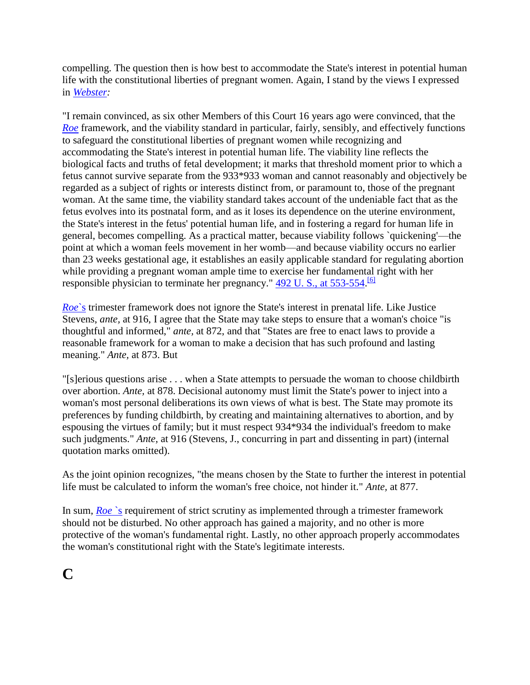compelling. The question then is how best to accommodate the State's interest in potential human life with the constitutional liberties of pregnant women. Again, I stand by the views I expressed in *[Webster:](http://scholar.google.co.in/scholar_case?case=2944985204861123439&q=planned+parenthood+v.+casey&hl=en&as_sdt=2,5&scilh=0)*

"I remain convinced, as six other Members of this Court 16 years ago were convinced, that the *[Roe](http://scholar.google.co.in/scholar_case?case=12334123945835207673&q=planned+parenthood+v.+casey&hl=en&as_sdt=2,5&scilh=0)* framework, and the viability standard in particular, fairly, sensibly, and effectively functions to safeguard the constitutional liberties of pregnant women while recognizing and accommodating the State's interest in potential human life. The viability line reflects the biological facts and truths of fetal development; it marks that threshold moment prior to which a fetus cannot survive separate from the 933\*933 woman and cannot reasonably and objectively be regarded as a subject of rights or interests distinct from, or paramount to, those of the pregnant woman. At the same time, the viability standard takes account of the undeniable fact that as the fetus evolves into its postnatal form, and as it loses its dependence on the uterine environment, the State's interest in the fetus' potential human life, and in fostering a regard for human life in general, becomes compelling. As a practical matter, because viability follows `quickening'—the point at which a woman feels movement in her womb—and because viability occurs no earlier than 23 weeks gestational age, it establishes an easily applicable standard for regulating abortion while providing a pregnant woman ample time to exercise her fundamental right with her responsible physician to terminate her pregnancy." 492 U.S., at 553-554.<sup>[\[6\]](http://scholar.google.co.in/scholar_case?q=planned+parenthood+v.+casey&hl=en&as_sdt=2,5&case=6298856056242550994&scilh=0#[16])</sup>

*[Roe](http://scholar.google.co.in/scholar_case?case=12334123945835207673&q=planned+parenthood+v.+casey&hl=en&as_sdt=2,5&scilh=0)*`s trimester framework does not ignore the State's interest in prenatal life. Like Justice Stevens, *ante,* at 916, I agree that the State may take steps to ensure that a woman's choice "is thoughtful and informed," *ante,* at 872, and that "States are free to enact laws to provide a reasonable framework for a woman to make a decision that has such profound and lasting meaning." *Ante,* at 873. But

"[s]erious questions arise . . . when a State attempts to persuade the woman to choose childbirth over abortion. *Ante,* at 878. Decisional autonomy must limit the State's power to inject into a woman's most personal deliberations its own views of what is best. The State may promote its preferences by funding childbirth, by creating and maintaining alternatives to abortion, and by espousing the virtues of family; but it must respect 934\*934 the individual's freedom to make such judgments." *Ante,* at 916 (Stevens, J., concurring in part and dissenting in part) (internal quotation marks omitted).

As the joint opinion recognizes, "the means chosen by the State to further the interest in potential life must be calculated to inform the woman's free choice, not hinder it." *Ante,* at 877.

In sum, *[Roe](http://scholar.google.co.in/scholar_case?case=12334123945835207673&q=planned+parenthood+v.+casey&hl=en&as_sdt=2,5&scilh=0)* `s requirement of strict scrutiny as implemented through a trimester framework should not be disturbed. No other approach has gained a majority, and no other is more protective of the woman's fundamental right. Lastly, no other approach properly accommodates the woman's constitutional right with the State's legitimate interests.

## **C**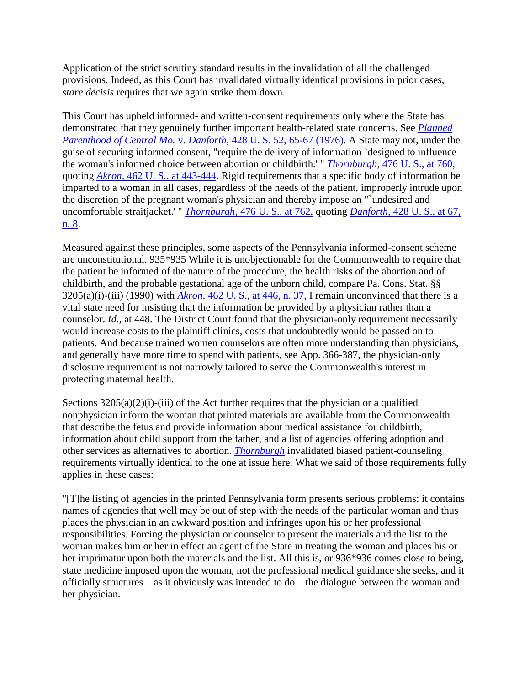Application of the strict scrutiny standard results in the invalidation of all the challenged provisions. Indeed, as this Court has invalidated virtually identical provisions in prior cases, *stare decisis* requires that we again strike them down.

This Court has upheld informed- and written-consent requirements only where the State has demonstrated that they genuinely further important health-related state concerns. See *[Planned](http://scholar.google.co.in/scholar_case?case=3638004152923873163&q=planned+parenthood+v.+casey&hl=en&as_sdt=2,5&scilh=0)  Parenthood of Central Mo.* v. *Danforth,* [428 U. S. 52, 65-67 \(1976\).](http://scholar.google.co.in/scholar_case?case=3638004152923873163&q=planned+parenthood+v.+casey&hl=en&as_sdt=2,5&scilh=0) A State may not, under the guise of securing informed consent, "require the delivery of information `designed to influence the woman's informed choice between abortion or childbirth.' " *Thornburgh,* [476 U. S., at 760,](http://scholar.google.co.in/scholar_case?case=3420134328076928385&q=planned+parenthood+v.+casey&hl=en&as_sdt=2,5&scilh=0) quoting *Akron,* [462 U. S., at 443-444.](http://scholar.google.co.in/scholar_case?case=7944230995323582140&q=planned+parenthood+v.+casey&hl=en&as_sdt=2,5&scilh=0) Rigid requirements that a specific body of information be imparted to a woman in all cases, regardless of the needs of the patient, improperly intrude upon the discretion of the pregnant woman's physician and thereby impose an "`undesired and uncomfortable straitjacket.' " *Thornburgh,* [476 U. S., at 762,](http://scholar.google.co.in/scholar_case?case=3420134328076928385&q=planned+parenthood+v.+casey&hl=en&as_sdt=2,5&scilh=0) quoting *Danforth,* [428 U. S., at 67,](http://scholar.google.co.in/scholar_case?case=3638004152923873163&q=planned+parenthood+v.+casey&hl=en&as_sdt=2,5&scilh=0)  [n. 8.](http://scholar.google.co.in/scholar_case?case=3638004152923873163&q=planned+parenthood+v.+casey&hl=en&as_sdt=2,5&scilh=0)

Measured against these principles, some aspects of the Pennsylvania informed-consent scheme are unconstitutional. 935\*935 While it is unobjectionable for the Commonwealth to require that the patient be informed of the nature of the procedure, the health risks of the abortion and of childbirth, and the probable gestational age of the unborn child, compare Pa. Cons. Stat. §§ 3205(a)(i)-(iii) (1990) with *Akron,* [462 U. S., at 446, n. 37,](http://scholar.google.co.in/scholar_case?case=7944230995323582140&q=planned+parenthood+v.+casey&hl=en&as_sdt=2,5&scilh=0) I remain unconvinced that there is a vital state need for insisting that the information be provided by a physician rather than a counselor. *Id.,* at 448. The District Court found that the physician-only requirement necessarily would increase costs to the plaintiff clinics, costs that undoubtedly would be passed on to patients. And because trained women counselors are often more understanding than physicians, and generally have more time to spend with patients, see App. 366-387, the physician-only disclosure requirement is not narrowly tailored to serve the Commonwealth's interest in protecting maternal health.

Sections  $3205(a)(2)(i)$ -(iii) of the Act further requires that the physician or a qualified nonphysician inform the woman that printed materials are available from the Commonwealth that describe the fetus and provide information about medical assistance for childbirth, information about child support from the father, and a list of agencies offering adoption and other services as alternatives to abortion. *[Thornburgh](http://scholar.google.co.in/scholar_case?case=3420134328076928385&q=planned+parenthood+v.+casey&hl=en&as_sdt=2,5&scilh=0)* invalidated biased patient-counseling requirements virtually identical to the one at issue here. What we said of those requirements fully applies in these cases:

"[T]he listing of agencies in the printed Pennsylvania form presents serious problems; it contains names of agencies that well may be out of step with the needs of the particular woman and thus places the physician in an awkward position and infringes upon his or her professional responsibilities. Forcing the physician or counselor to present the materials and the list to the woman makes him or her in effect an agent of the State in treating the woman and places his or her imprimatur upon both the materials and the list. All this is, or 936\*936 comes close to being, state medicine imposed upon the woman, not the professional medical guidance she seeks, and it officially structures—as it obviously was intended to do—the dialogue between the woman and her physician.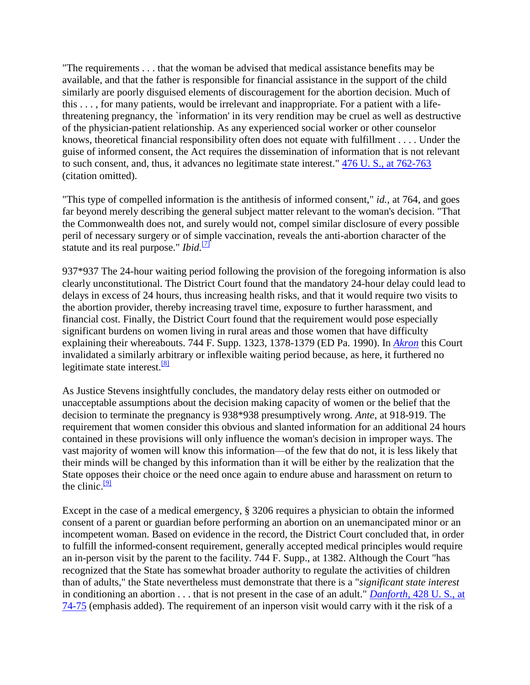"The requirements . . . that the woman be advised that medical assistance benefits may be available, and that the father is responsible for financial assistance in the support of the child similarly are poorly disguised elements of discouragement for the abortion decision. Much of this . . . , for many patients, would be irrelevant and inappropriate. For a patient with a lifethreatening pregnancy, the `information' in its very rendition may be cruel as well as destructive of the physician-patient relationship. As any experienced social worker or other counselor knows, theoretical financial responsibility often does not equate with fulfillment . . . . Under the guise of informed consent, the Act requires the dissemination of information that is not relevant to such consent, and, thus, it advances no legitimate state interest." [476 U. S., at 762-763](http://scholar.google.co.in/scholar_case?case=3420134328076928385&q=planned+parenthood+v.+casey&hl=en&as_sdt=2,5&scilh=0) (citation omitted).

"This type of compelled information is the antithesis of informed consent," *id.,* at 764, and goes far beyond merely describing the general subject matter relevant to the woman's decision. "That the Commonwealth does not, and surely would not, compel similar disclosure of every possible peril of necessary surgery or of simple vaccination, reveals the anti-abortion character of the statute and its real purpose." *Ibid.*[\[7\]](http://scholar.google.co.in/scholar_case?q=planned+parenthood+v.+casey&hl=en&as_sdt=2,5&case=6298856056242550994&scilh=0#[17])

937\*937 The 24-hour waiting period following the provision of the foregoing information is also clearly unconstitutional. The District Court found that the mandatory 24-hour delay could lead to delays in excess of 24 hours, thus increasing health risks, and that it would require two visits to the abortion provider, thereby increasing travel time, exposure to further harassment, and financial cost. Finally, the District Court found that the requirement would pose especially significant burdens on women living in rural areas and those women that have difficulty explaining their whereabouts. 744 F. Supp. 1323, 1378-1379 (ED Pa. 1990). In *[Akron](http://scholar.google.co.in/scholar_case?case=7944230995323582140&q=planned+parenthood+v.+casey&hl=en&as_sdt=2,5&scilh=0)* this Court invalidated a similarly arbitrary or inflexible waiting period because, as here, it furthered no legitimate state interest. $\frac{81}{8}$ 

As Justice Stevens insightfully concludes, the mandatory delay rests either on outmoded or unacceptable assumptions about the decision making capacity of women or the belief that the decision to terminate the pregnancy is 938\*938 presumptively wrong. *Ante,* at 918-919. The requirement that women consider this obvious and slanted information for an additional 24 hours contained in these provisions will only influence the woman's decision in improper ways. The vast majority of women will know this information—of the few that do not, it is less likely that their minds will be changed by this information than it will be either by the realization that the State opposes their choice or the need once again to endure abuse and harassment on return to the clinic. $\frac{9}{2}$ 

Except in the case of a medical emergency, § 3206 requires a physician to obtain the informed consent of a parent or guardian before performing an abortion on an unemancipated minor or an incompetent woman. Based on evidence in the record, the District Court concluded that, in order to fulfill the informed-consent requirement, generally accepted medical principles would require an in-person visit by the parent to the facility. 744 F. Supp., at 1382. Although the Court "has recognized that the State has somewhat broader authority to regulate the activities of children than of adults," the State nevertheless must demonstrate that there is a "*significant state interest* in conditioning an abortion . . . that is not present in the case of an adult." *Danforth,* [428 U. S., at](http://scholar.google.co.in/scholar_case?case=3638004152923873163&q=planned+parenthood+v.+casey&hl=en&as_sdt=2,5&scilh=0)  [74-75](http://scholar.google.co.in/scholar_case?case=3638004152923873163&q=planned+parenthood+v.+casey&hl=en&as_sdt=2,5&scilh=0) (emphasis added). The requirement of an inperson visit would carry with it the risk of a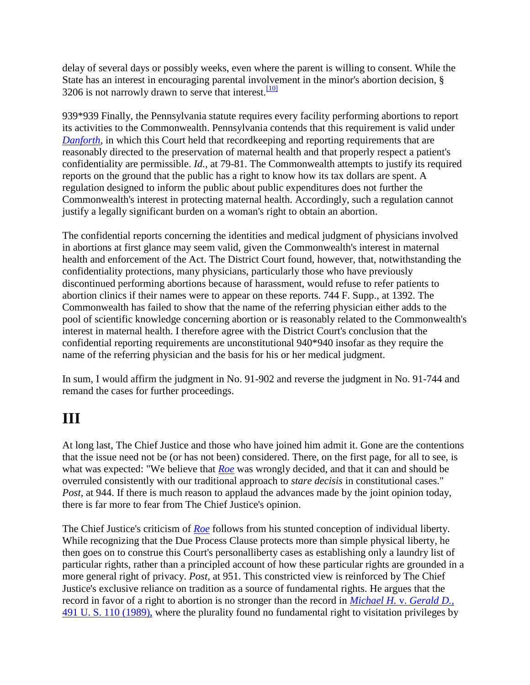delay of several days or possibly weeks, even where the parent is willing to consent. While the State has an interest in encouraging parental involvement in the minor's abortion decision, § 3206 is not narrowly drawn to serve that interest.  $\frac{100}{100}$ 

939\*939 Finally, the Pennsylvania statute requires every facility performing abortions to report its activities to the Commonwealth. Pennsylvania contends that this requirement is valid under *[Danforth,](http://scholar.google.co.in/scholar_case?case=3638004152923873163&q=planned+parenthood+v.+casey&hl=en&as_sdt=2,5&scilh=0)* in which this Court held that recordkeeping and reporting requirements that are reasonably directed to the preservation of maternal health and that properly respect a patient's confidentiality are permissible. *Id.,* at 79-81. The Commonwealth attempts to justify its required reports on the ground that the public has a right to know how its tax dollars are spent. A regulation designed to inform the public about public expenditures does not further the Commonwealth's interest in protecting maternal health. Accordingly, such a regulation cannot justify a legally significant burden on a woman's right to obtain an abortion.

The confidential reports concerning the identities and medical judgment of physicians involved in abortions at first glance may seem valid, given the Commonwealth's interest in maternal health and enforcement of the Act. The District Court found, however, that, notwithstanding the confidentiality protections, many physicians, particularly those who have previously discontinued performing abortions because of harassment, would refuse to refer patients to abortion clinics if their names were to appear on these reports. 744 F. Supp., at 1392. The Commonwealth has failed to show that the name of the referring physician either adds to the pool of scientific knowledge concerning abortion or is reasonably related to the Commonwealth's interest in maternal health. I therefore agree with the District Court's conclusion that the confidential reporting requirements are unconstitutional 940\*940 insofar as they require the name of the referring physician and the basis for his or her medical judgment.

In sum, I would affirm the judgment in No. 91-902 and reverse the judgment in No. 91-744 and remand the cases for further proceedings.

## **III**

At long last, The Chief Justice and those who have joined him admit it. Gone are the contentions that the issue need not be (or has not been) considered. There, on the first page, for all to see, is what was expected: "We believe that *[Roe](http://scholar.google.co.in/scholar_case?case=12334123945835207673&q=planned+parenthood+v.+casey&hl=en&as_sdt=2,5&scilh=0)* was wrongly decided, and that it can and should be overruled consistently with our traditional approach to *stare decisis* in constitutional cases." *Post*, at 944. If there is much reason to applaud the advances made by the joint opinion today, there is far more to fear from The Chief Justice's opinion.

The Chief Justice's criticism of *[Roe](http://scholar.google.co.in/scholar_case?case=12334123945835207673&q=planned+parenthood+v.+casey&hl=en&as_sdt=2,5&scilh=0)* follows from his stunted conception of individual liberty. While recognizing that the Due Process Clause protects more than simple physical liberty, he then goes on to construe this Court's personalliberty cases as establishing only a laundry list of particular rights, rather than a principled account of how these particular rights are grounded in a more general right of privacy. *Post,* at 951. This constricted view is reinforced by The Chief Justice's exclusive reliance on tradition as a source of fundamental rights. He argues that the record in favor of a right to abortion is no stronger than the record in *[Michael H.](http://scholar.google.co.in/scholar_case?case=18282912377125168373&q=planned+parenthood+v.+casey&hl=en&as_sdt=2,5&scilh=0)* v. *Gerald D.,* [491 U. S. 110 \(1989\),](http://scholar.google.co.in/scholar_case?case=18282912377125168373&q=planned+parenthood+v.+casey&hl=en&as_sdt=2,5&scilh=0) where the plurality found no fundamental right to visitation privileges by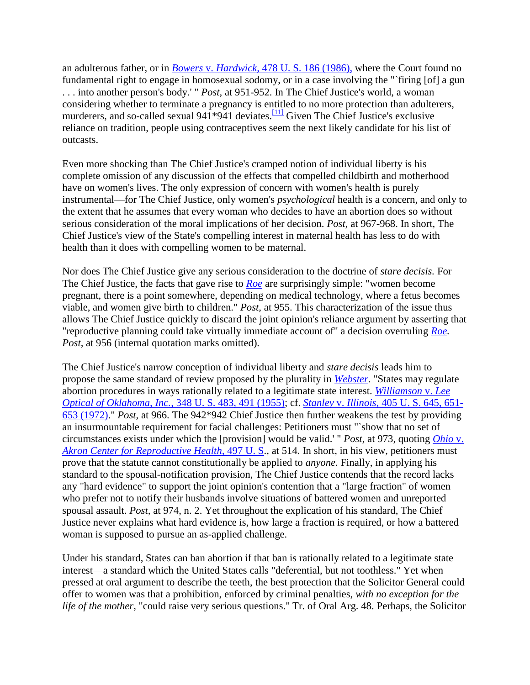an adulterous father, or in *Bowers* v. *Hardwick,* [478 U. S. 186 \(1986\),](http://scholar.google.co.in/scholar_case?case=14901730125647575103&q=planned+parenthood+v.+casey&hl=en&as_sdt=2,5&scilh=0) where the Court found no fundamental right to engage in homosexual sodomy, or in a case involving the "`firing [of] a gun . . . into another person's body.' " *Post,* at 951-952. In The Chief Justice's world, a woman considering whether to terminate a pregnancy is entitled to no more protection than adulterers, murderers, and so-called sexual  $941*941$  deviates.<sup>[\[11\]](http://scholar.google.co.in/scholar_case?q=planned+parenthood+v.+casey&hl=en&as_sdt=2,5&case=6298856056242550994&scilh=0#[21])</sup> Given The Chief Justice's exclusive reliance on tradition, people using contraceptives seem the next likely candidate for his list of outcasts.

Even more shocking than The Chief Justice's cramped notion of individual liberty is his complete omission of any discussion of the effects that compelled childbirth and motherhood have on women's lives. The only expression of concern with women's health is purely instrumental—for The Chief Justice, only women's *psychological* health is a concern, and only to the extent that he assumes that every woman who decides to have an abortion does so without serious consideration of the moral implications of her decision. *Post,* at 967-968. In short, The Chief Justice's view of the State's compelling interest in maternal health has less to do with health than it does with compelling women to be maternal.

Nor does The Chief Justice give any serious consideration to the doctrine of *stare decisis.* For The Chief Justice, the facts that gave rise to *[Roe](http://scholar.google.co.in/scholar_case?case=12334123945835207673&q=planned+parenthood+v.+casey&hl=en&as_sdt=2,5&scilh=0)* are surprisingly simple: "women become pregnant, there is a point somewhere, depending on medical technology, where a fetus becomes viable, and women give birth to children." *Post,* at 955. This characterization of the issue thus allows The Chief Justice quickly to discard the joint opinion's reliance argument by asserting that "reproductive planning could take virtually immediate account of" a decision overruling *[Roe.](http://scholar.google.co.in/scholar_case?case=12334123945835207673&q=planned+parenthood+v.+casey&hl=en&as_sdt=2,5&scilh=0) Post,* at 956 (internal quotation marks omitted).

The Chief Justice's narrow conception of individual liberty and *stare decisis* leads him to propose the same standard of review proposed by the plurality in *[Webster.](http://scholar.google.co.in/scholar_case?case=2944985204861123439&q=planned+parenthood+v.+casey&hl=en&as_sdt=2,5&scilh=0)* "States may regulate abortion procedures in ways rationally related to a legitimate state interest. *[Williamson](http://scholar.google.co.in/scholar_case?case=17779134010247423421&q=planned+parenthood+v.+casey&hl=en&as_sdt=2,5&scilh=0)* v. *Lee [Optical of Oklahoma, Inc.,](http://scholar.google.co.in/scholar_case?case=17779134010247423421&q=planned+parenthood+v.+casey&hl=en&as_sdt=2,5&scilh=0)* 348 U. S. 483, 491 (1955); cf. *Stanley* v. *Illinois,* [405 U. S. 645, 651-](http://scholar.google.co.in/scholar_case?case=1426145273543650930&q=planned+parenthood+v.+casey&hl=en&as_sdt=2,5&scilh=0) [653 \(1972\).](http://scholar.google.co.in/scholar_case?case=1426145273543650930&q=planned+parenthood+v.+casey&hl=en&as_sdt=2,5&scilh=0)" *Post,* at 966. The 942\*942 Chief Justice then further weakens the test by providing an insurmountable requirement for facial challenges: Petitioners must "`show that no set of circumstances exists under which the [provision] would be valid.' " *Post,* at 973, quoting *[Ohio](http://scholar.google.co.in/scholar_case?case=9736627999207272791&q=planned+parenthood+v.+casey&hl=en&as_sdt=2,5&scilh=0)* v. *[Akron Center for Reproductive Health,](http://scholar.google.co.in/scholar_case?case=9736627999207272791&q=planned+parenthood+v.+casey&hl=en&as_sdt=2,5&scilh=0)* 497 U. S., at 514. In short, in his view, petitioners must prove that the statute cannot constitutionally be applied to *anyone.* Finally, in applying his standard to the spousal-notification provision, The Chief Justice contends that the record lacks any "hard evidence" to support the joint opinion's contention that a "large fraction" of women who prefer not to notify their husbands involve situations of battered women and unreported spousal assault. *Post,* at 974, n. 2. Yet throughout the explication of his standard, The Chief Justice never explains what hard evidence is, how large a fraction is required, or how a battered woman is supposed to pursue an as-applied challenge.

Under his standard, States can ban abortion if that ban is rationally related to a legitimate state interest—a standard which the United States calls "deferential, but not toothless." Yet when pressed at oral argument to describe the teeth, the best protection that the Solicitor General could offer to women was that a prohibition, enforced by criminal penalties, *with no exception for the life of the mother,* "could raise very serious questions." Tr. of Oral Arg. 48. Perhaps, the Solicitor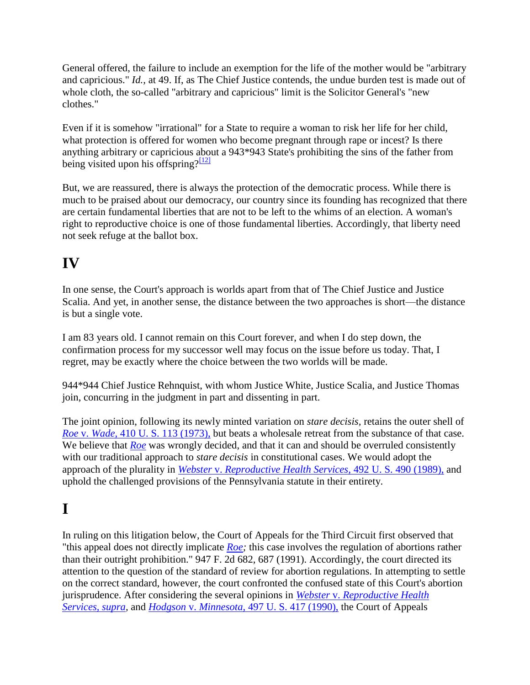General offered, the failure to include an exemption for the life of the mother would be "arbitrary and capricious." *Id.,* at 49. If, as The Chief Justice contends, the undue burden test is made out of whole cloth, the so-called "arbitrary and capricious" limit is the Solicitor General's "new clothes."

Even if it is somehow "irrational" for a State to require a woman to risk her life for her child, what protection is offered for women who become pregnant through rape or incest? Is there anything arbitrary or capricious about a 943\*943 State's prohibiting the sins of the father from being visited upon his offspring? $\frac{12}{2}$ 

But, we are reassured, there is always the protection of the democratic process. While there is much to be praised about our democracy, our country since its founding has recognized that there are certain fundamental liberties that are not to be left to the whims of an election. A woman's right to reproductive choice is one of those fundamental liberties. Accordingly, that liberty need not seek refuge at the ballot box.

## **IV**

In one sense, the Court's approach is worlds apart from that of The Chief Justice and Justice Scalia. And yet, in another sense, the distance between the two approaches is short—the distance is but a single vote.

I am 83 years old. I cannot remain on this Court forever, and when I do step down, the confirmation process for my successor well may focus on the issue before us today. That, I regret, may be exactly where the choice between the two worlds will be made.

944\*944 Chief Justice Rehnquist, with whom Justice White, Justice Scalia, and Justice Thomas join, concurring in the judgment in part and dissenting in part.

The joint opinion, following its newly minted variation on *stare decisis,* retains the outer shell of *Roe* v. *Wade,* [410 U. S. 113 \(1973\),](http://scholar.google.co.in/scholar_case?case=12334123945835207673&q=planned+parenthood+v.+casey&hl=en&as_sdt=2,5&scilh=0) but beats a wholesale retreat from the substance of that case. We believe that *[Roe](http://scholar.google.co.in/scholar_case?case=12334123945835207673&q=planned+parenthood+v.+casey&hl=en&as_sdt=2,5&scilh=0)* was wrongly decided, and that it can and should be overruled consistently with our traditional approach to *stare decisis* in constitutional cases. We would adopt the approach of the plurality in *Webster* v. *[Reproductive Health Services,](http://scholar.google.co.in/scholar_case?case=2944985204861123439&q=planned+parenthood+v.+casey&hl=en&as_sdt=2,5&scilh=0)* 492 U. S. 490 (1989), and uphold the challenged provisions of the Pennsylvania statute in their entirety.

## **I**

In ruling on this litigation below, the Court of Appeals for the Third Circuit first observed that "this appeal does not directly implicate *[Roe;](http://scholar.google.co.in/scholar_case?case=12334123945835207673&q=planned+parenthood+v.+casey&hl=en&as_sdt=2,5&scilh=0)* this case involves the regulation of abortions rather than their outright prohibition." 947 F. 2d 682, 687 (1991). Accordingly, the court directed its attention to the question of the standard of review for abortion regulations. In attempting to settle on the correct standard, however, the court confronted the confused state of this Court's abortion jurisprudence. After considering the several opinions in *Webster* v. *[Reproductive Health](http://scholar.google.co.in/scholar_case?case=2944985204861123439&q=planned+parenthood+v.+casey&hl=en&as_sdt=2,5&scilh=0)  [Services, supra,](http://scholar.google.co.in/scholar_case?case=2944985204861123439&q=planned+parenthood+v.+casey&hl=en&as_sdt=2,5&scilh=0)* and *Hodgson* v. *Minnesota,* [497 U. S. 417 \(1990\),](http://scholar.google.co.in/scholar_case?case=15890213352888117836&q=planned+parenthood+v.+casey&hl=en&as_sdt=2,5&scilh=0) the Court of Appeals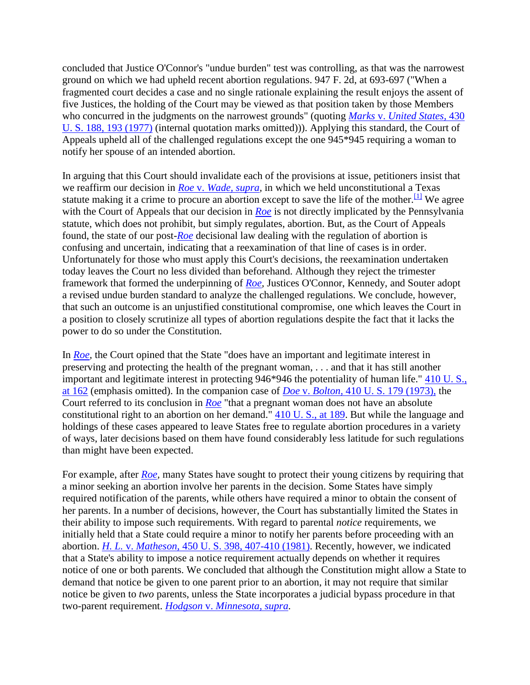concluded that Justice O'Connor's "undue burden" test was controlling, as that was the narrowest ground on which we had upheld recent abortion regulations. 947 F. 2d, at 693-697 ("When a fragmented court decides a case and no single rationale explaining the result enjoys the assent of five Justices, the holding of the Court may be viewed as that position taken by those Members who concurred in the judgments on the narrowest grounds" (quoting *Marks* v. *[United States,](http://scholar.google.co.in/scholar_case?case=12064198172779556411&q=planned+parenthood+v.+casey&hl=en&as_sdt=2,5&scilh=0)* 430 [U. S. 188, 193 \(1977\)](http://scholar.google.co.in/scholar_case?case=12064198172779556411&q=planned+parenthood+v.+casey&hl=en&as_sdt=2,5&scilh=0) (internal quotation marks omitted))). Applying this standard, the Court of Appeals upheld all of the challenged regulations except the one 945\*945 requiring a woman to notify her spouse of an intended abortion.

In arguing that this Court should invalidate each of the provisions at issue, petitioners insist that we reaffirm our decision in *Roe* v. *[Wade, supra,](http://scholar.google.co.in/scholar_case?case=12334123945835207673&q=planned+parenthood+v.+casey&hl=en&as_sdt=2,5&scilh=0)* in which we held unconstitutional a Texas statute making it a crime to procure an abortion except to save the life of the mother.<sup>[\[1\]](http://scholar.google.co.in/scholar_case?q=planned+parenthood+v.+casey&hl=en&as_sdt=2,5&case=6298856056242550994&scilh=0#[23])</sup> We agree with the Court of Appeals that our decision in *[Roe](http://scholar.google.co.in/scholar_case?case=12334123945835207673&q=planned+parenthood+v.+casey&hl=en&as_sdt=2,5&scilh=0)* is not directly implicated by the Pennsylvania statute, which does not prohibit, but simply regulates, abortion. But, as the Court of Appeals found, the state of our post-*[Roe](http://scholar.google.co.in/scholar_case?case=12334123945835207673&q=planned+parenthood+v.+casey&hl=en&as_sdt=2,5&scilh=0)* decisional law dealing with the regulation of abortion is confusing and uncertain, indicating that a reexamination of that line of cases is in order. Unfortunately for those who must apply this Court's decisions, the reexamination undertaken today leaves the Court no less divided than beforehand. Although they reject the trimester framework that formed the underpinning of *[Roe,](http://scholar.google.co.in/scholar_case?case=12334123945835207673&q=planned+parenthood+v.+casey&hl=en&as_sdt=2,5&scilh=0)* Justices O'Connor, Kennedy, and Souter adopt a revised undue burden standard to analyze the challenged regulations. We conclude, however, that such an outcome is an unjustified constitutional compromise, one which leaves the Court in a position to closely scrutinize all types of abortion regulations despite the fact that it lacks the power to do so under the Constitution.

In *Roe*, the Court opined that the State "does have an important and legitimate interest in preserving and protecting the health of the pregnant woman, . . . and that it has still another important and legitimate interest in protecting 946\*946 the potentiality of human life." [410 U. S.,](http://scholar.google.co.in/scholar_case?case=12334123945835207673&q=planned+parenthood+v.+casey&hl=en&as_sdt=2,5&scilh=0)  [at 162](http://scholar.google.co.in/scholar_case?case=12334123945835207673&q=planned+parenthood+v.+casey&hl=en&as_sdt=2,5&scilh=0) (emphasis omitted). In the companion case of *Doe* v. *Bolton,* [410 U. S. 179 \(1973\),](http://scholar.google.co.in/scholar_case?case=11713857759343795310&q=planned+parenthood+v.+casey&hl=en&as_sdt=2,5&scilh=0) the Court referred to its conclusion in *[Roe](http://scholar.google.co.in/scholar_case?case=12334123945835207673&q=planned+parenthood+v.+casey&hl=en&as_sdt=2,5&scilh=0)* "that a pregnant woman does not have an absolute constitutional right to an abortion on her demand." [410 U. S., at 189.](http://scholar.google.co.in/scholar_case?case=11713857759343795310&q=planned+parenthood+v.+casey&hl=en&as_sdt=2,5&scilh=0) But while the language and holdings of these cases appeared to leave States free to regulate abortion procedures in a variety of ways, later decisions based on them have found considerably less latitude for such regulations than might have been expected.

For example, after *[Roe,](http://scholar.google.co.in/scholar_case?case=12334123945835207673&q=planned+parenthood+v.+casey&hl=en&as_sdt=2,5&scilh=0)* many States have sought to protect their young citizens by requiring that a minor seeking an abortion involve her parents in the decision. Some States have simply required notification of the parents, while others have required a minor to obtain the consent of her parents. In a number of decisions, however, the Court has substantially limited the States in their ability to impose such requirements. With regard to parental *notice* requirements, we initially held that a State could require a minor to notify her parents before proceeding with an abortion. *H. L.* v. *Matheson,* [450 U. S. 398, 407-410 \(1981\).](http://scholar.google.co.in/scholar_case?case=10434918817997476102&q=planned+parenthood+v.+casey&hl=en&as_sdt=2,5&scilh=0) Recently, however, we indicated that a State's ability to impose a notice requirement actually depends on whether it requires notice of one or both parents. We concluded that although the Constitution might allow a State to demand that notice be given to one parent prior to an abortion, it may not require that similar notice be given to *two* parents, unless the State incorporates a judicial bypass procedure in that two-parent requirement. *Hodgson* v. *[Minnesota, supra.](http://scholar.google.co.in/scholar_case?case=15890213352888117836&q=planned+parenthood+v.+casey&hl=en&as_sdt=2,5&scilh=0)*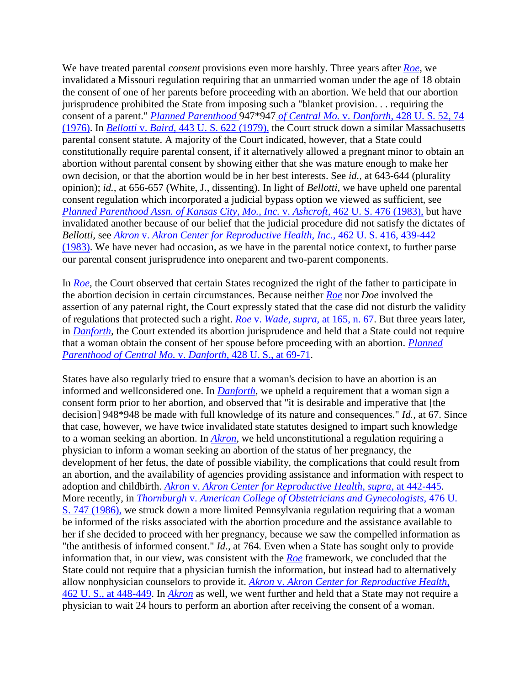We have treated parental *consent* provisions even more harshly. Three years after *[Roe,](http://scholar.google.co.in/scholar_case?case=12334123945835207673&q=planned+parenthood+v.+casey&hl=en&as_sdt=2,5&scilh=0)* we invalidated a Missouri regulation requiring that an unmarried woman under the age of 18 obtain the consent of one of her parents before proceeding with an abortion. We held that our abortion jurisprudence prohibited the State from imposing such a "blanket provision. . . requiring the consent of a parent." *[Planned Parenthood](http://scholar.google.co.in/scholar_case?case=3638004152923873163&q=planned+parenthood+v.+casey&hl=en&as_sdt=2,5&scilh=0)* 947\*947 *of Central Mo.* v. *Danforth,* [428 U. S. 52, 74](http://scholar.google.co.in/scholar_case?case=3638004152923873163&q=planned+parenthood+v.+casey&hl=en&as_sdt=2,5&scilh=0)  [\(1976\).](http://scholar.google.co.in/scholar_case?case=3638004152923873163&q=planned+parenthood+v.+casey&hl=en&as_sdt=2,5&scilh=0) In *Bellotti* v. *Baird,* [443 U. S. 622 \(1979\),](http://scholar.google.co.in/scholar_case?case=13182298442826453955&q=planned+parenthood+v.+casey&hl=en&as_sdt=2,5&scilh=0) the Court struck down a similar Massachusetts parental consent statute. A majority of the Court indicated, however, that a State could constitutionally require parental consent, if it alternatively allowed a pregnant minor to obtain an abortion without parental consent by showing either that she was mature enough to make her own decision, or that the abortion would be in her best interests. See *id.,* at 643-644 (plurality opinion); *id.,* at 656-657 (White, J., dissenting). In light of *Bellotti,* we have upheld one parental consent regulation which incorporated a judicial bypass option we viewed as sufficient, see *[Planned Parenthood Assn. of Kansas City, Mo., Inc.](http://scholar.google.co.in/scholar_case?case=16358226321487983194&q=planned+parenthood+v.+casey&hl=en&as_sdt=2,5&scilh=0)* v. *Ashcroft,* 462 U. S. 476 (1983), but have invalidated another because of our belief that the judicial procedure did not satisfy the dictates of *Bellotti,* see *Akron* v. *[Akron Center for Reproductive Health, Inc.,](http://scholar.google.co.in/scholar_case?case=7944230995323582140&q=planned+parenthood+v.+casey&hl=en&as_sdt=2,5&scilh=0)* 462 U. S. 416, 439-442 [\(1983\).](http://scholar.google.co.in/scholar_case?case=7944230995323582140&q=planned+parenthood+v.+casey&hl=en&as_sdt=2,5&scilh=0) We have never had occasion, as we have in the parental notice context, to further parse our parental consent jurisprudence into oneparent and two-parent components.

In *[Roe,](http://scholar.google.co.in/scholar_case?case=12334123945835207673&q=planned+parenthood+v.+casey&hl=en&as_sdt=2,5&scilh=0)* the Court observed that certain States recognized the right of the father to participate in the abortion decision in certain circumstances. Because neither *[Roe](http://scholar.google.co.in/scholar_case?case=12334123945835207673&q=planned+parenthood+v.+casey&hl=en&as_sdt=2,5&scilh=0)* nor *Doe* involved the assertion of any paternal right, the Court expressly stated that the case did not disturb the validity of regulations that protected such a right. *Roe* v. *[Wade, supra,](http://scholar.google.co.in/scholar_case?case=12334123945835207673&q=planned+parenthood+v.+casey&hl=en&as_sdt=2,5&scilh=0)* at 165, n. 67. But three years later, in *[Danforth,](http://scholar.google.co.in/scholar_case?case=3638004152923873163&q=planned+parenthood+v.+casey&hl=en&as_sdt=2,5&scilh=0)* the Court extended its abortion jurisprudence and held that a State could not require that a woman obtain the consent of her spouse before proceeding with an abortion. *[Planned](http://scholar.google.co.in/scholar_case?case=3638004152923873163&q=planned+parenthood+v.+casey&hl=en&as_sdt=2,5&scilh=0)  [Parenthood of Central Mo.](http://scholar.google.co.in/scholar_case?case=3638004152923873163&q=planned+parenthood+v.+casey&hl=en&as_sdt=2,5&scilh=0)* v. *Danforth,* 428 U. S., at 69-71.

States have also regularly tried to ensure that a woman's decision to have an abortion is an informed and wellconsidered one. In *[Danforth,](http://scholar.google.co.in/scholar_case?case=3638004152923873163&q=planned+parenthood+v.+casey&hl=en&as_sdt=2,5&scilh=0)* we upheld a requirement that a woman sign a consent form prior to her abortion, and observed that "it is desirable and imperative that [the decision] 948\*948 be made with full knowledge of its nature and consequences." *Id.,* at 67. Since that case, however, we have twice invalidated state statutes designed to impart such knowledge to a woman seeking an abortion. In *[Akron,](http://scholar.google.co.in/scholar_case?case=7944230995323582140&q=planned+parenthood+v.+casey&hl=en&as_sdt=2,5&scilh=0)* we held unconstitutional a regulation requiring a physician to inform a woman seeking an abortion of the status of her pregnancy, the development of her fetus, the date of possible viability, the complications that could result from an abortion, and the availability of agencies providing assistance and information with respect to adoption and childbirth. *Akron* v. *[Akron Center for Reproductive Health, supra,](http://scholar.google.co.in/scholar_case?case=7944230995323582140&q=planned+parenthood+v.+casey&hl=en&as_sdt=2,5&scilh=0)* at 442-445. More recently, in *Thornburgh* v. *[American College of Obstetricians and Gynecologists,](http://scholar.google.co.in/scholar_case?case=3420134328076928385&q=planned+parenthood+v.+casey&hl=en&as_sdt=2,5&scilh=0)* 476 U. [S. 747 \(1986\),](http://scholar.google.co.in/scholar_case?case=3420134328076928385&q=planned+parenthood+v.+casey&hl=en&as_sdt=2,5&scilh=0) we struck down a more limited Pennsylvania regulation requiring that a woman be informed of the risks associated with the abortion procedure and the assistance available to her if she decided to proceed with her pregnancy, because we saw the compelled information as "the antithesis of informed consent." *Id.,* at 764. Even when a State has sought only to provide information that, in our view, was consistent with the *[Roe](http://scholar.google.co.in/scholar_case?case=12334123945835207673&q=planned+parenthood+v.+casey&hl=en&as_sdt=2,5&scilh=0)* framework, we concluded that the State could not require that a physician furnish the information, but instead had to alternatively allow nonphysician counselors to provide it. *Akron* v. *[Akron Center for Reproductive Health,](http://scholar.google.co.in/scholar_case?case=7944230995323582140&q=planned+parenthood+v.+casey&hl=en&as_sdt=2,5&scilh=0)* [462 U. S., at 448-449.](http://scholar.google.co.in/scholar_case?case=7944230995323582140&q=planned+parenthood+v.+casey&hl=en&as_sdt=2,5&scilh=0) In *[Akron](http://scholar.google.co.in/scholar_case?case=7944230995323582140&q=planned+parenthood+v.+casey&hl=en&as_sdt=2,5&scilh=0)* as well, we went further and held that a State may not require a physician to wait 24 hours to perform an abortion after receiving the consent of a woman.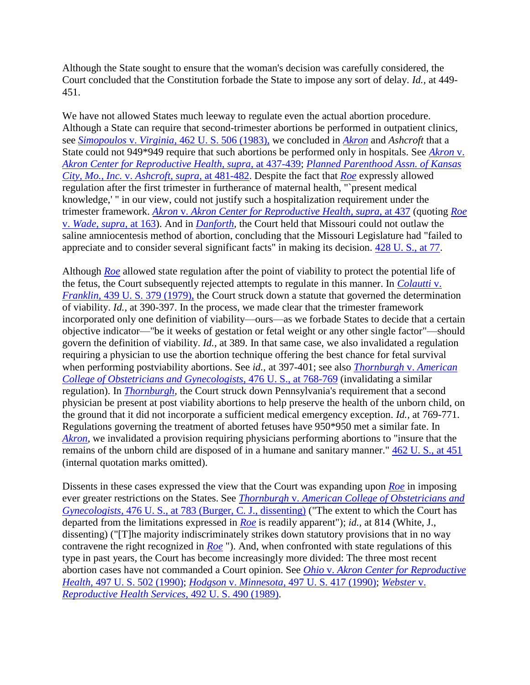Although the State sought to ensure that the woman's decision was carefully considered, the Court concluded that the Constitution forbade the State to impose any sort of delay. *Id.,* at 449- 451.

We have not allowed States much leeway to regulate even the actual abortion procedure. Although a State can require that second-trimester abortions be performed in outpatient clinics, see *Simopoulos* v. *Virginia,* [462 U. S. 506 \(1983\),](http://scholar.google.co.in/scholar_case?case=383681397468331850&q=planned+parenthood+v.+casey&hl=en&as_sdt=2,5&scilh=0) we concluded in *[Akron](http://scholar.google.co.in/scholar_case?case=7944230995323582140&q=planned+parenthood+v.+casey&hl=en&as_sdt=2,5&scilh=0)* and *Ashcroft* that a State could not 949\*949 require that such abortions be performed only in hospitals. See *[Akron](http://scholar.google.co.in/scholar_case?case=7944230995323582140&q=planned+parenthood+v.+casey&hl=en&as_sdt=2,5&scilh=0)* v. *[Akron Center for Reproductive Health, supra,](http://scholar.google.co.in/scholar_case?case=7944230995323582140&q=planned+parenthood+v.+casey&hl=en&as_sdt=2,5&scilh=0)* at 437-439; *[Planned Parenthood Assn. of Kansas](http://scholar.google.co.in/scholar_case?case=16358226321487983194&q=planned+parenthood+v.+casey&hl=en&as_sdt=2,5&scilh=0)  City, Mo., Inc.* v. *[Ashcroft, supra,](http://scholar.google.co.in/scholar_case?case=16358226321487983194&q=planned+parenthood+v.+casey&hl=en&as_sdt=2,5&scilh=0)* at 481-482. Despite the fact that *[Roe](http://scholar.google.co.in/scholar_case?case=12334123945835207673&q=planned+parenthood+v.+casey&hl=en&as_sdt=2,5&scilh=0)* expressly allowed regulation after the first trimester in furtherance of maternal health, "`present medical knowledge,' " in our view, could not justify such a hospitalization requirement under the trimester framework. *Akron* v. *[Akron Center for Reproductive Health, supra,](http://scholar.google.co.in/scholar_case?case=7944230995323582140&q=planned+parenthood+v.+casey&hl=en&as_sdt=2,5&scilh=0)* at 437 (quoting *[Roe](http://scholar.google.co.in/scholar_case?case=12334123945835207673&q=planned+parenthood+v.+casey&hl=en&as_sdt=2,5&scilh=0)* v. *[Wade, supra,](http://scholar.google.co.in/scholar_case?case=12334123945835207673&q=planned+parenthood+v.+casey&hl=en&as_sdt=2,5&scilh=0)* at 163). And in *[Danforth,](http://scholar.google.co.in/scholar_case?case=3638004152923873163&q=planned+parenthood+v.+casey&hl=en&as_sdt=2,5&scilh=0)* the Court held that Missouri could not outlaw the saline amniocentesis method of abortion, concluding that the Missouri Legislature had "failed to appreciate and to consider several significant facts" in making its decision. [428 U. S., at 77.](http://scholar.google.co.in/scholar_case?case=3638004152923873163&q=planned+parenthood+v.+casey&hl=en&as_sdt=2,5&scilh=0)

Although *[Roe](http://scholar.google.co.in/scholar_case?case=12334123945835207673&q=planned+parenthood+v.+casey&hl=en&as_sdt=2,5&scilh=0)* allowed state regulation after the point of viability to protect the potential life of the fetus, the Court subsequently rejected attempts to regulate in this manner. In *[Colautti](http://scholar.google.co.in/scholar_case?case=11995294142285279951&q=planned+parenthood+v.+casey&hl=en&as_sdt=2,5&scilh=0)* v. *Franklin,* [439 U. S. 379 \(1979\),](http://scholar.google.co.in/scholar_case?case=11995294142285279951&q=planned+parenthood+v.+casey&hl=en&as_sdt=2,5&scilh=0) the Court struck down a statute that governed the determination of viability. *Id.,* at 390-397. In the process, we made clear that the trimester framework incorporated only one definition of viability—ours—as we forbade States to decide that a certain objective indicator—"be it weeks of gestation or fetal weight or any other single factor"—should govern the definition of viability. *Id.,* at 389. In that same case, we also invalidated a regulation requiring a physician to use the abortion technique offering the best chance for fetal survival when performing postviability abortions. See *id.,* at 397-401; see also *[Thornburgh](http://scholar.google.co.in/scholar_case?case=3420134328076928385&q=planned+parenthood+v.+casey&hl=en&as_sdt=2,5&scilh=0)* v. *American [College of Obstetricians and Gynecologists,](http://scholar.google.co.in/scholar_case?case=3420134328076928385&q=planned+parenthood+v.+casey&hl=en&as_sdt=2,5&scilh=0)* 476 U. S., at 768-769 (invalidating a similar regulation). In *[Thornburgh,](http://scholar.google.co.in/scholar_case?case=3420134328076928385&q=planned+parenthood+v.+casey&hl=en&as_sdt=2,5&scilh=0)* the Court struck down Pennsylvania's requirement that a second physician be present at post viability abortions to help preserve the health of the unborn child, on the ground that it did not incorporate a sufficient medical emergency exception. *Id.,* at 769-771. Regulations governing the treatment of aborted fetuses have 950\*950 met a similar fate. In *[Akron,](http://scholar.google.co.in/scholar_case?case=7944230995323582140&q=planned+parenthood+v.+casey&hl=en&as_sdt=2,5&scilh=0)* we invalidated a provision requiring physicians performing abortions to "insure that the remains of the unborn child are disposed of in a humane and sanitary manner." [462 U. S., at 451](http://scholar.google.co.in/scholar_case?case=7944230995323582140&q=planned+parenthood+v.+casey&hl=en&as_sdt=2,5&scilh=0) (internal quotation marks omitted).

Dissents in these cases expressed the view that the Court was expanding upon *[Roe](http://scholar.google.co.in/scholar_case?case=12334123945835207673&q=planned+parenthood+v.+casey&hl=en&as_sdt=2,5&scilh=0)* in imposing ever greater restrictions on the States. See *Thornburgh* v. *[American College of Obstetricians and](http://scholar.google.co.in/scholar_case?case=3420134328076928385&q=planned+parenthood+v.+casey&hl=en&as_sdt=2,5&scilh=0)  Gynecologists,* [476 U. S., at 783 \(Burger, C. J., dissenting\)](http://scholar.google.co.in/scholar_case?case=3420134328076928385&q=planned+parenthood+v.+casey&hl=en&as_sdt=2,5&scilh=0) ("The extent to which the Court has departed from the limitations expressed in *[Roe](http://scholar.google.co.in/scholar_case?case=12334123945835207673&q=planned+parenthood+v.+casey&hl=en&as_sdt=2,5&scilh=0)* is readily apparent"); *id.,* at 814 (White, J., dissenting) ("[T]he majority indiscriminately strikes down statutory provisions that in no way contravene the right recognized in *[Roe](http://scholar.google.co.in/scholar_case?case=12334123945835207673&q=planned+parenthood+v.+casey&hl=en&as_sdt=2,5&scilh=0)* "). And, when confronted with state regulations of this type in past years, the Court has become increasingly more divided: The three most recent abortion cases have not commanded a Court opinion. See *Ohio* v. *[Akron Center for Reproductive](http://scholar.google.co.in/scholar_case?case=9736627999207272791&q=planned+parenthood+v.+casey&hl=en&as_sdt=2,5&scilh=0)  Health,* [497 U. S. 502 \(1990\);](http://scholar.google.co.in/scholar_case?case=9736627999207272791&q=planned+parenthood+v.+casey&hl=en&as_sdt=2,5&scilh=0) *Hodgson* v. *Minnesota,* [497 U. S. 417 \(1990\);](http://scholar.google.co.in/scholar_case?case=15890213352888117836&q=planned+parenthood+v.+casey&hl=en&as_sdt=2,5&scilh=0) *[Webster](http://scholar.google.co.in/scholar_case?case=2944985204861123439&q=planned+parenthood+v.+casey&hl=en&as_sdt=2,5&scilh=0)* v. *[Reproductive Health Services,](http://scholar.google.co.in/scholar_case?case=2944985204861123439&q=planned+parenthood+v.+casey&hl=en&as_sdt=2,5&scilh=0)* 492 U. S. 490 (1989).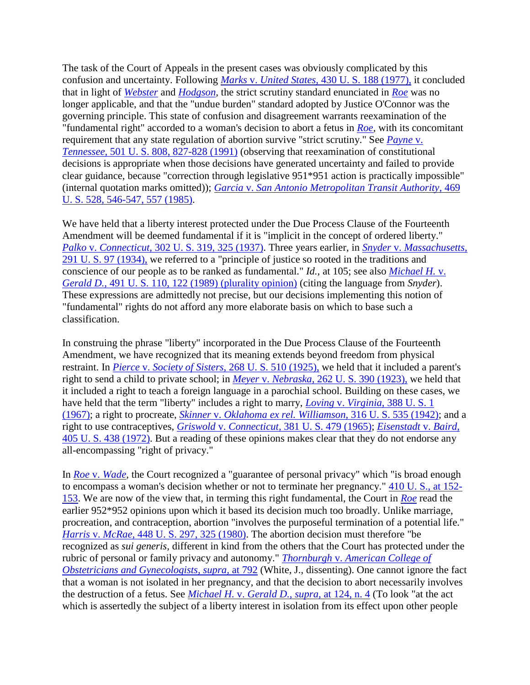The task of the Court of Appeals in the present cases was obviously complicated by this confusion and uncertainty. Following *Marks* v. *United States,* [430 U. S. 188 \(1977\),](http://scholar.google.co.in/scholar_case?case=12064198172779556411&q=planned+parenthood+v.+casey&hl=en&as_sdt=2,5&scilh=0) it concluded that in light of *[Webster](http://scholar.google.co.in/scholar_case?case=2944985204861123439&q=planned+parenthood+v.+casey&hl=en&as_sdt=2,5&scilh=0)* and *[Hodgson,](http://scholar.google.co.in/scholar_case?case=15890213352888117836&q=planned+parenthood+v.+casey&hl=en&as_sdt=2,5&scilh=0)* the strict scrutiny standard enunciated in *[Roe](http://scholar.google.co.in/scholar_case?case=12334123945835207673&q=planned+parenthood+v.+casey&hl=en&as_sdt=2,5&scilh=0)* was no longer applicable, and that the "undue burden" standard adopted by Justice O'Connor was the governing principle. This state of confusion and disagreement warrants reexamination of the "fundamental right" accorded to a woman's decision to abort a fetus in *[Roe,](http://scholar.google.co.in/scholar_case?case=12334123945835207673&q=planned+parenthood+v.+casey&hl=en&as_sdt=2,5&scilh=0)* with its concomitant requirement that any state regulation of abortion survive "strict scrutiny." See *[Payne](http://scholar.google.co.in/scholar_case?case=7795411704028596196&q=planned+parenthood+v.+casey&hl=en&as_sdt=2,5&scilh=0)* v. *Tennessee,* [501 U. S. 808, 827-828 \(1991\)](http://scholar.google.co.in/scholar_case?case=7795411704028596196&q=planned+parenthood+v.+casey&hl=en&as_sdt=2,5&scilh=0) (observing that reexamination of constitutional decisions is appropriate when those decisions have generated uncertainty and failed to provide clear guidance, because "correction through legislative 951\*951 action is practically impossible" (internal quotation marks omitted)); *Garcia* v. *[San Antonio Metropolitan Transit Authority,](http://scholar.google.co.in/scholar_case?case=14324093602590092926&q=planned+parenthood+v.+casey&hl=en&as_sdt=2,5&scilh=0)* 469 [U. S. 528, 546-547, 557 \(1985\).](http://scholar.google.co.in/scholar_case?case=14324093602590092926&q=planned+parenthood+v.+casey&hl=en&as_sdt=2,5&scilh=0)

We have held that a liberty interest protected under the Due Process Clause of the Fourteenth Amendment will be deemed fundamental if it is "implicit in the concept of ordered liberty." *Palko* v. *Connecticut,* [302 U. S. 319, 325 \(1937\).](http://scholar.google.co.in/scholar_case?case=12321164045846135407&q=planned+parenthood+v.+casey&hl=en&as_sdt=2,5&scilh=0) Three years earlier, in *Snyder* v. *[Massachusetts,](http://scholar.google.co.in/scholar_case?case=14042303494446893345&q=planned+parenthood+v.+casey&hl=en&as_sdt=2,5&scilh=0)* [291 U. S. 97 \(1934\),](http://scholar.google.co.in/scholar_case?case=14042303494446893345&q=planned+parenthood+v.+casey&hl=en&as_sdt=2,5&scilh=0) we referred to a "principle of justice so rooted in the traditions and conscience of our people as to be ranked as fundamental." *Id.,* at 105; see also *[Michael H.](http://scholar.google.co.in/scholar_case?case=18282912377125168373&q=planned+parenthood+v.+casey&hl=en&as_sdt=2,5&scilh=0)* v. *Gerald D.,* [491 U. S. 110, 122 \(1989\) \(plurality opinion\)](http://scholar.google.co.in/scholar_case?case=18282912377125168373&q=planned+parenthood+v.+casey&hl=en&as_sdt=2,5&scilh=0) (citing the language from *Snyder*). These expressions are admittedly not precise, but our decisions implementing this notion of "fundamental" rights do not afford any more elaborate basis on which to base such a classification.

In construing the phrase "liberty" incorporated in the Due Process Clause of the Fourteenth Amendment, we have recognized that its meaning extends beyond freedom from physical restraint. In *Pierce* v. *Society of Sisters,* [268 U. S. 510 \(1925\),](http://scholar.google.co.in/scholar_case?case=6094501649208458004&q=planned+parenthood+v.+casey&hl=en&as_sdt=2,5&scilh=0) we held that it included a parent's right to send a child to private school; in *Meyer* v. *Nebraska,* [262 U. S. 390 \(1923\),](http://scholar.google.co.in/scholar_case?case=16175793893966768030&q=planned+parenthood+v.+casey&hl=en&as_sdt=2,5&scilh=0) we held that it included a right to teach a foreign language in a parochial school. Building on these cases, we have held that the term "liberty" includes a right to marry, *Loving* v. *Virginia,* [388 U. S. 1](http://scholar.google.co.in/scholar_case?case=5103666188878568597&q=planned+parenthood+v.+casey&hl=en&as_sdt=2,5&scilh=0)  [\(1967\);](http://scholar.google.co.in/scholar_case?case=5103666188878568597&q=planned+parenthood+v.+casey&hl=en&as_sdt=2,5&scilh=0) a right to procreate, *Skinner* v. *[Oklahoma ex rel. Williamson,](http://scholar.google.co.in/scholar_case?case=8050731321644873759&q=planned+parenthood+v.+casey&hl=en&as_sdt=2,5&scilh=0)* 316 U. S. 535 (1942); and a right to use contraceptives, *Griswold* v. *Connecticut,* [381 U. S. 479 \(1965\);](http://scholar.google.co.in/scholar_case?case=12276922145000050979&q=planned+parenthood+v.+casey&hl=en&as_sdt=2,5&scilh=0) *[Eisenstadt](http://scholar.google.co.in/scholar_case?case=14131534241682283357&q=planned+parenthood+v.+casey&hl=en&as_sdt=2,5&scilh=0)* v. *Baird,* [405 U. S. 438 \(1972\).](http://scholar.google.co.in/scholar_case?case=14131534241682283357&q=planned+parenthood+v.+casey&hl=en&as_sdt=2,5&scilh=0) But a reading of these opinions makes clear that they do not endorse any all-encompassing "right of privacy."

In *Roe* v. *[Wade,](http://scholar.google.co.in/scholar_case?case=12334123945835207673&q=planned+parenthood+v.+casey&hl=en&as_sdt=2,5&scilh=0)* the Court recognized a "guarantee of personal privacy" which "is broad enough to encompass a woman's decision whether or not to terminate her pregnancy." [410 U. S., at 152-](http://scholar.google.co.in/scholar_case?case=12334123945835207673&q=planned+parenthood+v.+casey&hl=en&as_sdt=2,5&scilh=0) [153.](http://scholar.google.co.in/scholar_case?case=12334123945835207673&q=planned+parenthood+v.+casey&hl=en&as_sdt=2,5&scilh=0) We are now of the view that, in terming this right fundamental, the Court in *[Roe](http://scholar.google.co.in/scholar_case?case=12334123945835207673&q=planned+parenthood+v.+casey&hl=en&as_sdt=2,5&scilh=0)* read the earlier 952\*952 opinions upon which it based its decision much too broadly. Unlike marriage, procreation, and contraception, abortion "involves the purposeful termination of a potential life." *Harris* v. *McRae,* [448 U. S. 297, 325 \(1980\).](http://scholar.google.co.in/scholar_case?case=8833310949486291357&q=planned+parenthood+v.+casey&hl=en&as_sdt=2,5&scilh=0) The abortion decision must therefore "be recognized as *sui generis,* different in kind from the others that the Court has protected under the rubric of personal or family privacy and autonomy." *Thornburgh* v. *[American College of](http://scholar.google.co.in/scholar_case?case=3420134328076928385&q=planned+parenthood+v.+casey&hl=en&as_sdt=2,5&scilh=0)  [Obstetricians and Gynecologists, supra,](http://scholar.google.co.in/scholar_case?case=3420134328076928385&q=planned+parenthood+v.+casey&hl=en&as_sdt=2,5&scilh=0)* at 792 (White, J., dissenting). One cannot ignore the fact that a woman is not isolated in her pregnancy, and that the decision to abort necessarily involves the destruction of a fetus. See *Michael H.* v. *[Gerald D., supra,](http://scholar.google.co.in/scholar_case?case=18282912377125168373&q=planned+parenthood+v.+casey&hl=en&as_sdt=2,5&scilh=0)* at 124, n. 4 (To look "at the act which is assertedly the subject of a liberty interest in isolation from its effect upon other people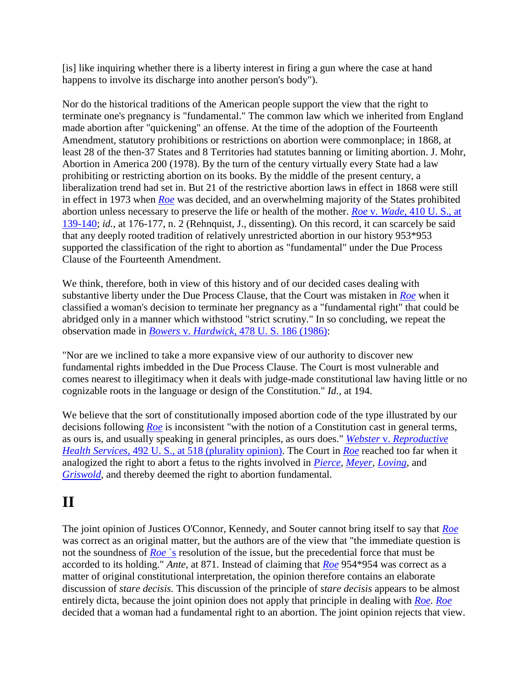[is] like inquiring whether there is a liberty interest in firing a gun where the case at hand happens to involve its discharge into another person's body").

Nor do the historical traditions of the American people support the view that the right to terminate one's pregnancy is "fundamental." The common law which we inherited from England made abortion after "quickening" an offense. At the time of the adoption of the Fourteenth Amendment, statutory prohibitions or restrictions on abortion were commonplace; in 1868, at least 28 of the then-37 States and 8 Territories had statutes banning or limiting abortion. J. Mohr, Abortion in America 200 (1978). By the turn of the century virtually every State had a law prohibiting or restricting abortion on its books. By the middle of the present century, a liberalization trend had set in. But 21 of the restrictive abortion laws in effect in 1868 were still in effect in 1973 when *[Roe](http://scholar.google.co.in/scholar_case?case=12334123945835207673&q=planned+parenthood+v.+casey&hl=en&as_sdt=2,5&scilh=0)* was decided, and an overwhelming majority of the States prohibited abortion unless necessary to preserve the life or health of the mother. *Roe* v. *Wade,* [410 U. S., at](http://scholar.google.co.in/scholar_case?case=12334123945835207673&q=planned+parenthood+v.+casey&hl=en&as_sdt=2,5&scilh=0)  [139-140;](http://scholar.google.co.in/scholar_case?case=12334123945835207673&q=planned+parenthood+v.+casey&hl=en&as_sdt=2,5&scilh=0) *id.,* at 176-177, n. 2 (Rehnquist, J., dissenting). On this record, it can scarcely be said that any deeply rooted tradition of relatively unrestricted abortion in our history 953\*953 supported the classification of the right to abortion as "fundamental" under the Due Process Clause of the Fourteenth Amendment.

We think, therefore, both in view of this history and of our decided cases dealing with substantive liberty under the Due Process Clause, that the Court was mistaken in *[Roe](http://scholar.google.co.in/scholar_case?case=12334123945835207673&q=planned+parenthood+v.+casey&hl=en&as_sdt=2,5&scilh=0)* when it classified a woman's decision to terminate her pregnancy as a "fundamental right" that could be abridged only in a manner which withstood "strict scrutiny." In so concluding, we repeat the observation made in *Bowers* v. *Hardwick,* [478 U. S. 186 \(1986\):](http://scholar.google.co.in/scholar_case?case=14901730125647575103&q=planned+parenthood+v.+casey&hl=en&as_sdt=2,5&scilh=0)

"Nor are we inclined to take a more expansive view of our authority to discover new fundamental rights imbedded in the Due Process Clause. The Court is most vulnerable and comes nearest to illegitimacy when it deals with judge-made constitutional law having little or no cognizable roots in the language or design of the Constitution." *Id.,* at 194.

We believe that the sort of constitutionally imposed abortion code of the type illustrated by our decisions following *[Roe](http://scholar.google.co.in/scholar_case?case=12334123945835207673&q=planned+parenthood+v.+casey&hl=en&as_sdt=2,5&scilh=0)* is inconsistent "with the notion of a Constitution cast in general terms, as ours is, and usually speaking in general principles, as ours does." *Webster* v. *[Reproductive](http://scholar.google.co.in/scholar_case?case=2944985204861123439&q=planned+parenthood+v.+casey&hl=en&as_sdt=2,5&scilh=0)  Health Services,* [492 U. S., at 518 \(plurality opinion\).](http://scholar.google.co.in/scholar_case?case=2944985204861123439&q=planned+parenthood+v.+casey&hl=en&as_sdt=2,5&scilh=0) The Court in *[Roe](http://scholar.google.co.in/scholar_case?case=12334123945835207673&q=planned+parenthood+v.+casey&hl=en&as_sdt=2,5&scilh=0)* reached too far when it analogized the right to abort a fetus to the rights involved in *[Pierce,](http://scholar.google.co.in/scholar_case?case=6094501649208458004&q=planned+parenthood+v.+casey&hl=en&as_sdt=2,5&scilh=0) [Meyer,](http://scholar.google.co.in/scholar_case?case=16175793893966768030&q=planned+parenthood+v.+casey&hl=en&as_sdt=2,5&scilh=0) [Loving,](http://scholar.google.co.in/scholar_case?case=5103666188878568597&q=planned+parenthood+v.+casey&hl=en&as_sdt=2,5&scilh=0)* and *[Griswold,](http://scholar.google.co.in/scholar_case?case=12276922145000050979&q=planned+parenthood+v.+casey&hl=en&as_sdt=2,5&scilh=0)* and thereby deemed the right to abortion fundamental.

## **II**

The joint opinion of Justices O'Connor, Kennedy, and Souter cannot bring itself to say that *[Roe](http://scholar.google.co.in/scholar_case?case=12334123945835207673&q=planned+parenthood+v.+casey&hl=en&as_sdt=2,5&scilh=0)* was correct as an original matter, but the authors are of the view that "the immediate question is not the soundness of *[Roe](http://scholar.google.co.in/scholar_case?case=12334123945835207673&q=planned+parenthood+v.+casey&hl=en&as_sdt=2,5&scilh=0)* `s resolution of the issue, but the precedential force that must be accorded to its holding." *Ante,* at 871. Instead of claiming that *[Roe](http://scholar.google.co.in/scholar_case?case=12334123945835207673&q=planned+parenthood+v.+casey&hl=en&as_sdt=2,5&scilh=0)* 954\*954 was correct as a matter of original constitutional interpretation, the opinion therefore contains an elaborate discussion of *stare decisis.* This discussion of the principle of *stare decisis* appears to be almost entirely dicta, because the joint opinion does not apply that principle in dealing with *[Roe. Roe](http://scholar.google.co.in/scholar_case?case=12334123945835207673&q=planned+parenthood+v.+casey&hl=en&as_sdt=2,5&scilh=0)* decided that a woman had a fundamental right to an abortion. The joint opinion rejects that view.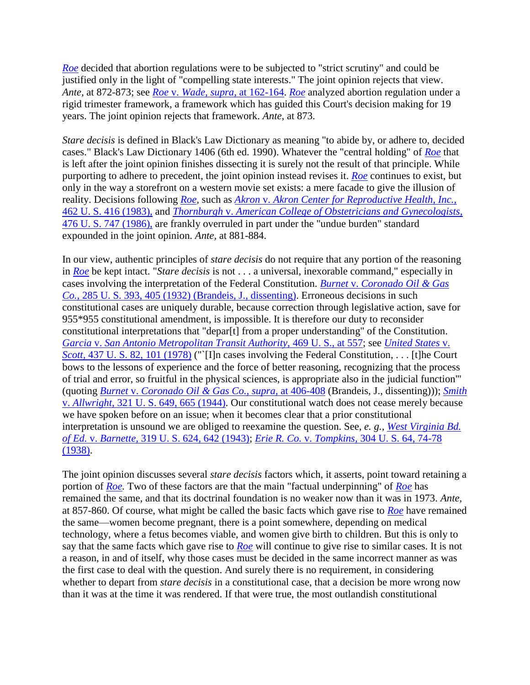*[Roe](http://scholar.google.co.in/scholar_case?case=12334123945835207673&q=planned+parenthood+v.+casey&hl=en&as_sdt=2,5&scilh=0)* decided that abortion regulations were to be subjected to "strict scrutiny" and could be justified only in the light of "compelling state interests." The joint opinion rejects that view. *Ante,* at 872-873; see *Roe* v. *[Wade, supra,](http://scholar.google.co.in/scholar_case?case=12334123945835207673&q=planned+parenthood+v.+casey&hl=en&as_sdt=2,5&scilh=0)* at 162-164. *[Roe](http://scholar.google.co.in/scholar_case?case=12334123945835207673&q=planned+parenthood+v.+casey&hl=en&as_sdt=2,5&scilh=0)* analyzed abortion regulation under a rigid trimester framework, a framework which has guided this Court's decision making for 19 years. The joint opinion rejects that framework. *Ante,* at 873.

*Stare decisis* is defined in Black's Law Dictionary as meaning "to abide by, or adhere to, decided cases." Black's Law Dictionary 1406 (6th ed. 1990). Whatever the "central holding" of *[Roe](http://scholar.google.co.in/scholar_case?case=12334123945835207673&q=planned+parenthood+v.+casey&hl=en&as_sdt=2,5&scilh=0)* that is left after the joint opinion finishes dissecting it is surely not the result of that principle. While purporting to adhere to precedent, the joint opinion instead revises it. *[Roe](http://scholar.google.co.in/scholar_case?case=12334123945835207673&q=planned+parenthood+v.+casey&hl=en&as_sdt=2,5&scilh=0)* continues to exist, but only in the way a storefront on a western movie set exists: a mere facade to give the illusion of reality. Decisions following *[Roe,](http://scholar.google.co.in/scholar_case?case=12334123945835207673&q=planned+parenthood+v.+casey&hl=en&as_sdt=2,5&scilh=0)* such as *Akron* v. *[Akron Center for Reproductive Health, Inc.,](http://scholar.google.co.in/scholar_case?case=7944230995323582140&q=planned+parenthood+v.+casey&hl=en&as_sdt=2,5&scilh=0)* [462 U. S. 416 \(1983\),](http://scholar.google.co.in/scholar_case?case=7944230995323582140&q=planned+parenthood+v.+casey&hl=en&as_sdt=2,5&scilh=0) and *Thornburgh* v. *[American College of Obstetricians and Gynecologists,](http://scholar.google.co.in/scholar_case?case=3420134328076928385&q=planned+parenthood+v.+casey&hl=en&as_sdt=2,5&scilh=0)* [476 U. S. 747 \(1986\),](http://scholar.google.co.in/scholar_case?case=3420134328076928385&q=planned+parenthood+v.+casey&hl=en&as_sdt=2,5&scilh=0) are frankly overruled in part under the "undue burden" standard expounded in the joint opinion. *Ante,* at 881-884.

In our view, authentic principles of *stare decisis* do not require that any portion of the reasoning in *[Roe](http://scholar.google.co.in/scholar_case?case=12334123945835207673&q=planned+parenthood+v.+casey&hl=en&as_sdt=2,5&scilh=0)* be kept intact. "*Stare decisis* is not . . . a universal, inexorable command," especially in cases involving the interpretation of the Federal Constitution. *Burnet* v. *[Coronado Oil & Gas](http://scholar.google.co.in/scholar_case?case=6732469902141375873&q=planned+parenthood+v.+casey&hl=en&as_sdt=2,5&scilh=0)  Co.,* [285 U. S. 393, 405 \(1932\) \(Brandeis, J., dissenting\).](http://scholar.google.co.in/scholar_case?case=6732469902141375873&q=planned+parenthood+v.+casey&hl=en&as_sdt=2,5&scilh=0) Erroneous decisions in such constitutional cases are uniquely durable, because correction through legislative action, save for 955\*955 constitutional amendment, is impossible. It is therefore our duty to reconsider constitutional interpretations that "depar[t] from a proper understanding" of the Constitution. *Garcia* v. *[San Antonio Metropolitan Transit Authority,](http://scholar.google.co.in/scholar_case?case=14324093602590092926&q=planned+parenthood+v.+casey&hl=en&as_sdt=2,5&scilh=0)* 469 U. S., at 557; see *[United States](http://scholar.google.co.in/scholar_case?case=2790712085792076051&q=planned+parenthood+v.+casey&hl=en&as_sdt=2,5&scilh=0)* v. *Scott,* [437 U. S. 82, 101 \(1978\)](http://scholar.google.co.in/scholar_case?case=2790712085792076051&q=planned+parenthood+v.+casey&hl=en&as_sdt=2,5&scilh=0) ("`[I]n cases involving the Federal Constitution, . . . [t]he Court bows to the lessons of experience and the force of better reasoning, recognizing that the process of trial and error, so fruitful in the physical sciences, is appropriate also in the judicial function'" (quoting *Burnet* v. *[Coronado Oil & Gas Co., supra,](http://scholar.google.co.in/scholar_case?case=6732469902141375873&q=planned+parenthood+v.+casey&hl=en&as_sdt=2,5&scilh=0)* at 406-408 (Brandeis, J., dissenting))); *[Smith](http://scholar.google.co.in/scholar_case?case=17077042024381294936&q=planned+parenthood+v.+casey&hl=en&as_sdt=2,5&scilh=0)* v. *Allwright,* [321 U. S. 649, 665 \(1944\).](http://scholar.google.co.in/scholar_case?case=17077042024381294936&q=planned+parenthood+v.+casey&hl=en&as_sdt=2,5&scilh=0) Our constitutional watch does not cease merely because we have spoken before on an issue; when it becomes clear that a prior constitutional interpretation is unsound we are obliged to reexamine the question. See, *e. g., [West Virginia Bd.](http://scholar.google.co.in/scholar_case?case=8030119134463419441&q=planned+parenthood+v.+casey&hl=en&as_sdt=2,5&scilh=0)  of Ed.* v. *Barnette,* [319 U. S. 624, 642 \(1943\);](http://scholar.google.co.in/scholar_case?case=8030119134463419441&q=planned+parenthood+v.+casey&hl=en&as_sdt=2,5&scilh=0) *Erie R. Co.* v. *Tompkins,* [304 U. S. 64, 74-78](http://scholar.google.co.in/scholar_case?case=4671607337309792720&q=planned+parenthood+v.+casey&hl=en&as_sdt=2,5&scilh=0)  [\(1938\).](http://scholar.google.co.in/scholar_case?case=4671607337309792720&q=planned+parenthood+v.+casey&hl=en&as_sdt=2,5&scilh=0)

The joint opinion discusses several *stare decisis* factors which, it asserts, point toward retaining a portion of *[Roe.](http://scholar.google.co.in/scholar_case?case=12334123945835207673&q=planned+parenthood+v.+casey&hl=en&as_sdt=2,5&scilh=0)* Two of these factors are that the main "factual underpinning" of *[Roe](http://scholar.google.co.in/scholar_case?case=12334123945835207673&q=planned+parenthood+v.+casey&hl=en&as_sdt=2,5&scilh=0)* has remained the same, and that its doctrinal foundation is no weaker now than it was in 1973. *Ante,* at 857-860. Of course, what might be called the basic facts which gave rise to *[Roe](http://scholar.google.co.in/scholar_case?case=12334123945835207673&q=planned+parenthood+v.+casey&hl=en&as_sdt=2,5&scilh=0)* have remained the same—women become pregnant, there is a point somewhere, depending on medical technology, where a fetus becomes viable, and women give birth to children. But this is only to say that the same facts which gave rise to *[Roe](http://scholar.google.co.in/scholar_case?case=12334123945835207673&q=planned+parenthood+v.+casey&hl=en&as_sdt=2,5&scilh=0)* will continue to give rise to similar cases. It is not a reason, in and of itself, why those cases must be decided in the same incorrect manner as was the first case to deal with the question. And surely there is no requirement, in considering whether to depart from *stare decisis* in a constitutional case, that a decision be more wrong now than it was at the time it was rendered. If that were true, the most outlandish constitutional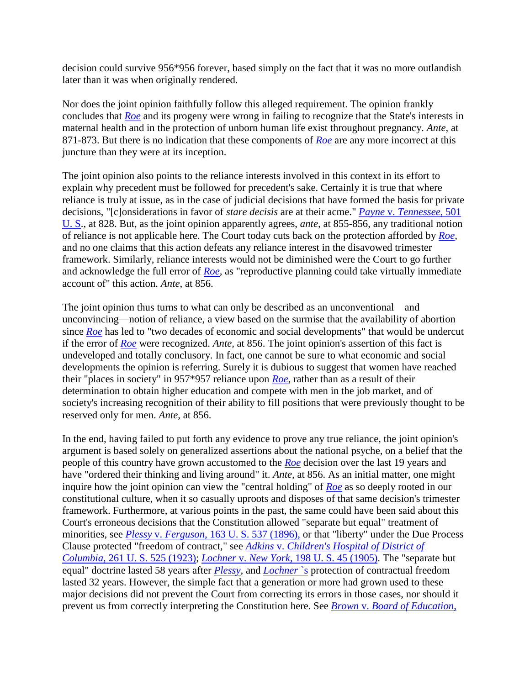decision could survive 956\*956 forever, based simply on the fact that it was no more outlandish later than it was when originally rendered.

Nor does the joint opinion faithfully follow this alleged requirement. The opinion frankly concludes that *[Roe](http://scholar.google.co.in/scholar_case?case=12334123945835207673&q=planned+parenthood+v.+casey&hl=en&as_sdt=2,5&scilh=0)* and its progeny were wrong in failing to recognize that the State's interests in maternal health and in the protection of unborn human life exist throughout pregnancy. *Ante,* at 871-873. But there is no indication that these components of *[Roe](http://scholar.google.co.in/scholar_case?case=12334123945835207673&q=planned+parenthood+v.+casey&hl=en&as_sdt=2,5&scilh=0)* are any more incorrect at this juncture than they were at its inception.

The joint opinion also points to the reliance interests involved in this context in its effort to explain why precedent must be followed for precedent's sake. Certainly it is true that where reliance is truly at issue, as in the case of judicial decisions that have formed the basis for private decisions, "[c]onsiderations in favor of *stare decisis* are at their acme." *Payne* v. *[Tennessee,](http://scholar.google.co.in/scholar_case?case=7795411704028596196&q=planned+parenthood+v.+casey&hl=en&as_sdt=2,5&scilh=0)* 501 [U. S.](http://scholar.google.co.in/scholar_case?case=7795411704028596196&q=planned+parenthood+v.+casey&hl=en&as_sdt=2,5&scilh=0), at 828. But, as the joint opinion apparently agrees, *ante,* at 855-856, any traditional notion of reliance is not applicable here. The Court today cuts back on the protection afforded by *[Roe,](http://scholar.google.co.in/scholar_case?case=12334123945835207673&q=planned+parenthood+v.+casey&hl=en&as_sdt=2,5&scilh=0)* and no one claims that this action defeats any reliance interest in the disavowed trimester framework. Similarly, reliance interests would not be diminished were the Court to go further and acknowledge the full error of *[Roe,](http://scholar.google.co.in/scholar_case?case=12334123945835207673&q=planned+parenthood+v.+casey&hl=en&as_sdt=2,5&scilh=0)* as "reproductive planning could take virtually immediate account of" this action. *Ante,* at 856.

The joint opinion thus turns to what can only be described as an unconventional—and unconvincing—notion of reliance, a view based on the surmise that the availability of abortion since *[Roe](http://scholar.google.co.in/scholar_case?case=12334123945835207673&q=planned+parenthood+v.+casey&hl=en&as_sdt=2,5&scilh=0)* has led to "two decades of economic and social developments" that would be undercut if the error of *[Roe](http://scholar.google.co.in/scholar_case?case=12334123945835207673&q=planned+parenthood+v.+casey&hl=en&as_sdt=2,5&scilh=0)* were recognized. *Ante,* at 856. The joint opinion's assertion of this fact is undeveloped and totally conclusory. In fact, one cannot be sure to what economic and social developments the opinion is referring. Surely it is dubious to suggest that women have reached their "places in society" in 957\*957 reliance upon *[Roe,](http://scholar.google.co.in/scholar_case?case=12334123945835207673&q=planned+parenthood+v.+casey&hl=en&as_sdt=2,5&scilh=0)* rather than as a result of their determination to obtain higher education and compete with men in the job market, and of society's increasing recognition of their ability to fill positions that were previously thought to be reserved only for men. *Ante,* at 856.

In the end, having failed to put forth any evidence to prove any true reliance, the joint opinion's argument is based solely on generalized assertions about the national psyche, on a belief that the people of this country have grown accustomed to the *[Roe](http://scholar.google.co.in/scholar_case?case=12334123945835207673&q=planned+parenthood+v.+casey&hl=en&as_sdt=2,5&scilh=0)* decision over the last 19 years and have "ordered their thinking and living around" it. *Ante,* at 856. As an initial matter, one might inquire how the joint opinion can view the "central holding" of *[Roe](http://scholar.google.co.in/scholar_case?case=12334123945835207673&q=planned+parenthood+v.+casey&hl=en&as_sdt=2,5&scilh=0)* as so deeply rooted in our constitutional culture, when it so casually uproots and disposes of that same decision's trimester framework. Furthermore, at various points in the past, the same could have been said about this Court's erroneous decisions that the Constitution allowed "separate but equal" treatment of minorities, see *Plessy* v. *Ferguson,* [163 U. S. 537 \(1896\),](http://scholar.google.co.in/scholar_case?case=16038751515555215717&q=planned+parenthood+v.+casey&hl=en&as_sdt=2,5&scilh=0) or that "liberty" under the Due Process Clause protected "freedom of contract," see *Adkins* v. *[Children's Hospital of District of](http://scholar.google.co.in/scholar_case?case=17221682896309679546&q=planned+parenthood+v.+casey&hl=en&as_sdt=2,5&scilh=0)  Columbia,* [261 U. S. 525 \(1923\);](http://scholar.google.co.in/scholar_case?case=17221682896309679546&q=planned+parenthood+v.+casey&hl=en&as_sdt=2,5&scilh=0) *Lochner* v. *New York,* [198 U. S. 45 \(1905\).](http://scholar.google.co.in/scholar_case?case=10760991087928264675&q=planned+parenthood+v.+casey&hl=en&as_sdt=2,5&scilh=0) The "separate but equal" doctrine lasted 58 years after *[Plessy,](http://scholar.google.co.in/scholar_case?case=16038751515555215717&q=planned+parenthood+v.+casey&hl=en&as_sdt=2,5&scilh=0)* and *[Lochner](http://scholar.google.co.in/scholar_case?case=10760991087928264675&q=planned+parenthood+v.+casey&hl=en&as_sdt=2,5&scilh=0)* `s protection of contractual freedom lasted 32 years. However, the simple fact that a generation or more had grown used to these major decisions did not prevent the Court from correcting its errors in those cases, nor should it prevent us from correctly interpreting the Constitution here. See *Brown* v. *[Board of Education,](http://scholar.google.co.in/scholar_case?case=12120372216939101759&q=planned+parenthood+v.+casey&hl=en&as_sdt=2,5&scilh=0)*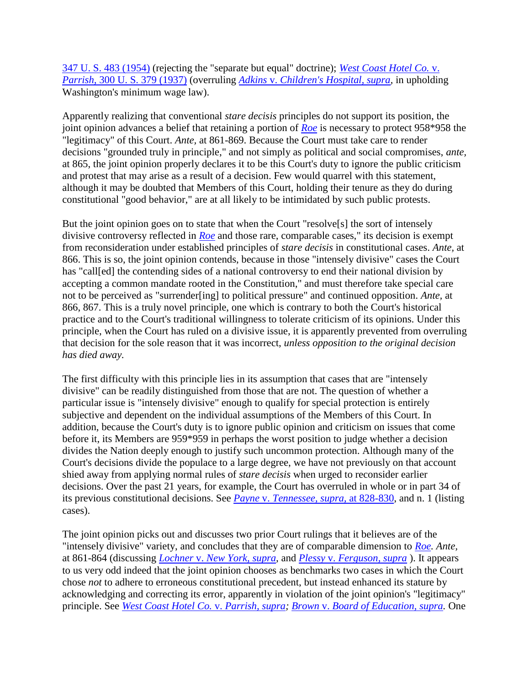347 U. S. 483 (1954) (rejecting the "separate but equal" doctrine); *[West Coast Hotel Co.](http://scholar.google.co.in/scholar_case?case=3438251361651586340&q=planned+parenthood+v.+casey&hl=en&as_sdt=2,5&scilh=0)* v. *Parrish,* [300 U. S. 379 \(1937\)](http://scholar.google.co.in/scholar_case?case=3438251361651586340&q=planned+parenthood+v.+casey&hl=en&as_sdt=2,5&scilh=0) (overruling *Adkins* v. *[Children's Hospital, supra,](http://scholar.google.co.in/scholar_case?case=17221682896309679546&q=planned+parenthood+v.+casey&hl=en&as_sdt=2,5&scilh=0)* in upholding Washington's minimum wage law).

Apparently realizing that conventional *stare decisis* principles do not support its position, the joint opinion advances a belief that retaining a portion of *[Roe](http://scholar.google.co.in/scholar_case?case=12334123945835207673&q=planned+parenthood+v.+casey&hl=en&as_sdt=2,5&scilh=0)* is necessary to protect 958\*958 the "legitimacy" of this Court. *Ante,* at 861-869. Because the Court must take care to render decisions "grounded truly in principle," and not simply as political and social compromises, *ante,* at 865, the joint opinion properly declares it to be this Court's duty to ignore the public criticism and protest that may arise as a result of a decision. Few would quarrel with this statement, although it may be doubted that Members of this Court, holding their tenure as they do during constitutional "good behavior," are at all likely to be intimidated by such public protests.

But the joint opinion goes on to state that when the Court "resolve[s] the sort of intensely divisive controversy reflected in *[Roe](http://scholar.google.co.in/scholar_case?case=12334123945835207673&q=planned+parenthood+v.+casey&hl=en&as_sdt=2,5&scilh=0)* and those rare, comparable cases," its decision is exempt from reconsideration under established principles of *stare decisis* in constitutional cases. *Ante,* at 866. This is so, the joint opinion contends, because in those "intensely divisive" cases the Court has "call[ed] the contending sides of a national controversy to end their national division by accepting a common mandate rooted in the Constitution," and must therefore take special care not to be perceived as "surrender[ing] to political pressure" and continued opposition. *Ante,* at 866, 867. This is a truly novel principle, one which is contrary to both the Court's historical practice and to the Court's traditional willingness to tolerate criticism of its opinions. Under this principle, when the Court has ruled on a divisive issue, it is apparently prevented from overruling that decision for the sole reason that it was incorrect, *unless opposition to the original decision has died away.*

The first difficulty with this principle lies in its assumption that cases that are "intensely divisive" can be readily distinguished from those that are not. The question of whether a particular issue is "intensely divisive" enough to qualify for special protection is entirely subjective and dependent on the individual assumptions of the Members of this Court. In addition, because the Court's duty is to ignore public opinion and criticism on issues that come before it, its Members are 959\*959 in perhaps the worst position to judge whether a decision divides the Nation deeply enough to justify such uncommon protection. Although many of the Court's decisions divide the populace to a large degree, we have not previously on that account shied away from applying normal rules of *stare decisis* when urged to reconsider earlier decisions. Over the past 21 years, for example, the Court has overruled in whole or in part 34 of its previous constitutional decisions. See *Payne* v. *[Tennessee, supra,](http://scholar.google.co.in/scholar_case?case=7795411704028596196&q=planned+parenthood+v.+casey&hl=en&as_sdt=2,5&scilh=0)* at 828-830, and n. 1 (listing cases).

The joint opinion picks out and discusses two prior Court rulings that it believes are of the "intensely divisive" variety, and concludes that they are of comparable dimension to *[Roe.](http://scholar.google.co.in/scholar_case?case=12334123945835207673&q=planned+parenthood+v.+casey&hl=en&as_sdt=2,5&scilh=0) Ante,* at 861-864 (discussing *Lochner* v. *[New York, supra,](http://scholar.google.co.in/scholar_case?case=10760991087928264675&q=planned+parenthood+v.+casey&hl=en&as_sdt=2,5&scilh=0)* and *Plessy* v. *[Ferguson, supra](http://scholar.google.co.in/scholar_case?case=16038751515555215717&q=planned+parenthood+v.+casey&hl=en&as_sdt=2,5&scilh=0)* ). It appears to us very odd indeed that the joint opinion chooses as benchmarks two cases in which the Court chose *not* to adhere to erroneous constitutional precedent, but instead enhanced its stature by acknowledging and correcting its error, apparently in violation of the joint opinion's "legitimacy" principle. See *[West Coast Hotel Co.](http://scholar.google.co.in/scholar_case?case=3438251361651586340&q=planned+parenthood+v.+casey&hl=en&as_sdt=2,5&scilh=0)* v. *Parrish, supra; Brown* v. *[Board of Education, supra.](http://scholar.google.co.in/scholar_case?case=12120372216939101759&q=planned+parenthood+v.+casey&hl=en&as_sdt=2,5&scilh=0)* One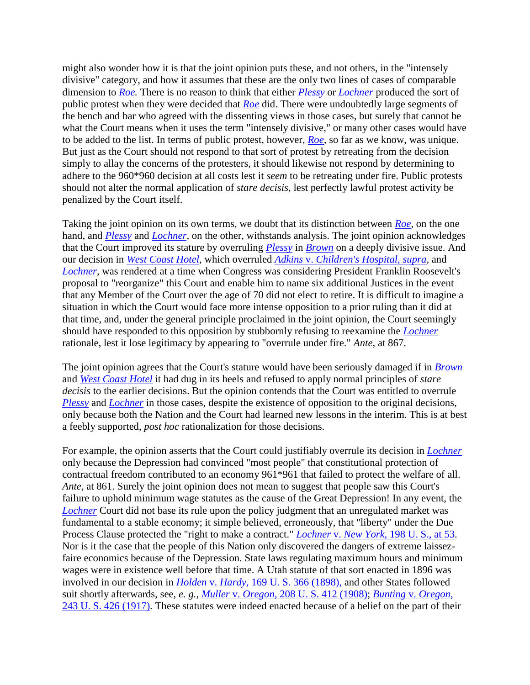might also wonder how it is that the joint opinion puts these, and not others, in the "intensely divisive" category, and how it assumes that these are the only two lines of cases of comparable dimension to *[Roe.](http://scholar.google.co.in/scholar_case?case=12334123945835207673&q=planned+parenthood+v.+casey&hl=en&as_sdt=2,5&scilh=0)* There is no reason to think that either *[Plessy](http://scholar.google.co.in/scholar_case?case=16038751515555215717&q=planned+parenthood+v.+casey&hl=en&as_sdt=2,5&scilh=0)* or *[Lochner](http://scholar.google.co.in/scholar_case?case=10760991087928264675&q=planned+parenthood+v.+casey&hl=en&as_sdt=2,5&scilh=0)* produced the sort of public protest when they were decided that *[Roe](http://scholar.google.co.in/scholar_case?case=12334123945835207673&q=planned+parenthood+v.+casey&hl=en&as_sdt=2,5&scilh=0)* did. There were undoubtedly large segments of the bench and bar who agreed with the dissenting views in those cases, but surely that cannot be what the Court means when it uses the term "intensely divisive," or many other cases would have to be added to the list. In terms of public protest, however, *[Roe,](http://scholar.google.co.in/scholar_case?case=12334123945835207673&q=planned+parenthood+v.+casey&hl=en&as_sdt=2,5&scilh=0)* so far as we know, was unique. But just as the Court should not respond to that sort of protest by retreating from the decision simply to allay the concerns of the protesters, it should likewise not respond by determining to adhere to the 960\*960 decision at all costs lest it *seem* to be retreating under fire. Public protests should not alter the normal application of *stare decisis,* lest perfectly lawful protest activity be penalized by the Court itself.

Taking the joint opinion on its own terms, we doubt that its distinction between *[Roe,](http://scholar.google.co.in/scholar_case?case=12334123945835207673&q=planned+parenthood+v.+casey&hl=en&as_sdt=2,5&scilh=0)* on the one hand, and *[Plessy](http://scholar.google.co.in/scholar_case?case=16038751515555215717&q=planned+parenthood+v.+casey&hl=en&as_sdt=2,5&scilh=0)* and *[Lochner,](http://scholar.google.co.in/scholar_case?case=10760991087928264675&q=planned+parenthood+v.+casey&hl=en&as_sdt=2,5&scilh=0)* on the other, withstands analysis. The joint opinion acknowledges that the Court improved its stature by overruling *[Plessy](http://scholar.google.co.in/scholar_case?case=16038751515555215717&q=planned+parenthood+v.+casey&hl=en&as_sdt=2,5&scilh=0)* in *[Brown](http://scholar.google.co.in/scholar_case?case=12120372216939101759&q=planned+parenthood+v.+casey&hl=en&as_sdt=2,5&scilh=0)* on a deeply divisive issue. And our decision in *[West Coast Hotel,](http://scholar.google.co.in/scholar_case?case=3438251361651586340&q=planned+parenthood+v.+casey&hl=en&as_sdt=2,5&scilh=0)* which overruled *Adkins* v. *[Children's Hospital, supra,](http://scholar.google.co.in/scholar_case?case=17221682896309679546&q=planned+parenthood+v.+casey&hl=en&as_sdt=2,5&scilh=0)* and *[Lochner,](http://scholar.google.co.in/scholar_case?case=10760991087928264675&q=planned+parenthood+v.+casey&hl=en&as_sdt=2,5&scilh=0)* was rendered at a time when Congress was considering President Franklin Roosevelt's proposal to "reorganize" this Court and enable him to name six additional Justices in the event that any Member of the Court over the age of 70 did not elect to retire. It is difficult to imagine a situation in which the Court would face more intense opposition to a prior ruling than it did at that time, and, under the general principle proclaimed in the joint opinion, the Court seemingly should have responded to this opposition by stubbornly refusing to reexamine the *[Lochner](http://scholar.google.co.in/scholar_case?case=10760991087928264675&q=planned+parenthood+v.+casey&hl=en&as_sdt=2,5&scilh=0)* rationale, lest it lose legitimacy by appearing to "overrule under fire." *Ante,* at 867.

The joint opinion agrees that the Court's stature would have been seriously damaged if in *[Brown](http://scholar.google.co.in/scholar_case?case=12120372216939101759&q=planned+parenthood+v.+casey&hl=en&as_sdt=2,5&scilh=0)* and *[West Coast Hotel](http://scholar.google.co.in/scholar_case?case=3438251361651586340&q=planned+parenthood+v.+casey&hl=en&as_sdt=2,5&scilh=0)* it had dug in its heels and refused to apply normal principles of *stare decisis* to the earlier decisions. But the opinion contends that the Court was entitled to overrule *[Plessy](http://scholar.google.co.in/scholar_case?case=16038751515555215717&q=planned+parenthood+v.+casey&hl=en&as_sdt=2,5&scilh=0)* and *[Lochner](http://scholar.google.co.in/scholar_case?case=10760991087928264675&q=planned+parenthood+v.+casey&hl=en&as_sdt=2,5&scilh=0)* in those cases, despite the existence of opposition to the original decisions, only because both the Nation and the Court had learned new lessons in the interim. This is at best a feebly supported, *post hoc* rationalization for those decisions.

For example, the opinion asserts that the Court could justifiably overrule its decision in *[Lochner](http://scholar.google.co.in/scholar_case?case=10760991087928264675&q=planned+parenthood+v.+casey&hl=en&as_sdt=2,5&scilh=0)* only because the Depression had convinced "most people" that constitutional protection of contractual freedom contributed to an economy 961\*961 that failed to protect the welfare of all. *Ante,* at 861. Surely the joint opinion does not mean to suggest that people saw this Court's failure to uphold minimum wage statutes as the cause of the Great Depression! In any event, the *[Lochner](http://scholar.google.co.in/scholar_case?case=10760991087928264675&q=planned+parenthood+v.+casey&hl=en&as_sdt=2,5&scilh=0)* Court did not base its rule upon the policy judgment that an unregulated market was fundamental to a stable economy; it simple believed, erroneously, that "liberty" under the Due Process Clause protected the "right to make a contract." *Lochner* v. *New York,* [198 U. S., at 53.](http://scholar.google.co.in/scholar_case?case=10760991087928264675&q=planned+parenthood+v.+casey&hl=en&as_sdt=2,5&scilh=0) Nor is it the case that the people of this Nation only discovered the dangers of extreme laissezfaire economics because of the Depression. State laws regulating maximum hours and minimum wages were in existence well before that time. A Utah statute of that sort enacted in 1896 was involved in our decision in *Holden* v. *Hardy,* [169 U. S. 366 \(1898\),](http://scholar.google.co.in/scholar_case?case=9364557144853995256&q=planned+parenthood+v.+casey&hl=en&as_sdt=2,5&scilh=0) and other States followed suit shortly afterwards, see, *e. g., Muller* v. *Oregon,* [208 U. S. 412 \(1908\);](http://scholar.google.co.in/scholar_case?case=3938894951846236275&q=planned+parenthood+v.+casey&hl=en&as_sdt=2,5&scilh=0) *Bunting* v. *[Oregon,](http://scholar.google.co.in/scholar_case?case=14477224757823031737&q=planned+parenthood+v.+casey&hl=en&as_sdt=2,5&scilh=0)* [243 U. S. 426 \(1917\).](http://scholar.google.co.in/scholar_case?case=14477224757823031737&q=planned+parenthood+v.+casey&hl=en&as_sdt=2,5&scilh=0) These statutes were indeed enacted because of a belief on the part of their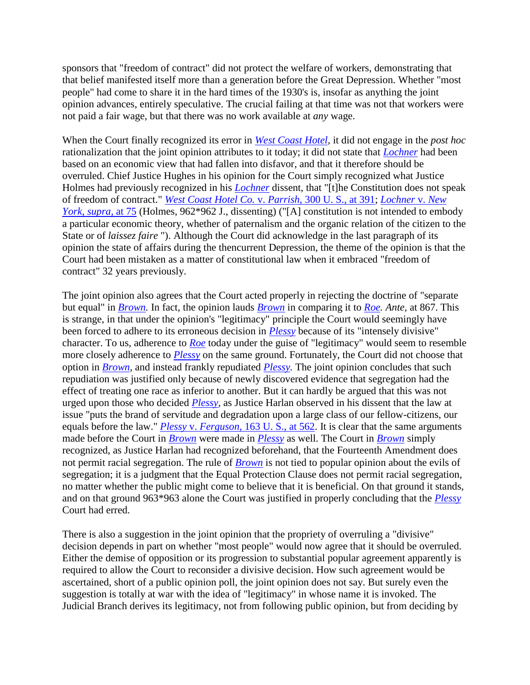sponsors that "freedom of contract" did not protect the welfare of workers, demonstrating that that belief manifested itself more than a generation before the Great Depression. Whether "most people" had come to share it in the hard times of the 1930's is, insofar as anything the joint opinion advances, entirely speculative. The crucial failing at that time was not that workers were not paid a fair wage, but that there was no work available at *any* wage.

When the Court finally recognized its error in *[West Coast Hotel,](http://scholar.google.co.in/scholar_case?case=3438251361651586340&q=planned+parenthood+v.+casey&hl=en&as_sdt=2,5&scilh=0)* it did not engage in the *post hoc* rationalization that the joint opinion attributes to it today; it did not state that *[Lochner](http://scholar.google.co.in/scholar_case?case=10760991087928264675&q=planned+parenthood+v.+casey&hl=en&as_sdt=2,5&scilh=0)* had been based on an economic view that had fallen into disfavor, and that it therefore should be overruled. Chief Justice Hughes in his opinion for the Court simply recognized what Justice Holmes had previously recognized in his *[Lochner](http://scholar.google.co.in/scholar_case?case=10760991087928264675&q=planned+parenthood+v.+casey&hl=en&as_sdt=2,5&scilh=0)* dissent, that "[t]he Constitution does not speak of freedom of contract." *[West Coast Hotel Co.](http://scholar.google.co.in/scholar_case?case=3438251361651586340&q=planned+parenthood+v.+casey&hl=en&as_sdt=2,5&scilh=0)* v. *Parrish,* 300 U. S., at 391; *[Lochner](http://scholar.google.co.in/scholar_case?case=10760991087928264675&q=planned+parenthood+v.+casey&hl=en&as_sdt=2,5&scilh=0)* v. *New [York, supra,](http://scholar.google.co.in/scholar_case?case=10760991087928264675&q=planned+parenthood+v.+casey&hl=en&as_sdt=2,5&scilh=0)* at 75 (Holmes, 962\*962 J., dissenting) ("[A] constitution is not intended to embody a particular economic theory, whether of paternalism and the organic relation of the citizen to the State or of *laissez faire* "). Although the Court did acknowledge in the last paragraph of its opinion the state of affairs during the thencurrent Depression, the theme of the opinion is that the Court had been mistaken as a matter of constitutional law when it embraced "freedom of contract" 32 years previously.

The joint opinion also agrees that the Court acted properly in rejecting the doctrine of "separate but equal" in *[Brown.](http://scholar.google.co.in/scholar_case?case=12120372216939101759&q=planned+parenthood+v.+casey&hl=en&as_sdt=2,5&scilh=0)* In fact, the opinion lauds *[Brown](http://scholar.google.co.in/scholar_case?case=12120372216939101759&q=planned+parenthood+v.+casey&hl=en&as_sdt=2,5&scilh=0)* in comparing it to *[Roe.](http://scholar.google.co.in/scholar_case?case=12334123945835207673&q=planned+parenthood+v.+casey&hl=en&as_sdt=2,5&scilh=0) Ante,* at 867. This is strange, in that under the opinion's "legitimacy" principle the Court would seemingly have been forced to adhere to its erroneous decision in *[Plessy](http://scholar.google.co.in/scholar_case?case=16038751515555215717&q=planned+parenthood+v.+casey&hl=en&as_sdt=2,5&scilh=0)* because of its "intensely divisive" character. To us, adherence to *[Roe](http://scholar.google.co.in/scholar_case?case=12334123945835207673&q=planned+parenthood+v.+casey&hl=en&as_sdt=2,5&scilh=0)* today under the guise of "legitimacy" would seem to resemble more closely adherence to *[Plessy](http://scholar.google.co.in/scholar_case?case=16038751515555215717&q=planned+parenthood+v.+casey&hl=en&as_sdt=2,5&scilh=0)* on the same ground. Fortunately, the Court did not choose that option in *[Brown,](http://scholar.google.co.in/scholar_case?case=12120372216939101759&q=planned+parenthood+v.+casey&hl=en&as_sdt=2,5&scilh=0)* and instead frankly repudiated *[Plessy.](http://scholar.google.co.in/scholar_case?case=16038751515555215717&q=planned+parenthood+v.+casey&hl=en&as_sdt=2,5&scilh=0)* The joint opinion concludes that such repudiation was justified only because of newly discovered evidence that segregation had the effect of treating one race as inferior to another. But it can hardly be argued that this was not urged upon those who decided *[Plessy,](http://scholar.google.co.in/scholar_case?case=16038751515555215717&q=planned+parenthood+v.+casey&hl=en&as_sdt=2,5&scilh=0)* as Justice Harlan observed in his dissent that the law at issue "puts the brand of servitude and degradation upon a large class of our fellow-citizens, our equals before the law." *Plessy* v. *Ferguson,* [163 U. S., at 562.](http://scholar.google.co.in/scholar_case?case=16038751515555215717&q=planned+parenthood+v.+casey&hl=en&as_sdt=2,5&scilh=0) It is clear that the same arguments made before the Court in *[Brown](http://scholar.google.co.in/scholar_case?case=12120372216939101759&q=planned+parenthood+v.+casey&hl=en&as_sdt=2,5&scilh=0)* were made in *[Plessy](http://scholar.google.co.in/scholar_case?case=16038751515555215717&q=planned+parenthood+v.+casey&hl=en&as_sdt=2,5&scilh=0)* as well. The Court in *[Brown](http://scholar.google.co.in/scholar_case?case=12120372216939101759&q=planned+parenthood+v.+casey&hl=en&as_sdt=2,5&scilh=0)* simply recognized, as Justice Harlan had recognized beforehand, that the Fourteenth Amendment does not permit racial segregation. The rule of *[Brown](http://scholar.google.co.in/scholar_case?case=12120372216939101759&q=planned+parenthood+v.+casey&hl=en&as_sdt=2,5&scilh=0)* is not tied to popular opinion about the evils of segregation; it is a judgment that the Equal Protection Clause does not permit racial segregation, no matter whether the public might come to believe that it is beneficial. On that ground it stands, and on that ground 963\*963 alone the Court was justified in properly concluding that the *[Plessy](http://scholar.google.co.in/scholar_case?case=16038751515555215717&q=planned+parenthood+v.+casey&hl=en&as_sdt=2,5&scilh=0)* Court had erred.

There is also a suggestion in the joint opinion that the propriety of overruling a "divisive" decision depends in part on whether "most people" would now agree that it should be overruled. Either the demise of opposition or its progression to substantial popular agreement apparently is required to allow the Court to reconsider a divisive decision. How such agreement would be ascertained, short of a public opinion poll, the joint opinion does not say. But surely even the suggestion is totally at war with the idea of "legitimacy" in whose name it is invoked. The Judicial Branch derives its legitimacy, not from following public opinion, but from deciding by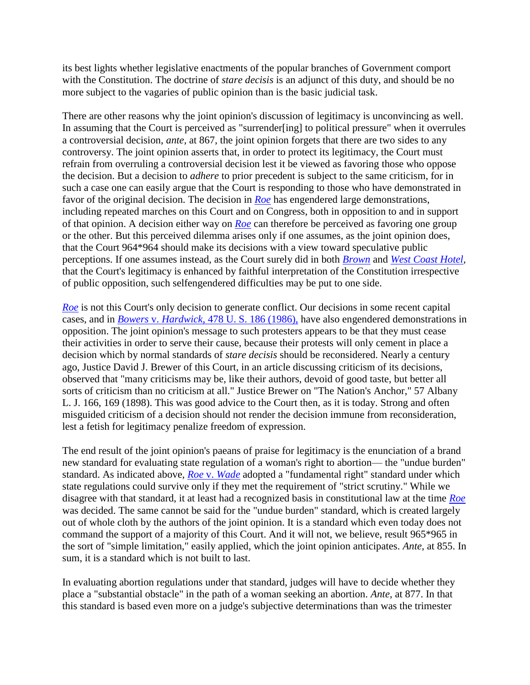its best lights whether legislative enactments of the popular branches of Government comport with the Constitution. The doctrine of *stare decisis* is an adjunct of this duty, and should be no more subject to the vagaries of public opinion than is the basic judicial task.

There are other reasons why the joint opinion's discussion of legitimacy is unconvincing as well. In assuming that the Court is perceived as "surrender[ing] to political pressure" when it overrules a controversial decision, *ante,* at 867, the joint opinion forgets that there are two sides to any controversy. The joint opinion asserts that, in order to protect its legitimacy, the Court must refrain from overruling a controversial decision lest it be viewed as favoring those who oppose the decision. But a decision to *adhere* to prior precedent is subject to the same criticism, for in such a case one can easily argue that the Court is responding to those who have demonstrated in favor of the original decision. The decision in *[Roe](http://scholar.google.co.in/scholar_case?case=12334123945835207673&q=planned+parenthood+v.+casey&hl=en&as_sdt=2,5&scilh=0)* has engendered large demonstrations, including repeated marches on this Court and on Congress, both in opposition to and in support of that opinion. A decision either way on *[Roe](http://scholar.google.co.in/scholar_case?case=12334123945835207673&q=planned+parenthood+v.+casey&hl=en&as_sdt=2,5&scilh=0)* can therefore be perceived as favoring one group or the other. But this perceived dilemma arises only if one assumes, as the joint opinion does, that the Court 964\*964 should make its decisions with a view toward speculative public perceptions. If one assumes instead, as the Court surely did in both *[Brown](http://scholar.google.co.in/scholar_case?case=12120372216939101759&q=planned+parenthood+v.+casey&hl=en&as_sdt=2,5&scilh=0)* and *[West Coast Hotel,](http://scholar.google.co.in/scholar_case?case=3438251361651586340&q=planned+parenthood+v.+casey&hl=en&as_sdt=2,5&scilh=0)* that the Court's legitimacy is enhanced by faithful interpretation of the Constitution irrespective of public opposition, such selfengendered difficulties may be put to one side.

*[Roe](http://scholar.google.co.in/scholar_case?case=12334123945835207673&q=planned+parenthood+v.+casey&hl=en&as_sdt=2,5&scilh=0)* is not this Court's only decision to generate conflict. Our decisions in some recent capital cases, and in *Bowers* v. *Hardwick,* [478 U. S. 186 \(1986\),](http://scholar.google.co.in/scholar_case?case=14901730125647575103&q=planned+parenthood+v.+casey&hl=en&as_sdt=2,5&scilh=0) have also engendered demonstrations in opposition. The joint opinion's message to such protesters appears to be that they must cease their activities in order to serve their cause, because their protests will only cement in place a decision which by normal standards of *stare decisis* should be reconsidered. Nearly a century ago, Justice David J. Brewer of this Court, in an article discussing criticism of its decisions, observed that "many criticisms may be, like their authors, devoid of good taste, but better all sorts of criticism than no criticism at all." Justice Brewer on "The Nation's Anchor," 57 Albany L. J. 166, 169 (1898). This was good advice to the Court then, as it is today. Strong and often misguided criticism of a decision should not render the decision immune from reconsideration, lest a fetish for legitimacy penalize freedom of expression.

The end result of the joint opinion's paeans of praise for legitimacy is the enunciation of a brand new standard for evaluating state regulation of a woman's right to abortion— the "undue burden" standard. As indicated above, *Roe* v. *[Wade](http://scholar.google.co.in/scholar_case?case=12334123945835207673&q=planned+parenthood+v.+casey&hl=en&as_sdt=2,5&scilh=0)* adopted a "fundamental right" standard under which state regulations could survive only if they met the requirement of "strict scrutiny." While we disagree with that standard, it at least had a recognized basis in constitutional law at the time *[Roe](http://scholar.google.co.in/scholar_case?case=12334123945835207673&q=planned+parenthood+v.+casey&hl=en&as_sdt=2,5&scilh=0)* was decided. The same cannot be said for the "undue burden" standard, which is created largely out of whole cloth by the authors of the joint opinion. It is a standard which even today does not command the support of a majority of this Court. And it will not, we believe, result 965\*965 in the sort of "simple limitation," easily applied, which the joint opinion anticipates. *Ante,* at 855. In sum, it is a standard which is not built to last.

In evaluating abortion regulations under that standard, judges will have to decide whether they place a "substantial obstacle" in the path of a woman seeking an abortion. *Ante,* at 877. In that this standard is based even more on a judge's subjective determinations than was the trimester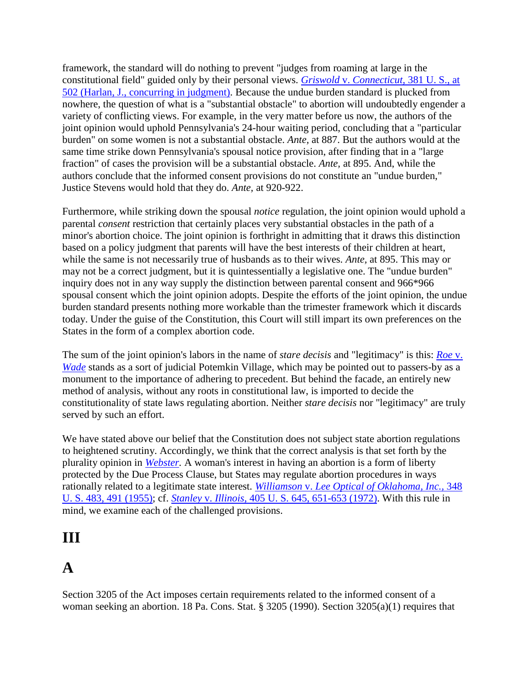framework, the standard will do nothing to prevent "judges from roaming at large in the constitutional field" guided only by their personal views. *Griswold* v. *Connecticut,* [381 U. S., at](http://scholar.google.co.in/scholar_case?case=12276922145000050979&q=planned+parenthood+v.+casey&hl=en&as_sdt=2,5&scilh=0)  [502 \(Harlan, J., concurring in judgment\).](http://scholar.google.co.in/scholar_case?case=12276922145000050979&q=planned+parenthood+v.+casey&hl=en&as_sdt=2,5&scilh=0) Because the undue burden standard is plucked from nowhere, the question of what is a "substantial obstacle" to abortion will undoubtedly engender a variety of conflicting views. For example, in the very matter before us now, the authors of the joint opinion would uphold Pennsylvania's 24-hour waiting period, concluding that a "particular burden" on some women is not a substantial obstacle. *Ante,* at 887. But the authors would at the same time strike down Pennsylvania's spousal notice provision, after finding that in a "large fraction" of cases the provision will be a substantial obstacle. *Ante,* at 895. And, while the authors conclude that the informed consent provisions do not constitute an "undue burden," Justice Stevens would hold that they do. *Ante,* at 920-922.

Furthermore, while striking down the spousal *notice* regulation, the joint opinion would uphold a parental *consent* restriction that certainly places very substantial obstacles in the path of a minor's abortion choice. The joint opinion is forthright in admitting that it draws this distinction based on a policy judgment that parents will have the best interests of their children at heart, while the same is not necessarily true of husbands as to their wives. *Ante,* at 895. This may or may not be a correct judgment, but it is quintessentially a legislative one. The "undue burden" inquiry does not in any way supply the distinction between parental consent and 966\*966 spousal consent which the joint opinion adopts. Despite the efforts of the joint opinion, the undue burden standard presents nothing more workable than the trimester framework which it discards today. Under the guise of the Constitution, this Court will still impart its own preferences on the States in the form of a complex abortion code.

The sum of the joint opinion's labors in the name of *stare decisis* and "legitimacy" is this: *[Roe](http://scholar.google.co.in/scholar_case?case=12334123945835207673&q=planned+parenthood+v.+casey&hl=en&as_sdt=2,5&scilh=0)* v. *[Wade](http://scholar.google.co.in/scholar_case?case=12334123945835207673&q=planned+parenthood+v.+casey&hl=en&as_sdt=2,5&scilh=0)* stands as a sort of judicial Potemkin Village, which may be pointed out to passers-by as a monument to the importance of adhering to precedent. But behind the facade, an entirely new method of analysis, without any roots in constitutional law, is imported to decide the constitutionality of state laws regulating abortion. Neither *stare decisis* nor "legitimacy" are truly served by such an effort.

We have stated above our belief that the Constitution does not subject state abortion regulations to heightened scrutiny. Accordingly, we think that the correct analysis is that set forth by the plurality opinion in *[Webster.](http://scholar.google.co.in/scholar_case?case=2944985204861123439&q=planned+parenthood+v.+casey&hl=en&as_sdt=2,5&scilh=0)* A woman's interest in having an abortion is a form of liberty protected by the Due Process Clause, but States may regulate abortion procedures in ways rationally related to a legitimate state interest. *Williamson* v. *[Lee Optical of Oklahoma, Inc.,](http://scholar.google.co.in/scholar_case?case=17779134010247423421&q=planned+parenthood+v.+casey&hl=en&as_sdt=2,5&scilh=0)* 348 [U. S. 483, 491 \(1955\);](http://scholar.google.co.in/scholar_case?case=17779134010247423421&q=planned+parenthood+v.+casey&hl=en&as_sdt=2,5&scilh=0) cf. *Stanley* v. *Illinois,* [405 U. S. 645, 651-653 \(1972\).](http://scholar.google.co.in/scholar_case?case=1426145273543650930&q=planned+parenthood+v.+casey&hl=en&as_sdt=2,5&scilh=0) With this rule in mind, we examine each of the challenged provisions.

## **III**

## **A**

Section 3205 of the Act imposes certain requirements related to the informed consent of a woman seeking an abortion. 18 Pa. Cons. Stat. § 3205 (1990). Section 3205(a)(1) requires that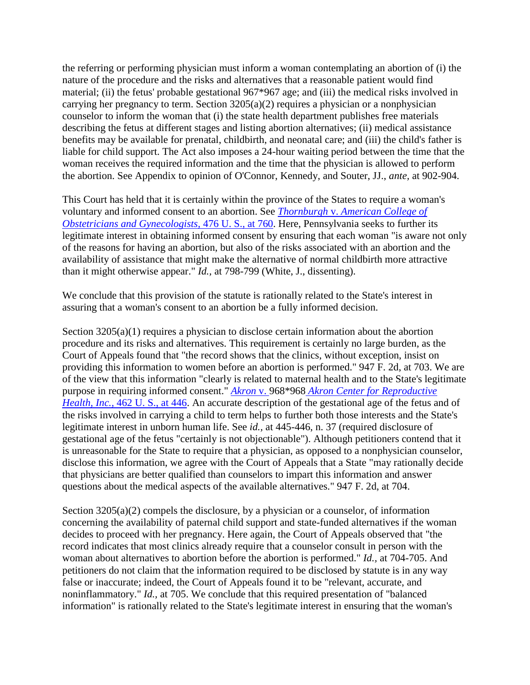the referring or performing physician must inform a woman contemplating an abortion of (i) the nature of the procedure and the risks and alternatives that a reasonable patient would find material; (ii) the fetus' probable gestational 967\*967 age; and (iii) the medical risks involved in carrying her pregnancy to term. Section 3205(a)(2) requires a physician or a nonphysician counselor to inform the woman that (i) the state health department publishes free materials describing the fetus at different stages and listing abortion alternatives; (ii) medical assistance benefits may be available for prenatal, childbirth, and neonatal care; and (iii) the child's father is liable for child support. The Act also imposes a 24-hour waiting period between the time that the woman receives the required information and the time that the physician is allowed to perform the abortion. See Appendix to opinion of O'Connor, Kennedy, and Souter, JJ., *ante,* at 902-904.

This Court has held that it is certainly within the province of the States to require a woman's voluntary and informed consent to an abortion. See *Thornburgh* v. *[American College of](http://scholar.google.co.in/scholar_case?case=3420134328076928385&q=planned+parenthood+v.+casey&hl=en&as_sdt=2,5&scilh=0)  [Obstetricians and Gynecologists,](http://scholar.google.co.in/scholar_case?case=3420134328076928385&q=planned+parenthood+v.+casey&hl=en&as_sdt=2,5&scilh=0)* 476 U. S., at 760. Here, Pennsylvania seeks to further its legitimate interest in obtaining informed consent by ensuring that each woman "is aware not only of the reasons for having an abortion, but also of the risks associated with an abortion and the availability of assistance that might make the alternative of normal childbirth more attractive than it might otherwise appear." *Id.,* at 798-799 (White, J., dissenting).

We conclude that this provision of the statute is rationally related to the State's interest in assuring that a woman's consent to an abortion be a fully informed decision.

Section  $3205(a)(1)$  requires a physician to disclose certain information about the abortion procedure and its risks and alternatives. This requirement is certainly no large burden, as the Court of Appeals found that "the record shows that the clinics, without exception, insist on providing this information to women before an abortion is performed." 947 F. 2d, at 703. We are of the view that this information "clearly is related to maternal health and to the State's legitimate purpose in requiring informed consent." *[Akron](http://scholar.google.co.in/scholar_case?case=7944230995323582140&q=planned+parenthood+v.+casey&hl=en&as_sdt=2,5&scilh=0)* v. 968\*968 *[Akron Center for Reproductive](http://scholar.google.co.in/scholar_case?case=7944230995323582140&q=planned+parenthood+v.+casey&hl=en&as_sdt=2,5&scilh=0)  Health, Inc.,* [462 U. S., at 446.](http://scholar.google.co.in/scholar_case?case=7944230995323582140&q=planned+parenthood+v.+casey&hl=en&as_sdt=2,5&scilh=0) An accurate description of the gestational age of the fetus and of the risks involved in carrying a child to term helps to further both those interests and the State's legitimate interest in unborn human life. See *id.,* at 445-446, n. 37 (required disclosure of gestational age of the fetus "certainly is not objectionable"). Although petitioners contend that it is unreasonable for the State to require that a physician, as opposed to a nonphysician counselor, disclose this information, we agree with the Court of Appeals that a State "may rationally decide that physicians are better qualified than counselors to impart this information and answer questions about the medical aspects of the available alternatives." 947 F. 2d, at 704.

Section 3205(a)(2) compels the disclosure, by a physician or a counselor, of information concerning the availability of paternal child support and state-funded alternatives if the woman decides to proceed with her pregnancy. Here again, the Court of Appeals observed that "the record indicates that most clinics already require that a counselor consult in person with the woman about alternatives to abortion before the abortion is performed." *Id.,* at 704-705. And petitioners do not claim that the information required to be disclosed by statute is in any way false or inaccurate; indeed, the Court of Appeals found it to be "relevant, accurate, and noninflammatory." *Id.,* at 705. We conclude that this required presentation of "balanced information" is rationally related to the State's legitimate interest in ensuring that the woman's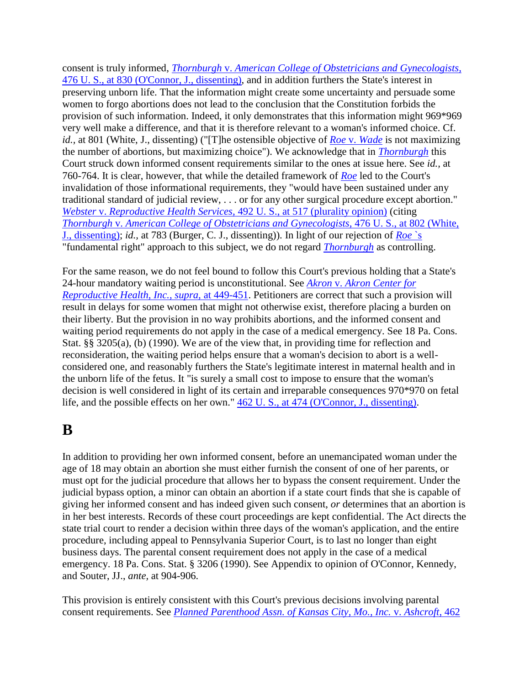consent is truly informed, *Thornburgh* v. *[American College of Obstetricians and Gynecologists,](http://scholar.google.co.in/scholar_case?case=3420134328076928385&q=planned+parenthood+v.+casey&hl=en&as_sdt=2,5&scilh=0)* [476 U. S., at 830 \(O'Connor, J., dissenting\),](http://scholar.google.co.in/scholar_case?case=3420134328076928385&q=planned+parenthood+v.+casey&hl=en&as_sdt=2,5&scilh=0) and in addition furthers the State's interest in preserving unborn life. That the information might create some uncertainty and persuade some women to forgo abortions does not lead to the conclusion that the Constitution forbids the provision of such information. Indeed, it only demonstrates that this information might 969\*969 very well make a difference, and that it is therefore relevant to a woman's informed choice. Cf. *id.,* at 801 (White, J., dissenting) ("[T]he ostensible objective of *Roe* v. *[Wade](http://scholar.google.co.in/scholar_case?case=12334123945835207673&q=planned+parenthood+v.+casey&hl=en&as_sdt=2,5&scilh=0)* is not maximizing the number of abortions, but maximizing choice"). We acknowledge that in *[Thornburgh](http://scholar.google.co.in/scholar_case?case=3420134328076928385&q=planned+parenthood+v.+casey&hl=en&as_sdt=2,5&scilh=0)* this Court struck down informed consent requirements similar to the ones at issue here. See *id.,* at 760-764. It is clear, however, that while the detailed framework of *[Roe](http://scholar.google.co.in/scholar_case?case=12334123945835207673&q=planned+parenthood+v.+casey&hl=en&as_sdt=2,5&scilh=0)* led to the Court's invalidation of those informational requirements, they "would have been sustained under any traditional standard of judicial review, . . . or for any other surgical procedure except abortion." *Webster* v. *Reproductive Health Services,* [492 U. S., at 517 \(plurality opinion\)](http://scholar.google.co.in/scholar_case?case=2944985204861123439&q=planned+parenthood+v.+casey&hl=en&as_sdt=2,5&scilh=0) (citing *Thornburgh* v. *[American College of Obstetricians and Gynecologists,](http://scholar.google.co.in/scholar_case?case=3420134328076928385&q=planned+parenthood+v.+casey&hl=en&as_sdt=2,5&scilh=0)* 476 U. S., at 802 (White, [J., dissenting\);](http://scholar.google.co.in/scholar_case?case=3420134328076928385&q=planned+parenthood+v.+casey&hl=en&as_sdt=2,5&scilh=0) *id.,* at 783 (Burger, C. J., dissenting)). In light of our rejection of *[Roe](http://scholar.google.co.in/scholar_case?case=12334123945835207673&q=planned+parenthood+v.+casey&hl=en&as_sdt=2,5&scilh=0)* `s "fundamental right" approach to this subject, we do not regard *[Thornburgh](http://scholar.google.co.in/scholar_case?case=3420134328076928385&q=planned+parenthood+v.+casey&hl=en&as_sdt=2,5&scilh=0)* as controlling.

For the same reason, we do not feel bound to follow this Court's previous holding that a State's 24-hour mandatory waiting period is unconstitutional. See *Akron* v. *[Akron Center for](http://scholar.google.co.in/scholar_case?case=7944230995323582140&q=planned+parenthood+v.+casey&hl=en&as_sdt=2,5&scilh=0)  [Reproductive Health, Inc., supra,](http://scholar.google.co.in/scholar_case?case=7944230995323582140&q=planned+parenthood+v.+casey&hl=en&as_sdt=2,5&scilh=0)* at 449-451. Petitioners are correct that such a provision will result in delays for some women that might not otherwise exist, therefore placing a burden on their liberty. But the provision in no way prohibits abortions, and the informed consent and waiting period requirements do not apply in the case of a medical emergency. See 18 Pa. Cons. Stat. §§ 3205(a), (b) (1990). We are of the view that, in providing time for reflection and reconsideration, the waiting period helps ensure that a woman's decision to abort is a wellconsidered one, and reasonably furthers the State's legitimate interest in maternal health and in the unborn life of the fetus. It "is surely a small cost to impose to ensure that the woman's decision is well considered in light of its certain and irreparable consequences 970\*970 on fetal life, and the possible effects on her own." [462 U. S., at 474 \(O'Connor, J., dissenting\).](http://scholar.google.co.in/scholar_case?case=7944230995323582140&q=planned+parenthood+v.+casey&hl=en&as_sdt=2,5&scilh=0)

## **B**

In addition to providing her own informed consent, before an unemancipated woman under the age of 18 may obtain an abortion she must either furnish the consent of one of her parents, or must opt for the judicial procedure that allows her to bypass the consent requirement. Under the judicial bypass option, a minor can obtain an abortion if a state court finds that she is capable of giving her informed consent and has indeed given such consent, *or* determines that an abortion is in her best interests. Records of these court proceedings are kept confidential. The Act directs the state trial court to render a decision within three days of the woman's application, and the entire procedure, including appeal to Pennsylvania Superior Court, is to last no longer than eight business days. The parental consent requirement does not apply in the case of a medical emergency. 18 Pa. Cons. Stat. § 3206 (1990). See Appendix to opinion of O'Connor, Kennedy, and Souter, JJ., *ante,* at 904-906.

This provision is entirely consistent with this Court's previous decisions involving parental consent requirements. See *[Planned Parenthood Assn. of Kansas City, Mo., Inc.](http://scholar.google.co.in/scholar_case?case=16358226321487983194&q=planned+parenthood+v.+casey&hl=en&as_sdt=2,5&scilh=0)* v. *Ashcroft,* 462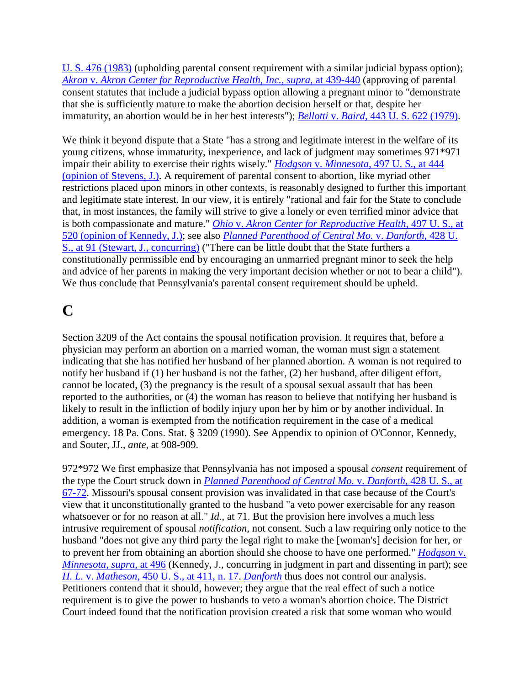U. S. 476 (1983) (upholding parental consent requirement with a similar judicial bypass option); *Akron* v. *[Akron Center for Reproductive Health, Inc., supra,](http://scholar.google.co.in/scholar_case?case=7944230995323582140&q=planned+parenthood+v.+casey&hl=en&as_sdt=2,5&scilh=0)* at 439-440 (approving of parental consent statutes that include a judicial bypass option allowing a pregnant minor to "demonstrate that she is sufficiently mature to make the abortion decision herself or that, despite her immaturity, an abortion would be in her best interests"); *Bellotti* v. *Baird,* [443 U. S. 622 \(1979\).](http://scholar.google.co.in/scholar_case?case=13182298442826453955&q=planned+parenthood+v.+casey&hl=en&as_sdt=2,5&scilh=0)

We think it beyond dispute that a State "has a strong and legitimate interest in the welfare of its young citizens, whose immaturity, inexperience, and lack of judgment may sometimes 971\*971 impair their ability to exercise their rights wisely." *Hodgson* v. *Minnesota,* [497 U. S., at 444](http://scholar.google.co.in/scholar_case?case=15890213352888117836&q=planned+parenthood+v.+casey&hl=en&as_sdt=2,5&scilh=0)  [\(opinion of Stevens, J.\).](http://scholar.google.co.in/scholar_case?case=15890213352888117836&q=planned+parenthood+v.+casey&hl=en&as_sdt=2,5&scilh=0) A requirement of parental consent to abortion, like myriad other restrictions placed upon minors in other contexts, is reasonably designed to further this important and legitimate state interest. In our view, it is entirely "rational and fair for the State to conclude that, in most instances, the family will strive to give a lonely or even terrified minor advice that is both compassionate and mature." *Ohio* v. *[Akron Center for Reproductive Health,](http://scholar.google.co.in/scholar_case?case=9736627999207272791&q=planned+parenthood+v.+casey&hl=en&as_sdt=2,5&scilh=0)* 497 U. S., at [520 \(opinion of Kennedy, J.\);](http://scholar.google.co.in/scholar_case?case=9736627999207272791&q=planned+parenthood+v.+casey&hl=en&as_sdt=2,5&scilh=0) see also *[Planned Parenthood of Central Mo.](http://scholar.google.co.in/scholar_case?case=3638004152923873163&q=planned+parenthood+v.+casey&hl=en&as_sdt=2,5&scilh=0)* v. *Danforth,* 428 U. [S., at 91 \(Stewart, J., concurring\)](http://scholar.google.co.in/scholar_case?case=3638004152923873163&q=planned+parenthood+v.+casey&hl=en&as_sdt=2,5&scilh=0) ("There can be little doubt that the State furthers a constitutionally permissible end by encouraging an unmarried pregnant minor to seek the help and advice of her parents in making the very important decision whether or not to bear a child"). We thus conclude that Pennsylvania's parental consent requirement should be upheld.

#### **C**

Section 3209 of the Act contains the spousal notification provision. It requires that, before a physician may perform an abortion on a married woman, the woman must sign a statement indicating that she has notified her husband of her planned abortion. A woman is not required to notify her husband if (1) her husband is not the father, (2) her husband, after diligent effort, cannot be located, (3) the pregnancy is the result of a spousal sexual assault that has been reported to the authorities, or (4) the woman has reason to believe that notifying her husband is likely to result in the infliction of bodily injury upon her by him or by another individual. In addition, a woman is exempted from the notification requirement in the case of a medical emergency. 18 Pa. Cons. Stat. § 3209 (1990). See Appendix to opinion of O'Connor, Kennedy, and Souter, JJ., *ante,* at 908-909.

972\*972 We first emphasize that Pennsylvania has not imposed a spousal *consent* requirement of the type the Court struck down in *[Planned Parenthood of Central Mo.](http://scholar.google.co.in/scholar_case?case=3638004152923873163&q=planned+parenthood+v.+casey&hl=en&as_sdt=2,5&scilh=0)* v. *Danforth,* 428 U. S., at [67-72.](http://scholar.google.co.in/scholar_case?case=3638004152923873163&q=planned+parenthood+v.+casey&hl=en&as_sdt=2,5&scilh=0) Missouri's spousal consent provision was invalidated in that case because of the Court's view that it unconstitutionally granted to the husband "a veto power exercisable for any reason whatsoever or for no reason at all." *Id.*, at 71. But the provision here involves a much less intrusive requirement of spousal *notification,* not consent. Such a law requiring only notice to the husband "does not give any third party the legal right to make the [woman's] decision for her, or to prevent her from obtaining an abortion should she choose to have one performed." *[Hodgson](http://scholar.google.co.in/scholar_case?case=15890213352888117836&q=planned+parenthood+v.+casey&hl=en&as_sdt=2,5&scilh=0)* v. *[Minnesota, supra,](http://scholar.google.co.in/scholar_case?case=15890213352888117836&q=planned+parenthood+v.+casey&hl=en&as_sdt=2,5&scilh=0)* at 496 (Kennedy, J., concurring in judgment in part and dissenting in part); see *H. L.* v. *Matheson,* [450 U. S., at 411, n. 17.](http://scholar.google.co.in/scholar_case?case=10434918817997476102&q=planned+parenthood+v.+casey&hl=en&as_sdt=2,5&scilh=0) *[Danforth](http://scholar.google.co.in/scholar_case?case=3638004152923873163&q=planned+parenthood+v.+casey&hl=en&as_sdt=2,5&scilh=0)* thus does not control our analysis. Petitioners contend that it should, however; they argue that the real effect of such a notice requirement is to give the power to husbands to veto a woman's abortion choice. The District Court indeed found that the notification provision created a risk that some woman who would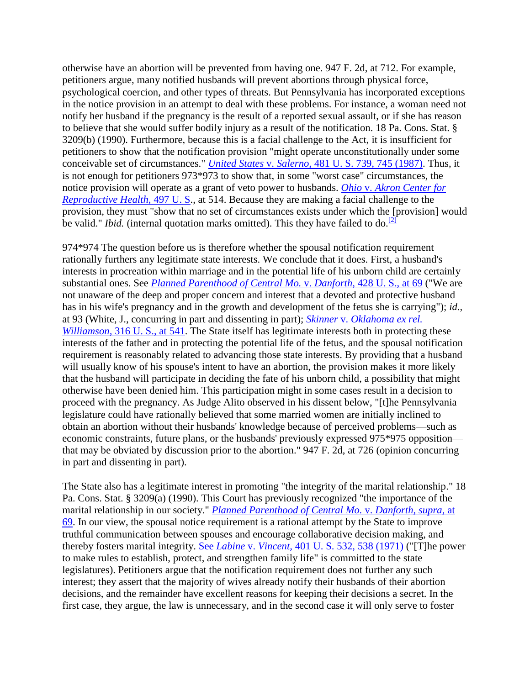otherwise have an abortion will be prevented from having one. 947 F. 2d, at 712. For example, petitioners argue, many notified husbands will prevent abortions through physical force, psychological coercion, and other types of threats. But Pennsylvania has incorporated exceptions in the notice provision in an attempt to deal with these problems. For instance, a woman need not notify her husband if the pregnancy is the result of a reported sexual assault, or if she has reason to believe that she would suffer bodily injury as a result of the notification. 18 Pa. Cons. Stat. § 3209(b) (1990). Furthermore, because this is a facial challenge to the Act, it is insufficient for petitioners to show that the notification provision "might operate unconstitutionally under some conceivable set of circumstances." *United States* v. *Salerno,* [481 U. S. 739, 745 \(1987\).](http://scholar.google.co.in/scholar_case?case=5741581181224640770&q=planned+parenthood+v.+casey&hl=en&as_sdt=2,5&scilh=0) Thus, it is not enough for petitioners 973\*973 to show that, in some "worst case" circumstances, the notice provision will operate as a grant of veto power to husbands. *Ohio* v. *[Akron Center for](http://scholar.google.co.in/scholar_case?case=9736627999207272791&q=planned+parenthood+v.+casey&hl=en&as_sdt=2,5&scilh=0)  [Reproductive Health,](http://scholar.google.co.in/scholar_case?case=9736627999207272791&q=planned+parenthood+v.+casey&hl=en&as_sdt=2,5&scilh=0)* 497 U. S., at 514. Because they are making a facial challenge to the provision, they must "show that no set of circumstances exists under which the [provision] would be valid." *Ibid.* (internal quotation marks omitted). This they have failed to do.<sup>[\[2\]](http://scholar.google.co.in/scholar_case?q=planned+parenthood+v.+casey&hl=en&as_sdt=2,5&case=6298856056242550994&scilh=0#[24])</sup>

974\*974 The question before us is therefore whether the spousal notification requirement rationally furthers any legitimate state interests. We conclude that it does. First, a husband's interests in procreation within marriage and in the potential life of his unborn child are certainly substantial ones. See *[Planned Parenthood of Central Mo.](http://scholar.google.co.in/scholar_case?case=3638004152923873163&q=planned+parenthood+v.+casey&hl=en&as_sdt=2,5&scilh=0)* v. *Danforth,* 428 U. S., at 69 ("We are not unaware of the deep and proper concern and interest that a devoted and protective husband has in his wife's pregnancy and in the growth and development of the fetus she is carrying"); *id.,* at 93 (White, J., concurring in part and dissenting in part); *Skinner* v. *[Oklahoma ex rel.](http://scholar.google.co.in/scholar_case?case=8050731321644873759&q=planned+parenthood+v.+casey&hl=en&as_sdt=2,5&scilh=0)  Williamson,* [316 U. S., at 541.](http://scholar.google.co.in/scholar_case?case=8050731321644873759&q=planned+parenthood+v.+casey&hl=en&as_sdt=2,5&scilh=0) The State itself has legitimate interests both in protecting these interests of the father and in protecting the potential life of the fetus, and the spousal notification requirement is reasonably related to advancing those state interests. By providing that a husband will usually know of his spouse's intent to have an abortion, the provision makes it more likely that the husband will participate in deciding the fate of his unborn child, a possibility that might otherwise have been denied him. This participation might in some cases result in a decision to proceed with the pregnancy. As Judge Alito observed in his dissent below, "[t]he Pennsylvania legislature could have rationally believed that some married women are initially inclined to obtain an abortion without their husbands' knowledge because of perceived problems—such as economic constraints, future plans, or the husbands' previously expressed 975\*975 opposition that may be obviated by discussion prior to the abortion." 947 F. 2d, at 726 (opinion concurring in part and dissenting in part).

The State also has a legitimate interest in promoting "the integrity of the marital relationship." 18 Pa. Cons. Stat. § 3209(a) (1990). This Court has previously recognized "the importance of the marital relationship in our society." *[Planned Parenthood of Central Mo.](http://scholar.google.co.in/scholar_case?case=3638004152923873163&q=planned+parenthood+v.+casey&hl=en&as_sdt=2,5&scilh=0)* v. *Danforth, supra,* at [69.](http://scholar.google.co.in/scholar_case?case=3638004152923873163&q=planned+parenthood+v.+casey&hl=en&as_sdt=2,5&scilh=0) In our view, the spousal notice requirement is a rational attempt by the State to improve truthful communication between spouses and encourage collaborative decision making, and thereby fosters marital integrity. See *Labine* v. *Vincent,* [401 U. S. 532, 538 \(1971\)](http://scholar.google.co.in/scholar_case?case=11411999457464799519&q=planned+parenthood+v.+casey&hl=en&as_sdt=2,5&scilh=0) ("[T]he power to make rules to establish, protect, and strengthen family life" is committed to the state legislatures). Petitioners argue that the notification requirement does not further any such interest; they assert that the majority of wives already notify their husbands of their abortion decisions, and the remainder have excellent reasons for keeping their decisions a secret. In the first case, they argue, the law is unnecessary, and in the second case it will only serve to foster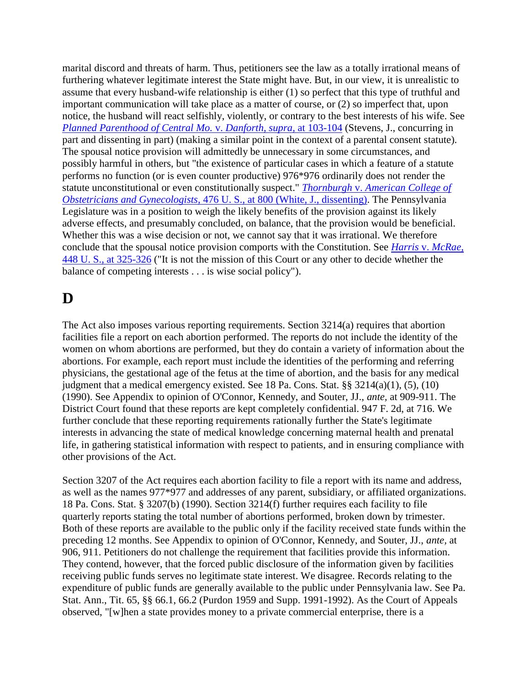marital discord and threats of harm. Thus, petitioners see the law as a totally irrational means of furthering whatever legitimate interest the State might have. But, in our view, it is unrealistic to assume that every husband-wife relationship is either (1) so perfect that this type of truthful and important communication will take place as a matter of course, or (2) so imperfect that, upon notice, the husband will react selfishly, violently, or contrary to the best interests of his wife. See *[Planned Parenthood of Central Mo.](http://scholar.google.co.in/scholar_case?case=3638004152923873163&q=planned+parenthood+v.+casey&hl=en&as_sdt=2,5&scilh=0)* v. *Danforth, supra,* at 103-104 (Stevens, J., concurring in part and dissenting in part) (making a similar point in the context of a parental consent statute). The spousal notice provision will admittedly be unnecessary in some circumstances, and possibly harmful in others, but "the existence of particular cases in which a feature of a statute performs no function (or is even counter productive) 976\*976 ordinarily does not render the statute unconstitutional or even constitutionally suspect." *Thornburgh* v. *[American College of](http://scholar.google.co.in/scholar_case?case=3420134328076928385&q=planned+parenthood+v.+casey&hl=en&as_sdt=2,5&scilh=0)  Obstetricians and Gynecologists,* [476 U. S., at 800 \(White, J., dissenting\).](http://scholar.google.co.in/scholar_case?case=3420134328076928385&q=planned+parenthood+v.+casey&hl=en&as_sdt=2,5&scilh=0) The Pennsylvania Legislature was in a position to weigh the likely benefits of the provision against its likely adverse effects, and presumably concluded, on balance, that the provision would be beneficial. Whether this was a wise decision or not, we cannot say that it was irrational. We therefore conclude that the spousal notice provision comports with the Constitution. See *Harris* v. *[McRae,](http://scholar.google.co.in/scholar_case?case=8833310949486291357&q=planned+parenthood+v.+casey&hl=en&as_sdt=2,5&scilh=0)* [448 U. S., at 325-326](http://scholar.google.co.in/scholar_case?case=8833310949486291357&q=planned+parenthood+v.+casey&hl=en&as_sdt=2,5&scilh=0) ("It is not the mission of this Court or any other to decide whether the balance of competing interests . . . is wise social policy").

#### **D**

The Act also imposes various reporting requirements. Section 3214(a) requires that abortion facilities file a report on each abortion performed. The reports do not include the identity of the women on whom abortions are performed, but they do contain a variety of information about the abortions. For example, each report must include the identities of the performing and referring physicians, the gestational age of the fetus at the time of abortion, and the basis for any medical judgment that a medical emergency existed. See 18 Pa. Cons. Stat.  $\S$ § 3214(a)(1), (5), (10) (1990). See Appendix to opinion of O'Connor, Kennedy, and Souter, JJ., *ante,* at 909-911. The District Court found that these reports are kept completely confidential. 947 F. 2d, at 716. We further conclude that these reporting requirements rationally further the State's legitimate interests in advancing the state of medical knowledge concerning maternal health and prenatal life, in gathering statistical information with respect to patients, and in ensuring compliance with other provisions of the Act.

Section 3207 of the Act requires each abortion facility to file a report with its name and address, as well as the names 977\*977 and addresses of any parent, subsidiary, or affiliated organizations. 18 Pa. Cons. Stat. § 3207(b) (1990). Section 3214(f) further requires each facility to file quarterly reports stating the total number of abortions performed, broken down by trimester. Both of these reports are available to the public only if the facility received state funds within the preceding 12 months. See Appendix to opinion of O'Connor, Kennedy, and Souter, JJ., *ante,* at 906, 911. Petitioners do not challenge the requirement that facilities provide this information. They contend, however, that the forced public disclosure of the information given by facilities receiving public funds serves no legitimate state interest. We disagree. Records relating to the expenditure of public funds are generally available to the public under Pennsylvania law. See Pa. Stat. Ann., Tit. 65, §§ 66.1, 66.2 (Purdon 1959 and Supp. 1991-1992). As the Court of Appeals observed, "[w]hen a state provides money to a private commercial enterprise, there is a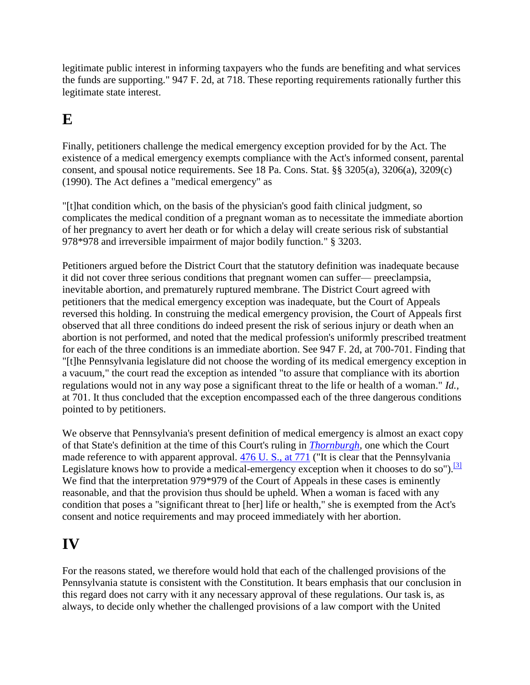legitimate public interest in informing taxpayers who the funds are benefiting and what services the funds are supporting." 947 F. 2d, at 718. These reporting requirements rationally further this legitimate state interest.

## **E**

Finally, petitioners challenge the medical emergency exception provided for by the Act. The existence of a medical emergency exempts compliance with the Act's informed consent, parental consent, and spousal notice requirements. See 18 Pa. Cons. Stat. §§ 3205(a), 3206(a), 3209(c) (1990). The Act defines a "medical emergency" as

"[t]hat condition which, on the basis of the physician's good faith clinical judgment, so complicates the medical condition of a pregnant woman as to necessitate the immediate abortion of her pregnancy to avert her death or for which a delay will create serious risk of substantial 978\*978 and irreversible impairment of major bodily function." § 3203.

Petitioners argued before the District Court that the statutory definition was inadequate because it did not cover three serious conditions that pregnant women can suffer— preeclampsia, inevitable abortion, and prematurely ruptured membrane. The District Court agreed with petitioners that the medical emergency exception was inadequate, but the Court of Appeals reversed this holding. In construing the medical emergency provision, the Court of Appeals first observed that all three conditions do indeed present the risk of serious injury or death when an abortion is not performed, and noted that the medical profession's uniformly prescribed treatment for each of the three conditions is an immediate abortion. See 947 F. 2d, at 700-701. Finding that "[t]he Pennsylvania legislature did not choose the wording of its medical emergency exception in a vacuum," the court read the exception as intended "to assure that compliance with its abortion regulations would not in any way pose a significant threat to the life or health of a woman." *Id.,* at 701. It thus concluded that the exception encompassed each of the three dangerous conditions pointed to by petitioners.

We observe that Pennsylvania's present definition of medical emergency is almost an exact copy of that State's definition at the time of this Court's ruling in *[Thornburgh,](http://scholar.google.co.in/scholar_case?case=3420134328076928385&q=planned+parenthood+v.+casey&hl=en&as_sdt=2,5&scilh=0)* one which the Court made reference to with apparent approval. [476 U. S., at 771](http://scholar.google.co.in/scholar_case?case=3420134328076928385&q=planned+parenthood+v.+casey&hl=en&as_sdt=2,5&scilh=0) ("It is clear that the Pennsylvania Legislature knows how to provide a medical-emergency exception when it chooses to do so").<sup>[\[3\]](http://scholar.google.co.in/scholar_case?q=planned+parenthood+v.+casey&hl=en&as_sdt=2,5&case=6298856056242550994&scilh=0#[25])</sup> We find that the interpretation 979\*979 of the Court of Appeals in these cases is eminently reasonable, and that the provision thus should be upheld. When a woman is faced with any condition that poses a "significant threat to [her] life or health," she is exempted from the Act's consent and notice requirements and may proceed immediately with her abortion.

## **IV**

For the reasons stated, we therefore would hold that each of the challenged provisions of the Pennsylvania statute is consistent with the Constitution. It bears emphasis that our conclusion in this regard does not carry with it any necessary approval of these regulations. Our task is, as always, to decide only whether the challenged provisions of a law comport with the United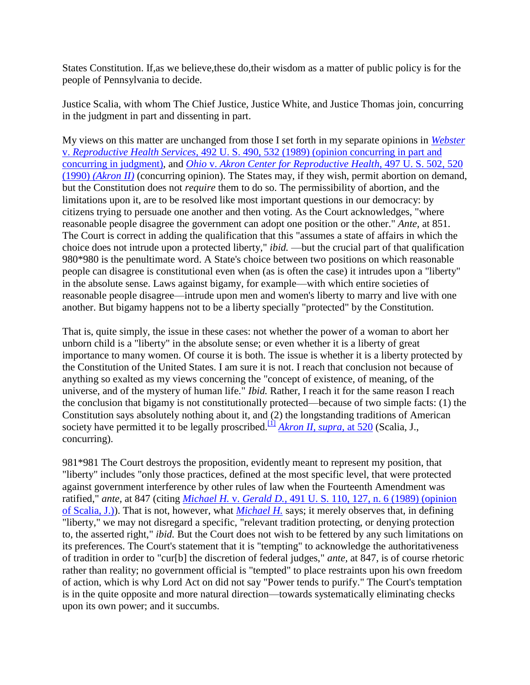States Constitution. If,as we believe,these do,their wisdom as a matter of public policy is for the people of Pennsylvania to decide.

Justice Scalia, with whom The Chief Justice, Justice White, and Justice Thomas join, concurring in the judgment in part and dissenting in part.

My views on this matter are unchanged from those I set forth in my separate opinions in *[Webster](http://scholar.google.co.in/scholar_case?case=2944985204861123439&q=planned+parenthood+v.+casey&hl=en&as_sdt=2,5&scilh=0)* v. *Reproductive Health Services,* [492 U. S. 490, 532 \(1989\) \(opinion concurring in part and](http://scholar.google.co.in/scholar_case?case=2944985204861123439&q=planned+parenthood+v.+casey&hl=en&as_sdt=2,5&scilh=0)  [concurring in judgment\),](http://scholar.google.co.in/scholar_case?case=2944985204861123439&q=planned+parenthood+v.+casey&hl=en&as_sdt=2,5&scilh=0) and *Ohio* v. *[Akron Center for Reproductive Health,](http://scholar.google.co.in/scholar_case?case=9736627999207272791&q=planned+parenthood+v.+casey&hl=en&as_sdt=2,5&scilh=0)* 497 U. S. 502, 520 (1990) *[\(Akron II\)](http://scholar.google.co.in/scholar_case?case=9736627999207272791&q=planned+parenthood+v.+casey&hl=en&as_sdt=2,5&scilh=0)* (concurring opinion). The States may, if they wish, permit abortion on demand, but the Constitution does not *require* them to do so. The permissibility of abortion, and the limitations upon it, are to be resolved like most important questions in our democracy: by citizens trying to persuade one another and then voting. As the Court acknowledges, "where reasonable people disagree the government can adopt one position or the other." *Ante,* at 851. The Court is correct in adding the qualification that this "assumes a state of affairs in which the choice does not intrude upon a protected liberty," *ibid.* —but the crucial part of that qualification 980\*980 is the penultimate word. A State's choice between two positions on which reasonable people can disagree is constitutional even when (as is often the case) it intrudes upon a "liberty" in the absolute sense. Laws against bigamy, for example—with which entire societies of reasonable people disagree—intrude upon men and women's liberty to marry and live with one another. But bigamy happens not to be a liberty specially "protected" by the Constitution.

That is, quite simply, the issue in these cases: not whether the power of a woman to abort her unborn child is a "liberty" in the absolute sense; or even whether it is a liberty of great importance to many women. Of course it is both. The issue is whether it is a liberty protected by the Constitution of the United States. I am sure it is not. I reach that conclusion not because of anything so exalted as my views concerning the "concept of existence, of meaning, of the universe, and of the mystery of human life." *Ibid.* Rather, I reach it for the same reason I reach the conclusion that bigamy is not constitutionally protected—because of two simple facts: (1) the Constitution says absolutely nothing about it, and (2) the longstanding traditions of American society have permitted it to be legally proscribed.<sup>[\[1\]](http://scholar.google.co.in/scholar_case?q=planned+parenthood+v.+casey&hl=en&as_sdt=2,5&case=6298856056242550994&scilh=0#[26])</sup> *[Akron II, supra,](http://scholar.google.co.in/scholar_case?case=9736627999207272791&q=planned+parenthood+v.+casey&hl=en&as_sdt=2,5&scilh=0)* at 520 (Scalia, J., concurring).

981\*981 The Court destroys the proposition, evidently meant to represent my position, that "liberty" includes "only those practices, defined at the most specific level, that were protected against government interference by other rules of law when the Fourteenth Amendment was ratified," *ante,* at 847 (citing *Michael H.* v. *Gerald D.,* [491 U. S. 110, 127, n. 6 \(1989\) \(opinion](http://scholar.google.co.in/scholar_case?case=18282912377125168373&q=planned+parenthood+v.+casey&hl=en&as_sdt=2,5&scilh=0)  [of Scalia, J.\)\)](http://scholar.google.co.in/scholar_case?case=18282912377125168373&q=planned+parenthood+v.+casey&hl=en&as_sdt=2,5&scilh=0). That is not, however, what *[Michael H.](http://scholar.google.co.in/scholar_case?case=18282912377125168373&q=planned+parenthood+v.+casey&hl=en&as_sdt=2,5&scilh=0)* says; it merely observes that, in defining "liberty," we may not disregard a specific, "relevant tradition protecting, or denying protection to, the asserted right," *ibid.* But the Court does not wish to be fettered by any such limitations on its preferences. The Court's statement that it is "tempting" to acknowledge the authoritativeness of tradition in order to "cur[b] the discretion of federal judges," *ante,* at 847, is of course rhetoric rather than reality; no government official is "tempted" to place restraints upon his own freedom of action, which is why Lord Act on did not say "Power tends to purify." The Court's temptation is in the quite opposite and more natural direction—towards systematically eliminating checks upon its own power; and it succumbs.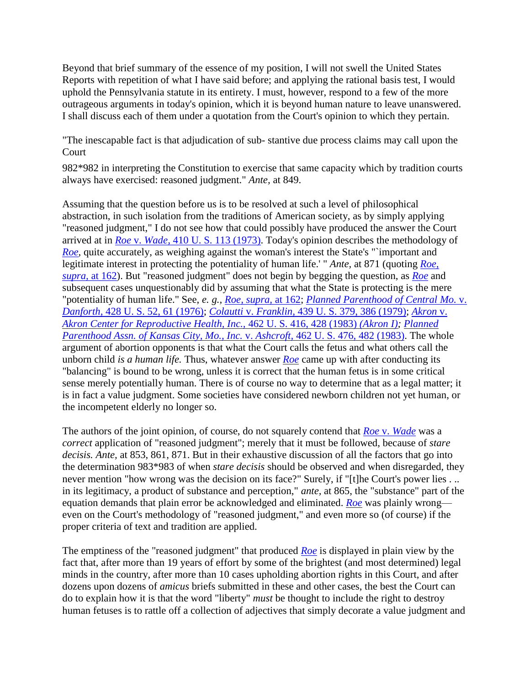Beyond that brief summary of the essence of my position, I will not swell the United States Reports with repetition of what I have said before; and applying the rational basis test, I would uphold the Pennsylvania statute in its entirety. I must, however, respond to a few of the more outrageous arguments in today's opinion, which it is beyond human nature to leave unanswered. I shall discuss each of them under a quotation from the Court's opinion to which they pertain.

"The inescapable fact is that adjudication of sub- stantive due process claims may call upon the Court

982\*982 in interpreting the Constitution to exercise that same capacity which by tradition courts always have exercised: reasoned judgment." *Ante,* at 849.

Assuming that the question before us is to be resolved at such a level of philosophical abstraction, in such isolation from the traditions of American society, as by simply applying "reasoned judgment," I do not see how that could possibly have produced the answer the Court arrived at in *Roe* v. *Wade,* [410 U. S. 113 \(1973\).](http://scholar.google.co.in/scholar_case?case=12334123945835207673&q=planned+parenthood+v.+casey&hl=en&as_sdt=2,5&scilh=0) Today's opinion describes the methodology of *[Roe,](http://scholar.google.co.in/scholar_case?case=12334123945835207673&q=planned+parenthood+v.+casey&hl=en&as_sdt=2,5&scilh=0)* quite accurately, as weighing against the woman's interest the State's "`important and legitimate interest in protecting the potentiality of human life.' " *Ante,* at 871 (quoting *[Roe,](http://scholar.google.co.in/scholar_case?case=12334123945835207673&q=planned+parenthood+v.+casey&hl=en&as_sdt=2,5&scilh=0)  supra,* [at 162\)](http://scholar.google.co.in/scholar_case?case=12334123945835207673&q=planned+parenthood+v.+casey&hl=en&as_sdt=2,5&scilh=0). But "reasoned judgment" does not begin by begging the question, as *[Roe](http://scholar.google.co.in/scholar_case?case=12334123945835207673&q=planned+parenthood+v.+casey&hl=en&as_sdt=2,5&scilh=0)* and subsequent cases unquestionably did by assuming that what the State is protecting is the mere "potentiality of human life." See, *e. g., [Roe, supra,](http://scholar.google.co.in/scholar_case?case=12334123945835207673&q=planned+parenthood+v.+casey&hl=en&as_sdt=2,5&scilh=0)* at 162; *[Planned Parenthood of Central Mo.](http://scholar.google.co.in/scholar_case?case=3638004152923873163&q=planned+parenthood+v.+casey&hl=en&as_sdt=2,5&scilh=0)* v. *Danforth,* [428 U. S. 52, 61 \(1976\);](http://scholar.google.co.in/scholar_case?case=3638004152923873163&q=planned+parenthood+v.+casey&hl=en&as_sdt=2,5&scilh=0) *Colautti* v. *Franklin,* [439 U. S. 379, 386 \(1979\);](http://scholar.google.co.in/scholar_case?case=11995294142285279951&q=planned+parenthood+v.+casey&hl=en&as_sdt=2,5&scilh=0) *[Akron](http://scholar.google.co.in/scholar_case?case=7944230995323582140&q=planned+parenthood+v.+casey&hl=en&as_sdt=2,5&scilh=0)* v. *[Akron Center for Reproductive Health, Inc.,](http://scholar.google.co.in/scholar_case?case=7944230995323582140&q=planned+parenthood+v.+casey&hl=en&as_sdt=2,5&scilh=0)* 462 U. S. 416, 428 (1983) *(Akron I); [Planned](http://scholar.google.co.in/scholar_case?case=16358226321487983194&q=planned+parenthood+v.+casey&hl=en&as_sdt=2,5&scilh=0)  [Parenthood Assn. of Kansas City, Mo., Inc.](http://scholar.google.co.in/scholar_case?case=16358226321487983194&q=planned+parenthood+v.+casey&hl=en&as_sdt=2,5&scilh=0)* v. *Ashcroft,* 462 U. S. 476, 482 (1983). The whole argument of abortion opponents is that what the Court calls the fetus and what others call the unborn child *is a human life.* Thus, whatever answer *[Roe](http://scholar.google.co.in/scholar_case?case=12334123945835207673&q=planned+parenthood+v.+casey&hl=en&as_sdt=2,5&scilh=0)* came up with after conducting its "balancing" is bound to be wrong, unless it is correct that the human fetus is in some critical sense merely potentially human. There is of course no way to determine that as a legal matter; it is in fact a value judgment. Some societies have considered newborn children not yet human, or the incompetent elderly no longer so.

The authors of the joint opinion, of course, do not squarely contend that *Roe* v. *[Wade](http://scholar.google.co.in/scholar_case?case=12334123945835207673&q=planned+parenthood+v.+casey&hl=en&as_sdt=2,5&scilh=0)* was a *correct* application of "reasoned judgment"; merely that it must be followed, because of *stare decisis. Ante,* at 853, 861, 871. But in their exhaustive discussion of all the factors that go into the determination 983\*983 of when *stare decisis* should be observed and when disregarded, they never mention "how wrong was the decision on its face?" Surely, if "[t]he Court's power lies . .. in its legitimacy, a product of substance and perception," *ante,* at 865, the "substance" part of the equation demands that plain error be acknowledged and eliminated. *[Roe](http://scholar.google.co.in/scholar_case?case=12334123945835207673&q=planned+parenthood+v.+casey&hl=en&as_sdt=2,5&scilh=0)* was plainly wrong even on the Court's methodology of "reasoned judgment," and even more so (of course) if the proper criteria of text and tradition are applied.

The emptiness of the "reasoned judgment" that produced *[Roe](http://scholar.google.co.in/scholar_case?case=12334123945835207673&q=planned+parenthood+v.+casey&hl=en&as_sdt=2,5&scilh=0)* is displayed in plain view by the fact that, after more than 19 years of effort by some of the brightest (and most determined) legal minds in the country, after more than 10 cases upholding abortion rights in this Court, and after dozens upon dozens of *amicus* briefs submitted in these and other cases, the best the Court can do to explain how it is that the word "liberty" *must* be thought to include the right to destroy human fetuses is to rattle off a collection of adjectives that simply decorate a value judgment and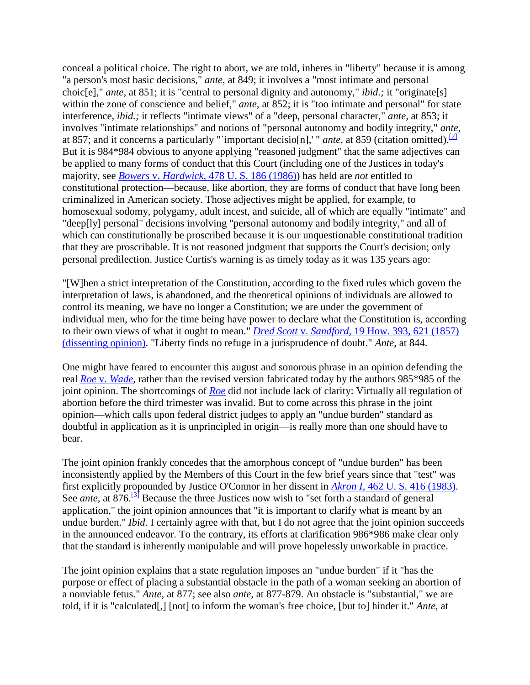conceal a political choice. The right to abort, we are told, inheres in "liberty" because it is among "a person's most basic decisions," *ante,* at 849; it involves a "most intimate and personal choic[e]," *ante,* at 851; it is "central to personal dignity and autonomy," *ibid.;* it "originate[s] within the zone of conscience and belief," *ante,* at 852; it is "too intimate and personal" for state interference, *ibid.;* it reflects "intimate views" of a "deep, personal character," *ante,* at 853; it involves "intimate relationships" and notions of "personal autonomy and bodily integrity," *ante,* at 857; and it concerns a particularly "`important decisio[n],' " *ante*, at 859 (citation omitted).<sup>[\[2\]](http://scholar.google.co.in/scholar_case?q=planned+parenthood+v.+casey&hl=en&as_sdt=2,5&case=6298856056242550994&scilh=0#[27])</sup> But it is 984\*984 obvious to anyone applying "reasoned judgment" that the same adjectives can be applied to many forms of conduct that this Court (including one of the Justices in today's majority, see *Bowers* v. *Hardwick,* [478 U. S. 186 \(1986\)\)](http://scholar.google.co.in/scholar_case?case=14901730125647575103&q=planned+parenthood+v.+casey&hl=en&as_sdt=2,5&scilh=0) has held are *not* entitled to constitutional protection—because, like abortion, they are forms of conduct that have long been criminalized in American society. Those adjectives might be applied, for example, to homosexual sodomy, polygamy, adult incest, and suicide, all of which are equally "intimate" and "deep[ly] personal" decisions involving "personal autonomy and bodily integrity," and all of which can constitutionally be proscribed because it is our unquestionable constitutional tradition that they are proscribable. It is not reasoned judgment that supports the Court's decision; only personal predilection. Justice Curtis's warning is as timely today as it was 135 years ago:

"[W]hen a strict interpretation of the Constitution, according to the fixed rules which govern the interpretation of laws, is abandoned, and the theoretical opinions of individuals are allowed to control its meaning, we have no longer a Constitution; we are under the government of individual men, who for the time being have power to declare what the Constitution is, according to their own views of what it ought to mean." *Dred Scott* v. *Sandford,* [19 How. 393, 621 \(1857\)](http://scholar.google.co.in/scholar_case?case=3231372247892780026&q=planned+parenthood+v.+casey&hl=en&as_sdt=2,5&scilh=0)  [\(dissenting opinion\).](http://scholar.google.co.in/scholar_case?case=3231372247892780026&q=planned+parenthood+v.+casey&hl=en&as_sdt=2,5&scilh=0) "Liberty finds no refuge in a jurisprudence of doubt." *Ante,* at 844.

One might have feared to encounter this august and sonorous phrase in an opinion defending the real *Roe* v. *[Wade,](http://scholar.google.co.in/scholar_case?case=12334123945835207673&q=planned+parenthood+v.+casey&hl=en&as_sdt=2,5&scilh=0)* rather than the revised version fabricated today by the authors 985\*985 of the joint opinion. The shortcomings of *[Roe](http://scholar.google.co.in/scholar_case?case=12334123945835207673&q=planned+parenthood+v.+casey&hl=en&as_sdt=2,5&scilh=0)* did not include lack of clarity: Virtually all regulation of abortion before the third trimester was invalid. But to come across this phrase in the joint opinion—which calls upon federal district judges to apply an "undue burden" standard as doubtful in application as it is unprincipled in origin—is really more than one should have to bear.

The joint opinion frankly concedes that the amorphous concept of "undue burden" has been inconsistently applied by the Members of this Court in the few brief years since that "test" was first explicitly propounded by Justice O'Connor in her dissent in *Akron I,* [462 U. S. 416 \(1983\).](http://scholar.google.co.in/scholar_case?case=7944230995323582140&q=planned+parenthood+v.+casey&hl=en&as_sdt=2,5&scilh=0) See *ante*, at 876.<sup>[\[3\]](http://scholar.google.co.in/scholar_case?q=planned+parenthood+v.+casey&hl=en&as_sdt=2,5&case=6298856056242550994&scilh=0#[28])</sup> Because the three Justices now wish to "set forth a standard of general application," the joint opinion announces that "it is important to clarify what is meant by an undue burden." *Ibid.* I certainly agree with that, but I do not agree that the joint opinion succeeds in the announced endeavor. To the contrary, its efforts at clarification 986\*986 make clear only that the standard is inherently manipulable and will prove hopelessly unworkable in practice.

The joint opinion explains that a state regulation imposes an "undue burden" if it "has the purpose or effect of placing a substantial obstacle in the path of a woman seeking an abortion of a nonviable fetus." *Ante,* at 877; see also *ante,* at 877-879. An obstacle is "substantial," we are told, if it is "calculated[,] [not] to inform the woman's free choice, [but to] hinder it." *Ante,* at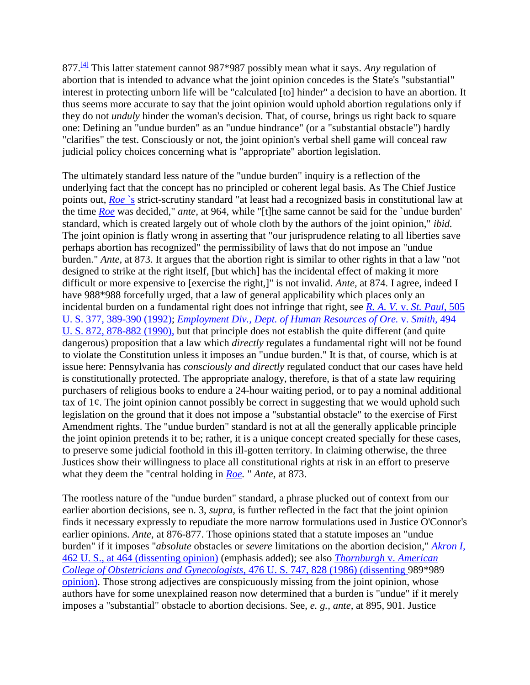877.[\[4\]](http://scholar.google.co.in/scholar_case?q=planned+parenthood+v.+casey&hl=en&as_sdt=2,5&case=6298856056242550994&scilh=0#[29]) This latter statement cannot 987\*987 possibly mean what it says. *Any* regulation of abortion that is intended to advance what the joint opinion concedes is the State's "substantial" interest in protecting unborn life will be "calculated [to] hinder" a decision to have an abortion. It thus seems more accurate to say that the joint opinion would uphold abortion regulations only if they do not *unduly* hinder the woman's decision. That, of course, brings us right back to square one: Defining an "undue burden" as an "undue hindrance" (or a "substantial obstacle") hardly "clarifies" the test. Consciously or not, the joint opinion's verbal shell game will conceal raw judicial policy choices concerning what is "appropriate" abortion legislation.

The ultimately standard less nature of the "undue burden" inquiry is a reflection of the underlying fact that the concept has no principled or coherent legal basis. As The Chief Justice points out, *[Roe](http://scholar.google.co.in/scholar_case?case=12334123945835207673&q=planned+parenthood+v.+casey&hl=en&as_sdt=2,5&scilh=0)* `s strict-scrutiny standard "at least had a recognized basis in constitutional law at the time *[Roe](http://scholar.google.co.in/scholar_case?case=12334123945835207673&q=planned+parenthood+v.+casey&hl=en&as_sdt=2,5&scilh=0)* was decided," *ante,* at 964, while "[t]he same cannot be said for the `undue burden' standard, which is created largely out of whole cloth by the authors of the joint opinion," *ibid.* The joint opinion is flatly wrong in asserting that "our jurisprudence relating to all liberties save perhaps abortion has recognized" the permissibility of laws that do not impose an "undue burden." *Ante,* at 873. It argues that the abortion right is similar to other rights in that a law "not designed to strike at the right itself, [but which] has the incidental effect of making it more difficult or more expensive to [exercise the right,]" is not invalid. *Ante,* at 874. I agree, indeed I have 988\*988 forcefully urged, that a law of general applicability which places only an incidental burden on a fundamental right does not infringe that right, see *R. A. V.* v. *[St. Paul,](http://scholar.google.co.in/scholar_case?case=14621372290934958371&q=planned+parenthood+v.+casey&hl=en&as_sdt=2,5&scilh=0)* 505 [U. S. 377, 389-390 \(1992\);](http://scholar.google.co.in/scholar_case?case=14621372290934958371&q=planned+parenthood+v.+casey&hl=en&as_sdt=2,5&scilh=0) *[Employment Div., Dept. of Human Resources of Ore.](http://scholar.google.co.in/scholar_case?case=10098593029363815472&q=planned+parenthood+v.+casey&hl=en&as_sdt=2,5&scilh=0)* v. *Smith,* 494 [U. S. 872, 878-882 \(1990\),](http://scholar.google.co.in/scholar_case?case=10098593029363815472&q=planned+parenthood+v.+casey&hl=en&as_sdt=2,5&scilh=0) but that principle does not establish the quite different (and quite dangerous) proposition that a law which *directly* regulates a fundamental right will not be found to violate the Constitution unless it imposes an "undue burden." It is that, of course, which is at issue here: Pennsylvania has *consciously and directly* regulated conduct that our cases have held is constitutionally protected. The appropriate analogy, therefore, is that of a state law requiring purchasers of religious books to endure a 24-hour waiting period, or to pay a nominal additional tax of  $1¢$ . The joint opinion cannot possibly be correct in suggesting that we would uphold such legislation on the ground that it does not impose a "substantial obstacle" to the exercise of First Amendment rights. The "undue burden" standard is not at all the generally applicable principle the joint opinion pretends it to be; rather, it is a unique concept created specially for these cases, to preserve some judicial foothold in this ill-gotten territory. In claiming otherwise, the three Justices show their willingness to place all constitutional rights at risk in an effort to preserve what they deem the "central holding in *[Roe.](http://scholar.google.co.in/scholar_case?case=12334123945835207673&q=planned+parenthood+v.+casey&hl=en&as_sdt=2,5&scilh=0)* " *Ante,* at 873.

The rootless nature of the "undue burden" standard, a phrase plucked out of context from our earlier abortion decisions, see n. 3, *supra,* is further reflected in the fact that the joint opinion finds it necessary expressly to repudiate the more narrow formulations used in Justice O'Connor's earlier opinions. *Ante,* at 876-877. Those opinions stated that a statute imposes an "undue burden" if it imposes "*absolute* obstacles or *severe* limitations on the abortion decision," *[Akron I,](http://scholar.google.co.in/scholar_case?case=7944230995323582140&q=planned+parenthood+v.+casey&hl=en&as_sdt=2,5&scilh=0)* [462 U. S., at 464 \(dissenting opinion\)](http://scholar.google.co.in/scholar_case?case=7944230995323582140&q=planned+parenthood+v.+casey&hl=en&as_sdt=2,5&scilh=0) (emphasis added); see also *[Thornburgh](http://scholar.google.co.in/scholar_case?case=3420134328076928385&q=planned+parenthood+v.+casey&hl=en&as_sdt=2,5&scilh=0)* v. *American [College of Obstetricians and Gynecologists,](http://scholar.google.co.in/scholar_case?case=3420134328076928385&q=planned+parenthood+v.+casey&hl=en&as_sdt=2,5&scilh=0)* 476 U. S. 747, 828 (1986) (dissenting 989\*98[9](http://scholar.google.co.in/scholar_case?case=3420134328076928385&q=planned+parenthood+v.+casey&hl=en&as_sdt=2,5&scilh=0) [opinion\).](http://scholar.google.co.in/scholar_case?case=3420134328076928385&q=planned+parenthood+v.+casey&hl=en&as_sdt=2,5&scilh=0) Those strong adjectives are conspicuously missing from the joint opinion, whose authors have for some unexplained reason now determined that a burden is "undue" if it merely imposes a "substantial" obstacle to abortion decisions. See, *e. g., ante,* at 895, 901. Justice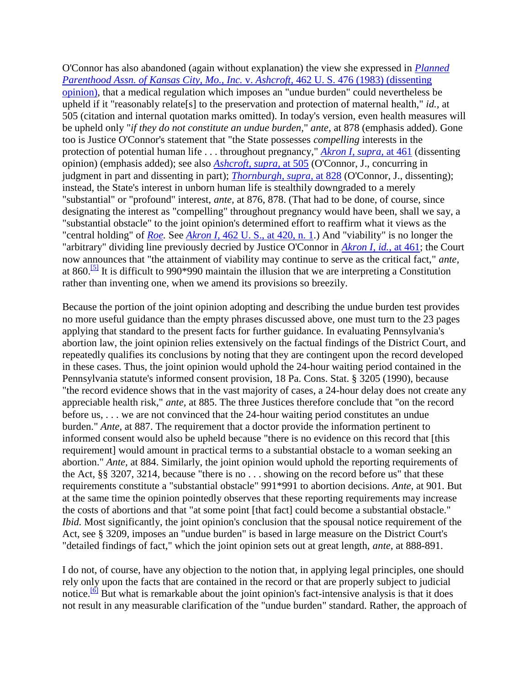O'Connor has also abandoned (again without explanation) the view she expressed in *[Planned](http://scholar.google.co.in/scholar_case?case=16358226321487983194&q=planned+parenthood+v.+casey&hl=en&as_sdt=2,5&scilh=0)  [Parenthood Assn. of Kansas City, Mo., Inc.](http://scholar.google.co.in/scholar_case?case=16358226321487983194&q=planned+parenthood+v.+casey&hl=en&as_sdt=2,5&scilh=0)* v. *Ashcroft,* 462 U. S. 476 (1983) (dissenting [opinion\),](http://scholar.google.co.in/scholar_case?case=16358226321487983194&q=planned+parenthood+v.+casey&hl=en&as_sdt=2,5&scilh=0) that a medical regulation which imposes an "undue burden" could nevertheless be upheld if it "reasonably relate[s] to the preservation and protection of maternal health," *id.,* at 505 (citation and internal quotation marks omitted). In today's version, even health measures will be upheld only "*if they do not constitute an undue burden,*" *ante,* at 878 (emphasis added). Gone too is Justice O'Connor's statement that "the State possesses *compelling* interests in the protection of potential human life . . . throughout pregnancy," *[Akron I, supra,](http://scholar.google.co.in/scholar_case?case=7944230995323582140&q=planned+parenthood+v.+casey&hl=en&as_sdt=2,5&scilh=0)* at 461 (dissenting opinion) (emphasis added); see also *[Ashcroft, supra,](http://scholar.google.co.in/scholar_case?case=16358226321487983194&q=planned+parenthood+v.+casey&hl=en&as_sdt=2,5&scilh=0)* at 505 (O'Connor, J., concurring in judgment in part and dissenting in part); *[Thornburgh, supra,](http://scholar.google.co.in/scholar_case?case=3420134328076928385&q=planned+parenthood+v.+casey&hl=en&as_sdt=2,5&scilh=0)* at 828 (O'Connor, J., dissenting); instead, the State's interest in unborn human life is stealthily downgraded to a merely "substantial" or "profound" interest, *ante,* at 876, 878. (That had to be done, of course, since designating the interest as "compelling" throughout pregnancy would have been, shall we say, a "substantial obstacle" to the joint opinion's determined effort to reaffirm what it views as the "central holding" of *[Roe.](http://scholar.google.co.in/scholar_case?case=12334123945835207673&q=planned+parenthood+v.+casey&hl=en&as_sdt=2,5&scilh=0)* See *Akron I,* [462 U. S., at 420, n. 1.](http://scholar.google.co.in/scholar_case?case=7944230995323582140&q=planned+parenthood+v.+casey&hl=en&as_sdt=2,5&scilh=0)) And "viability" is no longer the "arbitrary" dividing line previously decried by Justice O'Connor in *[Akron I, id.,](http://scholar.google.co.in/scholar_case?case=7944230995323582140&q=planned+parenthood+v.+casey&hl=en&as_sdt=2,5&scilh=0)* at 461; the Court now announces that "the attainment of viability may continue to serve as the critical fact," *ante,* at 860.<sup>[\[5\]](http://scholar.google.co.in/scholar_case?q=planned+parenthood+v.+casey&hl=en&as_sdt=2,5&case=6298856056242550994&scilh=0#[30])</sup> It is difficult to 990\*990 maintain the illusion that we are interpreting a Constitution rather than inventing one, when we amend its provisions so breezily.

Because the portion of the joint opinion adopting and describing the undue burden test provides no more useful guidance than the empty phrases discussed above, one must turn to the 23 pages applying that standard to the present facts for further guidance. In evaluating Pennsylvania's abortion law, the joint opinion relies extensively on the factual findings of the District Court, and repeatedly qualifies its conclusions by noting that they are contingent upon the record developed in these cases. Thus, the joint opinion would uphold the 24-hour waiting period contained in the Pennsylvania statute's informed consent provision, 18 Pa. Cons. Stat. § 3205 (1990), because "the record evidence shows that in the vast majority of cases, a 24-hour delay does not create any appreciable health risk," *ante,* at 885. The three Justices therefore conclude that "on the record before us, . . . we are not convinced that the 24-hour waiting period constitutes an undue burden." *Ante,* at 887. The requirement that a doctor provide the information pertinent to informed consent would also be upheld because "there is no evidence on this record that [this requirement] would amount in practical terms to a substantial obstacle to a woman seeking an abortion." *Ante,* at 884. Similarly, the joint opinion would uphold the reporting requirements of the Act, §§ 3207, 3214, because "there is no . . . showing on the record before us" that these requirements constitute a "substantial obstacle" 991\*991 to abortion decisions. *Ante,* at 901. But at the same time the opinion pointedly observes that these reporting requirements may increase the costs of abortions and that "at some point [that fact] could become a substantial obstacle." *Ibid.* Most significantly, the joint opinion's conclusion that the spousal notice requirement of the Act, see § 3209, imposes an "undue burden" is based in large measure on the District Court's "detailed findings of fact," which the joint opinion sets out at great length, *ante,* at 888-891.

I do not, of course, have any objection to the notion that, in applying legal principles, one should rely only upon the facts that are contained in the record or that are properly subject to judicial notice.<sup>[\[6\]](http://scholar.google.co.in/scholar_case?q=planned+parenthood+v.+casey&hl=en&as_sdt=2,5&case=6298856056242550994&scilh=0#[31])</sup> But what is remarkable about the joint opinion's fact-intensive analysis is that it does not result in any measurable clarification of the "undue burden" standard. Rather, the approach of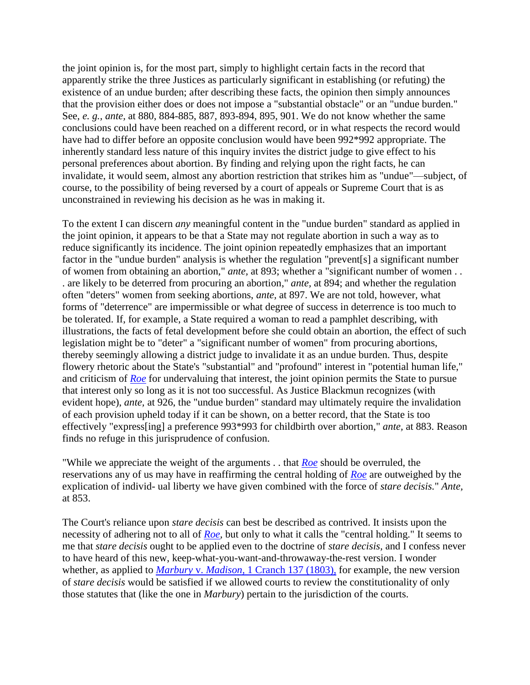the joint opinion is, for the most part, simply to highlight certain facts in the record that apparently strike the three Justices as particularly significant in establishing (or refuting) the existence of an undue burden; after describing these facts, the opinion then simply announces that the provision either does or does not impose a "substantial obstacle" or an "undue burden." See, *e. g., ante,* at 880, 884-885, 887, 893-894, 895, 901. We do not know whether the same conclusions could have been reached on a different record, or in what respects the record would have had to differ before an opposite conclusion would have been 992\*992 appropriate. The inherently standard less nature of this inquiry invites the district judge to give effect to his personal preferences about abortion. By finding and relying upon the right facts, he can invalidate, it would seem, almost any abortion restriction that strikes him as "undue"—subject, of course, to the possibility of being reversed by a court of appeals or Supreme Court that is as unconstrained in reviewing his decision as he was in making it.

To the extent I can discern *any* meaningful content in the "undue burden" standard as applied in the joint opinion, it appears to be that a State may not regulate abortion in such a way as to reduce significantly its incidence. The joint opinion repeatedly emphasizes that an important factor in the "undue burden" analysis is whether the regulation "prevent[s] a significant number of women from obtaining an abortion," *ante,* at 893; whether a "significant number of women . . . are likely to be deterred from procuring an abortion," *ante,* at 894; and whether the regulation often "deters" women from seeking abortions, *ante,* at 897. We are not told, however, what forms of "deterrence" are impermissible or what degree of success in deterrence is too much to be tolerated. If, for example, a State required a woman to read a pamphlet describing, with illustrations, the facts of fetal development before she could obtain an abortion, the effect of such legislation might be to "deter" a "significant number of women" from procuring abortions, thereby seemingly allowing a district judge to invalidate it as an undue burden. Thus, despite flowery rhetoric about the State's "substantial" and "profound" interest in "potential human life," and criticism of *[Roe](http://scholar.google.co.in/scholar_case?case=12334123945835207673&q=planned+parenthood+v.+casey&hl=en&as_sdt=2,5&scilh=0)* for undervaluing that interest, the joint opinion permits the State to pursue that interest only so long as it is not too successful. As Justice Blackmun recognizes (with evident hope), *ante,* at 926, the "undue burden" standard may ultimately require the invalidation of each provision upheld today if it can be shown, on a better record, that the State is too effectively "express[ing] a preference 993\*993 for childbirth over abortion," *ante,* at 883. Reason finds no refuge in this jurisprudence of confusion.

"While we appreciate the weight of the arguments . . that *[Roe](http://scholar.google.co.in/scholar_case?case=12334123945835207673&q=planned+parenthood+v.+casey&hl=en&as_sdt=2,5&scilh=0)* should be overruled, the reservations any of us may have in reaffirming the central holding of *[Roe](http://scholar.google.co.in/scholar_case?case=12334123945835207673&q=planned+parenthood+v.+casey&hl=en&as_sdt=2,5&scilh=0)* are outweighed by the explication of individ- ual liberty we have given combined with the force of *stare decisis.*" *Ante,* at 853.

The Court's reliance upon *stare decisis* can best be described as contrived. It insists upon the necessity of adhering not to all of *[Roe,](http://scholar.google.co.in/scholar_case?case=12334123945835207673&q=planned+parenthood+v.+casey&hl=en&as_sdt=2,5&scilh=0)* but only to what it calls the "central holding." It seems to me that *stare decisis* ought to be applied even to the doctrine of *stare decisis,* and I confess never to have heard of this new, keep-what-you-want-and-throwaway-the-rest version. I wonder whether, as applied to *Marbury* v. *Madison,* [1 Cranch 137 \(1803\),](http://scholar.google.co.in/scholar_case?case=9834052745083343188&q=planned+parenthood+v.+casey&hl=en&as_sdt=2,5&scilh=0) for example, the new version of *stare decisis* would be satisfied if we allowed courts to review the constitutionality of only those statutes that (like the one in *Marbury*) pertain to the jurisdiction of the courts.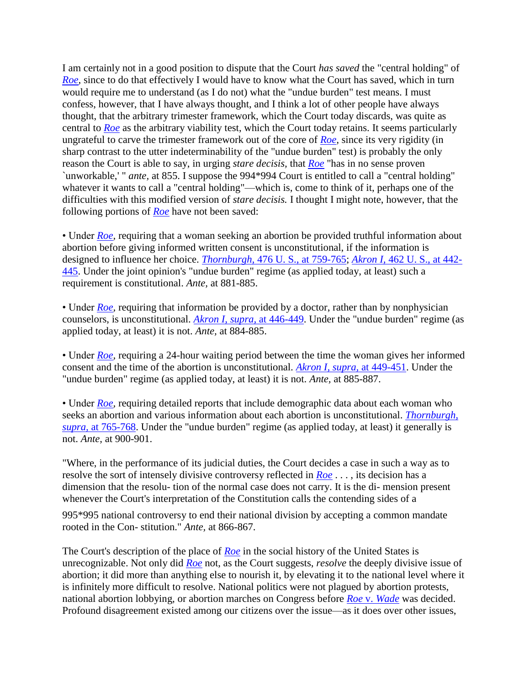I am certainly not in a good position to dispute that the Court *has saved* the "central holding" of *[Roe,](http://scholar.google.co.in/scholar_case?case=12334123945835207673&q=planned+parenthood+v.+casey&hl=en&as_sdt=2,5&scilh=0)* since to do that effectively I would have to know what the Court has saved, which in turn would require me to understand (as I do not) what the "undue burden" test means. I must confess, however, that I have always thought, and I think a lot of other people have always thought, that the arbitrary trimester framework, which the Court today discards, was quite as central to *[Roe](http://scholar.google.co.in/scholar_case?case=12334123945835207673&q=planned+parenthood+v.+casey&hl=en&as_sdt=2,5&scilh=0)* as the arbitrary viability test, which the Court today retains. It seems particularly ungrateful to carve the trimester framework out of the core of *[Roe,](http://scholar.google.co.in/scholar_case?case=12334123945835207673&q=planned+parenthood+v.+casey&hl=en&as_sdt=2,5&scilh=0)* since its very rigidity (in sharp contrast to the utter indeterminability of the "undue burden" test) is probably the only reason the Court is able to say, in urging *stare decisis,* that *[Roe](http://scholar.google.co.in/scholar_case?case=12334123945835207673&q=planned+parenthood+v.+casey&hl=en&as_sdt=2,5&scilh=0)* "has in no sense proven `unworkable,' " *ante,* at 855. I suppose the 994\*994 Court is entitled to call a "central holding" whatever it wants to call a "central holding"—which is, come to think of it, perhaps one of the difficulties with this modified version of *stare decisis.* I thought I might note, however, that the following portions of *[Roe](http://scholar.google.co.in/scholar_case?case=12334123945835207673&q=planned+parenthood+v.+casey&hl=en&as_sdt=2,5&scilh=0)* have not been saved:

• Under *[Roe,](http://scholar.google.co.in/scholar_case?case=12334123945835207673&q=planned+parenthood+v.+casey&hl=en&as_sdt=2,5&scilh=0)* requiring that a woman seeking an abortion be provided truthful information about abortion before giving informed written consent is unconstitutional, if the information is designed to influence her choice. *[Thornburgh,](http://scholar.google.co.in/scholar_case?case=3420134328076928385&q=planned+parenthood+v.+casey&hl=en&as_sdt=2,5&scilh=0)* 476 U. S., at 759-765; *Akron I,* [462 U. S., at 442-](http://scholar.google.co.in/scholar_case?case=7944230995323582140&q=planned+parenthood+v.+casey&hl=en&as_sdt=2,5&scilh=0) [445.](http://scholar.google.co.in/scholar_case?case=7944230995323582140&q=planned+parenthood+v.+casey&hl=en&as_sdt=2,5&scilh=0) Under the joint opinion's "undue burden" regime (as applied today, at least) such a requirement is constitutional. *Ante,* at 881-885.

• Under *Roe*, requiring that information be provided by a doctor, rather than by nonphysician counselors, is unconstitutional. *[Akron I, supra,](http://scholar.google.co.in/scholar_case?case=7944230995323582140&q=planned+parenthood+v.+casey&hl=en&as_sdt=2,5&scilh=0)* at 446-449. Under the "undue burden" regime (as applied today, at least) it is not. *Ante,* at 884-885.

• Under *[Roe,](http://scholar.google.co.in/scholar_case?case=12334123945835207673&q=planned+parenthood+v.+casey&hl=en&as_sdt=2,5&scilh=0)* requiring a 24-hour waiting period between the time the woman gives her informed consent and the time of the abortion is unconstitutional. *[Akron I, supra,](http://scholar.google.co.in/scholar_case?case=7944230995323582140&q=planned+parenthood+v.+casey&hl=en&as_sdt=2,5&scilh=0)* at 449-451. Under the "undue burden" regime (as applied today, at least) it is not. *Ante,* at 885-887.

• Under *[Roe,](http://scholar.google.co.in/scholar_case?case=12334123945835207673&q=planned+parenthood+v.+casey&hl=en&as_sdt=2,5&scilh=0)* requiring detailed reports that include demographic data about each woman who seeks an abortion and various information about each abortion is unconstitutional. *[Thornburgh,](http://scholar.google.co.in/scholar_case?case=3420134328076928385&q=planned+parenthood+v.+casey&hl=en&as_sdt=2,5&scilh=0)  supra,* [at 765-768.](http://scholar.google.co.in/scholar_case?case=3420134328076928385&q=planned+parenthood+v.+casey&hl=en&as_sdt=2,5&scilh=0) Under the "undue burden" regime (as applied today, at least) it generally is not. *Ante,* at 900-901.

"Where, in the performance of its judicial duties, the Court decides a case in such a way as to resolve the sort of intensely divisive controversy reflected in *[Roe](http://scholar.google.co.in/scholar_case?case=12334123945835207673&q=planned+parenthood+v.+casey&hl=en&as_sdt=2,5&scilh=0)* . . . , its decision has a dimension that the resolu- tion of the normal case does not carry. It is the di- mension present whenever the Court's interpretation of the Constitution calls the contending sides of a

995\*995 national controversy to end their national division by accepting a common mandate rooted in the Con- stitution." *Ante,* at 866-867.

The Court's description of the place of *[Roe](http://scholar.google.co.in/scholar_case?case=12334123945835207673&q=planned+parenthood+v.+casey&hl=en&as_sdt=2,5&scilh=0)* in the social history of the United States is unrecognizable. Not only did *[Roe](http://scholar.google.co.in/scholar_case?case=12334123945835207673&q=planned+parenthood+v.+casey&hl=en&as_sdt=2,5&scilh=0)* not, as the Court suggests, *resolve* the deeply divisive issue of abortion; it did more than anything else to nourish it, by elevating it to the national level where it is infinitely more difficult to resolve. National politics were not plagued by abortion protests, national abortion lobbying, or abortion marches on Congress before *Roe* v. *[Wade](http://scholar.google.co.in/scholar_case?case=12334123945835207673&q=planned+parenthood+v.+casey&hl=en&as_sdt=2,5&scilh=0)* was decided. Profound disagreement existed among our citizens over the issue—as it does over other issues,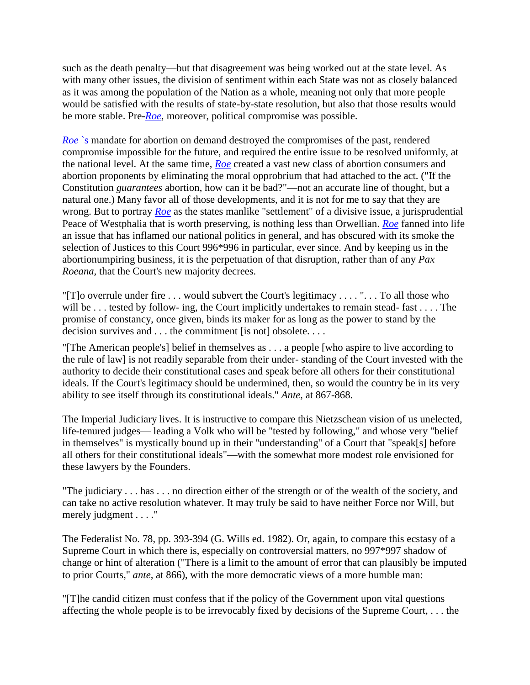such as the death penalty—but that disagreement was being worked out at the state level. As with many other issues, the division of sentiment within each State was not as closely balanced as it was among the population of the Nation as a whole, meaning not only that more people would be satisfied with the results of state-by-state resolution, but also that those results would be more stable. Pre-*[Roe,](http://scholar.google.co.in/scholar_case?case=12334123945835207673&q=planned+parenthood+v.+casey&hl=en&as_sdt=2,5&scilh=0)* moreover, political compromise was possible.

*[Roe](http://scholar.google.co.in/scholar_case?case=12334123945835207673&q=planned+parenthood+v.+casey&hl=en&as_sdt=2,5&scilh=0)* `s mandate for abortion on demand destroyed the compromises of the past, rendered compromise impossible for the future, and required the entire issue to be resolved uniformly, at the national level. At the same time, *[Roe](http://scholar.google.co.in/scholar_case?case=12334123945835207673&q=planned+parenthood+v.+casey&hl=en&as_sdt=2,5&scilh=0)* created a vast new class of abortion consumers and abortion proponents by eliminating the moral opprobrium that had attached to the act. ("If the Constitution *guarantees* abortion, how can it be bad?"—not an accurate line of thought, but a natural one.) Many favor all of those developments, and it is not for me to say that they are wrong. But to portray *[Roe](http://scholar.google.co.in/scholar_case?case=12334123945835207673&q=planned+parenthood+v.+casey&hl=en&as_sdt=2,5&scilh=0)* as the states manlike "settlement" of a divisive issue, a jurisprudential Peace of Westphalia that is worth preserving, is nothing less than Orwellian. *[Roe](http://scholar.google.co.in/scholar_case?case=12334123945835207673&q=planned+parenthood+v.+casey&hl=en&as_sdt=2,5&scilh=0)* fanned into life an issue that has inflamed our national politics in general, and has obscured with its smoke the selection of Justices to this Court 996\*996 in particular, ever since. And by keeping us in the abortionumpiring business, it is the perpetuation of that disruption, rather than of any *Pax Roeana,* that the Court's new majority decrees.

"[T]o overrule under fire . . . would subvert the Court's legitimacy . . . . ". . . To all those who will be ... tested by follow- ing, the Court implicitly undertakes to remain stead- fast ... The promise of constancy, once given, binds its maker for as long as the power to stand by the decision survives and . . . the commitment [is not] obsolete. . . .

"[The American people's] belief in themselves as . . . a people [who aspire to live according to the rule of law] is not readily separable from their under- standing of the Court invested with the authority to decide their constitutional cases and speak before all others for their constitutional ideals. If the Court's legitimacy should be undermined, then, so would the country be in its very ability to see itself through its constitutional ideals." *Ante,* at 867-868.

The Imperial Judiciary lives. It is instructive to compare this Nietzschean vision of us unelected, life-tenured judges— leading a Volk who will be "tested by following," and whose very "belief in themselves" is mystically bound up in their "understanding" of a Court that "speak[s] before all others for their constitutional ideals"—with the somewhat more modest role envisioned for these lawyers by the Founders.

"The judiciary . . . has . . . no direction either of the strength or of the wealth of the society, and can take no active resolution whatever. It may truly be said to have neither Force nor Will, but merely judgment . . . ."

The Federalist No. 78, pp. 393-394 (G. Wills ed. 1982). Or, again, to compare this ecstasy of a Supreme Court in which there is, especially on controversial matters, no 997\*997 shadow of change or hint of alteration ("There is a limit to the amount of error that can plausibly be imputed to prior Courts," *ante,* at 866), with the more democratic views of a more humble man:

"[T]he candid citizen must confess that if the policy of the Government upon vital questions affecting the whole people is to be irrevocably fixed by decisions of the Supreme Court, . . . the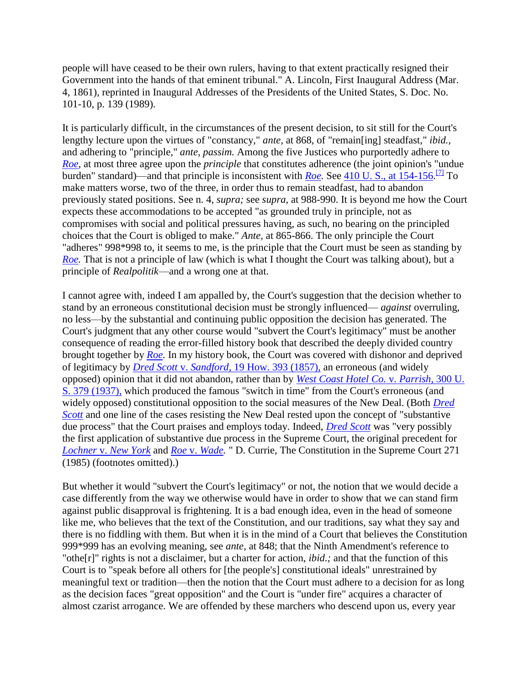people will have ceased to be their own rulers, having to that extent practically resigned their Government into the hands of that eminent tribunal." A. Lincoln, First Inaugural Address (Mar. 4, 1861), reprinted in Inaugural Addresses of the Presidents of the United States, S. Doc. No. 101-10, p. 139 (1989).

It is particularly difficult, in the circumstances of the present decision, to sit still for the Court's lengthy lecture upon the virtues of "constancy," *ante,* at 868, of "remain[ing] steadfast," *ibid.,* and adhering to "principle," *ante, passim.* Among the five Justices who purportedly adhere to *[Roe,](http://scholar.google.co.in/scholar_case?case=12334123945835207673&q=planned+parenthood+v.+casey&hl=en&as_sdt=2,5&scilh=0)* at most three agree upon the *principle* that constitutes adherence (the joint opinion's "undue burden" standard)—and that principle is inconsistent with *Roe*. See [410 U. S., at 154-156.](http://scholar.google.co.in/scholar_case?case=12334123945835207673&q=planned+parenthood+v.+casey&hl=en&as_sdt=2,5&scilh=0)<sup>[\[7\]](http://scholar.google.co.in/scholar_case?q=planned+parenthood+v.+casey&hl=en&as_sdt=2,5&case=6298856056242550994&scilh=0#[32])</sup> To make matters worse, two of the three, in order thus to remain steadfast, had to abandon previously stated positions. See n. 4, *supra;* see *supra,* at 988-990. It is beyond me how the Court expects these accommodations to be accepted "as grounded truly in principle, not as compromises with social and political pressures having, as such, no bearing on the principled choices that the Court is obliged to make." *Ante,* at 865-866. The only principle the Court "adheres" 998\*998 to, it seems to me, is the principle that the Court must be seen as standing by *[Roe.](http://scholar.google.co.in/scholar_case?case=12334123945835207673&q=planned+parenthood+v.+casey&hl=en&as_sdt=2,5&scilh=0)* That is not a principle of law (which is what I thought the Court was talking about), but a principle of *Realpolitik*—and a wrong one at that.

I cannot agree with, indeed I am appalled by, the Court's suggestion that the decision whether to stand by an erroneous constitutional decision must be strongly influenced— *against* overruling, no less—by the substantial and continuing public opposition the decision has generated. The Court's judgment that any other course would "subvert the Court's legitimacy" must be another consequence of reading the error-filled history book that described the deeply divided country brought together by *[Roe.](http://scholar.google.co.in/scholar_case?case=12334123945835207673&q=planned+parenthood+v.+casey&hl=en&as_sdt=2,5&scilh=0)* In my history book, the Court was covered with dishonor and deprived of legitimacy by *Dred Scott* v. *Sandford,* [19 How. 393 \(1857\),](http://scholar.google.co.in/scholar_case?case=3231372247892780026&q=planned+parenthood+v.+casey&hl=en&as_sdt=2,5&scilh=0) an erroneous (and widely opposed) opinion that it did not abandon, rather than by *[West Coast Hotel Co.](http://scholar.google.co.in/scholar_case?case=3438251361651586340&q=planned+parenthood+v.+casey&hl=en&as_sdt=2,5&scilh=0)* v. *Parrish,* 300 U. S. 379 [\(1937\),](http://scholar.google.co.in/scholar_case?case=3438251361651586340&q=planned+parenthood+v.+casey&hl=en&as_sdt=2,5&scilh=0) which produced the famous "switch in time" from the Court's erroneous (and widely opposed) constitutional opposition to the social measures of the New Deal. (Both *[Dred](http://scholar.google.co.in/scholar_case?case=3231372247892780026&q=planned+parenthood+v.+casey&hl=en&as_sdt=2,5&scilh=0)  [Scott](http://scholar.google.co.in/scholar_case?case=3231372247892780026&q=planned+parenthood+v.+casey&hl=en&as_sdt=2,5&scilh=0)* and one line of the cases resisting the New Deal rested upon the concept of "substantive" due process" that the Court praises and employs today. Indeed, *[Dred Scott](http://scholar.google.co.in/scholar_case?case=3231372247892780026&q=planned+parenthood+v.+casey&hl=en&as_sdt=2,5&scilh=0)* was "very possibly the first application of substantive due process in the Supreme Court, the original precedent for *Lochner* v. *[New York](http://scholar.google.co.in/scholar_case?case=10760991087928264675&q=planned+parenthood+v.+casey&hl=en&as_sdt=2,5&scilh=0)* and *Roe* v. *[Wade.](http://scholar.google.co.in/scholar_case?case=12334123945835207673&q=planned+parenthood+v.+casey&hl=en&as_sdt=2,5&scilh=0)* " D. Currie, The Constitution in the Supreme Court 271 (1985) (footnotes omitted).)

But whether it would "subvert the Court's legitimacy" or not, the notion that we would decide a case differently from the way we otherwise would have in order to show that we can stand firm against public disapproval is frightening. It is a bad enough idea, even in the head of someone like me, who believes that the text of the Constitution, and our traditions, say what they say and there is no fiddling with them. But when it is in the mind of a Court that believes the Constitution 999\*999 has an evolving meaning, see *ante,* at 848; that the Ninth Amendment's reference to "othe[r]" rights is not a disclaimer, but a charter for action, *ibid.;* and that the function of this Court is to "speak before all others for [the people's] constitutional ideals" unrestrained by meaningful text or tradition—then the notion that the Court must adhere to a decision for as long as the decision faces "great opposition" and the Court is "under fire" acquires a character of almost czarist arrogance. We are offended by these marchers who descend upon us, every year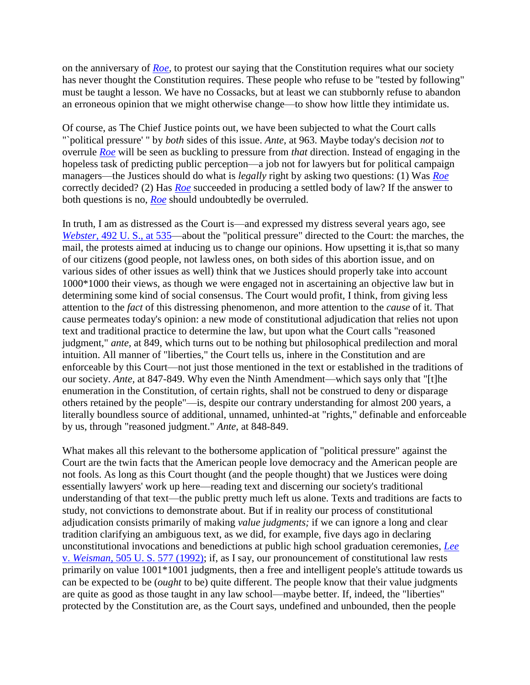on the anniversary of *[Roe,](http://scholar.google.co.in/scholar_case?case=12334123945835207673&q=planned+parenthood+v.+casey&hl=en&as_sdt=2,5&scilh=0)* to protest our saying that the Constitution requires what our society has never thought the Constitution requires. These people who refuse to be "tested by following" must be taught a lesson. We have no Cossacks, but at least we can stubbornly refuse to abandon an erroneous opinion that we might otherwise change—to show how little they intimidate us.

Of course, as The Chief Justice points out, we have been subjected to what the Court calls "`political pressure' " by *both* sides of this issue. *Ante,* at 963. Maybe today's decision *not* to overrule *[Roe](http://scholar.google.co.in/scholar_case?case=12334123945835207673&q=planned+parenthood+v.+casey&hl=en&as_sdt=2,5&scilh=0)* will be seen as buckling to pressure from *that* direction. Instead of engaging in the hopeless task of predicting public perception—a job not for lawyers but for political campaign managers—the Justices should do what is *legally* right by asking two questions: (1) Was *[Roe](http://scholar.google.co.in/scholar_case?case=12334123945835207673&q=planned+parenthood+v.+casey&hl=en&as_sdt=2,5&scilh=0)* correctly decided? (2) Has *[Roe](http://scholar.google.co.in/scholar_case?case=12334123945835207673&q=planned+parenthood+v.+casey&hl=en&as_sdt=2,5&scilh=0)* succeeded in producing a settled body of law? If the answer to both questions is no, *[Roe](http://scholar.google.co.in/scholar_case?case=12334123945835207673&q=planned+parenthood+v.+casey&hl=en&as_sdt=2,5&scilh=0)* should undoubtedly be overruled.

In truth, I am as distressed as the Court is—and expressed my distress several years ago, see *Webster,* [492 U. S., at 535—](http://scholar.google.co.in/scholar_case?case=2944985204861123439&q=planned+parenthood+v.+casey&hl=en&as_sdt=2,5&scilh=0)about the "political pressure" directed to the Court: the marches, the mail, the protests aimed at inducing us to change our opinions. How upsetting it is,that so many of our citizens (good people, not lawless ones, on both sides of this abortion issue, and on various sides of other issues as well) think that we Justices should properly take into account 1000\*1000 their views, as though we were engaged not in ascertaining an objective law but in determining some kind of social consensus. The Court would profit, I think, from giving less attention to the *fact* of this distressing phenomenon, and more attention to the *cause* of it. That cause permeates today's opinion: a new mode of constitutional adjudication that relies not upon text and traditional practice to determine the law, but upon what the Court calls "reasoned judgment," *ante,* at 849, which turns out to be nothing but philosophical predilection and moral intuition. All manner of "liberties," the Court tells us, inhere in the Constitution and are enforceable by this Court—not just those mentioned in the text or established in the traditions of our society. *Ante,* at 847-849. Why even the Ninth Amendment—which says only that "[t]he enumeration in the Constitution, of certain rights, shall not be construed to deny or disparage others retained by the people"—is, despite our contrary understanding for almost 200 years, a literally boundless source of additional, unnamed, unhinted-at "rights," definable and enforceable by us, through "reasoned judgment." *Ante,* at 848-849.

What makes all this relevant to the bothersome application of "political pressure" against the Court are the twin facts that the American people love democracy and the American people are not fools. As long as this Court thought (and the people thought) that we Justices were doing essentially lawyers' work up here—reading text and discerning our society's traditional understanding of that text—the public pretty much left us alone. Texts and traditions are facts to study, not convictions to demonstrate about. But if in reality our process of constitutional adjudication consists primarily of making *value judgments;* if we can ignore a long and clear tradition clarifying an ambiguous text, as we did, for example, five days ago in declaring unconstitutional invocations and benedictions at public high school graduation ceremonies, *[Lee](http://scholar.google.co.in/scholar_case?case=140480915250262562&q=planned+parenthood+v.+casey&hl=en&as_sdt=2,5&scilh=0)* v. *Weisman,* [505 U. S. 577 \(1992\);](http://scholar.google.co.in/scholar_case?case=140480915250262562&q=planned+parenthood+v.+casey&hl=en&as_sdt=2,5&scilh=0) if, as I say, our pronouncement of constitutional law rests primarily on value 1001\*1001 judgments, then a free and intelligent people's attitude towards us can be expected to be (*ought* to be) quite different. The people know that their value judgments are quite as good as those taught in any law school—maybe better. If, indeed, the "liberties" protected by the Constitution are, as the Court says, undefined and unbounded, then the people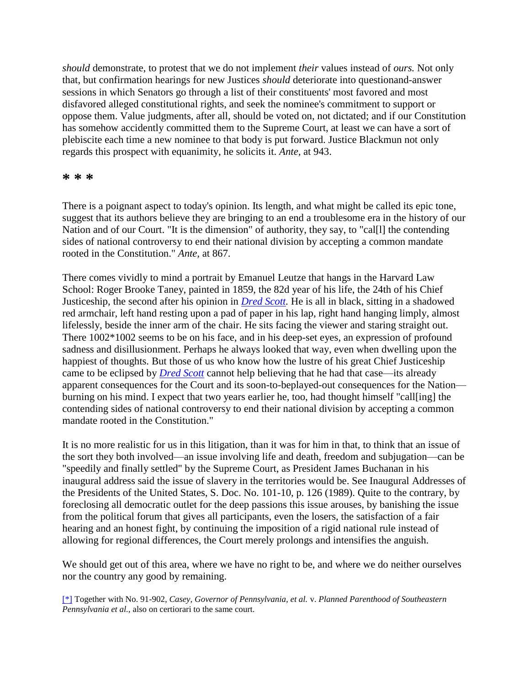*should* demonstrate, to protest that we do not implement *their* values instead of *ours.* Not only that, but confirmation hearings for new Justices *should* deteriorate into questionand-answer sessions in which Senators go through a list of their constituents' most favored and most disfavored alleged constitutional rights, and seek the nominee's commitment to support or oppose them. Value judgments, after all, should be voted on, not dictated; and if our Constitution has somehow accidently committed them to the Supreme Court, at least we can have a sort of plebiscite each time a new nominee to that body is put forward. Justice Blackmun not only regards this prospect with equanimity, he solicits it. *Ante,* at 943.

## **\* \* \***

There is a poignant aspect to today's opinion. Its length, and what might be called its epic tone, suggest that its authors believe they are bringing to an end a troublesome era in the history of our Nation and of our Court. "It is the dimension" of authority, they say, to "call the contending sides of national controversy to end their national division by accepting a common mandate rooted in the Constitution." *Ante,* at 867.

There comes vividly to mind a portrait by Emanuel Leutze that hangs in the Harvard Law School: Roger Brooke Taney, painted in 1859, the 82d year of his life, the 24th of his Chief Justiceship, the second after his opinion in *[Dred Scott.](http://scholar.google.co.in/scholar_case?case=3231372247892780026&q=planned+parenthood+v.+casey&hl=en&as_sdt=2,5&scilh=0)* He is all in black, sitting in a shadowed red armchair, left hand resting upon a pad of paper in his lap, right hand hanging limply, almost lifelessly, beside the inner arm of the chair. He sits facing the viewer and staring straight out. There 1002\*1002 seems to be on his face, and in his deep-set eyes, an expression of profound sadness and disillusionment. Perhaps he always looked that way, even when dwelling upon the happiest of thoughts. But those of us who know how the lustre of his great Chief Justiceship came to be eclipsed by *[Dred Scott](http://scholar.google.co.in/scholar_case?case=3231372247892780026&q=planned+parenthood+v.+casey&hl=en&as_sdt=2,5&scilh=0)* cannot help believing that he had that case—its already apparent consequences for the Court and its soon-to-beplayed-out consequences for the Nation burning on his mind. I expect that two years earlier he, too, had thought himself "call[ing] the contending sides of national controversy to end their national division by accepting a common mandate rooted in the Constitution."

It is no more realistic for us in this litigation, than it was for him in that, to think that an issue of the sort they both involved—an issue involving life and death, freedom and subjugation—can be "speedily and finally settled" by the Supreme Court, as President James Buchanan in his inaugural address said the issue of slavery in the territories would be. See Inaugural Addresses of the Presidents of the United States, S. Doc. No. 101-10, p. 126 (1989). Quite to the contrary, by foreclosing all democratic outlet for the deep passions this issue arouses, by banishing the issue from the political forum that gives all participants, even the losers, the satisfaction of a fair hearing and an honest fight, by continuing the imposition of a rigid national rule instead of allowing for regional differences, the Court merely prolongs and intensifies the anguish.

We should get out of this area, where we have no right to be, and where we do neither ourselves nor the country any good by remaining.

[\[\\*\]](http://scholar.google.co.in/scholar_case?q=planned+parenthood+v.+casey&hl=en&as_sdt=2,5&case=6298856056242550994&scilh=0#r[1]) Together with No. 91-902, *Casey, Governor of Pennsylvania, et al.* v. *Planned Parenthood of Southeastern Pennsylvania et al.,* also on certiorari to the same court.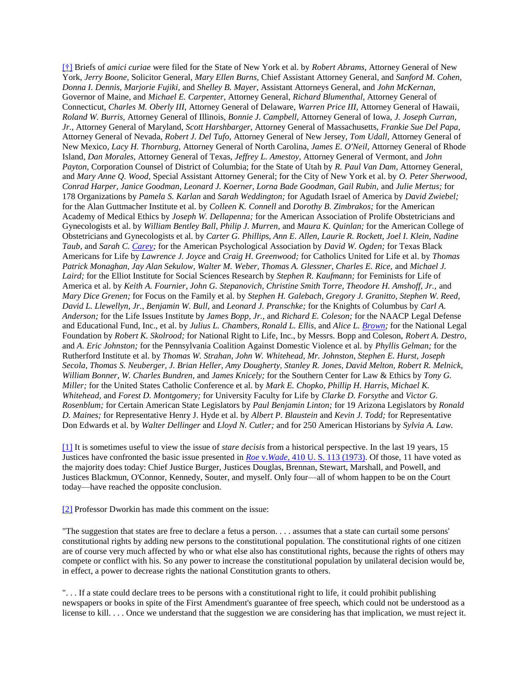[\[†\]](http://scholar.google.co.in/scholar_case?q=planned+parenthood+v.+casey&hl=en&as_sdt=2,5&case=6298856056242550994&scilh=0#r[2]) Briefs of *amici curiae* were filed for the State of New York et al. by *Robert Abrams,* Attorney General of New York, *Jerry Boone,* Solicitor General, *Mary Ellen Burns,* Chief Assistant Attorney General, and *Sanford M. Cohen, Donna I. Dennis, Marjorie Fujiki,* and *Shelley B. Mayer,* Assistant Attorneys General, and *John McKernan,* Governor of Maine, and *Michael E. Carpenter,* Attorney General, *Richard Blumenthal,* Attorney General of Connecticut, *Charles M. Oberly III,* Attorney General of Delaware, *Warren Price III,* Attorney General of Hawaii, *Roland W. Burris,* Attorney General of Illinois, *Bonnie J. Campbell,* Attorney General of Iowa, *J. Joseph Curran, Jr.,* Attorney General of Maryland, *Scott Harshbarger,* Attorney General of Massachusetts, *Frankie Sue Del Papa,* Attorney General of Nevada, *Robert J. Del Tufo,* Attorney General of New Jersey, *Tom Udall,* Attorney General of New Mexico*, Lacy H. Thornburg,* Attorney General of North Carolina, *James E. O'Neil,* Attorney General of Rhode Island, *Dan Morales,* Attorney General of Texas, *Jeffrey L. Amestoy,* Attorney General of Vermont, and *John Payton,* Corporation Counsel of District of Columbia; for the State of Utah by *R. Paul Van Dam,* Attorney General, and *Mary Anne Q. Wood,* Special Assistant Attorney General; for the City of New York et al. by *O. Peter Sherwood, Conrad Harper, Janice Goodman, Leonard J. Koerner, Lorna Bade Goodman, Gail Rubin,* and *Julie Mertus;* for 178 Organizations by *Pamela S. Karlan* and *Sarah Weddington;* for Agudath Israel of America by *David Zwiebel;* for the Alan Guttmacher Institute et al. by *Colleen K. Connell* and *Dorothy B. Zimbrakos;* for the American Academy of Medical Ethics by *Joseph W. Dellapenna;* for the American Association of Prolife Obstetricians and Gynecologists et al. by *William Bentley Ball, Philip J. Murren,* and *Maura K. Quinlan;* for the American College of Obstetricians and Gynecologists et al. by *Carter G. Phillips, Ann E. Allen, Laurie R. Rockett, Joel I. Klein, Nadine Taub,* and *Sarah C[. Carey;](http://scholar.google.co.in/scholar_case?case=4801034783278981738&q=planned+parenthood+v.+casey&hl=en&as_sdt=2,5&scilh=0)* for the American Psychological Association by *David W. Ogden;* for Texas Black Americans for Life by *Lawrence J. Joyce* and *Craig H. Greenwood;* for Catholics United for Life et al. by *Thomas Patrick Monaghan, Jay Alan Sekulow, Walter M. Weber, Thomas A. Glessner, Charles E. Rice,* and *Michael J. Laird;* for the Elliot Institute for Social Sciences Research by *Stephen R. Kaufmann;* for Feminists for Life of America et al. by *Keith A. Fournier, John G. Stepanovich, Christine Smith Torre, Theodore H. Amshoff, Jr.,* and *Mary Dice Grenen;* for Focus on the Family et al. by *Stephen H. Galebach, Gregory J. Granitto, Stephen W. Reed, David L. Llewellyn, Jr., Benjamin W. Bull,* and *Leonard J. Pranschke;* for the Knights of Columbus by *Carl A. Anderson;* for the Life Issues Institute by *James Bopp, Jr.,* and *Richard E. Coleson;* for the NAACP Legal Defense and Educational Fund, Inc., et al. by *Julius L. Chambers, Ronald L. Ellis,* and *Alice L. [Brown;](http://scholar.google.co.in/scholar_case?case=12120372216939101759&q=planned+parenthood+v.+casey&hl=en&as_sdt=2,5&scilh=0)* for the National Legal Foundation by *Robert K. Skolrood;* for National Right to Life, Inc., by Messrs. Bopp and Coleson, *Robert A. Destro,* and *A. Eric Johnston;* for the Pennsylvania Coalition Against Domestic Violence et al. by *Phyllis Gelman;* for the Rutherford Institute et al. by *Thomas W. Strahan, John W. Whitehead, Mr. Johnston, Stephen E. Hurst, Joseph Secola, Thomas S. Neuberger, J. Brian Heller, Amy Dougherty, Stanley R. Jones, David Melton, Robert R. Melnick, William Bonner, W. Charles Bundren,* and *James Knicely;* for the Southern Center for Law & Ethics by *Tony G. Miller;* for the United States Catholic Conference et al. by *Mark E. Chopko, Phillip H. Harris, Michael K. Whitehead,* and *Forest D. Montgomery;* for University Faculty for Life by *Clarke D. Forsythe* and *Victor G. Rosenblum;* for Certain American State Legislators by *Paul Benjamin Linton;* for 19 Arizona Legislators by *Ronald D. Maines;* for Representative Henry J. Hyde et al. by *Albert P. Blaustein* and *Kevin J. Todd;* for Representative Don Edwards et al. by *Walter Dellinger* and *Lloyd N. Cutler;* and for 250 American Historians by *Sylvia A. Law.*

[\[1\]](http://scholar.google.co.in/scholar_case?q=planned+parenthood+v.+casey&hl=en&as_sdt=2,5&case=6298856056242550994&scilh=0#r[3]) It is sometimes useful to view the issue of *stare decisis* from a historical perspective. In the last 19 years, 15 Justices have confronted the basic issue presented in *Roe* v.*Wade,* [410 U. S. 113 \(1973\).](http://scholar.google.co.in/scholar_case?case=12334123945835207673&q=planned+parenthood+v.+casey&hl=en&as_sdt=2,5&scilh=0) Of those, 11 have voted as the majority does today: Chief Justice Burger, Justices Douglas, Brennan, Stewart, Marshall, and Powell, and Justices Blackmun, O'Connor, Kennedy, Souter, and myself. Only four—all of whom happen to be on the Court today—have reached the opposite conclusion.

[\[2\]](http://scholar.google.co.in/scholar_case?q=planned+parenthood+v.+casey&hl=en&as_sdt=2,5&case=6298856056242550994&scilh=0#r[4]) Professor Dworkin has made this comment on the issue:

"The suggestion that states are free to declare a fetus a person. . . . assumes that a state can curtail some persons' constitutional rights by adding new persons to the constitutional population. The constitutional rights of one citizen are of course very much affected by who or what else also has constitutional rights, because the rights of others may compete or conflict with his. So any power to increase the constitutional population by unilateral decision would be, in effect, a power to decrease rights the national Constitution grants to others.

". . . If a state could declare trees to be persons with a constitutional right to life, it could prohibit publishing newspapers or books in spite of the First Amendment's guarantee of free speech, which could not be understood as a license to kill. . . . Once we understand that the suggestion we are considering has that implication, we must reject it.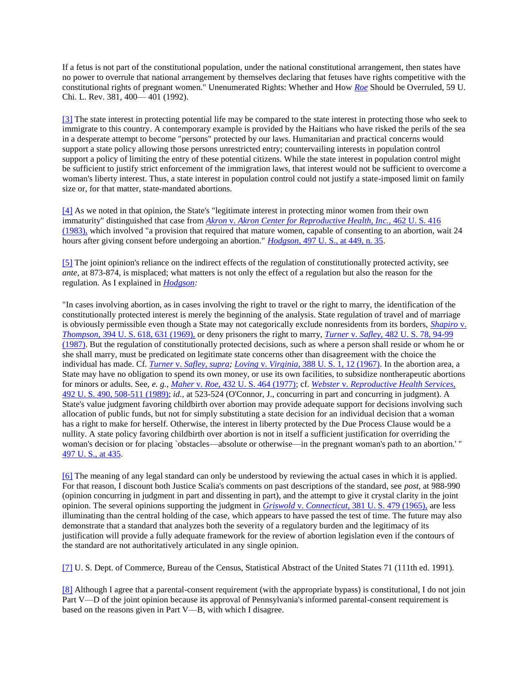If a fetus is not part of the constitutional population, under the national constitutional arrangement, then states have no power to overrule that national arrangement by themselves declaring that fetuses have rights competitive with the constitutional rights of pregnant women." Unenumerated Rights: Whether and How *[Roe](http://scholar.google.co.in/scholar_case?case=12334123945835207673&q=planned+parenthood+v.+casey&hl=en&as_sdt=2,5&scilh=0)* Should be Overruled, 59 U. Chi. L. Rev. 381, 400— 401 (1992).

[\[3\]](http://scholar.google.co.in/scholar_case?q=planned+parenthood+v.+casey&hl=en&as_sdt=2,5&case=6298856056242550994&scilh=0#r[5]) The state interest in protecting potential life may be compared to the state interest in protecting those who seek to immigrate to this country. A contemporary example is provided by the Haitians who have risked the perils of the sea in a desperate attempt to become "persons" protected by our laws. Humanitarian and practical concerns would support a state policy allowing those persons unrestricted entry; countervailing interests in population control support a policy of limiting the entry of these potential citizens. While the state interest in population control might be sufficient to justify strict enforcement of the immigration laws, that interest would not be sufficient to overcome a woman's liberty interest. Thus, a state interest in population control could not justify a state-imposed limit on family size or, for that matter, state-mandated abortions.

[\[4\]](http://scholar.google.co.in/scholar_case?q=planned+parenthood+v.+casey&hl=en&as_sdt=2,5&case=6298856056242550994&scilh=0#r[6]) As we noted in that opinion, the State's "legitimate interest in protecting minor women from their own immaturity" distinguished that case from *Akron* v. *[Akron Center for Reproductive Health, Inc.,](http://scholar.google.co.in/scholar_case?case=7944230995323582140&q=planned+parenthood+v.+casey&hl=en&as_sdt=2,5&scilh=0)* 462 U. S. 416 [\(1983\),](http://scholar.google.co.in/scholar_case?case=7944230995323582140&q=planned+parenthood+v.+casey&hl=en&as_sdt=2,5&scilh=0) which involved "a provision that required that mature women, capable of consenting to an abortion, wait 24 hours after giving consent before undergoing an abortion." *Hodgson,* [497 U. S., at 449, n. 35.](http://scholar.google.co.in/scholar_case?case=15890213352888117836&q=planned+parenthood+v.+casey&hl=en&as_sdt=2,5&scilh=0)

[\[5\]](http://scholar.google.co.in/scholar_case?q=planned+parenthood+v.+casey&hl=en&as_sdt=2,5&case=6298856056242550994&scilh=0#r[7]) The joint opinion's reliance on the indirect effects of the regulation of constitutionally protected activity, see *ante,* at 873-874, is misplaced; what matters is not only the effect of a regulation but also the reason for the regulation. As I explained in *[Hodgson:](http://scholar.google.co.in/scholar_case?case=15890213352888117836&q=planned+parenthood+v.+casey&hl=en&as_sdt=2,5&scilh=0)*

"In cases involving abortion, as in cases involving the right to travel or the right to marry, the identification of the constitutionally protected interest is merely the beginning of the analysis. State regulation of travel and of marriage is obviously permissible even though a State may not categorically exclude nonresidents from its borders, *[Shapiro](http://scholar.google.co.in/scholar_case?case=6690948768913204766&q=planned+parenthood+v.+casey&hl=en&as_sdt=2,5&scilh=0)* v. *Thompson,* [394 U. S. 618, 631 \(1969\),](http://scholar.google.co.in/scholar_case?case=6690948768913204766&q=planned+parenthood+v.+casey&hl=en&as_sdt=2,5&scilh=0) or deny prisoners the right to marry, *Turner* v. *Safley,* [482 U. S. 78, 94-99](http://scholar.google.co.in/scholar_case?case=15686747716085264205&q=planned+parenthood+v.+casey&hl=en&as_sdt=2,5&scilh=0)  [\(1987\).](http://scholar.google.co.in/scholar_case?case=15686747716085264205&q=planned+parenthood+v.+casey&hl=en&as_sdt=2,5&scilh=0) But the regulation of constitutionally protected decisions, such as where a person shall reside or whom he or she shall marry, must be predicated on legitimate state concerns other than disagreement with the choice the individual has made. Cf. *Turner* v. *[Safley, supra;](http://scholar.google.co.in/scholar_case?case=15686747716085264205&q=planned+parenthood+v.+casey&hl=en&as_sdt=2,5&scilh=0) Loving* v. *Virginia,* [388 U. S. 1, 12 \(1967\).](http://scholar.google.co.in/scholar_case?case=5103666188878568597&q=planned+parenthood+v.+casey&hl=en&as_sdt=2,5&scilh=0) In the abortion area, a State may have no obligation to spend its own money, or use its own facilities, to subsidize nontherapeutic abortions for minors or adults. See, *e. g., Maher* v. *Roe,* [432 U. S. 464 \(1977\);](http://scholar.google.co.in/scholar_case?case=10803349459097846233&q=planned+parenthood+v.+casey&hl=en&as_sdt=2,5&scilh=0) cf. *Webster* v. *Reproductive [Health Services,](http://scholar.google.co.in/scholar_case?case=2944985204861123439&q=planned+parenthood+v.+casey&hl=en&as_sdt=2,5&scilh=0)* [492 U. S. 490, 508-511 \(1989\);](http://scholar.google.co.in/scholar_case?case=2944985204861123439&q=planned+parenthood+v.+casey&hl=en&as_sdt=2,5&scilh=0) *id.,* at 523-524 (O'Connor, J., concurring in part and concurring in judgment). A State's value judgment favoring childbirth over abortion may provide adequate support for decisions involving such allocation of public funds, but not for simply substituting a state decision for an individual decision that a woman has a right to make for herself. Otherwise, the interest in liberty protected by the Due Process Clause would be a nullity. A state policy favoring childbirth over abortion is not in itself a sufficient justification for overriding the woman's decision or for placing `obstacles—absolute or otherwise—in the pregnant woman's path to an abortion.' " [497 U. S., at 435.](http://scholar.google.co.in/scholar_case?case=15890213352888117836&q=planned+parenthood+v.+casey&hl=en&as_sdt=2,5&scilh=0)

[\[6\]](http://scholar.google.co.in/scholar_case?q=planned+parenthood+v.+casey&hl=en&as_sdt=2,5&case=6298856056242550994&scilh=0#r[8]) The meaning of any legal standard can only be understood by reviewing the actual cases in which it is applied. For that reason, I discount both Justice Scalia's comments on past descriptions of the standard, see *post,* at 988-990 (opinion concurring in judgment in part and dissenting in part), and the attempt to give it crystal clarity in the joint opinion. The several opinions supporting the judgment in *Griswold* v. *Connecticut,* [381 U. S. 479 \(1965\),](http://scholar.google.co.in/scholar_case?case=12276922145000050979&q=planned+parenthood+v.+casey&hl=en&as_sdt=2,5&scilh=0) are less illuminating than the central holding of the case, which appears to have passed the test of time. The future may also demonstrate that a standard that analyzes both the severity of a regulatory burden and the legitimacy of its justification will provide a fully adequate framework for the review of abortion legislation even if the contours of the standard are not authoritatively articulated in any single opinion.

[\[7\]](http://scholar.google.co.in/scholar_case?q=planned+parenthood+v.+casey&hl=en&as_sdt=2,5&case=6298856056242550994&scilh=0#r[9]) U. S. Dept. of Commerce, Bureau of the Census, Statistical Abstract of the United States 71 (111th ed. 1991).

[\[8\]](http://scholar.google.co.in/scholar_case?q=planned+parenthood+v.+casey&hl=en&as_sdt=2,5&case=6298856056242550994&scilh=0#r[10]) Although I agree that a parental-consent requirement (with the appropriate bypass) is constitutional, I do not join Part V—D of the joint opinion because its approval of Pennsylvania's informed parental-consent requirement is based on the reasons given in Part V—B, with which I disagree.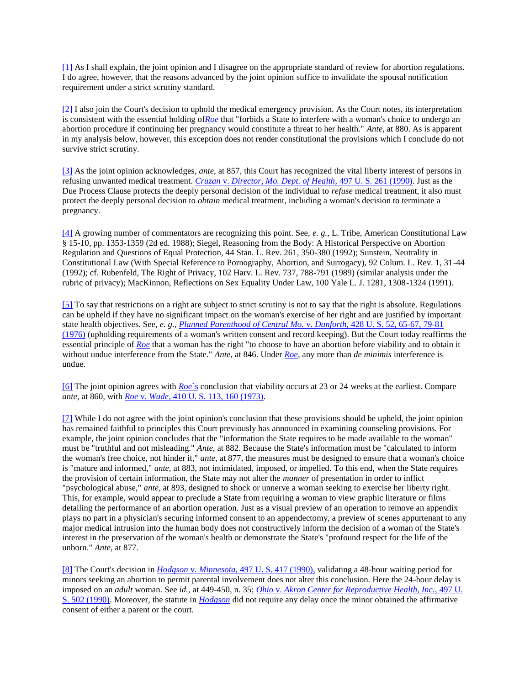[\[1\]](http://scholar.google.co.in/scholar_case?q=planned+parenthood+v.+casey&hl=en&as_sdt=2,5&case=6298856056242550994&scilh=0#r[11]) As I shall explain, the joint opinion and I disagree on the appropriate standard of review for abortion regulations. I do agree, however, that the reasons advanced by the joint opinion suffice to invalidate the spousal notification requirement under a strict scrutiny standard.

[\[2\]](http://scholar.google.co.in/scholar_case?q=planned+parenthood+v.+casey&hl=en&as_sdt=2,5&case=6298856056242550994&scilh=0#r[12]) I also join the Court's decision to uphold the medical emergency provision. As the Court notes, its interpretation is consistent with the essential holding of*[Roe](http://scholar.google.co.in/scholar_case?case=12334123945835207673&q=planned+parenthood+v.+casey&hl=en&as_sdt=2,5&scilh=0)* that "forbids a State to interfere with a woman's choice to undergo an abortion procedure if continuing her pregnancy would constitute a threat to her health." *Ante,* at 880. As is apparent in my analysis below, however, this exception does not render constitutional the provisions which I conclude do not survive strict scrutiny.

[\[3\]](http://scholar.google.co.in/scholar_case?q=planned+parenthood+v.+casey&hl=en&as_sdt=2,5&case=6298856056242550994&scilh=0#r[13]) As the joint opinion acknowledges, *ante,* at 857, this Court has recognized the vital liberty interest of persons in refusing unwanted medical treatment. *Cruzan* v. *[Director, Mo. Dept. of Health,](http://scholar.google.co.in/scholar_case?case=8467471114673973761&q=planned+parenthood+v.+casey&hl=en&as_sdt=2,5&scilh=0)* 497 U. S. 261 (1990). Just as the Due Process Clause protects the deeply personal decision of the individual to *refuse* medical treatment, it also must protect the deeply personal decision to *obtain* medical treatment, including a woman's decision to terminate a pregnancy.

[\[4\]](http://scholar.google.co.in/scholar_case?q=planned+parenthood+v.+casey&hl=en&as_sdt=2,5&case=6298856056242550994&scilh=0#r[14]) A growing number of commentators are recognizing this point. See, *e. g.,* L. Tribe, American Constitutional Law § 15-10, pp. 1353-1359 (2d ed. 1988); Siegel, Reasoning from the Body: A Historical Perspective on Abortion Regulation and Questions of Equal Protection, 44 Stan. L. Rev. 261, 350-380 (1992); Sunstein, Neutrality in Constitutional Law (With Special Reference to Pornography, Abortion, and Surrogacy), 92 Colum. L. Rev. 1, 31-44 (1992); cf. Rubenfeld, The Right of Privacy, 102 Harv. L. Rev. 737, 788-791 (1989) (similar analysis under the rubric of privacy); MacKinnon, Reflections on Sex Equality Under Law, 100 Yale L. J. 1281, 1308-1324 (1991).

[\[5\]](http://scholar.google.co.in/scholar_case?q=planned+parenthood+v.+casey&hl=en&as_sdt=2,5&case=6298856056242550994&scilh=0#r[15]) To say that restrictions on a right are subject to strict scrutiny is not to say that the right is absolute. Regulations can be upheld if they have no significant impact on the woman's exercise of her right and are justified by important state health objectives. See, *e. g.[, Planned Parenthood of Central Mo.](http://scholar.google.co.in/scholar_case?case=3638004152923873163&q=planned+parenthood+v.+casey&hl=en&as_sdt=2,5&scilh=0)* v. *Danforth,* 428 U. S. 52, 65-67, 79-81 [\(1976\)](http://scholar.google.co.in/scholar_case?case=3638004152923873163&q=planned+parenthood+v.+casey&hl=en&as_sdt=2,5&scilh=0) (upholding requirements of a woman's written consent and record keeping). But the Court today reaffirms the essential principle of *[Roe](http://scholar.google.co.in/scholar_case?case=12334123945835207673&q=planned+parenthood+v.+casey&hl=en&as_sdt=2,5&scilh=0)* that a woman has the right "to choose to have an abortion before viability and to obtain it without undue interference from the State." *Ante,* at 846. Under *[Roe,](http://scholar.google.co.in/scholar_case?case=12334123945835207673&q=planned+parenthood+v.+casey&hl=en&as_sdt=2,5&scilh=0)* any more than *de minimis* interference is undue.

[\[6\]](http://scholar.google.co.in/scholar_case?q=planned+parenthood+v.+casey&hl=en&as_sdt=2,5&case=6298856056242550994&scilh=0#r[16]) The joint opinion agrees with *[Roe](http://scholar.google.co.in/scholar_case?case=12334123945835207673&q=planned+parenthood+v.+casey&hl=en&as_sdt=2,5&scilh=0)*`s conclusion that viability occurs at 23 or 24 weeks at the earliest. Compare *ante,* at 860, with *Roe* v. *Wade,* [410 U. S. 113, 160 \(1973\).](http://scholar.google.co.in/scholar_case?case=12334123945835207673&q=planned+parenthood+v.+casey&hl=en&as_sdt=2,5&scilh=0)

[\[7\]](http://scholar.google.co.in/scholar_case?q=planned+parenthood+v.+casey&hl=en&as_sdt=2,5&case=6298856056242550994&scilh=0#r[17]) While I do not agree with the joint opinion's conclusion that these provisions should be upheld, the joint opinion has remained faithful to principles this Court previously has announced in examining counseling provisions. For example, the joint opinion concludes that the "information the State requires to be made available to the woman" must be "truthful and not misleading." *Ante,* at 882. Because the State's information must be "calculated to inform the woman's free choice, not hinder it," *ante,* at 877, the measures must be designed to ensure that a woman's choice is "mature and informed," *ante,* at 883, not intimidated, imposed, or impelled. To this end, when the State requires the provision of certain information, the State may not alter the *manner* of presentation in order to inflict "psychological abuse," *ante,* at 893, designed to shock or unnerve a woman seeking to exercise her liberty right. This, for example, would appear to preclude a State from requiring a woman to view graphic literature or films detailing the performance of an abortion operation. Just as a visual preview of an operation to remove an appendix plays no part in a physician's securing informed consent to an appendectomy, a preview of scenes appurtenant to any major medical intrusion into the human body does not constructively inform the decision of a woman of the State's interest in the preservation of the woman's health or demonstrate the State's "profound respect for the life of the unborn." *Ante,* at 877.

[\[8\]](http://scholar.google.co.in/scholar_case?q=planned+parenthood+v.+casey&hl=en&as_sdt=2,5&case=6298856056242550994&scilh=0#r[18]) The Court's decision in *Hodgson* v. *Minnesota,* [497 U. S. 417 \(1990\),](http://scholar.google.co.in/scholar_case?case=15890213352888117836&q=planned+parenthood+v.+casey&hl=en&as_sdt=2,5&scilh=0) validating a 48-hour waiting period for minors seeking an abortion to permit parental involvement does not alter this conclusion. Here the 24-hour delay is imposed on an *adult* woman. See *id.,* at 449-450, n. 35; *Ohio* v. *[Akron Center for Reproductive Health, Inc.,](http://scholar.google.co.in/scholar_case?case=9736627999207272791&q=planned+parenthood+v.+casey&hl=en&as_sdt=2,5&scilh=0)* 497 U. [S. 502 \(1990\).](http://scholar.google.co.in/scholar_case?case=9736627999207272791&q=planned+parenthood+v.+casey&hl=en&as_sdt=2,5&scilh=0) Moreover, the statute in *[Hodgson](http://scholar.google.co.in/scholar_case?case=15890213352888117836&q=planned+parenthood+v.+casey&hl=en&as_sdt=2,5&scilh=0)* did not require any delay once the minor obtained the affirmative consent of either a parent or the court.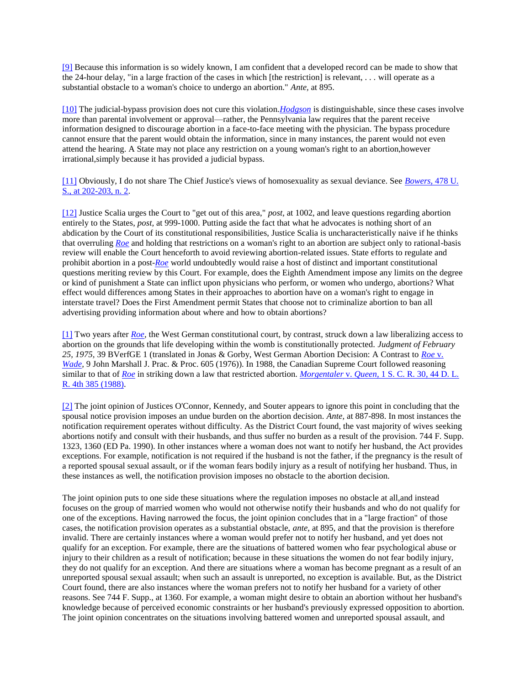[\[9\]](http://scholar.google.co.in/scholar_case?q=planned+parenthood+v.+casey&hl=en&as_sdt=2,5&case=6298856056242550994&scilh=0#r[19]) Because this information is so widely known, I am confident that a developed record can be made to show that the 24-hour delay, "in a large fraction of the cases in which [the restriction] is relevant, . . . will operate as a substantial obstacle to a woman's choice to undergo an abortion." *Ante,* at 895.

[\[10\]](http://scholar.google.co.in/scholar_case?q=planned+parenthood+v.+casey&hl=en&as_sdt=2,5&case=6298856056242550994&scilh=0#r[20]) The judicial-bypass provision does not cure this violation.*[Hodgson](http://scholar.google.co.in/scholar_case?case=15890213352888117836&q=planned+parenthood+v.+casey&hl=en&as_sdt=2,5&scilh=0)* is distinguishable, since these cases involve more than parental involvement or approval—rather, the Pennsylvania law requires that the parent receive information designed to discourage abortion in a face-to-face meeting with the physician. The bypass procedure cannot ensure that the parent would obtain the information, since in many instances, the parent would not even attend the hearing. A State may not place any restriction on a young woman's right to an abortion,however irrational,simply because it has provided a judicial bypass.

[\[11\]](http://scholar.google.co.in/scholar_case?q=planned+parenthood+v.+casey&hl=en&as_sdt=2,5&case=6298856056242550994&scilh=0#r[21]) Obviously, I do not share The Chief Justice's views of homosexuality as sexual deviance. See *[Bowers,](http://scholar.google.co.in/scholar_case?case=14901730125647575103&q=planned+parenthood+v.+casey&hl=en&as_sdt=2,5&scilh=0)* 478 U. [S., at 202-203, n. 2.](http://scholar.google.co.in/scholar_case?case=14901730125647575103&q=planned+parenthood+v.+casey&hl=en&as_sdt=2,5&scilh=0)

[\[12\]](http://scholar.google.co.in/scholar_case?q=planned+parenthood+v.+casey&hl=en&as_sdt=2,5&case=6298856056242550994&scilh=0#r[22]) Justice Scalia urges the Court to "get out of this area," *post,* at 1002, and leave questions regarding abortion entirely to the States, *post,* at 999-1000. Putting aside the fact that what he advocates is nothing short of an abdication by the Court of its constitutional responsibilities, Justice Scalia is uncharacteristically naive if he thinks that overruling *[Roe](http://scholar.google.co.in/scholar_case?case=12334123945835207673&q=planned+parenthood+v.+casey&hl=en&as_sdt=2,5&scilh=0)* and holding that restrictions on a woman's right to an abortion are subject only to rational-basis review will enable the Court henceforth to avoid reviewing abortion-related issues. State efforts to regulate and prohibit abortion in a post-*[Roe](http://scholar.google.co.in/scholar_case?case=12334123945835207673&q=planned+parenthood+v.+casey&hl=en&as_sdt=2,5&scilh=0)* world undoubtedly would raise a host of distinct and important constitutional questions meriting review by this Court. For example, does the Eighth Amendment impose any limits on the degree or kind of punishment a State can inflict upon physicians who perform, or women who undergo, abortions? What effect would differences among States in their approaches to abortion have on a woman's right to engage in interstate travel? Does the First Amendment permit States that choose not to criminalize abortion to ban all advertising providing information about where and how to obtain abortions?

[\[1\]](http://scholar.google.co.in/scholar_case?q=planned+parenthood+v.+casey&hl=en&as_sdt=2,5&case=6298856056242550994&scilh=0#r[23]) Two years after *[Roe,](http://scholar.google.co.in/scholar_case?case=12334123945835207673&q=planned+parenthood+v.+casey&hl=en&as_sdt=2,5&scilh=0)* the West German constitutional court, by contrast, struck down a law liberalizing access to abortion on the grounds that life developing within the womb is constitutionally protected. *Judgment of February 25, 1975,* 39 BVerfGE 1 (translated in Jonas & Gorby, West German Abortion Decision: A Contrast to *[Roe](http://scholar.google.co.in/scholar_case?case=12334123945835207673&q=planned+parenthood+v.+casey&hl=en&as_sdt=2,5&scilh=0)* v. *[Wade,](http://scholar.google.co.in/scholar_case?case=12334123945835207673&q=planned+parenthood+v.+casey&hl=en&as_sdt=2,5&scilh=0)* 9 John Marshall J. Prac. & Proc. 605 (1976)). In 1988, the Canadian Supreme Court followed reasoning similar to that of *[Roe](http://scholar.google.co.in/scholar_case?case=12334123945835207673&q=planned+parenthood+v.+casey&hl=en&as_sdt=2,5&scilh=0)* in striking down a law that restricted abortion. *Morgentaler* v. *Queen,* [1 S. C. R. 30, 44 D. L.](http://scholar.google.co.in/scholar_case?about=3685047419651185514&q=planned+parenthood+v.+casey&hl=en&as_sdt=2,5&scilh=0)  [R. 4th 385 \(1988\).](http://scholar.google.co.in/scholar_case?about=3685047419651185514&q=planned+parenthood+v.+casey&hl=en&as_sdt=2,5&scilh=0)

[\[2\]](http://scholar.google.co.in/scholar_case?q=planned+parenthood+v.+casey&hl=en&as_sdt=2,5&case=6298856056242550994&scilh=0#r[24]) The joint opinion of Justices O'Connor, Kennedy, and Souter appears to ignore this point in concluding that the spousal notice provision imposes an undue burden on the abortion decision. *Ante,* at 887-898. In most instances the notification requirement operates without difficulty. As the District Court found, the vast majority of wives seeking abortions notify and consult with their husbands, and thus suffer no burden as a result of the provision. 744 F. Supp. 1323, 1360 (ED Pa. 1990). In other instances where a woman does not want to notify her husband, the Act provides exceptions. For example, notification is not required if the husband is not the father, if the pregnancy is the result of a reported spousal sexual assault, or if the woman fears bodily injury as a result of notifying her husband. Thus, in these instances as well, the notification provision imposes no obstacle to the abortion decision.

The joint opinion puts to one side these situations where the regulation imposes no obstacle at all,and instead focuses on the group of married women who would not otherwise notify their husbands and who do not qualify for one of the exceptions. Having narrowed the focus, the joint opinion concludes that in a "large fraction" of those cases, the notification provision operates as a substantial obstacle, *ante,* at 895, and that the provision is therefore invalid. There are certainly instances where a woman would prefer not to notify her husband, and yet does not qualify for an exception. For example, there are the situations of battered women who fear psychological abuse or injury to their children as a result of notification; because in these situations the women do not fear bodily injury, they do not qualify for an exception. And there are situations where a woman has become pregnant as a result of an unreported spousal sexual assault; when such an assault is unreported, no exception is available. But, as the District Court found, there are also instances where the woman prefers not to notify her husband for a variety of other reasons. See 744 F. Supp., at 1360. For example, a woman might desire to obtain an abortion without her husband's knowledge because of perceived economic constraints or her husband's previously expressed opposition to abortion. The joint opinion concentrates on the situations involving battered women and unreported spousal assault, and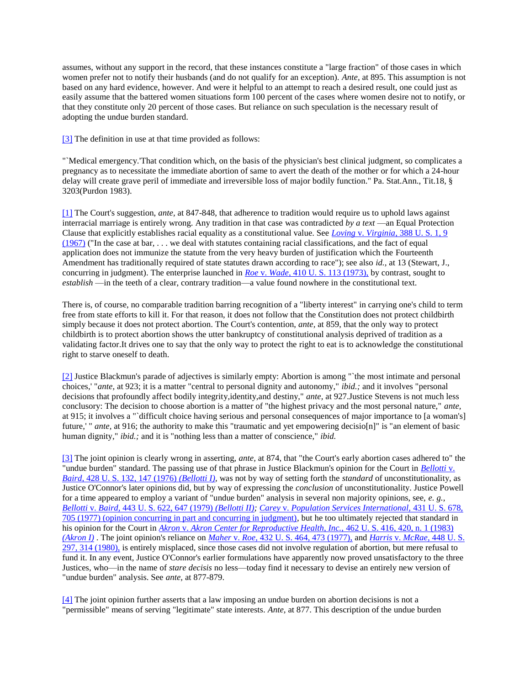assumes, without any support in the record, that these instances constitute a "large fraction" of those cases in which women prefer not to notify their husbands (and do not qualify for an exception). *Ante,* at 895. This assumption is not based on any hard evidence, however. And were it helpful to an attempt to reach a desired result, one could just as easily assume that the battered women situations form 100 percent of the cases where women desire not to notify, or that they constitute only 20 percent of those cases. But reliance on such speculation is the necessary result of adopting the undue burden standard.

[\[3\]](http://scholar.google.co.in/scholar_case?q=planned+parenthood+v.+casey&hl=en&as_sdt=2,5&case=6298856056242550994&scilh=0#r[25]) The definition in use at that time provided as follows:

"`Medical emergency.'That condition which, on the basis of the physician's best clinical judgment, so complicates a pregnancy as to necessitate the immediate abortion of same to avert the death of the mother or for which a 24-hour delay will create grave peril of immediate and irreversible loss of major bodily function." Pa. Stat.Ann., Tit.18, § 3203(Purdon 1983).

[\[1\]](http://scholar.google.co.in/scholar_case?q=planned+parenthood+v.+casey&hl=en&as_sdt=2,5&case=6298856056242550994&scilh=0#r[26]) The Court's suggestion, *ante,* at 847-848, that adherence to tradition would require us to uphold laws against interracial marriage is entirely wrong. Any tradition in that case was contradicted *by a text* —an Equal Protection Clause that explicitly establishes racial equality as a constitutional value. See *Loving* v. *Virginia,* [388 U. S. 1, 9](http://scholar.google.co.in/scholar_case?case=5103666188878568597&q=planned+parenthood+v.+casey&hl=en&as_sdt=2,5&scilh=0)   $(1967)$  ("In the case at bar, ... we deal with statutes containing racial classifications, and the fact of equal application does not immunize the statute from the very heavy burden of justification which the Fourteenth Amendment has traditionally required of state statutes drawn according to race"); see also *id.,* at 13 (Stewart, J., concurring in judgment). The enterprise launched in *Roe* v. *Wade,* [410 U. S. 113 \(1973\),](http://scholar.google.co.in/scholar_case?case=12334123945835207673&q=planned+parenthood+v.+casey&hl=en&as_sdt=2,5&scilh=0) by contrast, sought to *establish* —in the teeth of a clear, contrary tradition—a value found nowhere in the constitutional text.

There is, of course, no comparable tradition barring recognition of a "liberty interest" in carrying one's child to term free from state efforts to kill it. For that reason, it does not follow that the Constitution does not protect childbirth simply because it does not protect abortion. The Court's contention, *ante,* at 859, that the only way to protect childbirth is to protect abortion shows the utter bankruptcy of constitutional analysis deprived of tradition as a validating factor.It drives one to say that the only way to protect the right to eat is to acknowledge the constitutional right to starve oneself to death.

[\[2\]](http://scholar.google.co.in/scholar_case?q=planned+parenthood+v.+casey&hl=en&as_sdt=2,5&case=6298856056242550994&scilh=0#r[27]) Justice Blackmun's parade of adjectives is similarly empty: Abortion is among "`the most intimate and personal choices,' "*ante,* at 923; it is a matter "central to personal dignity and autonomy," *ibid.;* and it involves "personal decisions that profoundly affect bodily integrity,identity,and destiny," *ante,* at 927.Justice Stevens is not much less conclusory: The decision to choose abortion is a matter of "the highest privacy and the most personal nature," *ante,* at 915; it involves a "`difficult choice having serious and personal consequences of major importance to [a woman's] future,' " *ante*, at 916; the authority to make this "traumatic and yet empowering decisio<sup>[n]"</sup> is "an element of basic human dignity," *ibid.*; and it is "nothing less than a matter of conscience," *ibid.* 

[\[3\]](http://scholar.google.co.in/scholar_case?q=planned+parenthood+v.+casey&hl=en&as_sdt=2,5&case=6298856056242550994&scilh=0#r[28]) The joint opinion is clearly wrong in asserting, *ante,* at 874, that "the Court's early abortion cases adhered to" the "undue burden" standard. The passing use of that phrase in Justice Blackmun's opinion for the Court in *[Bellotti](http://scholar.google.co.in/scholar_case?case=13318947486987437593&q=planned+parenthood+v.+casey&hl=en&as_sdt=2,5&scilh=0)* v. *Baird,* [428 U. S. 132, 147 \(1976\)](http://scholar.google.co.in/scholar_case?case=13318947486987437593&q=planned+parenthood+v.+casey&hl=en&as_sdt=2,5&scilh=0) *(Bellotti I),* was not by way of setting forth the *standard* of unconstitutionality, as Justice O'Connor's later opinions did, but by way of expressing the *conclusion* of unconstitutionality. Justice Powell for a time appeared to employ a variant of "undue burden" analysis in several non majority opinions, see, *e. g., Bellotti* v. *Baird,* [443 U. S. 622, 647 \(1979\)](http://scholar.google.co.in/scholar_case?case=13182298442826453955&q=planned+parenthood+v.+casey&hl=en&as_sdt=2,5&scilh=0) *(Bellotti II); Carey* v. *[Population Services International,](http://scholar.google.co.in/scholar_case?case=4801034783278981738&q=planned+parenthood+v.+casey&hl=en&as_sdt=2,5&scilh=0)* 431 U. S. 678, [705 \(1977\) \(opinion concurring in part and concurring in judgment\),](http://scholar.google.co.in/scholar_case?case=4801034783278981738&q=planned+parenthood+v.+casey&hl=en&as_sdt=2,5&scilh=0) but he too ultimately rejected that standard in his opinion for the Court in *Akron* v. *[Akron Center for Reproductive Health, Inc.,](http://scholar.google.co.in/scholar_case?case=7944230995323582140&q=planned+parenthood+v.+casey&hl=en&as_sdt=2,5&scilh=0)* 462 U. S. 416, 420, n. 1 (1983) *[\(Akron I\)](http://scholar.google.co.in/scholar_case?case=7944230995323582140&q=planned+parenthood+v.+casey&hl=en&as_sdt=2,5&scilh=0)* . The joint opinion's reliance on *Maher* v. *Roe,* [432 U. S. 464, 473 \(1977\),](http://scholar.google.co.in/scholar_case?case=10803349459097846233&q=planned+parenthood+v.+casey&hl=en&as_sdt=2,5&scilh=0) and *Harris* v. *McRae,* [448 U. S.](http://scholar.google.co.in/scholar_case?case=8833310949486291357&q=planned+parenthood+v.+casey&hl=en&as_sdt=2,5&scilh=0)  [297, 314 \(1980\),](http://scholar.google.co.in/scholar_case?case=8833310949486291357&q=planned+parenthood+v.+casey&hl=en&as_sdt=2,5&scilh=0) is entirely misplaced, since those cases did not involve regulation of abortion, but mere refusal to fund it. In any event, Justice O'Connor's earlier formulations have apparently now proved unsatisfactory to the three Justices, who—in the name of *stare decisis* no less—today find it necessary to devise an entirely new version of "undue burden" analysis. See *ante,* at 877-879.

[\[4\]](http://scholar.google.co.in/scholar_case?q=planned+parenthood+v.+casey&hl=en&as_sdt=2,5&case=6298856056242550994&scilh=0#r[29]) The joint opinion further asserts that a law imposing an undue burden on abortion decisions is not a "permissible" means of serving "legitimate" state interests. *Ante,* at 877. This description of the undue burden